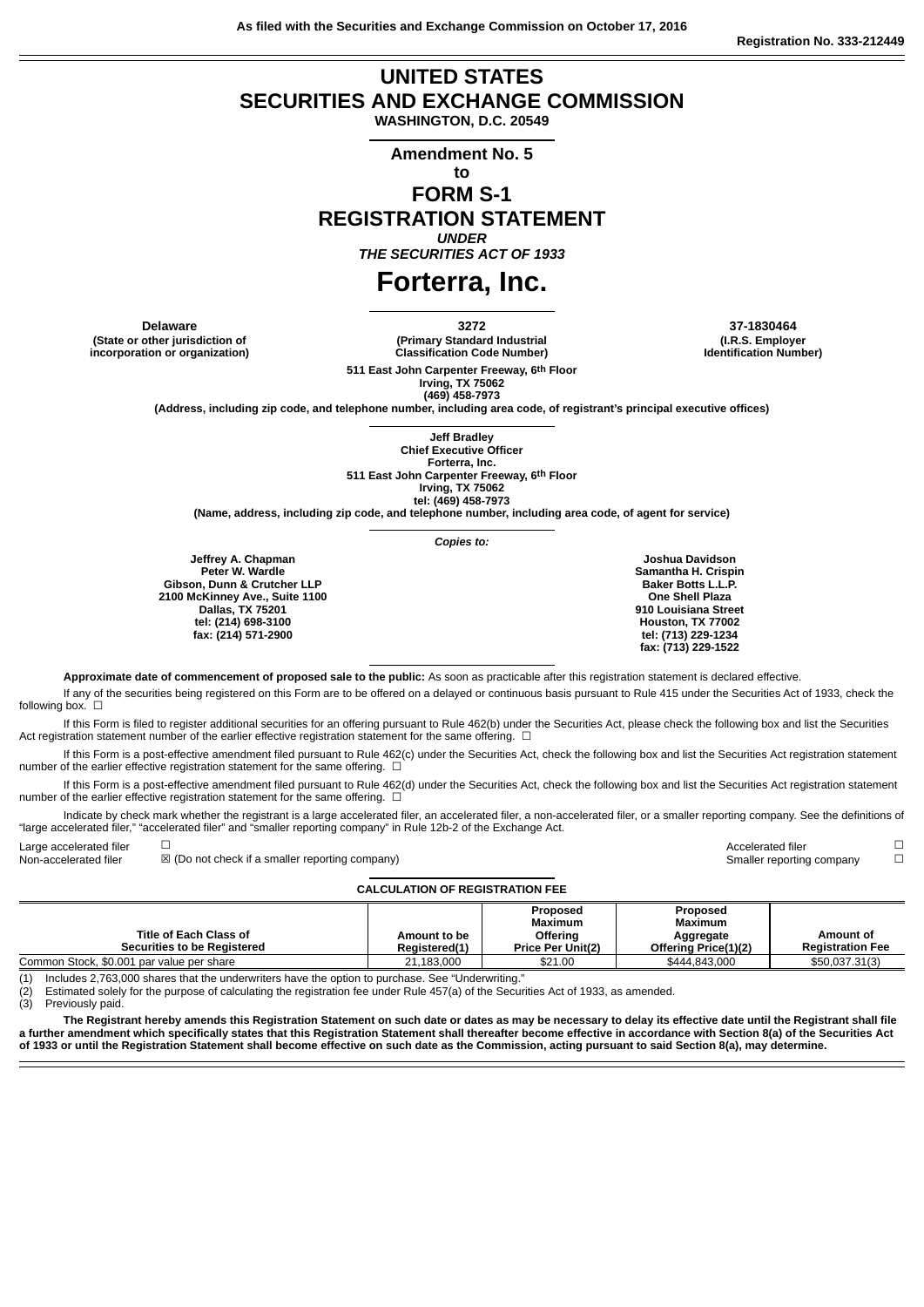**As filed with the Securities and Exchange Commission on October 17, 2016**

## **UNITED STATES SECURITIES AND EXCHANGE COMMISSION**

**WASHINGTON, D.C. 20549**

**Amendment No. 5**

**to**

## **FORM S-1 REGISTRATION STATEMENT**

*UNDER*

*THE SECURITIES ACT OF 1933*

# **Forterra, Inc.**

**(State or other jurisdiction of incorporation or organization)** **(Primary Standard Industrial**

**Classification Code Number) 511 East John Carpenter Freeway, 6th Floor**

**Delaware 3272 37-1830464 (I.R.S. Employer Identification Number)**

**Irving, TX 75062 (469) 458-7973 (Address, including zip code, and telephone number, including area code, of registrant's principal executive offices)**

> **Jeff Bradley Chief Executive Officer Forterra, Inc.**

**511 East John Carpenter Freeway, 6th Floor Irving, TX 75062**

**tel: (469) 458-7973**

**(Name, address, including zip code, and telephone number, including area code, of agent for service)**

*Copies to:*

**Jeffrey A. Chapman Peter W. Wardle Gibson, Dunn & Crutcher LLP 2100 McKinney Ave., Suite 1100 Dallas, TX 75201 tel: (214) 698-3100 fax: (214) 571-2900**

**Joshua Davidson Samantha H. Crispin Baker Botts L.L.P. One Shell Plaza 910 Louisiana Street Houston, TX 77002 tel: (713) 229-1234 fax: (713) 229-1522**

**Approximate date of commencement of proposed sale to the public:** As soon as practicable after this registration statement is declared effective.

If any of the securities being registered on this Form are to be offered on a delayed or continuous basis pursuant to Rule 415 under the Securities Act of 1933, check the following box.  $\square$ 

If this Form is filed to register additional securities for an offering pursuant to Rule 462(b) under the Securities Act, please check the following box and list the Securities Act registration statement number of the earlier effective registration statement for the same offering. □

If this Form is a post-effective amendment filed pursuant to Rule 462(c) under the Securities Act, check the following box and list the Securities Act registration statement number of the earlier effective registration statement for the same offering.  $□$ 

If this Form is a post-effective amendment filed pursuant to Rule 462(d) under the Securities Act, check the following box and list the Securities Act registration statement number of the earlier effective registration statement for the same offering.  $\Box$ 

Indicate by check mark whether the registrant is a large accelerated filer, an accelerated filer, a non-accelerated filer, or a smaller reporting company. See the definitions of "large accelerated filer," "accelerated filer" and "smaller reporting company" in Rule 12b-2 of the Exchange Act.

Large accelerated filer  $\hfill\Box$ Non-accelerated filer **⊠** (Do not check if a smaller reporting company) Smaller reporting company <del>□</del>

#### **CALCULATION OF REGISTRATION FEE**

|                                           |                      | Proposed                 | Proposed             |                         |
|-------------------------------------------|----------------------|--------------------------|----------------------|-------------------------|
|                                           |                      | Maximum                  | <b>Maximum</b>       |                         |
| <b>Title of Each Class of</b>             | Amount to be         | Offering                 | Aggregate            | Amount of               |
| <b>Securities to be Registered</b>        | <b>Reaistered(1)</b> | <b>Price Per Unit(2)</b> | Offering Price(1)(2) | <b>Registration Fee</b> |
| Common Stock, \$0.001 par value per share | 21.183.000           | \$21.00                  | \$444.843.000        | \$50,037.31(3)          |

(1) Includes 2,763,000 shares that the underwriters have the option to purchase. See "Underwriting."

(2) Estimated solely for the purpose of calculating the registration fee under Rule 457(a) of the Securities Act of 1933, as amended.

(3) Previously paid.

The Registrant hereby amends this Registration Statement on such date or dates as may be necessary to delay its effective date until the Registrant shall file a further amendment which specifically states that this Registration Statement shall thereafter become effective in accordance with Section 8(a) of the Securities Act of 1933 or until the Registration Statement shall become effective on such date as the Commission, acting pursuant to said Section 8(a), may determine.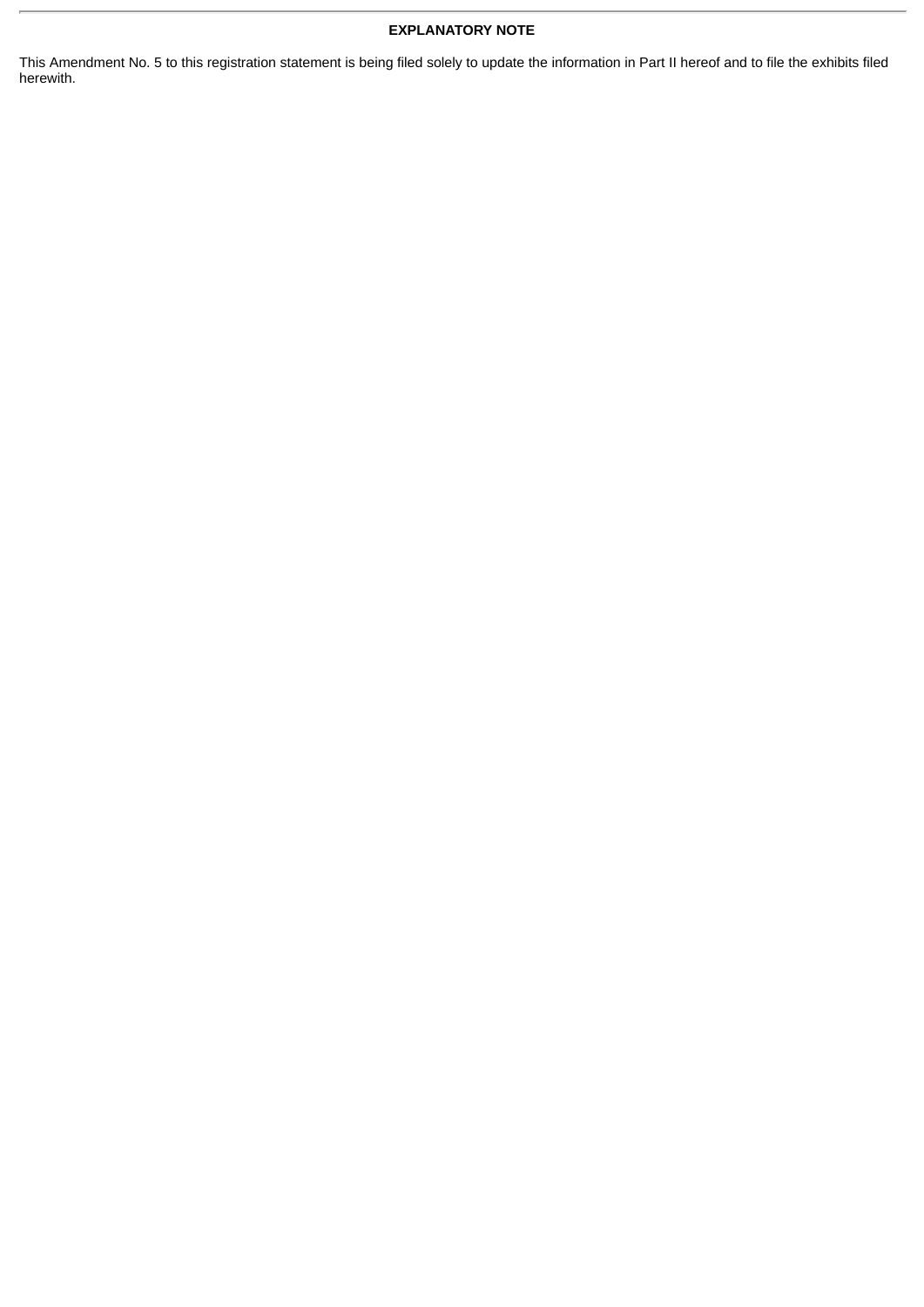## **EXPLANATORY NOTE**

This Amendment No. 5 to this registration statement is being filed solely to update the information in Part II hereof and to file the exhibits filed herewith.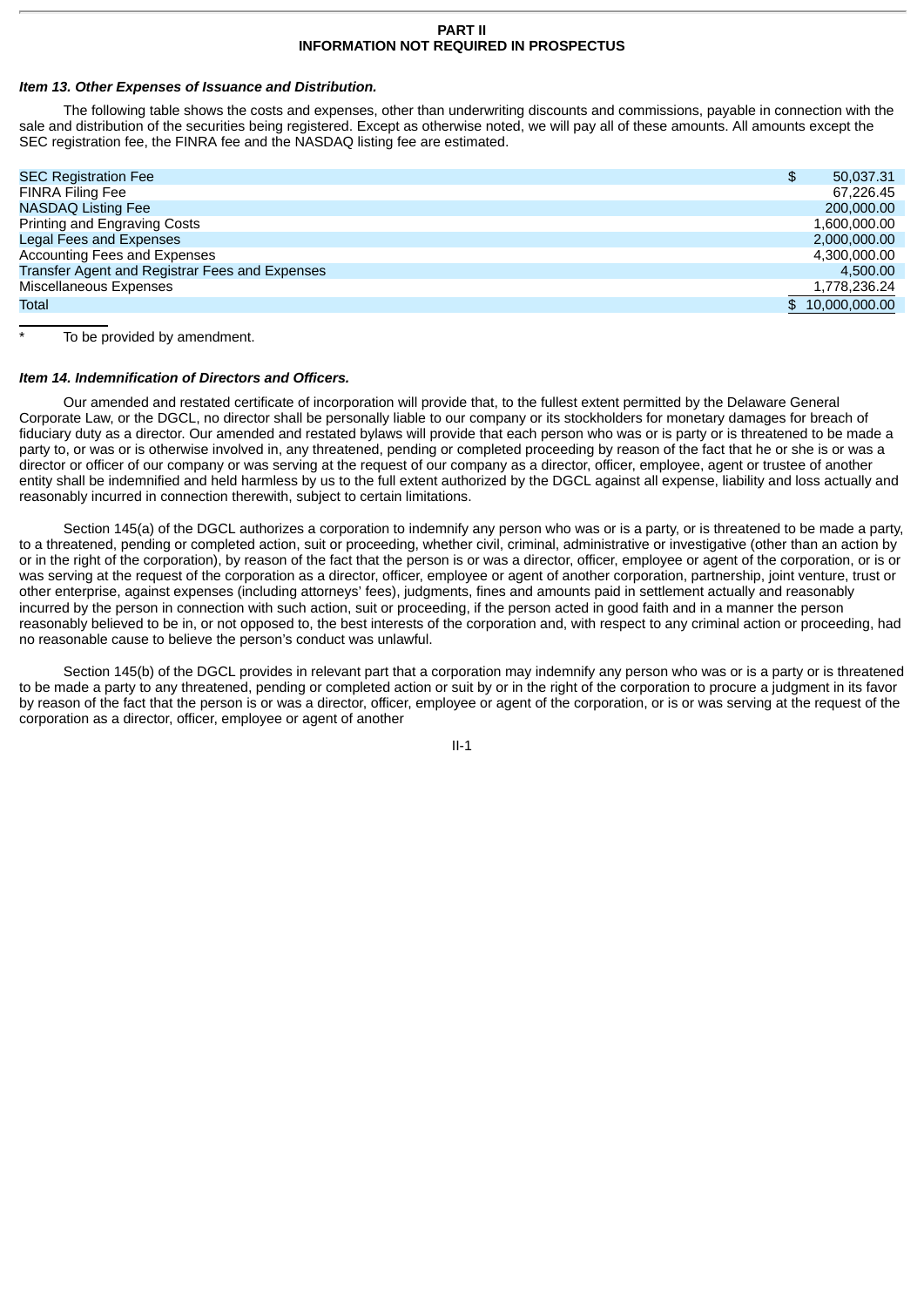## **PART II INFORMATION NOT REQUIRED IN PROSPECTUS**

## *Item 13. Other Expenses of Issuance and Distribution.*

The following table shows the costs and expenses, other than underwriting discounts and commissions, payable in connection with the sale and distribution of the securities being registered. Except as otherwise noted, we will pay all of these amounts. All amounts except the SEC registration fee, the FINRA fee and the NASDAQ listing fee are estimated.

| <b>SEC Registration Fee</b>                    | \$<br>50,037.31 |
|------------------------------------------------|-----------------|
| <b>FINRA Filing Fee</b>                        | 67.226.45       |
| <b>NASDAO Listing Fee</b>                      | 200,000,00      |
| Printing and Engraving Costs                   | 1.600.000.00    |
| <b>Legal Fees and Expenses</b>                 | 2.000.000.00    |
| Accounting Fees and Expenses                   | 4.300.000.00    |
| Transfer Agent and Registrar Fees and Expenses | 4.500.00        |
| Miscellaneous Expenses                         | 1,778,236.24    |
| Total                                          | \$10,000,000.00 |
|                                                |                 |

To be provided by amendment.

#### *Item 14. Indemnification of Directors and Officers.*

Our amended and restated certificate of incorporation will provide that, to the fullest extent permitted by the Delaware General Corporate Law, or the DGCL, no director shall be personally liable to our company or its stockholders for monetary damages for breach of fiduciary duty as a director. Our amended and restated bylaws will provide that each person who was or is party or is threatened to be made a party to, or was or is otherwise involved in, any threatened, pending or completed proceeding by reason of the fact that he or she is or was a director or officer of our company or was serving at the request of our company as a director, officer, employee, agent or trustee of another entity shall be indemnified and held harmless by us to the full extent authorized by the DGCL against all expense, liability and loss actually and reasonably incurred in connection therewith, subject to certain limitations.

Section 145(a) of the DGCL authorizes a corporation to indemnify any person who was or is a party, or is threatened to be made a party, to a threatened, pending or completed action, suit or proceeding, whether civil, criminal, administrative or investigative (other than an action by or in the right of the corporation), by reason of the fact that the person is or was a director, officer, employee or agent of the corporation, or is or was serving at the request of the corporation as a director, officer, employee or agent of another corporation, partnership, joint venture, trust or other enterprise, against expenses (including attorneys' fees), judgments, fines and amounts paid in settlement actually and reasonably incurred by the person in connection with such action, suit or proceeding, if the person acted in good faith and in a manner the person reasonably believed to be in, or not opposed to, the best interests of the corporation and, with respect to any criminal action or proceeding, had no reasonable cause to believe the person's conduct was unlawful.

Section 145(b) of the DGCL provides in relevant part that a corporation may indemnify any person who was or is a party or is threatened to be made a party to any threatened, pending or completed action or suit by or in the right of the corporation to procure a judgment in its favor by reason of the fact that the person is or was a director, officer, employee or agent of the corporation, or is or was serving at the request of the corporation as a director, officer, employee or agent of another

II-1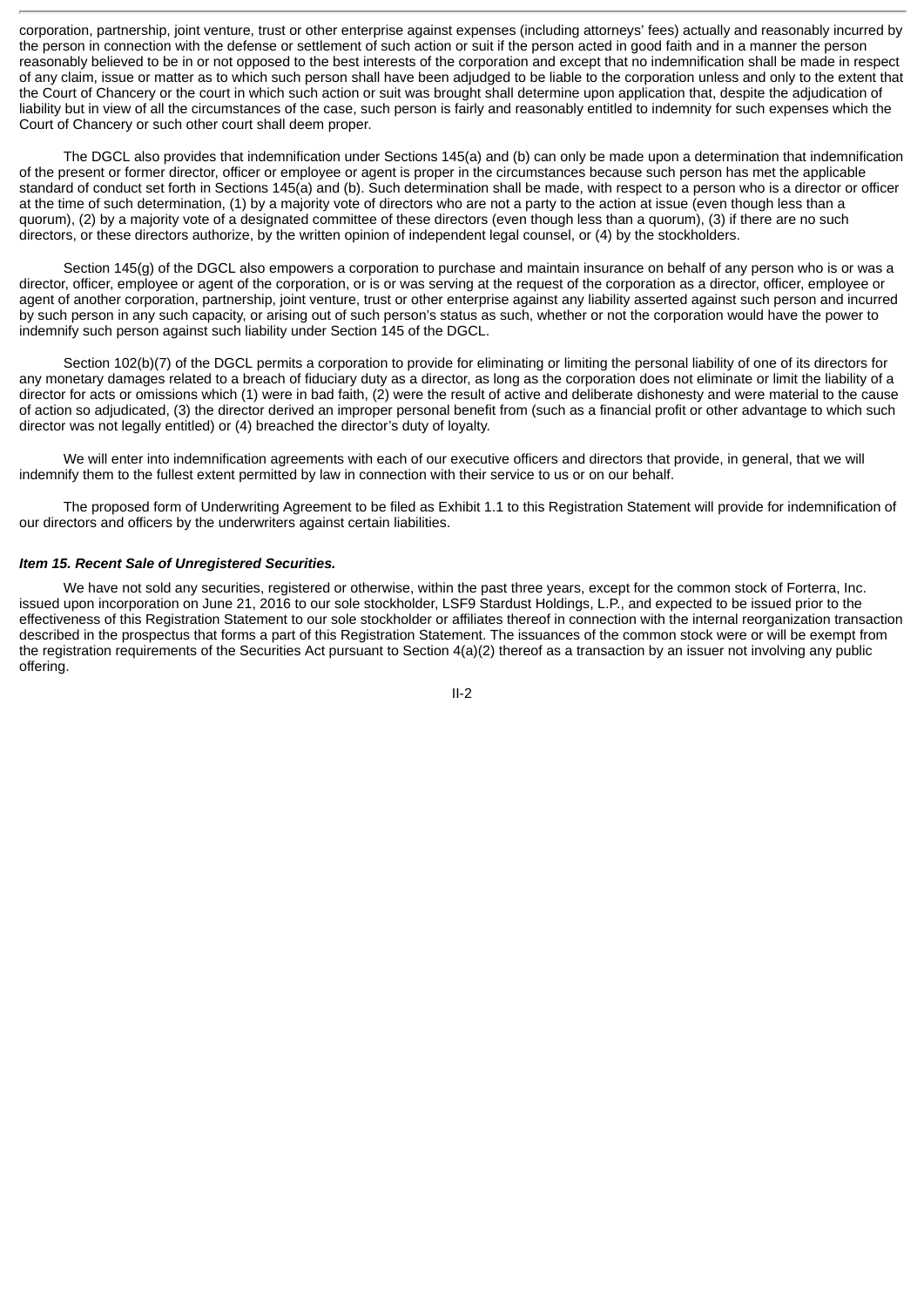corporation, partnership, joint venture, trust or other enterprise against expenses (including attorneys' fees) actually and reasonably incurred by the person in connection with the defense or settlement of such action or suit if the person acted in good faith and in a manner the person reasonably believed to be in or not opposed to the best interests of the corporation and except that no indemnification shall be made in respect of any claim, issue or matter as to which such person shall have been adjudged to be liable to the corporation unless and only to the extent that the Court of Chancery or the court in which such action or suit was brought shall determine upon application that, despite the adjudication of liability but in view of all the circumstances of the case, such person is fairly and reasonably entitled to indemnity for such expenses which the Court of Chancery or such other court shall deem proper.

The DGCL also provides that indemnification under Sections 145(a) and (b) can only be made upon a determination that indemnification of the present or former director, officer or employee or agent is proper in the circumstances because such person has met the applicable standard of conduct set forth in Sections 145(a) and (b). Such determination shall be made, with respect to a person who is a director or officer at the time of such determination, (1) by a majority vote of directors who are not a party to the action at issue (even though less than a quorum), (2) by a majority vote of a designated committee of these directors (even though less than a quorum), (3) if there are no such directors, or these directors authorize, by the written opinion of independent legal counsel, or (4) by the stockholders.

Section 145(g) of the DGCL also empowers a corporation to purchase and maintain insurance on behalf of any person who is or was a director, officer, employee or agent of the corporation, or is or was serving at the request of the corporation as a director, officer, employee or agent of another corporation, partnership, joint venture, trust or other enterprise against any liability asserted against such person and incurred by such person in any such capacity, or arising out of such person's status as such, whether or not the corporation would have the power to indemnify such person against such liability under Section 145 of the DGCL.

Section 102(b)(7) of the DGCL permits a corporation to provide for eliminating or limiting the personal liability of one of its directors for any monetary damages related to a breach of fiduciary duty as a director, as long as the corporation does not eliminate or limit the liability of a director for acts or omissions which (1) were in bad faith, (2) were the result of active and deliberate dishonesty and were material to the cause of action so adjudicated, (3) the director derived an improper personal benefit from (such as a financial profit or other advantage to which such director was not legally entitled) or (4) breached the director's duty of loyalty.

We will enter into indemnification agreements with each of our executive officers and directors that provide, in general, that we will indemnify them to the fullest extent permitted by law in connection with their service to us or on our behalf.

The proposed form of Underwriting Agreement to be filed as Exhibit 1.1 to this Registration Statement will provide for indemnification of our directors and officers by the underwriters against certain liabilities.

## *Item 15. Recent Sale of Unregistered Securities.*

We have not sold any securities, registered or otherwise, within the past three years, except for the common stock of Forterra, Inc. issued upon incorporation on June 21, 2016 to our sole stockholder, LSF9 Stardust Holdings, L.P., and expected to be issued prior to the effectiveness of this Registration Statement to our sole stockholder or affiliates thereof in connection with the internal reorganization transaction described in the prospectus that forms a part of this Registration Statement. The issuances of the common stock were or will be exempt from the registration requirements of the Securities Act pursuant to Section 4(a)(2) thereof as a transaction by an issuer not involving any public offering.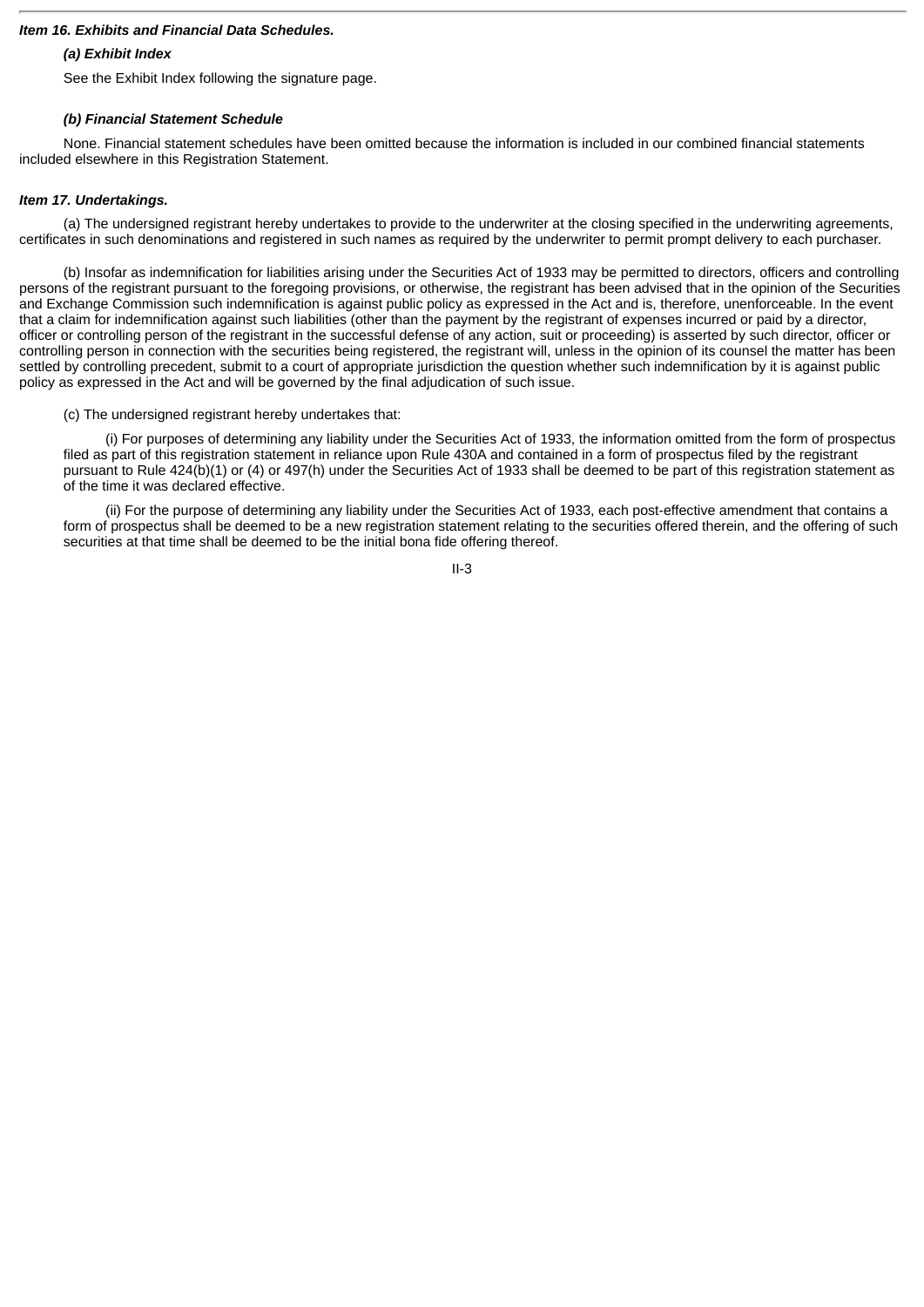## *Item 16. Exhibits and Financial Data Schedules.*

## *(a) Exhibit Index*

See the Exhibit Index following the signature page.

## *(b) Financial Statement Schedule*

None. Financial statement schedules have been omitted because the information is included in our combined financial statements included elsewhere in this Registration Statement.

## *Item 17. Undertakings.*

(a) The undersigned registrant hereby undertakes to provide to the underwriter at the closing specified in the underwriting agreements, certificates in such denominations and registered in such names as required by the underwriter to permit prompt delivery to each purchaser.

(b) Insofar as indemnification for liabilities arising under the Securities Act of 1933 may be permitted to directors, officers and controlling persons of the registrant pursuant to the foregoing provisions, or otherwise, the registrant has been advised that in the opinion of the Securities and Exchange Commission such indemnification is against public policy as expressed in the Act and is, therefore, unenforceable. In the event that a claim for indemnification against such liabilities (other than the payment by the registrant of expenses incurred or paid by a director, officer or controlling person of the registrant in the successful defense of any action, suit or proceeding) is asserted by such director, officer or controlling person in connection with the securities being registered, the registrant will, unless in the opinion of its counsel the matter has been settled by controlling precedent, submit to a court of appropriate jurisdiction the question whether such indemnification by it is against public policy as expressed in the Act and will be governed by the final adjudication of such issue.

(c) The undersigned registrant hereby undertakes that:

(i) For purposes of determining any liability under the Securities Act of 1933, the information omitted from the form of prospectus filed as part of this registration statement in reliance upon Rule 430A and contained in a form of prospectus filed by the registrant pursuant to Rule 424(b)(1) or (4) or 497(h) under the Securities Act of 1933 shall be deemed to be part of this registration statement as of the time it was declared effective.

(ii) For the purpose of determining any liability under the Securities Act of 1933, each post-effective amendment that contains a form of prospectus shall be deemed to be a new registration statement relating to the securities offered therein, and the offering of such securities at that time shall be deemed to be the initial bona fide offering thereof.

II-3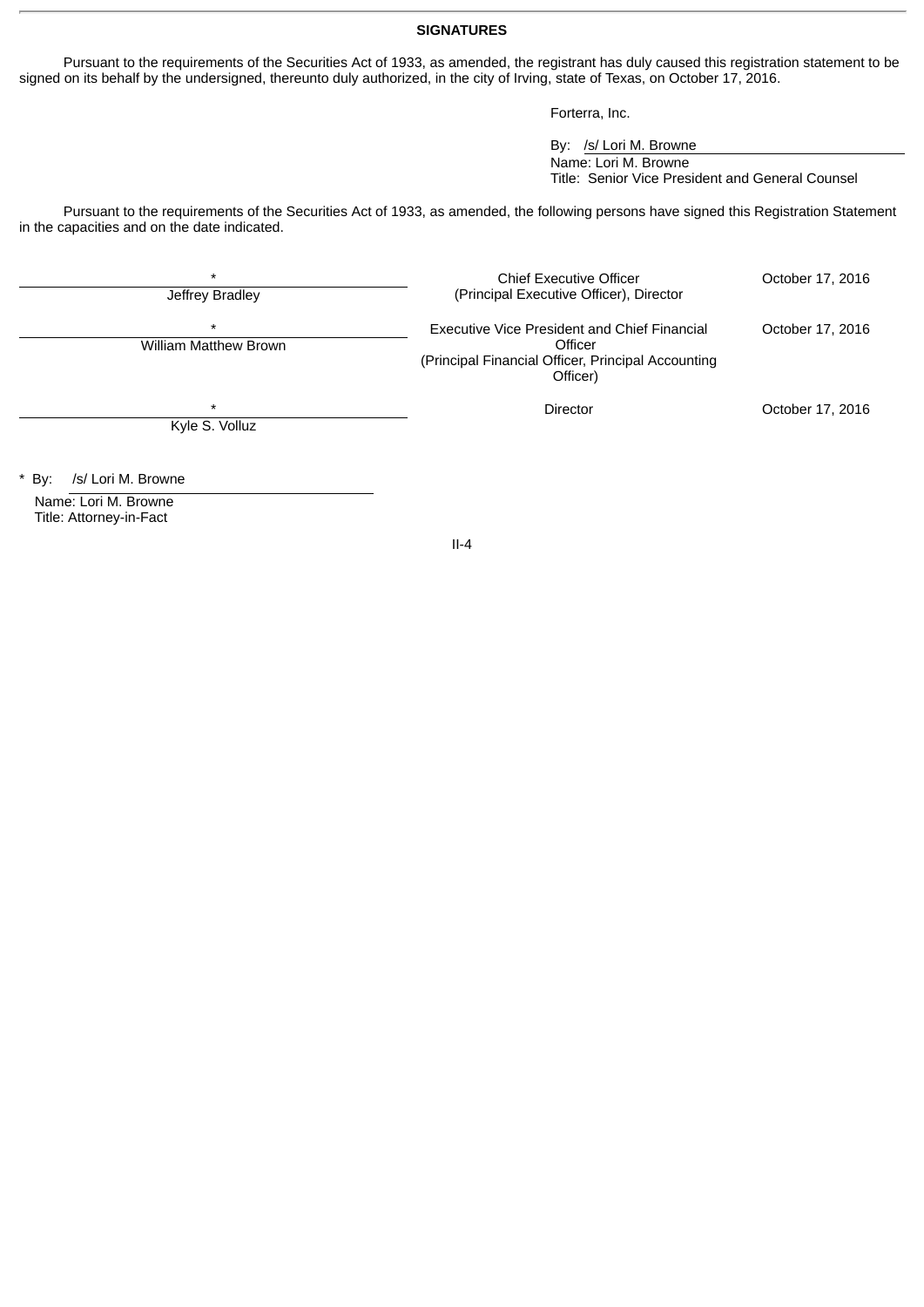## **SIGNATURES**

Pursuant to the requirements of the Securities Act of 1933, as amended, the registrant has duly caused this registration statement to be signed on its behalf by the undersigned, thereunto duly authorized, in the city of Irving, state of Texas, on October 17, 2016.

Forterra, Inc.

By: /s/ Lori M. Browne Name: Lori M. Browne Title: Senior Vice President and General Counsel

Pursuant to the requirements of the Securities Act of 1933, as amended, the following persons have signed this Registration Statement in the capacities and on the date indicated.

| $\star$<br>Jeffrey Bradley              | <b>Chief Executive Officer</b><br>(Principal Executive Officer), Director                                                 | October 17, 2016 |
|-----------------------------------------|---------------------------------------------------------------------------------------------------------------------------|------------------|
| $\star$<br><b>William Matthew Brown</b> | Executive Vice President and Chief Financial<br>Officer<br>(Principal Financial Officer, Principal Accounting<br>Officer) | October 17, 2016 |
| $\star$<br>Kyle S. Volluz               | Director                                                                                                                  | October 17, 2016 |

\* By: /s/ Lori M. Browne

Name: Lori M. Browne Title: Attorney-in-Fact

II-4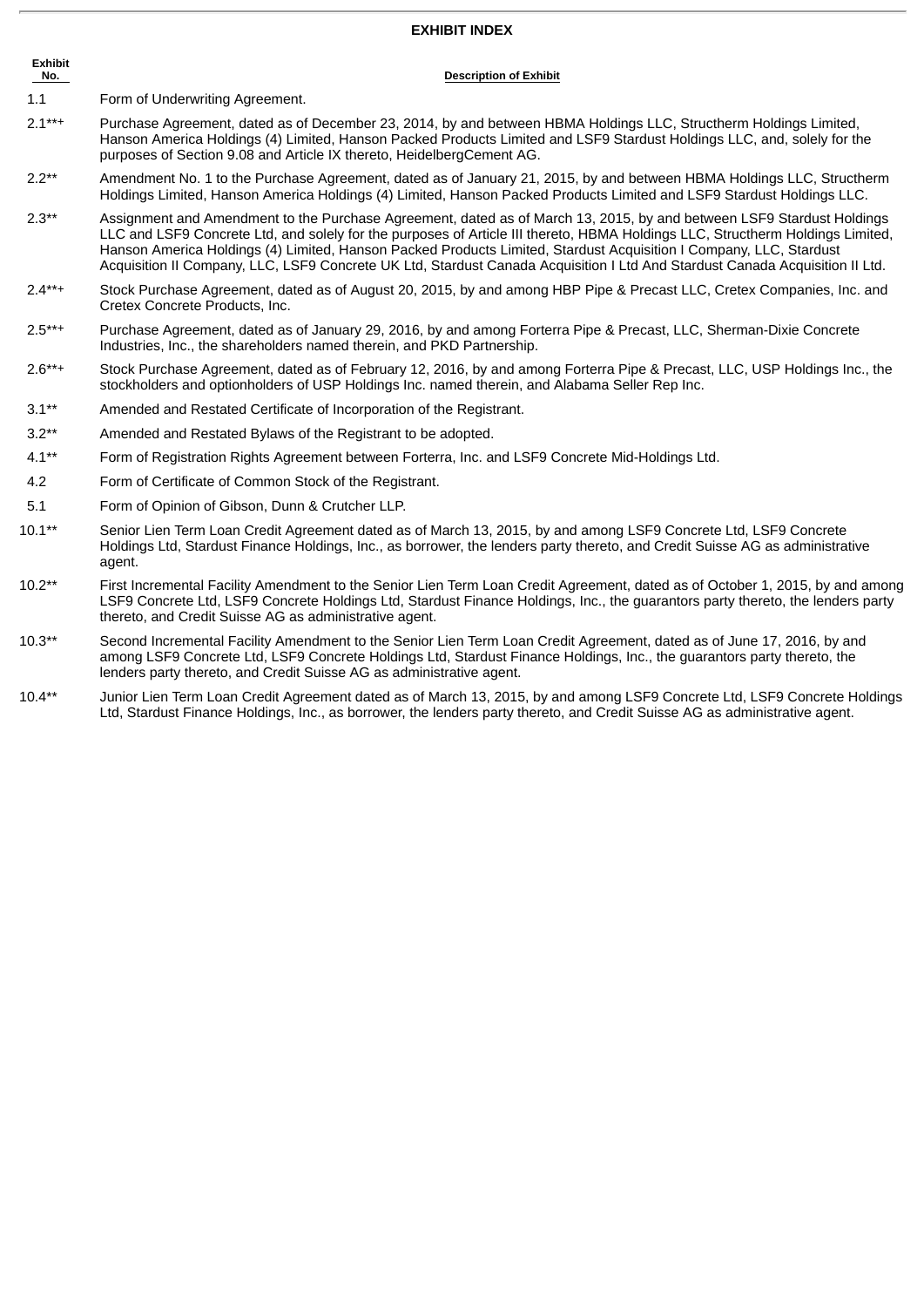## **EXHIBIT INDEX**

| <b>Exhibit</b><br><u>No. _</u> | <b>Description of Exhibit</b>                                                                                                                                                                                                                                                                                                                                                                                                                                                                                 |
|--------------------------------|---------------------------------------------------------------------------------------------------------------------------------------------------------------------------------------------------------------------------------------------------------------------------------------------------------------------------------------------------------------------------------------------------------------------------------------------------------------------------------------------------------------|
| 1.1                            | Form of Underwriting Agreement.                                                                                                                                                                                                                                                                                                                                                                                                                                                                               |
| $2.1***$                       | Purchase Agreement, dated as of December 23, 2014, by and between HBMA Holdings LLC, Structherm Holdings Limited,<br>Hanson America Holdings (4) Limited, Hanson Packed Products Limited and LSF9 Stardust Holdings LLC, and, solely for the<br>purposes of Section 9.08 and Article IX thereto, HeidelbergCement AG.                                                                                                                                                                                         |
| $2.2**$                        | Amendment No. 1 to the Purchase Agreement, dated as of January 21, 2015, by and between HBMA Holdings LLC, Structherm<br>Holdings Limited, Hanson America Holdings (4) Limited, Hanson Packed Products Limited and LSF9 Stardust Holdings LLC.                                                                                                                                                                                                                                                                |
| $2.3**$                        | Assignment and Amendment to the Purchase Agreement, dated as of March 13, 2015, by and between LSF9 Stardust Holdings<br>LLC and LSF9 Concrete Ltd, and solely for the purposes of Article III thereto, HBMA Holdings LLC, Structherm Holdings Limited,<br>Hanson America Holdings (4) Limited, Hanson Packed Products Limited, Stardust Acquisition I Company, LLC, Stardust<br>Acquisition II Company, LLC, LSF9 Concrete UK Ltd, Stardust Canada Acquisition I Ltd And Stardust Canada Acquisition II Ltd. |

- 2.4\*\*+ Stock Purchase Agreement, dated as of August 20, 2015, by and among HBP Pipe & Precast LLC, Cretex Companies, Inc. and Cretex Concrete Products, Inc.
- 2.5\*\*+ Purchase Agreement, dated as of January 29, 2016, by and among Forterra Pipe & Precast, LLC, Sherman-Dixie Concrete Industries, Inc., the shareholders named therein, and PKD Partnership.
- 2.6\*\*+ Stock Purchase Agreement, dated as of February 12, 2016, by and among Forterra Pipe & Precast, LLC, USP Holdings Inc., the stockholders and optionholders of USP Holdings Inc. named therein, and Alabama Seller Rep Inc.
- 3.1\*\* Amended and Restated Certificate of Incorporation of the Registrant.
- 3.2\*\* Amended and Restated Bylaws of the Registrant to be adopted.
- 4.1\*\* Form of Registration Rights Agreement between Forterra, Inc. and LSF9 Concrete Mid-Holdings Ltd.
- 4.2 Form of Certificate of Common Stock of the Registrant.
- 5.1 Form of Opinion of Gibson, Dunn & Crutcher LLP.
- 10.1\*\* Senior Lien Term Loan Credit Agreement dated as of March 13, 2015, by and among LSF9 Concrete Ltd, LSF9 Concrete Holdings Ltd, Stardust Finance Holdings, Inc., as borrower, the lenders party thereto, and Credit Suisse AG as administrative agent.
- 10.2\*\* First Incremental Facility Amendment to the Senior Lien Term Loan Credit Agreement, dated as of October 1, 2015, by and among LSF9 Concrete Ltd, LSF9 Concrete Holdings Ltd, Stardust Finance Holdings, Inc., the guarantors party thereto, the lenders party thereto, and Credit Suisse AG as administrative agent.
- 10.3\*\* Second Incremental Facility Amendment to the Senior Lien Term Loan Credit Agreement, dated as of June 17, 2016, by and among LSF9 Concrete Ltd, LSF9 Concrete Holdings Ltd, Stardust Finance Holdings, Inc., the guarantors party thereto, the lenders party thereto, and Credit Suisse AG as administrative agent.
- 10.4\*\* Junior Lien Term Loan Credit Agreement dated as of March 13, 2015, by and among LSF9 Concrete Ltd, LSF9 Concrete Holdings Ltd, Stardust Finance Holdings, Inc., as borrower, the lenders party thereto, and Credit Suisse AG as administrative agent.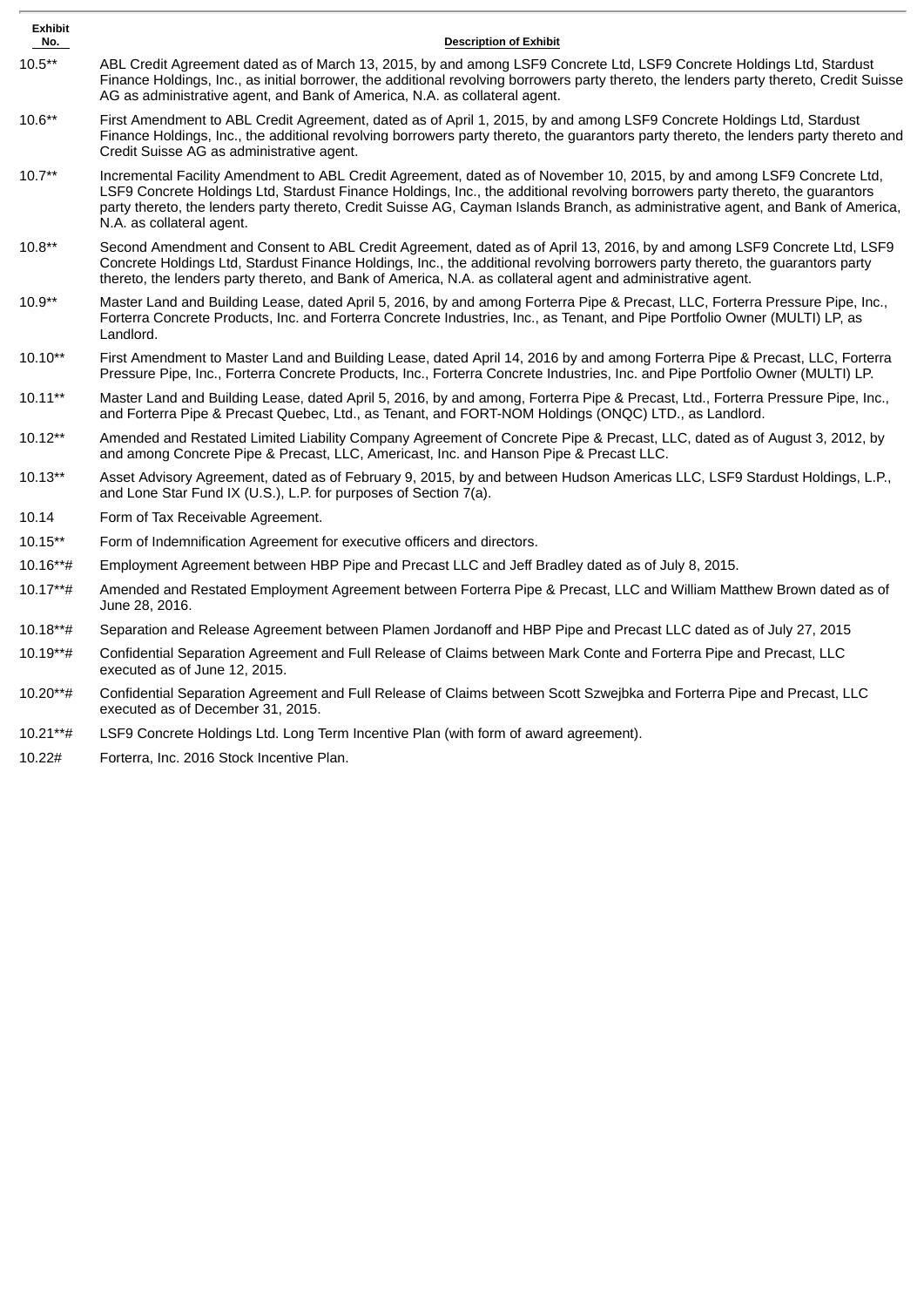| <b>Exhibit</b><br>No. | <b>Description of Exhibit</b>                                                                                                                                                                                                                                                                                                                                                                                            |
|-----------------------|--------------------------------------------------------------------------------------------------------------------------------------------------------------------------------------------------------------------------------------------------------------------------------------------------------------------------------------------------------------------------------------------------------------------------|
| $10.5**$              | ABL Credit Agreement dated as of March 13, 2015, by and among LSF9 Concrete Ltd, LSF9 Concrete Holdings Ltd, Stardust<br>Finance Holdings, Inc., as initial borrower, the additional revolving borrowers party thereto, the lenders party thereto, Credit Suisse<br>AG as administrative agent, and Bank of America, N.A. as collateral agent.                                                                           |
| $10.6**$              | First Amendment to ABL Credit Agreement, dated as of April 1, 2015, by and among LSF9 Concrete Holdings Ltd, Stardust<br>Finance Holdings, Inc., the additional revolving borrowers party thereto, the guarantors party thereto, the lenders party thereto and<br>Credit Suisse AG as administrative agent.                                                                                                              |
| $10.7**$              | Incremental Facility Amendment to ABL Credit Agreement, dated as of November 10, 2015, by and among LSF9 Concrete Ltd,<br>LSF9 Concrete Holdings Ltd, Stardust Finance Holdings, Inc., the additional revolving borrowers party thereto, the guarantors<br>party thereto, the lenders party thereto, Credit Suisse AG, Cayman Islands Branch, as administrative agent, and Bank of America,<br>N.A. as collateral agent. |
| $10.8**$              | Second Amendment and Consent to ABL Credit Agreement, dated as of April 13, 2016, by and among LSF9 Concrete Ltd, LSF9<br>Concrete Holdings Ltd, Stardust Finance Holdings, Inc., the additional revolving borrowers party thereto, the guarantors party<br>thereto, the lenders party thereto, and Bank of America, N.A. as collateral agent and administrative agent.                                                  |
| $10.9**$              | Master Land and Building Lease, dated April 5, 2016, by and among Forterra Pipe & Precast, LLC, Forterra Pressure Pipe, Inc.,<br>Forterra Concrete Products, Inc. and Forterra Concrete Industries, Inc., as Tenant, and Pipe Portfolio Owner (MULTI) LP, as<br>Landlord.                                                                                                                                                |
| $10.10**$             | First Amendment to Master Land and Building Lease, dated April 14, 2016 by and among Forterra Pipe & Precast, LLC, Forterra<br>Pressure Pipe, Inc., Forterra Concrete Products, Inc., Forterra Concrete Industries, Inc. and Pipe Portfolio Owner (MULTI) LP.                                                                                                                                                            |
| $10.11**$             | Master Land and Building Lease, dated April 5, 2016, by and among, Forterra Pipe & Precast, Ltd., Forterra Pressure Pipe, Inc.,<br>and Forterra Pipe & Precast Quebec, Ltd., as Tenant, and FORT-NOM Holdings (ONQC) LTD., as Landlord.                                                                                                                                                                                  |
| $10.12**$             | Amended and Restated Limited Liability Company Agreement of Concrete Pipe & Precast, LLC, dated as of August 3, 2012, by<br>and among Concrete Pipe & Precast, LLC, Americast, Inc. and Hanson Pipe & Precast LLC.                                                                                                                                                                                                       |
| 10.13**               | Asset Advisory Agreement, dated as of February 9, 2015, by and between Hudson Americas LLC, LSF9 Stardust Holdings, L.P.,<br>and Lone Star Fund IX (U.S.), L.P. for purposes of Section 7(a).                                                                                                                                                                                                                            |
| 10.14                 | Form of Tax Receivable Agreement.                                                                                                                                                                                                                                                                                                                                                                                        |
| 10.15**               | Form of Indemnification Agreement for executive officers and directors.                                                                                                                                                                                                                                                                                                                                                  |
| 10.16**#              | Employment Agreement between HBP Pipe and Precast LLC and Jeff Bradley dated as of July 8, 2015.                                                                                                                                                                                                                                                                                                                         |
| 10.17**#              | Amended and Restated Employment Agreement between Forterra Pipe & Precast, LLC and William Matthew Brown dated as of<br>June 28, 2016.                                                                                                                                                                                                                                                                                   |
| 10.18**#              | Separation and Release Agreement between Plamen Jordanoff and HBP Pipe and Precast LLC dated as of July 27, 2015                                                                                                                                                                                                                                                                                                         |
| 10.19**#              | Confidential Separation Agreement and Full Release of Claims between Mark Conte and Forterra Pipe and Precast, LLC<br>executed as of June 12, 2015.                                                                                                                                                                                                                                                                      |
| 10.20**#              | Confidential Separation Agreement and Full Release of Claims between Scott Szwejbka and Forterra Pipe and Precast, LLC<br>executed as of December 31, 2015.                                                                                                                                                                                                                                                              |
| 10.21**#              | LSF9 Concrete Holdings Ltd. Long Term Incentive Plan (with form of award agreement).                                                                                                                                                                                                                                                                                                                                     |
|                       |                                                                                                                                                                                                                                                                                                                                                                                                                          |

10.22# Forterra, Inc. 2016 Stock Incentive Plan.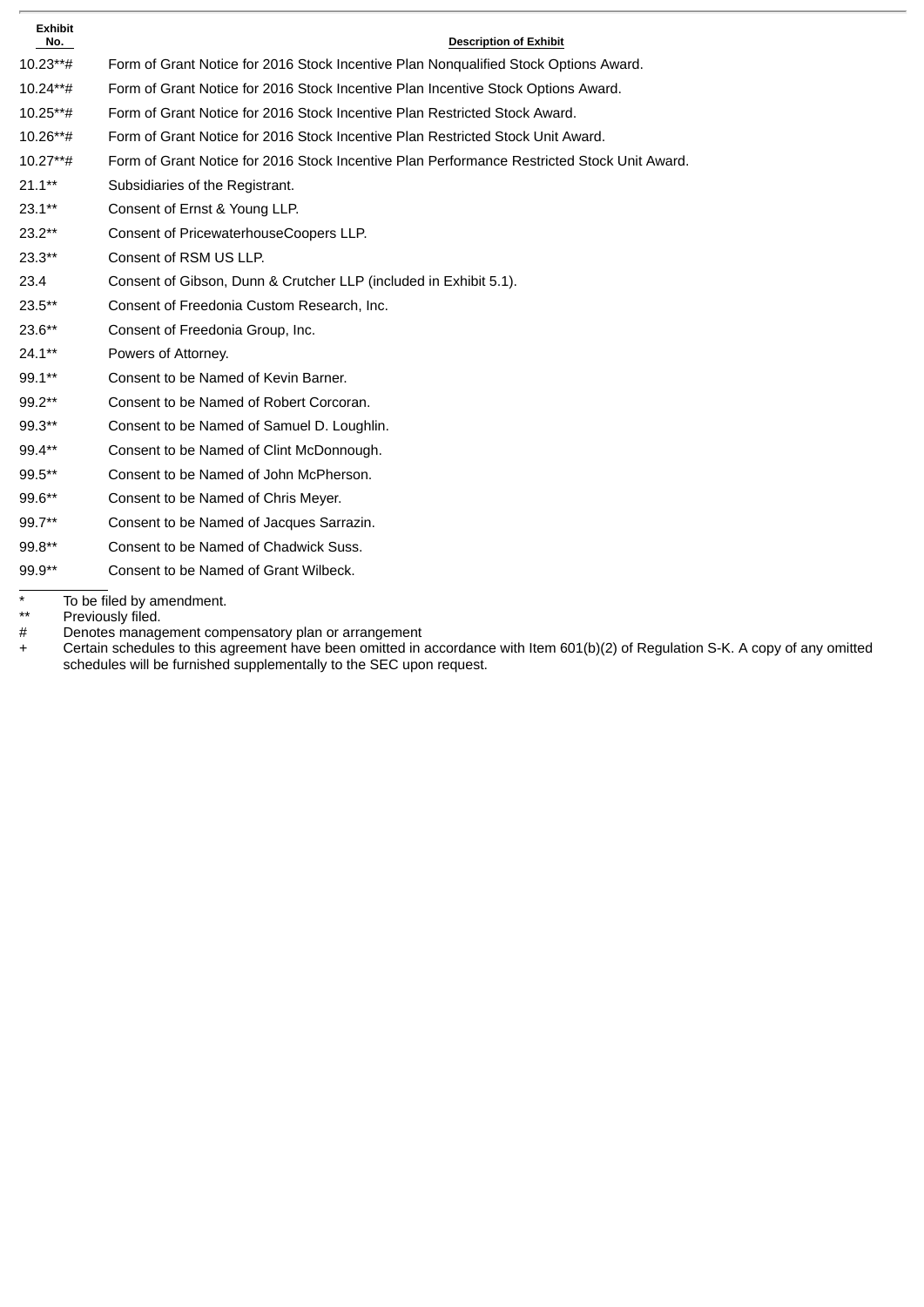| <b>Exhibit</b><br>No. | <b>Description of Exhibit</b>                                                               |
|-----------------------|---------------------------------------------------------------------------------------------|
| $10.23***$            | Form of Grant Notice for 2016 Stock Incentive Plan Nonqualified Stock Options Award.        |
| 10.24**#              | Form of Grant Notice for 2016 Stock Incentive Plan Incentive Stock Options Award.           |
| $10.25***$            | Form of Grant Notice for 2016 Stock Incentive Plan Restricted Stock Award.                  |
| 10.26**#              | Form of Grant Notice for 2016 Stock Incentive Plan Restricted Stock Unit Award.             |
| $10.27***$ #          | Form of Grant Notice for 2016 Stock Incentive Plan Performance Restricted Stock Unit Award. |
| $21.1**$              | Subsidiaries of the Registrant.                                                             |
| $23.1**$              | Consent of Ernst & Young LLP.                                                               |
| $23.2**$              | Consent of PricewaterhouseCoopers LLP.                                                      |
| $23.3**$              | Consent of RSM US LLP.                                                                      |
| 23.4                  | Consent of Gibson, Dunn & Crutcher LLP (included in Exhibit 5.1).                           |
| $23.5**$              | Consent of Freedonia Custom Research, Inc.                                                  |
| $23.6**$              | Consent of Freedonia Group, Inc.                                                            |
| $24.1**$              | Powers of Attorney.                                                                         |
| 99.1**                | Consent to be Named of Kevin Barner.                                                        |
| 99.2**                | Consent to be Named of Robert Corcoran.                                                     |
| 99.3**                | Consent to be Named of Samuel D. Loughlin.                                                  |
| 99.4**                | Consent to be Named of Clint McDonnough.                                                    |
| 99.5**                | Consent to be Named of John McPherson.                                                      |
| 99.6**                | Consent to be Named of Chris Meyer.                                                         |
| 99.7**                | Consent to be Named of Jacques Sarrazin.                                                    |
| 99.8**                | Consent to be Named of Chadwick Suss.                                                       |
| 99.9**                | Consent to be Named of Grant Wilbeck.                                                       |

\* To be filed by amendment.

\*\* Previously filed.

# Denotes management compensatory plan or arrangement

+ Certain schedules to this agreement have been omitted in accordance with Item 601(b)(2) of Regulation S-K. A copy of any omitted schedules will be furnished supplementally to the SEC upon request.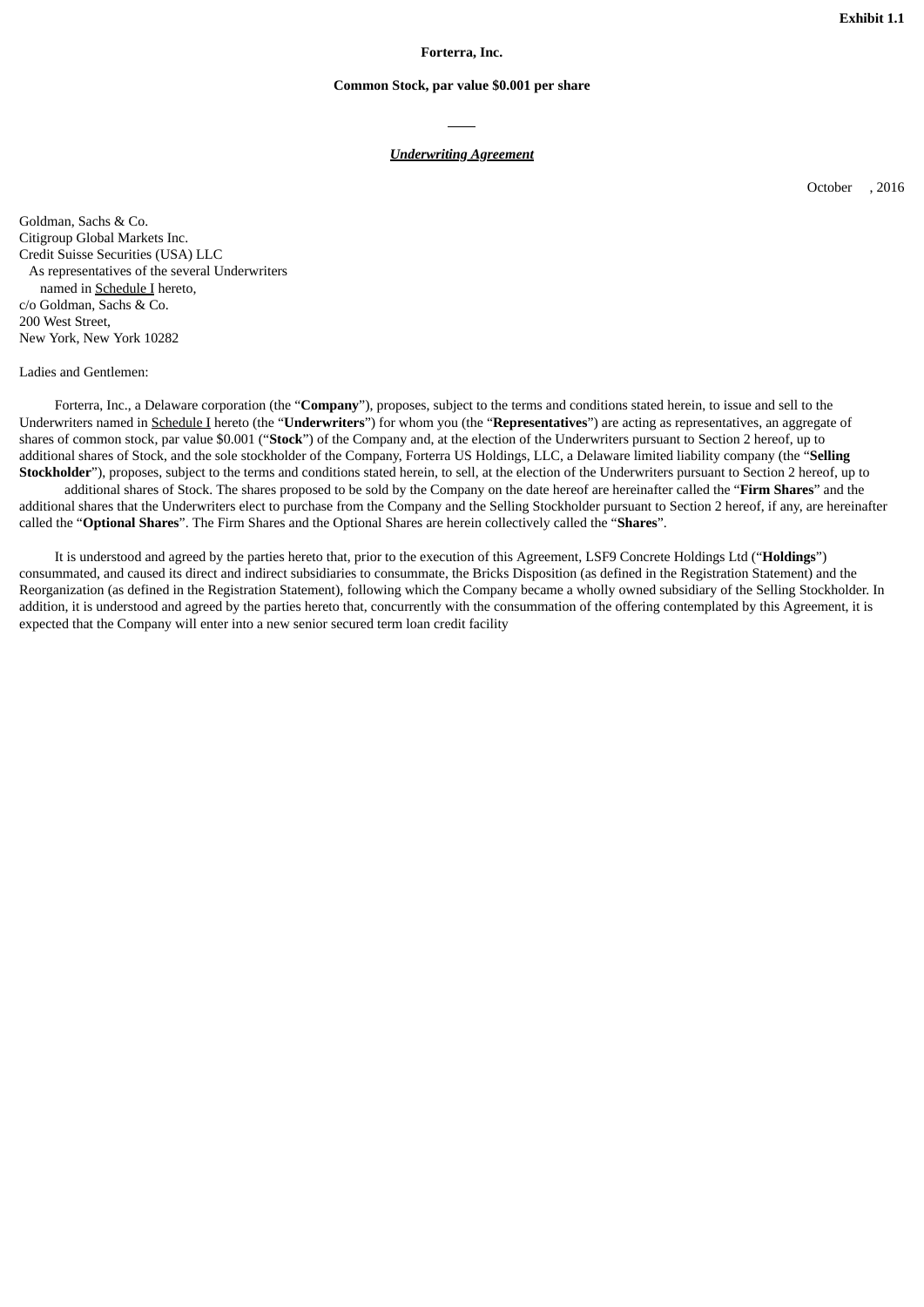**Exhibit 1.1**

**Forterra, Inc.**

### **Common Stock, par value \$0.001 per share**

## *Underwriting Agreement*

October , 2016

Goldman, Sachs & Co. Citigroup Global Markets Inc. Credit Suisse Securities (USA) LLC As representatives of the several Underwriters named in Schedule I hereto, c/o Goldman, Sachs & Co. 200 West Street, New York, New York 10282

Ladies and Gentlemen:

Forterra, Inc., a Delaware corporation (the "**Company**"), proposes, subject to the terms and conditions stated herein, to issue and sell to the Underwriters named in Schedule I hereto (the "**Underwriters**") for whom you (the "**Representatives**") are acting as representatives, an aggregate of shares of common stock, par value \$0.001 ("**Stock**") of the Company and, at the election of the Underwriters pursuant to Section 2 hereof, up to additional shares of Stock, and the sole stockholder of the Company, Forterra US Holdings, LLC, a Delaware limited liability company (the "**Selling Stockholder**"), proposes, subject to the terms and conditions stated herein, to sell, at the election of the Underwriters pursuant to Section 2 hereof, up to

additional shares of Stock. The shares proposed to be sold by the Company on the date hereof are hereinafter called the "**Firm Shares**" and the additional shares that the Underwriters elect to purchase from the Company and the Selling Stockholder pursuant to Section 2 hereof, if any, are hereinafter called the "**Optional Shares**". The Firm Shares and the Optional Shares are herein collectively called the "**Shares**".

It is understood and agreed by the parties hereto that, prior to the execution of this Agreement, LSF9 Concrete Holdings Ltd ("**Holdings**") consummated, and caused its direct and indirect subsidiaries to consummate, the Bricks Disposition (as defined in the Registration Statement) and the Reorganization (as defined in the Registration Statement), following which the Company became a wholly owned subsidiary of the Selling Stockholder. In addition, it is understood and agreed by the parties hereto that, concurrently with the consummation of the offering contemplated by this Agreement, it is expected that the Company will enter into a new senior secured term loan credit facility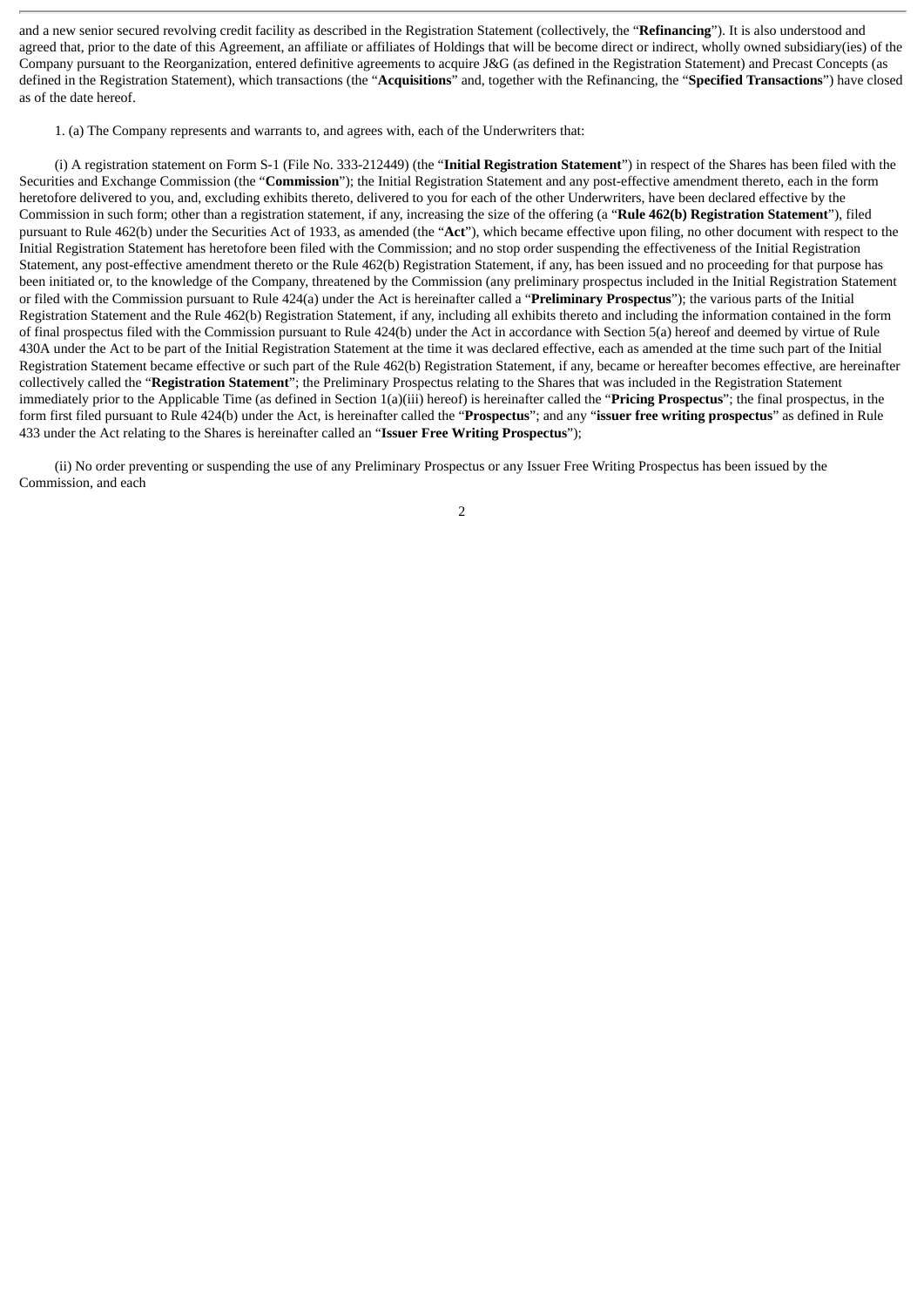and a new senior secured revolving credit facility as described in the Registration Statement (collectively, the "**Refinancing**"). It is also understood and agreed that, prior to the date of this Agreement, an affiliate or affiliates of Holdings that will be become direct or indirect, wholly owned subsidiary(ies) of the Company pursuant to the Reorganization, entered definitive agreements to acquire J&G (as defined in the Registration Statement) and Precast Concepts (as defined in the Registration Statement), which transactions (the "**Acquisitions**" and, together with the Refinancing, the "**Specified Transactions**") have closed as of the date hereof.

1. (a) The Company represents and warrants to, and agrees with, each of the Underwriters that:

(i) A registration statement on Form S-1 (File No. 333-212449) (the "**Initial Registration Statement**") in respect of the Shares has been filed with the Securities and Exchange Commission (the "**Commission**"); the Initial Registration Statement and any post-effective amendment thereto, each in the form heretofore delivered to you, and, excluding exhibits thereto, delivered to you for each of the other Underwriters, have been declared effective by the Commission in such form; other than a registration statement, if any, increasing the size of the offering (a "**Rule 462(b) Registration Statement**"), filed pursuant to Rule 462(b) under the Securities Act of 1933, as amended (the "**Act**"), which became effective upon filing, no other document with respect to the Initial Registration Statement has heretofore been filed with the Commission; and no stop order suspending the effectiveness of the Initial Registration Statement, any post-effective amendment thereto or the Rule 462(b) Registration Statement, if any, has been issued and no proceeding for that purpose has been initiated or, to the knowledge of the Company, threatened by the Commission (any preliminary prospectus included in the Initial Registration Statement or filed with the Commission pursuant to Rule 424(a) under the Act is hereinafter called a "**Preliminary Prospectus**"); the various parts of the Initial Registration Statement and the Rule 462(b) Registration Statement, if any, including all exhibits thereto and including the information contained in the form of final prospectus filed with the Commission pursuant to Rule 424(b) under the Act in accordance with Section 5(a) hereof and deemed by virtue of Rule 430A under the Act to be part of the Initial Registration Statement at the time it was declared effective, each as amended at the time such part of the Initial Registration Statement became effective or such part of the Rule 462(b) Registration Statement, if any, became or hereafter becomes effective, are hereinafter collectively called the "**Registration Statement**"; the Preliminary Prospectus relating to the Shares that was included in the Registration Statement immediately prior to the Applicable Time (as defined in Section 1(a)(iii) hereof) is hereinafter called the "**Pricing Prospectus**"; the final prospectus, in the form first filed pursuant to Rule 424(b) under the Act, is hereinafter called the "**Prospectus**"; and any "**issuer free writing prospectus**" as defined in Rule 433 under the Act relating to the Shares is hereinafter called an "**Issuer Free Writing Prospectus**");

(ii) No order preventing or suspending the use of any Preliminary Prospectus or any Issuer Free Writing Prospectus has been issued by the Commission, and each

 $\overline{2}$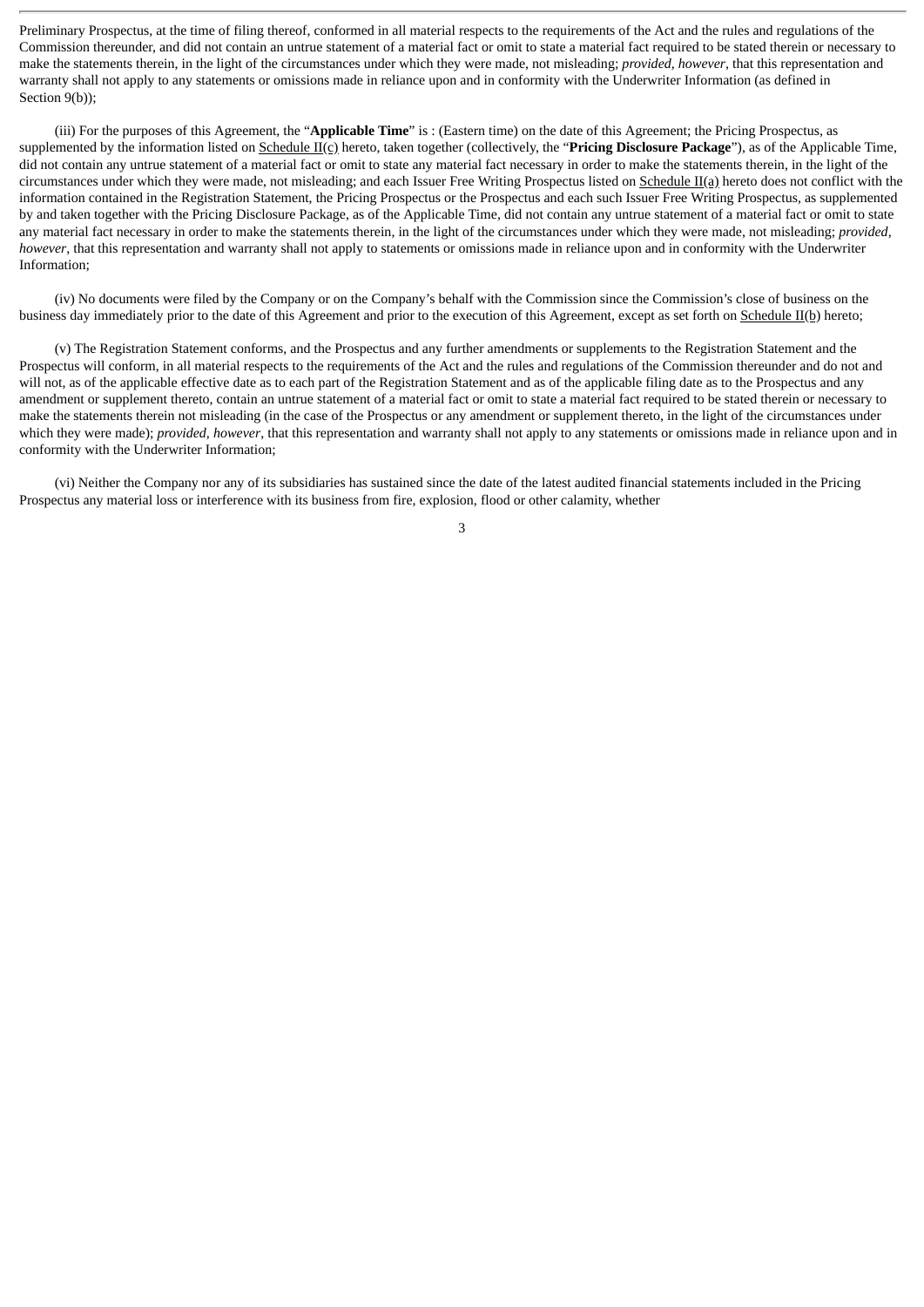Preliminary Prospectus, at the time of filing thereof, conformed in all material respects to the requirements of the Act and the rules and regulations of the Commission thereunder, and did not contain an untrue statement of a material fact or omit to state a material fact required to be stated therein or necessary to make the statements therein, in the light of the circumstances under which they were made, not misleading; *provided*, *however*, that this representation and warranty shall not apply to any statements or omissions made in reliance upon and in conformity with the Underwriter Information (as defined in Section 9(b));

(iii) For the purposes of this Agreement, the "**Applicable Time**" is : (Eastern time) on the date of this Agreement; the Pricing Prospectus, as supplemented by the information listed on Schedule II(c) hereto, taken together (collectively, the "**Pricing Disclosure Package**"), as of the Applicable Time, did not contain any untrue statement of a material fact or omit to state any material fact necessary in order to make the statements therein, in the light of the circumstances under which they were made, not misleading; and each Issuer Free Writing Prospectus listed on Schedule II(a) hereto does not conflict with the information contained in the Registration Statement, the Pricing Prospectus or the Prospectus and each such Issuer Free Writing Prospectus, as supplemented by and taken together with the Pricing Disclosure Package, as of the Applicable Time, did not contain any untrue statement of a material fact or omit to state any material fact necessary in order to make the statements therein, in the light of the circumstances under which they were made, not misleading; *provided, however*, that this representation and warranty shall not apply to statements or omissions made in reliance upon and in conformity with the Underwriter Information;

(iv) No documents were filed by the Company or on the Company's behalf with the Commission since the Commission's close of business on the business day immediately prior to the date of this Agreement and prior to the execution of this Agreement, except as set forth on Schedule II(b) hereto;

(v) The Registration Statement conforms, and the Prospectus and any further amendments or supplements to the Registration Statement and the Prospectus will conform, in all material respects to the requirements of the Act and the rules and regulations of the Commission thereunder and do not and will not, as of the applicable effective date as to each part of the Registration Statement and as of the applicable filing date as to the Prospectus and any amendment or supplement thereto, contain an untrue statement of a material fact or omit to state a material fact required to be stated therein or necessary to make the statements therein not misleading (in the case of the Prospectus or any amendment or supplement thereto, in the light of the circumstances under which they were made); *provided, however*, that this representation and warranty shall not apply to any statements or omissions made in reliance upon and in conformity with the Underwriter Information;

(vi) Neither the Company nor any of its subsidiaries has sustained since the date of the latest audited financial statements included in the Pricing Prospectus any material loss or interference with its business from fire, explosion, flood or other calamity, whether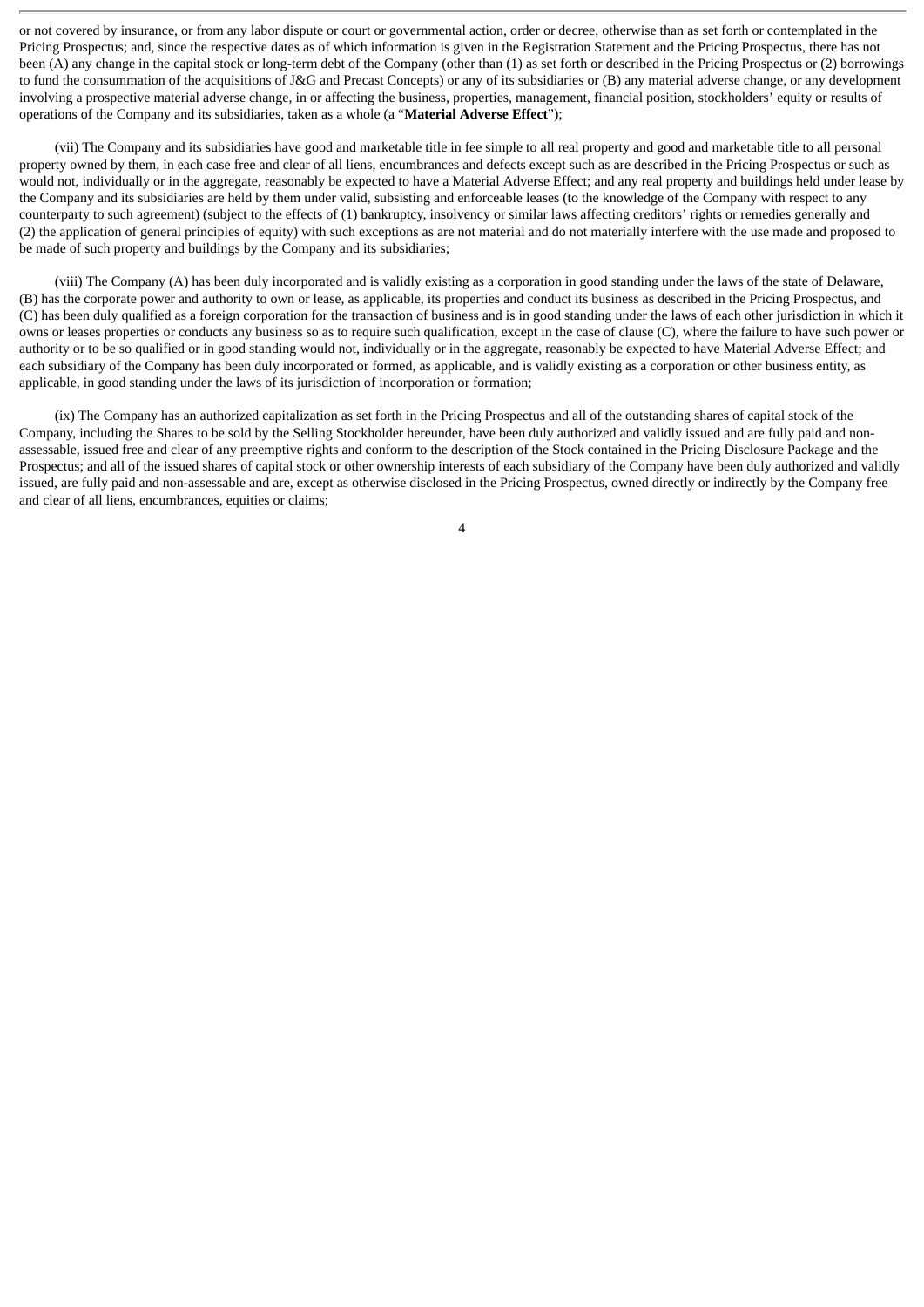or not covered by insurance, or from any labor dispute or court or governmental action, order or decree, otherwise than as set forth or contemplated in the Pricing Prospectus; and, since the respective dates as of which information is given in the Registration Statement and the Pricing Prospectus, there has not been (A) any change in the capital stock or long-term debt of the Company (other than (1) as set forth or described in the Pricing Prospectus or (2) borrowings to fund the consummation of the acquisitions of J&G and Precast Concepts) or any of its subsidiaries or (B) any material adverse change, or any development involving a prospective material adverse change, in or affecting the business, properties, management, financial position, stockholders' equity or results of operations of the Company and its subsidiaries, taken as a whole (a "**Material Adverse Effect**");

(vii) The Company and its subsidiaries have good and marketable title in fee simple to all real property and good and marketable title to all personal property owned by them, in each case free and clear of all liens, encumbrances and defects except such as are described in the Pricing Prospectus or such as would not, individually or in the aggregate, reasonably be expected to have a Material Adverse Effect; and any real property and buildings held under lease by the Company and its subsidiaries are held by them under valid, subsisting and enforceable leases (to the knowledge of the Company with respect to any counterparty to such agreement) (subject to the effects of (1) bankruptcy, insolvency or similar laws affecting creditors' rights or remedies generally and (2) the application of general principles of equity) with such exceptions as are not material and do not materially interfere with the use made and proposed to be made of such property and buildings by the Company and its subsidiaries;

(viii) The Company (A) has been duly incorporated and is validly existing as a corporation in good standing under the laws of the state of Delaware, (B) has the corporate power and authority to own or lease, as applicable, its properties and conduct its business as described in the Pricing Prospectus, and (C) has been duly qualified as a foreign corporation for the transaction of business and is in good standing under the laws of each other jurisdiction in which it owns or leases properties or conducts any business so as to require such qualification, except in the case of clause (C), where the failure to have such power or authority or to be so qualified or in good standing would not, individually or in the aggregate, reasonably be expected to have Material Adverse Effect; and each subsidiary of the Company has been duly incorporated or formed, as applicable, and is validly existing as a corporation or other business entity, as applicable, in good standing under the laws of its jurisdiction of incorporation or formation;

(ix) The Company has an authorized capitalization as set forth in the Pricing Prospectus and all of the outstanding shares of capital stock of the Company, including the Shares to be sold by the Selling Stockholder hereunder, have been duly authorized and validly issued and are fully paid and nonassessable, issued free and clear of any preemptive rights and conform to the description of the Stock contained in the Pricing Disclosure Package and the Prospectus; and all of the issued shares of capital stock or other ownership interests of each subsidiary of the Company have been duly authorized and validly issued, are fully paid and non-assessable and are, except as otherwise disclosed in the Pricing Prospectus, owned directly or indirectly by the Company free and clear of all liens, encumbrances, equities or claims;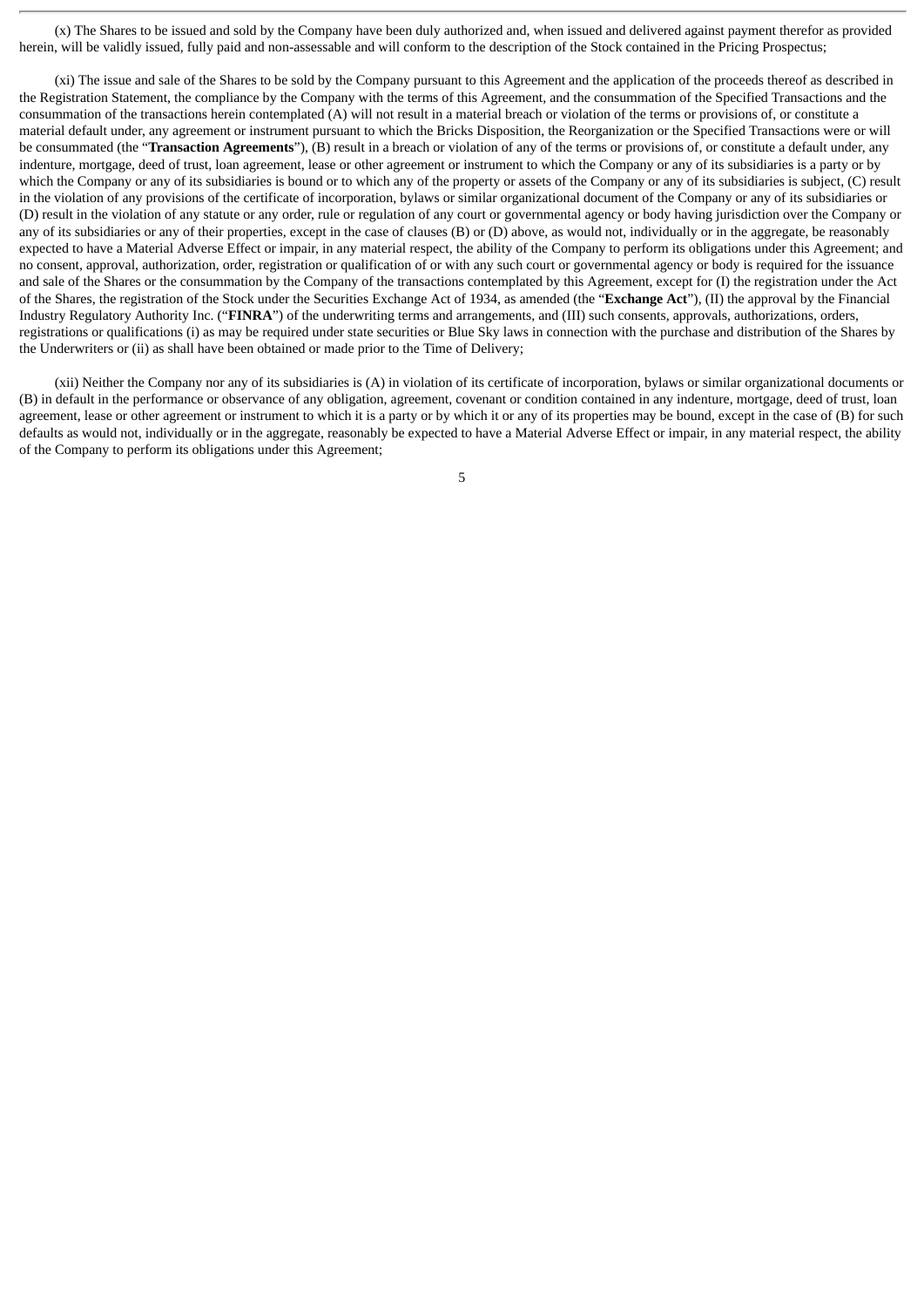(x) The Shares to be issued and sold by the Company have been duly authorized and, when issued and delivered against payment therefor as provided herein, will be validly issued, fully paid and non-assessable and will conform to the description of the Stock contained in the Pricing Prospectus;

(xi) The issue and sale of the Shares to be sold by the Company pursuant to this Agreement and the application of the proceeds thereof as described in the Registration Statement, the compliance by the Company with the terms of this Agreement, and the consummation of the Specified Transactions and the consummation of the transactions herein contemplated (A) will not result in a material breach or violation of the terms or provisions of, or constitute a material default under, any agreement or instrument pursuant to which the Bricks Disposition, the Reorganization or the Specified Transactions were or will be consummated (the "**Transaction Agreements**"), (B) result in a breach or violation of any of the terms or provisions of, or constitute a default under, any indenture, mortgage, deed of trust, loan agreement, lease or other agreement or instrument to which the Company or any of its subsidiaries is a party or by which the Company or any of its subsidiaries is bound or to which any of the property or assets of the Company or any of its subsidiaries is subject, (C) result in the violation of any provisions of the certificate of incorporation, bylaws or similar organizational document of the Company or any of its subsidiaries or (D) result in the violation of any statute or any order, rule or regulation of any court or governmental agency or body having jurisdiction over the Company or any of its subsidiaries or any of their properties, except in the case of clauses (B) or (D) above, as would not, individually or in the aggregate, be reasonably expected to have a Material Adverse Effect or impair, in any material respect, the ability of the Company to perform its obligations under this Agreement; and no consent, approval, authorization, order, registration or qualification of or with any such court or governmental agency or body is required for the issuance and sale of the Shares or the consummation by the Company of the transactions contemplated by this Agreement, except for (I) the registration under the Act of the Shares, the registration of the Stock under the Securities Exchange Act of 1934, as amended (the "**Exchange Act**"), (II) the approval by the Financial Industry Regulatory Authority Inc. ("**FINRA**") of the underwriting terms and arrangements, and (III) such consents, approvals, authorizations, orders, registrations or qualifications (i) as may be required under state securities or Blue Sky laws in connection with the purchase and distribution of the Shares by the Underwriters or (ii) as shall have been obtained or made prior to the Time of Delivery;

(xii) Neither the Company nor any of its subsidiaries is (A) in violation of its certificate of incorporation, bylaws or similar organizational documents or (B) in default in the performance or observance of any obligation, agreement, covenant or condition contained in any indenture, mortgage, deed of trust, loan agreement, lease or other agreement or instrument to which it is a party or by which it or any of its properties may be bound, except in the case of (B) for such defaults as would not, individually or in the aggregate, reasonably be expected to have a Material Adverse Effect or impair, in any material respect, the ability of the Company to perform its obligations under this Agreement;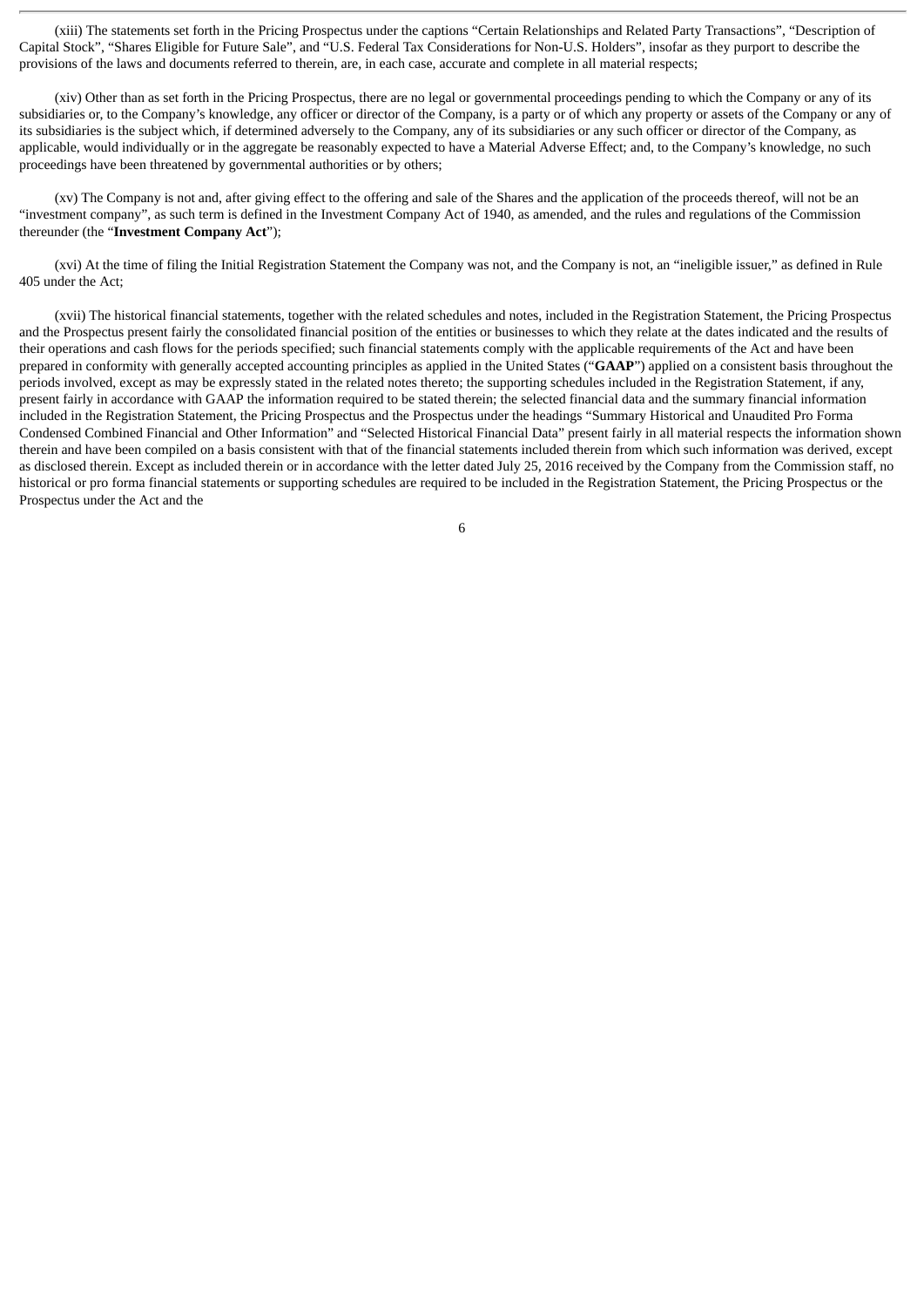(xiii) The statements set forth in the Pricing Prospectus under the captions "Certain Relationships and Related Party Transactions", "Description of Capital Stock", "Shares Eligible for Future Sale", and "U.S. Federal Tax Considerations for Non-U.S. Holders", insofar as they purport to describe the provisions of the laws and documents referred to therein, are, in each case, accurate and complete in all material respects;

(xiv) Other than as set forth in the Pricing Prospectus, there are no legal or governmental proceedings pending to which the Company or any of its subsidiaries or, to the Company's knowledge, any officer or director of the Company, is a party or of which any property or assets of the Company or any of its subsidiaries is the subject which, if determined adversely to the Company, any of its subsidiaries or any such officer or director of the Company, as applicable, would individually or in the aggregate be reasonably expected to have a Material Adverse Effect; and, to the Company's knowledge, no such proceedings have been threatened by governmental authorities or by others;

(xv) The Company is not and, after giving effect to the offering and sale of the Shares and the application of the proceeds thereof, will not be an "investment company", as such term is defined in the Investment Company Act of 1940, as amended, and the rules and regulations of the Commission thereunder (the "**Investment Company Act**");

(xvi) At the time of filing the Initial Registration Statement the Company was not, and the Company is not, an "ineligible issuer," as defined in Rule 405 under the Act;

(xvii) The historical financial statements, together with the related schedules and notes, included in the Registration Statement, the Pricing Prospectus and the Prospectus present fairly the consolidated financial position of the entities or businesses to which they relate at the dates indicated and the results of their operations and cash flows for the periods specified; such financial statements comply with the applicable requirements of the Act and have been prepared in conformity with generally accepted accounting principles as applied in the United States ("**GAAP**") applied on a consistent basis throughout the periods involved, except as may be expressly stated in the related notes thereto; the supporting schedules included in the Registration Statement, if any, present fairly in accordance with GAAP the information required to be stated therein; the selected financial data and the summary financial information included in the Registration Statement, the Pricing Prospectus and the Prospectus under the headings "Summary Historical and Unaudited Pro Forma Condensed Combined Financial and Other Information" and "Selected Historical Financial Data" present fairly in all material respects the information shown therein and have been compiled on a basis consistent with that of the financial statements included therein from which such information was derived, except as disclosed therein. Except as included therein or in accordance with the letter dated July 25, 2016 received by the Company from the Commission staff, no historical or pro forma financial statements or supporting schedules are required to be included in the Registration Statement, the Pricing Prospectus or the Prospectus under the Act and the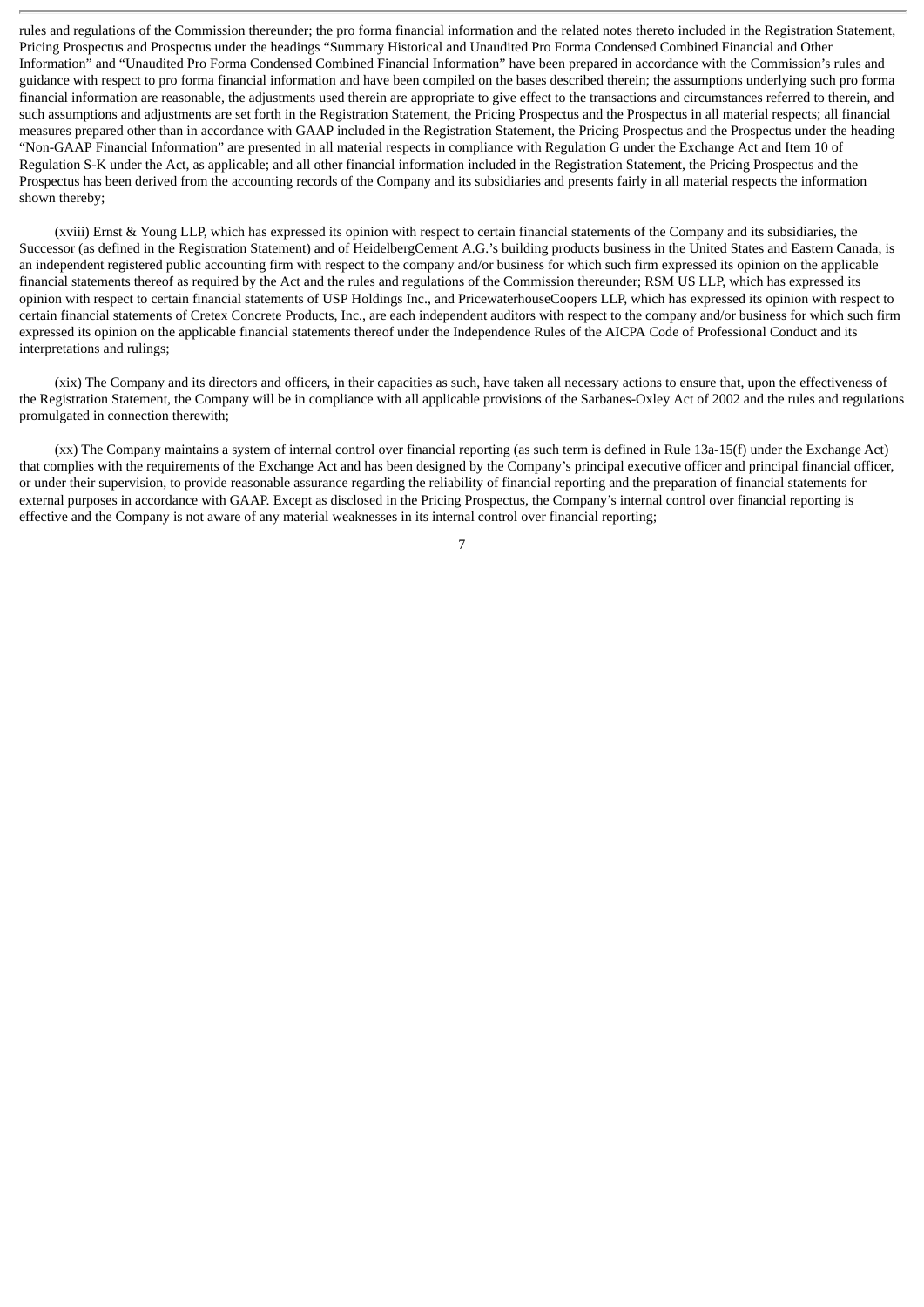rules and regulations of the Commission thereunder; the pro forma financial information and the related notes thereto included in the Registration Statement, Pricing Prospectus and Prospectus under the headings "Summary Historical and Unaudited Pro Forma Condensed Combined Financial and Other Information" and "Unaudited Pro Forma Condensed Combined Financial Information" have been prepared in accordance with the Commission's rules and guidance with respect to pro forma financial information and have been compiled on the bases described therein; the assumptions underlying such pro forma financial information are reasonable, the adjustments used therein are appropriate to give effect to the transactions and circumstances referred to therein, and such assumptions and adjustments are set forth in the Registration Statement, the Pricing Prospectus and the Prospectus in all material respects; all financial measures prepared other than in accordance with GAAP included in the Registration Statement, the Pricing Prospectus and the Prospectus under the heading "Non-GAAP Financial Information" are presented in all material respects in compliance with Regulation G under the Exchange Act and Item 10 of Regulation S-K under the Act, as applicable; and all other financial information included in the Registration Statement, the Pricing Prospectus and the Prospectus has been derived from the accounting records of the Company and its subsidiaries and presents fairly in all material respects the information shown thereby;

(xviii) Ernst & Young LLP, which has expressed its opinion with respect to certain financial statements of the Company and its subsidiaries, the Successor (as defined in the Registration Statement) and of HeidelbergCement A.G.'s building products business in the United States and Eastern Canada, is an independent registered public accounting firm with respect to the company and/or business for which such firm expressed its opinion on the applicable financial statements thereof as required by the Act and the rules and regulations of the Commission thereunder; RSM US LLP, which has expressed its opinion with respect to certain financial statements of USP Holdings Inc., and PricewaterhouseCoopers LLP, which has expressed its opinion with respect to certain financial statements of Cretex Concrete Products, Inc., are each independent auditors with respect to the company and/or business for which such firm expressed its opinion on the applicable financial statements thereof under the Independence Rules of the AICPA Code of Professional Conduct and its interpretations and rulings;

(xix) The Company and its directors and officers, in their capacities as such, have taken all necessary actions to ensure that, upon the effectiveness of the Registration Statement, the Company will be in compliance with all applicable provisions of the Sarbanes-Oxley Act of 2002 and the rules and regulations promulgated in connection therewith;

(xx) The Company maintains a system of internal control over financial reporting (as such term is defined in Rule 13a-15(f) under the Exchange Act) that complies with the requirements of the Exchange Act and has been designed by the Company's principal executive officer and principal financial officer, or under their supervision, to provide reasonable assurance regarding the reliability of financial reporting and the preparation of financial statements for external purposes in accordance with GAAP. Except as disclosed in the Pricing Prospectus, the Company's internal control over financial reporting is effective and the Company is not aware of any material weaknesses in its internal control over financial reporting;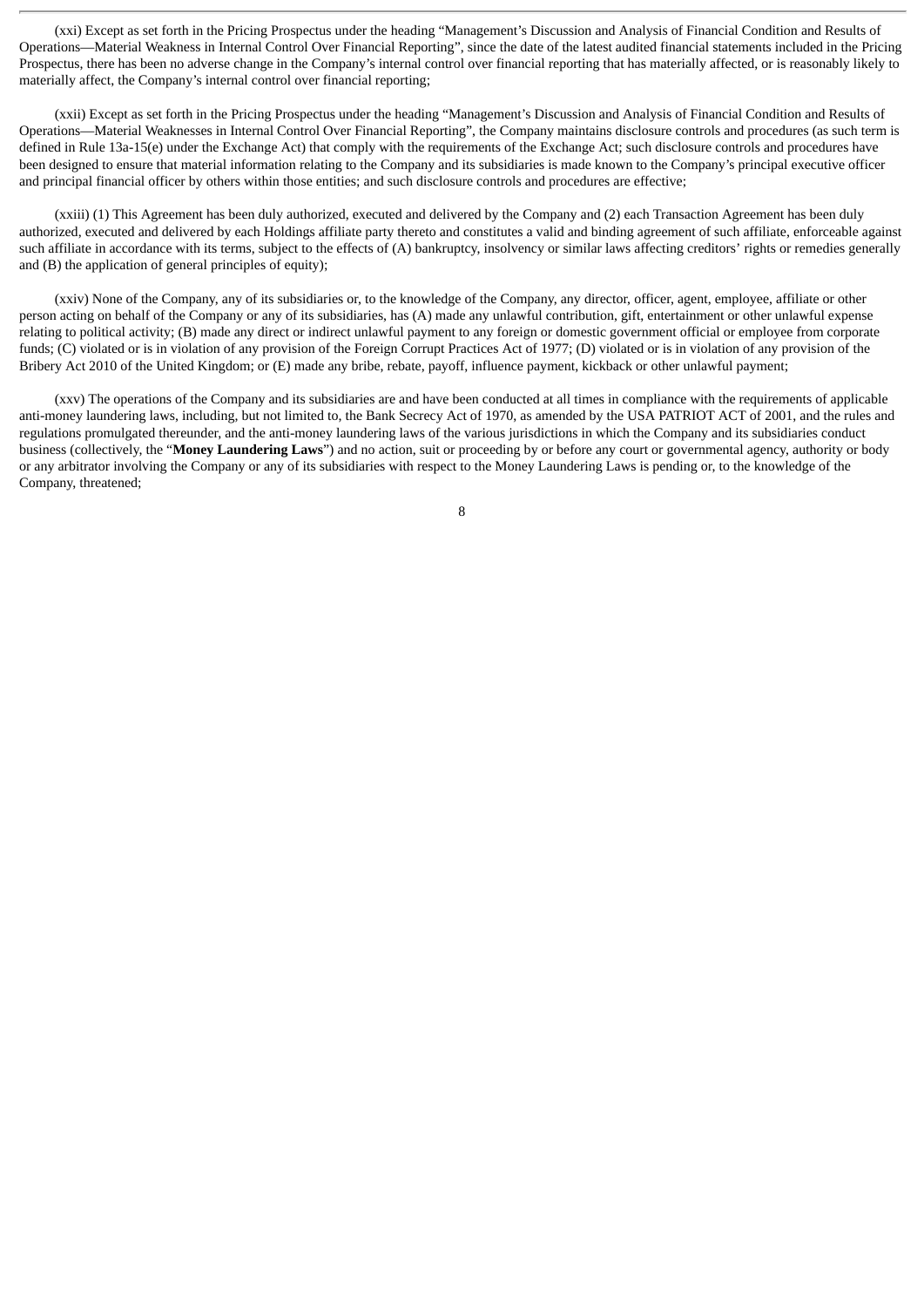(xxi) Except as set forth in the Pricing Prospectus under the heading "Management's Discussion and Analysis of Financial Condition and Results of Operations—Material Weakness in Internal Control Over Financial Reporting", since the date of the latest audited financial statements included in the Pricing Prospectus, there has been no adverse change in the Company's internal control over financial reporting that has materially affected, or is reasonably likely to materially affect, the Company's internal control over financial reporting;

(xxii) Except as set forth in the Pricing Prospectus under the heading "Management's Discussion and Analysis of Financial Condition and Results of Operations—Material Weaknesses in Internal Control Over Financial Reporting", the Company maintains disclosure controls and procedures (as such term is defined in Rule 13a-15(e) under the Exchange Act) that comply with the requirements of the Exchange Act; such disclosure controls and procedures have been designed to ensure that material information relating to the Company and its subsidiaries is made known to the Company's principal executive officer and principal financial officer by others within those entities; and such disclosure controls and procedures are effective;

(xxiii) (1) This Agreement has been duly authorized, executed and delivered by the Company and (2) each Transaction Agreement has been duly authorized, executed and delivered by each Holdings affiliate party thereto and constitutes a valid and binding agreement of such affiliate, enforceable against such affiliate in accordance with its terms, subject to the effects of (A) bankruptcy, insolvency or similar laws affecting creditors' rights or remedies generally and (B) the application of general principles of equity);

(xxiv) None of the Company, any of its subsidiaries or, to the knowledge of the Company, any director, officer, agent, employee, affiliate or other person acting on behalf of the Company or any of its subsidiaries, has (A) made any unlawful contribution, gift, entertainment or other unlawful expense relating to political activity; (B) made any direct or indirect unlawful payment to any foreign or domestic government official or employee from corporate funds; (C) violated or is in violation of any provision of the Foreign Corrupt Practices Act of 1977; (D) violated or is in violation of any provision of the Bribery Act 2010 of the United Kingdom; or (E) made any bribe, rebate, payoff, influence payment, kickback or other unlawful payment;

(xxv) The operations of the Company and its subsidiaries are and have been conducted at all times in compliance with the requirements of applicable anti-money laundering laws, including, but not limited to, the Bank Secrecy Act of 1970, as amended by the USA PATRIOT ACT of 2001, and the rules and regulations promulgated thereunder, and the anti-money laundering laws of the various jurisdictions in which the Company and its subsidiaries conduct business (collectively, the "**Money Laundering Laws**") and no action, suit or proceeding by or before any court or governmental agency, authority or body or any arbitrator involving the Company or any of its subsidiaries with respect to the Money Laundering Laws is pending or, to the knowledge of the Company, threatened;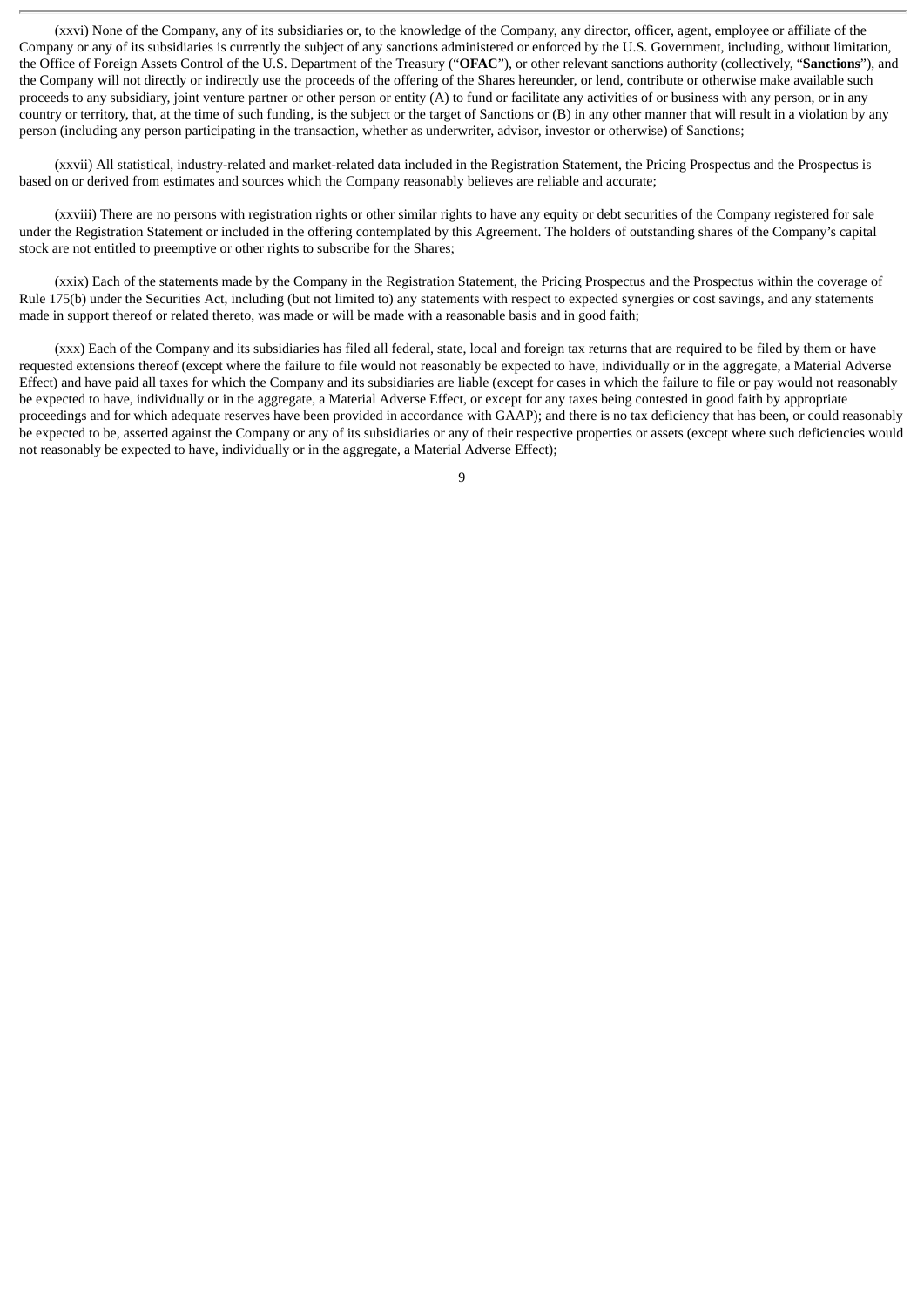(xxvi) None of the Company, any of its subsidiaries or, to the knowledge of the Company, any director, officer, agent, employee or affiliate of the Company or any of its subsidiaries is currently the subject of any sanctions administered or enforced by the U.S. Government, including, without limitation, the Office of Foreign Assets Control of the U.S. Department of the Treasury ("**OFAC**"), or other relevant sanctions authority (collectively, "**Sanctions**"), and the Company will not directly or indirectly use the proceeds of the offering of the Shares hereunder, or lend, contribute or otherwise make available such proceeds to any subsidiary, joint venture partner or other person or entity (A) to fund or facilitate any activities of or business with any person, or in any country or territory, that, at the time of such funding, is the subject or the target of Sanctions or (B) in any other manner that will result in a violation by any person (including any person participating in the transaction, whether as underwriter, advisor, investor or otherwise) of Sanctions;

(xxvii) All statistical, industry-related and market-related data included in the Registration Statement, the Pricing Prospectus and the Prospectus is based on or derived from estimates and sources which the Company reasonably believes are reliable and accurate;

(xxviii) There are no persons with registration rights or other similar rights to have any equity or debt securities of the Company registered for sale under the Registration Statement or included in the offering contemplated by this Agreement. The holders of outstanding shares of the Company's capital stock are not entitled to preemptive or other rights to subscribe for the Shares;

(xxix) Each of the statements made by the Company in the Registration Statement, the Pricing Prospectus and the Prospectus within the coverage of Rule 175(b) under the Securities Act, including (but not limited to) any statements with respect to expected synergies or cost savings, and any statements made in support thereof or related thereto, was made or will be made with a reasonable basis and in good faith;

(xxx) Each of the Company and its subsidiaries has filed all federal, state, local and foreign tax returns that are required to be filed by them or have requested extensions thereof (except where the failure to file would not reasonably be expected to have, individually or in the aggregate, a Material Adverse Effect) and have paid all taxes for which the Company and its subsidiaries are liable (except for cases in which the failure to file or pay would not reasonably be expected to have, individually or in the aggregate, a Material Adverse Effect, or except for any taxes being contested in good faith by appropriate proceedings and for which adequate reserves have been provided in accordance with GAAP); and there is no tax deficiency that has been, or could reasonably be expected to be, asserted against the Company or any of its subsidiaries or any of their respective properties or assets (except where such deficiencies would not reasonably be expected to have, individually or in the aggregate, a Material Adverse Effect);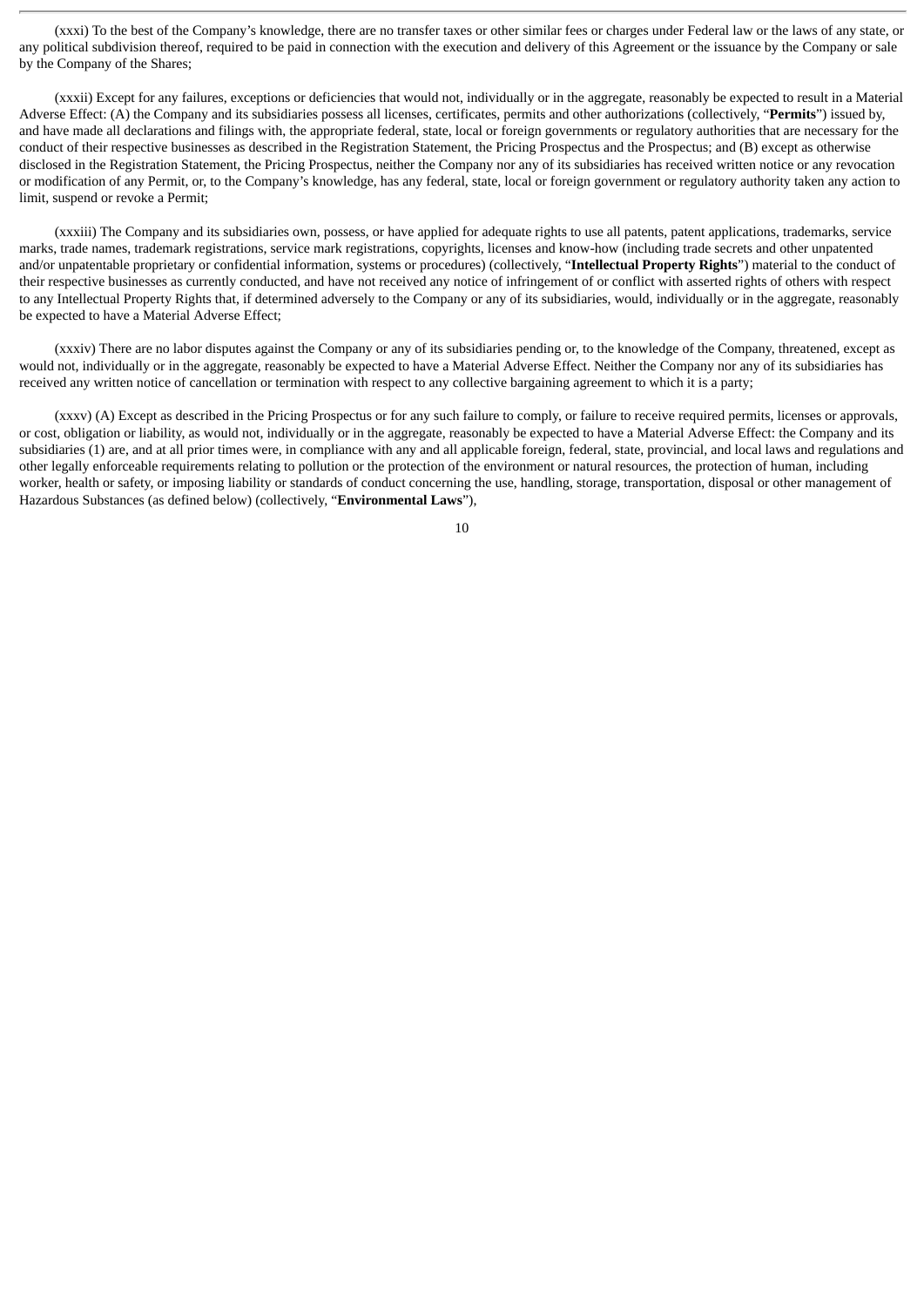(xxxi) To the best of the Company's knowledge, there are no transfer taxes or other similar fees or charges under Federal law or the laws of any state, or any political subdivision thereof, required to be paid in connection with the execution and delivery of this Agreement or the issuance by the Company or sale by the Company of the Shares;

(xxxii) Except for any failures, exceptions or deficiencies that would not, individually or in the aggregate, reasonably be expected to result in a Material Adverse Effect: (A) the Company and its subsidiaries possess all licenses, certificates, permits and other authorizations (collectively, "**Permits**") issued by, and have made all declarations and filings with, the appropriate federal, state, local or foreign governments or regulatory authorities that are necessary for the conduct of their respective businesses as described in the Registration Statement, the Pricing Prospectus and the Prospectus; and (B) except as otherwise disclosed in the Registration Statement, the Pricing Prospectus, neither the Company nor any of its subsidiaries has received written notice or any revocation or modification of any Permit, or, to the Company's knowledge, has any federal, state, local or foreign government or regulatory authority taken any action to limit, suspend or revoke a Permit;

(xxxiii) The Company and its subsidiaries own, possess, or have applied for adequate rights to use all patents, patent applications, trademarks, service marks, trade names, trademark registrations, service mark registrations, copyrights, licenses and know-how (including trade secrets and other unpatented and/or unpatentable proprietary or confidential information, systems or procedures) (collectively, "**Intellectual Property Rights**") material to the conduct of their respective businesses as currently conducted, and have not received any notice of infringement of or conflict with asserted rights of others with respect to any Intellectual Property Rights that, if determined adversely to the Company or any of its subsidiaries, would, individually or in the aggregate, reasonably be expected to have a Material Adverse Effect;

(xxxiv) There are no labor disputes against the Company or any of its subsidiaries pending or, to the knowledge of the Company, threatened, except as would not, individually or in the aggregate, reasonably be expected to have a Material Adverse Effect. Neither the Company nor any of its subsidiaries has received any written notice of cancellation or termination with respect to any collective bargaining agreement to which it is a party;

(xxxv) (A) Except as described in the Pricing Prospectus or for any such failure to comply, or failure to receive required permits, licenses or approvals, or cost, obligation or liability, as would not, individually or in the aggregate, reasonably be expected to have a Material Adverse Effect: the Company and its subsidiaries (1) are, and at all prior times were, in compliance with any and all applicable foreign, federal, state, provincial, and local laws and regulations and other legally enforceable requirements relating to pollution or the protection of the environment or natural resources, the protection of human, including worker, health or safety, or imposing liability or standards of conduct concerning the use, handling, storage, transportation, disposal or other management of Hazardous Substances (as defined below) (collectively, "**Environmental Laws**"),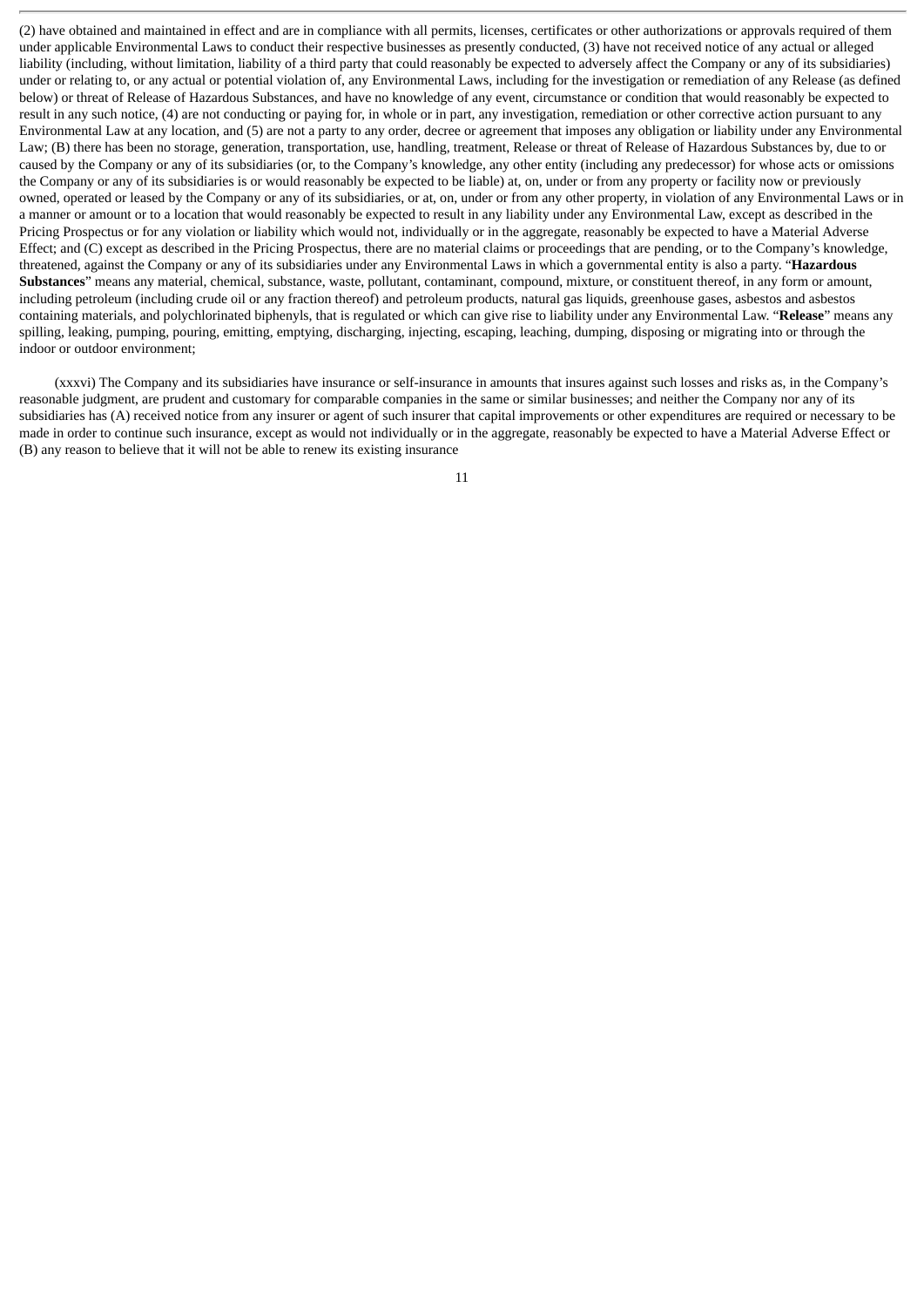(2) have obtained and maintained in effect and are in compliance with all permits, licenses, certificates or other authorizations or approvals required of them under applicable Environmental Laws to conduct their respective businesses as presently conducted, (3) have not received notice of any actual or alleged liability (including, without limitation, liability of a third party that could reasonably be expected to adversely affect the Company or any of its subsidiaries) under or relating to, or any actual or potential violation of, any Environmental Laws, including for the investigation or remediation of any Release (as defined below) or threat of Release of Hazardous Substances, and have no knowledge of any event, circumstance or condition that would reasonably be expected to result in any such notice, (4) are not conducting or paying for, in whole or in part, any investigation, remediation or other corrective action pursuant to any Environmental Law at any location, and (5) are not a party to any order, decree or agreement that imposes any obligation or liability under any Environmental Law; (B) there has been no storage, generation, transportation, use, handling, treatment, Release or threat of Release of Hazardous Substances by, due to or caused by the Company or any of its subsidiaries (or, to the Company's knowledge, any other entity (including any predecessor) for whose acts or omissions the Company or any of its subsidiaries is or would reasonably be expected to be liable) at, on, under or from any property or facility now or previously owned, operated or leased by the Company or any of its subsidiaries, or at, on, under or from any other property, in violation of any Environmental Laws or in a manner or amount or to a location that would reasonably be expected to result in any liability under any Environmental Law, except as described in the Pricing Prospectus or for any violation or liability which would not, individually or in the aggregate, reasonably be expected to have a Material Adverse Effect; and (C) except as described in the Pricing Prospectus, there are no material claims or proceedings that are pending, or to the Company's knowledge, threatened, against the Company or any of its subsidiaries under any Environmental Laws in which a governmental entity is also a party. "**Hazardous Substances**" means any material, chemical, substance, waste, pollutant, contaminant, compound, mixture, or constituent thereof, in any form or amount, including petroleum (including crude oil or any fraction thereof) and petroleum products, natural gas liquids, greenhouse gases, asbestos and asbestos containing materials, and polychlorinated biphenyls, that is regulated or which can give rise to liability under any Environmental Law. "**Release**" means any spilling, leaking, pumping, pouring, emitting, emptying, discharging, injecting, escaping, leaching, dumping, disposing or migrating into or through the indoor or outdoor environment;

(xxxvi) The Company and its subsidiaries have insurance or self-insurance in amounts that insures against such losses and risks as, in the Company's reasonable judgment, are prudent and customary for comparable companies in the same or similar businesses; and neither the Company nor any of its subsidiaries has (A) received notice from any insurer or agent of such insurer that capital improvements or other expenditures are required or necessary to be made in order to continue such insurance, except as would not individually or in the aggregate, reasonably be expected to have a Material Adverse Effect or (B) any reason to believe that it will not be able to renew its existing insurance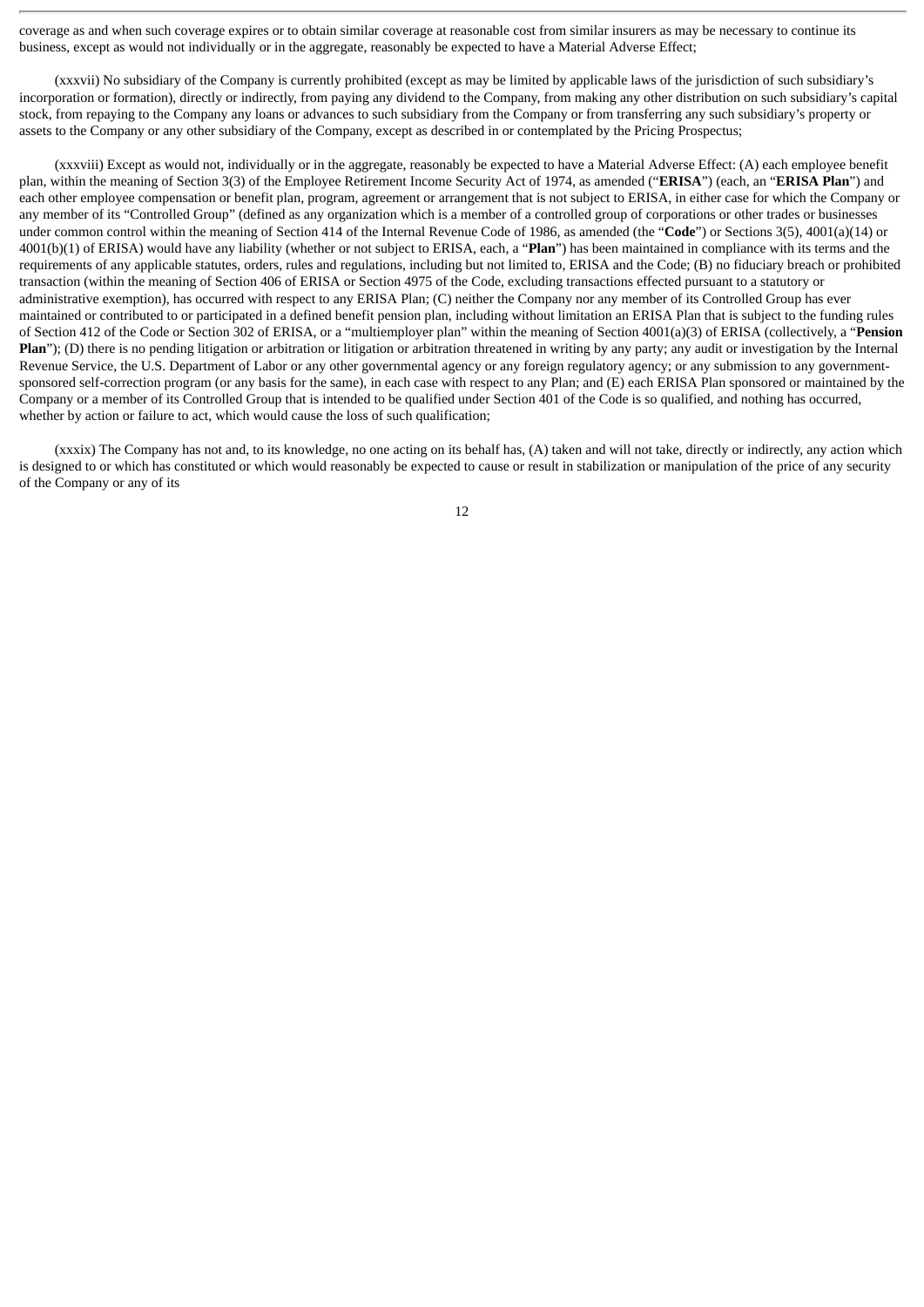coverage as and when such coverage expires or to obtain similar coverage at reasonable cost from similar insurers as may be necessary to continue its business, except as would not individually or in the aggregate, reasonably be expected to have a Material Adverse Effect;

(xxxvii) No subsidiary of the Company is currently prohibited (except as may be limited by applicable laws of the jurisdiction of such subsidiary's incorporation or formation), directly or indirectly, from paying any dividend to the Company, from making any other distribution on such subsidiary's capital stock, from repaying to the Company any loans or advances to such subsidiary from the Company or from transferring any such subsidiary's property or assets to the Company or any other subsidiary of the Company, except as described in or contemplated by the Pricing Prospectus;

(xxxviii) Except as would not, individually or in the aggregate, reasonably be expected to have a Material Adverse Effect: (A) each employee benefit plan, within the meaning of Section 3(3) of the Employee Retirement Income Security Act of 1974, as amended ("**ERISA**") (each, an "**ERISA Plan**") and each other employee compensation or benefit plan, program, agreement or arrangement that is not subject to ERISA, in either case for which the Company or any member of its "Controlled Group" (defined as any organization which is a member of a controlled group of corporations or other trades or businesses under common control within the meaning of Section 414 of the Internal Revenue Code of 1986, as amended (the "**Code**") or Sections 3(5), 4001(a)(14) or 4001(b)(1) of ERISA) would have any liability (whether or not subject to ERISA, each, a "**Plan**") has been maintained in compliance with its terms and the requirements of any applicable statutes, orders, rules and regulations, including but not limited to, ERISA and the Code; (B) no fiduciary breach or prohibited transaction (within the meaning of Section 406 of ERISA or Section 4975 of the Code, excluding transactions effected pursuant to a statutory or administrative exemption), has occurred with respect to any ERISA Plan; (C) neither the Company nor any member of its Controlled Group has ever maintained or contributed to or participated in a defined benefit pension plan, including without limitation an ERISA Plan that is subject to the funding rules of Section 412 of the Code or Section 302 of ERISA, or a "multiemployer plan" within the meaning of Section 4001(a)(3) of ERISA (collectively, a "**Pension Plan**"); (D) there is no pending litigation or arbitration or litigation or arbitration threatened in writing by any party; any audit or investigation by the Internal Revenue Service, the U.S. Department of Labor or any other governmental agency or any foreign regulatory agency; or any submission to any governmentsponsored self-correction program (or any basis for the same), in each case with respect to any Plan; and (E) each ERISA Plan sponsored or maintained by the Company or a member of its Controlled Group that is intended to be qualified under Section 401 of the Code is so qualified, and nothing has occurred, whether by action or failure to act, which would cause the loss of such qualification;

(xxxix) The Company has not and, to its knowledge, no one acting on its behalf has, (A) taken and will not take, directly or indirectly, any action which is designed to or which has constituted or which would reasonably be expected to cause or result in stabilization or manipulation of the price of any security of the Company or any of its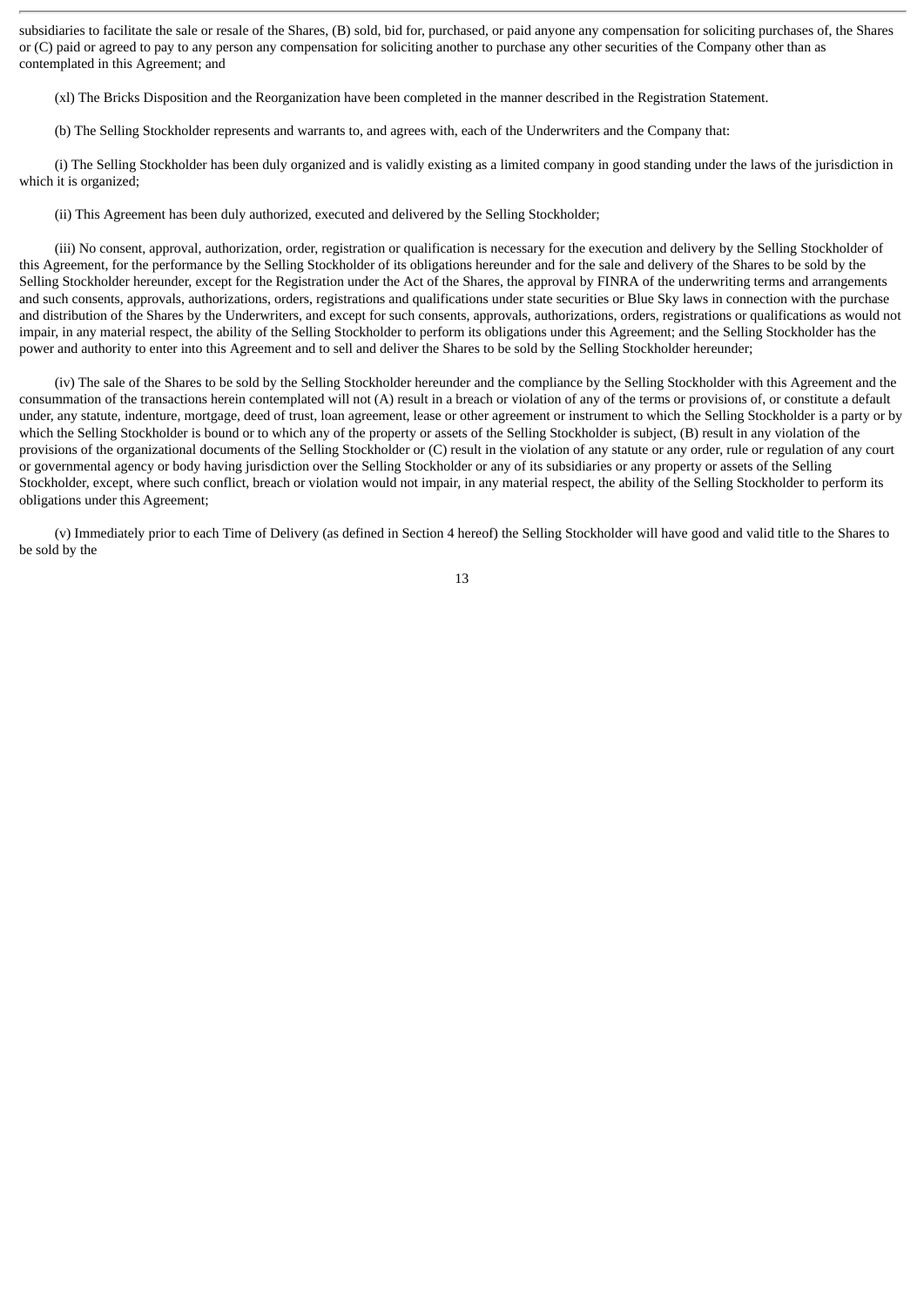subsidiaries to facilitate the sale or resale of the Shares, (B) sold, bid for, purchased, or paid anyone any compensation for soliciting purchases of, the Shares or (C) paid or agreed to pay to any person any compensation for soliciting another to purchase any other securities of the Company other than as contemplated in this Agreement; and

(xl) The Bricks Disposition and the Reorganization have been completed in the manner described in the Registration Statement.

(b) The Selling Stockholder represents and warrants to, and agrees with, each of the Underwriters and the Company that:

(i) The Selling Stockholder has been duly organized and is validly existing as a limited company in good standing under the laws of the jurisdiction in which it is organized;

(ii) This Agreement has been duly authorized, executed and delivered by the Selling Stockholder;

(iii) No consent, approval, authorization, order, registration or qualification is necessary for the execution and delivery by the Selling Stockholder of this Agreement, for the performance by the Selling Stockholder of its obligations hereunder and for the sale and delivery of the Shares to be sold by the Selling Stockholder hereunder, except for the Registration under the Act of the Shares, the approval by FINRA of the underwriting terms and arrangements and such consents, approvals, authorizations, orders, registrations and qualifications under state securities or Blue Sky laws in connection with the purchase and distribution of the Shares by the Underwriters, and except for such consents, approvals, authorizations, orders, registrations or qualifications as would not impair, in any material respect, the ability of the Selling Stockholder to perform its obligations under this Agreement; and the Selling Stockholder has the power and authority to enter into this Agreement and to sell and deliver the Shares to be sold by the Selling Stockholder hereunder;

(iv) The sale of the Shares to be sold by the Selling Stockholder hereunder and the compliance by the Selling Stockholder with this Agreement and the consummation of the transactions herein contemplated will not (A) result in a breach or violation of any of the terms or provisions of, or constitute a default under, any statute, indenture, mortgage, deed of trust, loan agreement, lease or other agreement or instrument to which the Selling Stockholder is a party or by which the Selling Stockholder is bound or to which any of the property or assets of the Selling Stockholder is subject, (B) result in any violation of the provisions of the organizational documents of the Selling Stockholder or (C) result in the violation of any statute or any order, rule or regulation of any court or governmental agency or body having jurisdiction over the Selling Stockholder or any of its subsidiaries or any property or assets of the Selling Stockholder, except, where such conflict, breach or violation would not impair, in any material respect, the ability of the Selling Stockholder to perform its obligations under this Agreement;

(v) Immediately prior to each Time of Delivery (as defined in Section 4 hereof) the Selling Stockholder will have good and valid title to the Shares to be sold by the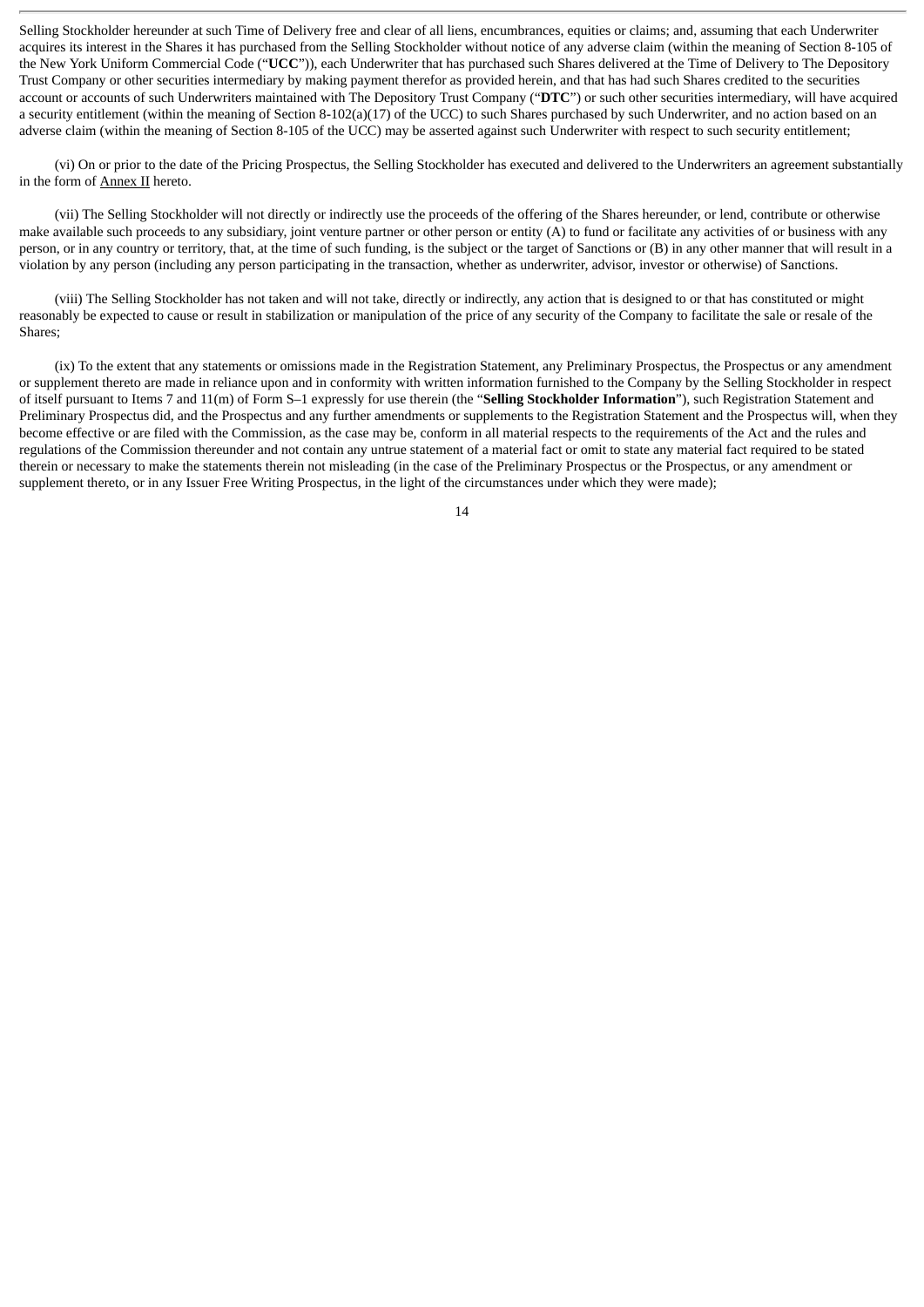Selling Stockholder hereunder at such Time of Delivery free and clear of all liens, encumbrances, equities or claims; and, assuming that each Underwriter acquires its interest in the Shares it has purchased from the Selling Stockholder without notice of any adverse claim (within the meaning of Section 8-105 of the New York Uniform Commercial Code ("**UCC**")), each Underwriter that has purchased such Shares delivered at the Time of Delivery to The Depository Trust Company or other securities intermediary by making payment therefor as provided herein, and that has had such Shares credited to the securities account or accounts of such Underwriters maintained with The Depository Trust Company ("**DTC**") or such other securities intermediary, will have acquired a security entitlement (within the meaning of Section 8-102(a)(17) of the UCC) to such Shares purchased by such Underwriter, and no action based on an adverse claim (within the meaning of Section 8-105 of the UCC) may be asserted against such Underwriter with respect to such security entitlement;

(vi) On or prior to the date of the Pricing Prospectus, the Selling Stockholder has executed and delivered to the Underwriters an agreement substantially in the form of Annex II hereto.

(vii) The Selling Stockholder will not directly or indirectly use the proceeds of the offering of the Shares hereunder, or lend, contribute or otherwise make available such proceeds to any subsidiary, joint venture partner or other person or entity (A) to fund or facilitate any activities of or business with any person, or in any country or territory, that, at the time of such funding, is the subject or the target of Sanctions or (B) in any other manner that will result in a violation by any person (including any person participating in the transaction, whether as underwriter, advisor, investor or otherwise) of Sanctions.

(viii) The Selling Stockholder has not taken and will not take, directly or indirectly, any action that is designed to or that has constituted or might reasonably be expected to cause or result in stabilization or manipulation of the price of any security of the Company to facilitate the sale or resale of the Shares;

(ix) To the extent that any statements or omissions made in the Registration Statement, any Preliminary Prospectus, the Prospectus or any amendment or supplement thereto are made in reliance upon and in conformity with written information furnished to the Company by the Selling Stockholder in respect of itself pursuant to Items 7 and 11(m) of Form S–1 expressly for use therein (the "**Selling Stockholder Information**"), such Registration Statement and Preliminary Prospectus did, and the Prospectus and any further amendments or supplements to the Registration Statement and the Prospectus will, when they become effective or are filed with the Commission, as the case may be, conform in all material respects to the requirements of the Act and the rules and regulations of the Commission thereunder and not contain any untrue statement of a material fact or omit to state any material fact required to be stated therein or necessary to make the statements therein not misleading (in the case of the Preliminary Prospectus or the Prospectus, or any amendment or supplement thereto, or in any Issuer Free Writing Prospectus, in the light of the circumstances under which they were made);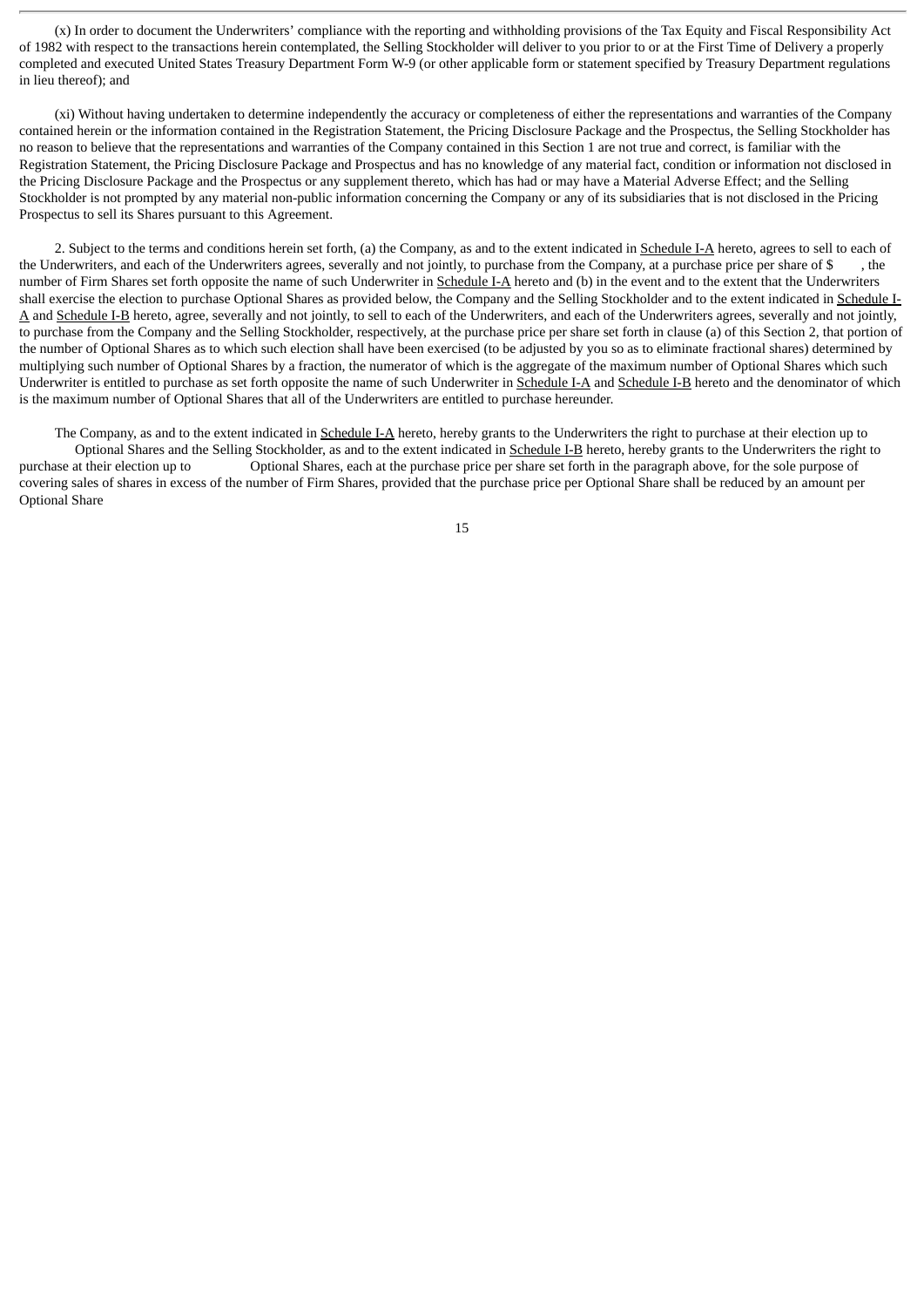(x) In order to document the Underwriters' compliance with the reporting and withholding provisions of the Tax Equity and Fiscal Responsibility Act of 1982 with respect to the transactions herein contemplated, the Selling Stockholder will deliver to you prior to or at the First Time of Delivery a properly completed and executed United States Treasury Department Form W-9 (or other applicable form or statement specified by Treasury Department regulations in lieu thereof); and

(xi) Without having undertaken to determine independently the accuracy or completeness of either the representations and warranties of the Company contained herein or the information contained in the Registration Statement, the Pricing Disclosure Package and the Prospectus, the Selling Stockholder has no reason to believe that the representations and warranties of the Company contained in this Section 1 are not true and correct, is familiar with the Registration Statement, the Pricing Disclosure Package and Prospectus and has no knowledge of any material fact, condition or information not disclosed in the Pricing Disclosure Package and the Prospectus or any supplement thereto, which has had or may have a Material Adverse Effect; and the Selling Stockholder is not prompted by any material non-public information concerning the Company or any of its subsidiaries that is not disclosed in the Pricing Prospectus to sell its Shares pursuant to this Agreement.

2. Subject to the terms and conditions herein set forth, (a) the Company, as and to the extent indicated in Schedule I-A hereto, agrees to sell to each of the Underwriters, and each of the Underwriters agrees, severally and not jointly, to purchase from the Company, at a purchase price per share of \$ , the number of Firm Shares set forth opposite the name of such Underwriter in Schedule I-A hereto and (b) in the event and to the extent that the Underwriters shall exercise the election to purchase Optional Shares as provided below, the Company and the Selling Stockholder and to the extent indicated in Schedule I-A and Schedule I-B hereto, agree, severally and not jointly, to sell to each of the Underwriters, and each of the Underwriters agrees, severally and not jointly, to purchase from the Company and the Selling Stockholder, respectively, at the purchase price per share set forth in clause (a) of this Section 2, that portion of the number of Optional Shares as to which such election shall have been exercised (to be adjusted by you so as to eliminate fractional shares) determined by multiplying such number of Optional Shares by a fraction, the numerator of which is the aggregate of the maximum number of Optional Shares which such Underwriter is entitled to purchase as set forth opposite the name of such Underwriter in Schedule I-A and Schedule I-B hereto and the denominator of which is the maximum number of Optional Shares that all of the Underwriters are entitled to purchase hereunder.

The Company, as and to the extent indicated in Schedule I-A hereto, hereby grants to the Underwriters the right to purchase at their election up to Optional Shares and the Selling Stockholder, as and to the extent indicated in Schedule I-B hereto, hereby grants to the Underwriters the right to purchase at their election up to Optional Shares, each at the purchase price per share set forth in the paragraph above, for the sole purpose of covering sales of shares in excess of the number of Firm Shares, provided that the purchase price per Optional Share shall be reduced by an amount per Optional Share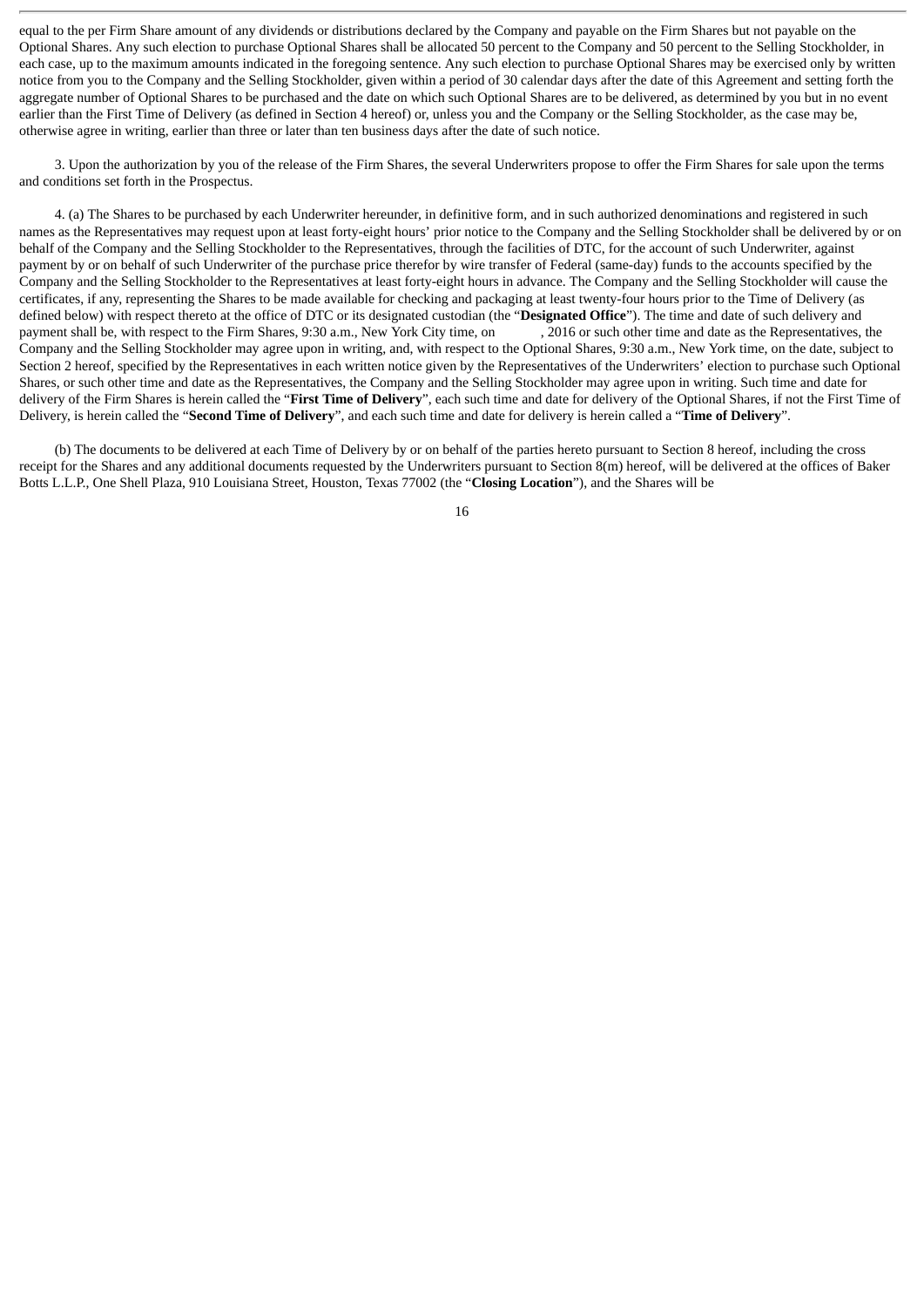equal to the per Firm Share amount of any dividends or distributions declared by the Company and payable on the Firm Shares but not payable on the Optional Shares. Any such election to purchase Optional Shares shall be allocated 50 percent to the Company and 50 percent to the Selling Stockholder, in each case, up to the maximum amounts indicated in the foregoing sentence. Any such election to purchase Optional Shares may be exercised only by written notice from you to the Company and the Selling Stockholder, given within a period of 30 calendar days after the date of this Agreement and setting forth the aggregate number of Optional Shares to be purchased and the date on which such Optional Shares are to be delivered, as determined by you but in no event earlier than the First Time of Delivery (as defined in Section 4 hereof) or, unless you and the Company or the Selling Stockholder, as the case may be, otherwise agree in writing, earlier than three or later than ten business days after the date of such notice.

3. Upon the authorization by you of the release of the Firm Shares, the several Underwriters propose to offer the Firm Shares for sale upon the terms and conditions set forth in the Prospectus.

4. (a) The Shares to be purchased by each Underwriter hereunder, in definitive form, and in such authorized denominations and registered in such names as the Representatives may request upon at least forty-eight hours' prior notice to the Company and the Selling Stockholder shall be delivered by or on behalf of the Company and the Selling Stockholder to the Representatives, through the facilities of DTC, for the account of such Underwriter, against payment by or on behalf of such Underwriter of the purchase price therefor by wire transfer of Federal (same-day) funds to the accounts specified by the Company and the Selling Stockholder to the Representatives at least forty-eight hours in advance. The Company and the Selling Stockholder will cause the certificates, if any, representing the Shares to be made available for checking and packaging at least twenty-four hours prior to the Time of Delivery (as defined below) with respect thereto at the office of DTC or its designated custodian (the "**Designated Office**"). The time and date of such delivery and payment shall be, with respect to the Firm Shares, 9:30 a.m., New York City time, on Company and the Selling Stockholder may agree upon in writing, and, with respect to the Optional Shares, 9:30 a.m., New York time, on the date, subject to Section 2 hereof, specified by the Representatives in each written notice given by the Representatives of the Underwriters' election to purchase such Optional Shares, or such other time and date as the Representatives, the Company and the Selling Stockholder may agree upon in writing. Such time and date for delivery of the Firm Shares is herein called the "**First Time of Delivery**", each such time and date for delivery of the Optional Shares, if not the First Time of Delivery, is herein called the "**Second Time of Delivery**", and each such time and date for delivery is herein called a "**Time of Delivery**".

(b) The documents to be delivered at each Time of Delivery by or on behalf of the parties hereto pursuant to Section 8 hereof, including the cross receipt for the Shares and any additional documents requested by the Underwriters pursuant to Section 8(m) hereof, will be delivered at the offices of Baker Botts L.L.P., One Shell Plaza, 910 Louisiana Street, Houston, Texas 77002 (the "**Closing Location**"), and the Shares will be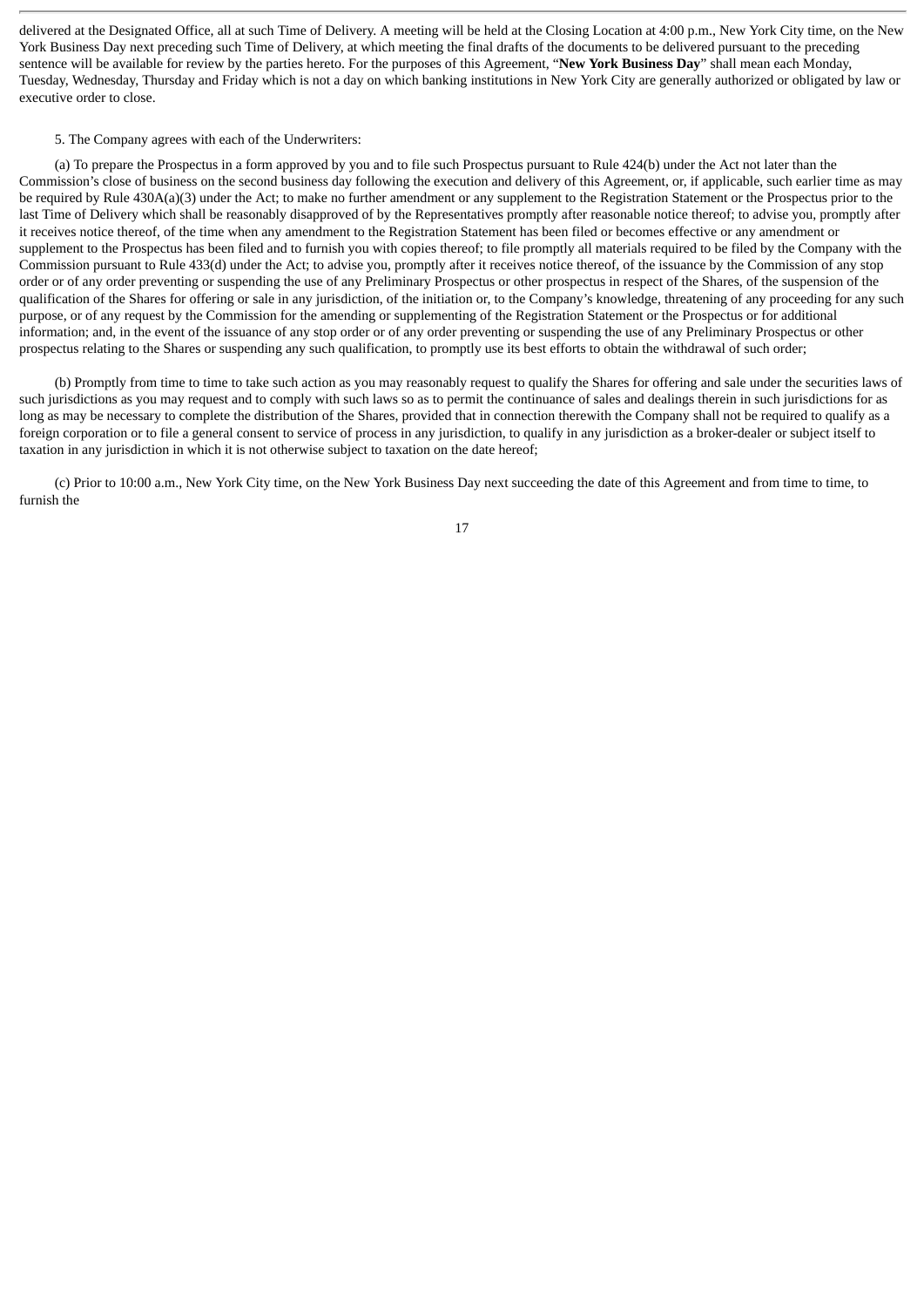delivered at the Designated Office, all at such Time of Delivery. A meeting will be held at the Closing Location at 4:00 p.m., New York City time, on the New York Business Day next preceding such Time of Delivery, at which meeting the final drafts of the documents to be delivered pursuant to the preceding sentence will be available for review by the parties hereto. For the purposes of this Agreement, "**New York Business Day**" shall mean each Monday, Tuesday, Wednesday, Thursday and Friday which is not a day on which banking institutions in New York City are generally authorized or obligated by law or executive order to close.

#### 5. The Company agrees with each of the Underwriters:

(a) To prepare the Prospectus in a form approved by you and to file such Prospectus pursuant to Rule 424(b) under the Act not later than the Commission's close of business on the second business day following the execution and delivery of this Agreement, or, if applicable, such earlier time as may be required by Rule 430A(a)(3) under the Act; to make no further amendment or any supplement to the Registration Statement or the Prospectus prior to the last Time of Delivery which shall be reasonably disapproved of by the Representatives promptly after reasonable notice thereof; to advise you, promptly after it receives notice thereof, of the time when any amendment to the Registration Statement has been filed or becomes effective or any amendment or supplement to the Prospectus has been filed and to furnish you with copies thereof; to file promptly all materials required to be filed by the Company with the Commission pursuant to Rule 433(d) under the Act; to advise you, promptly after it receives notice thereof, of the issuance by the Commission of any stop order or of any order preventing or suspending the use of any Preliminary Prospectus or other prospectus in respect of the Shares, of the suspension of the qualification of the Shares for offering or sale in any jurisdiction, of the initiation or, to the Company's knowledge, threatening of any proceeding for any such purpose, or of any request by the Commission for the amending or supplementing of the Registration Statement or the Prospectus or for additional information; and, in the event of the issuance of any stop order or of any order preventing or suspending the use of any Preliminary Prospectus or other prospectus relating to the Shares or suspending any such qualification, to promptly use its best efforts to obtain the withdrawal of such order;

(b) Promptly from time to time to take such action as you may reasonably request to qualify the Shares for offering and sale under the securities laws of such jurisdictions as you may request and to comply with such laws so as to permit the continuance of sales and dealings therein in such jurisdictions for as long as may be necessary to complete the distribution of the Shares, provided that in connection therewith the Company shall not be required to qualify as a foreign corporation or to file a general consent to service of process in any jurisdiction, to qualify in any jurisdiction as a broker-dealer or subject itself to taxation in any jurisdiction in which it is not otherwise subject to taxation on the date hereof;

(c) Prior to 10:00 a.m., New York City time, on the New York Business Day next succeeding the date of this Agreement and from time to time, to furnish the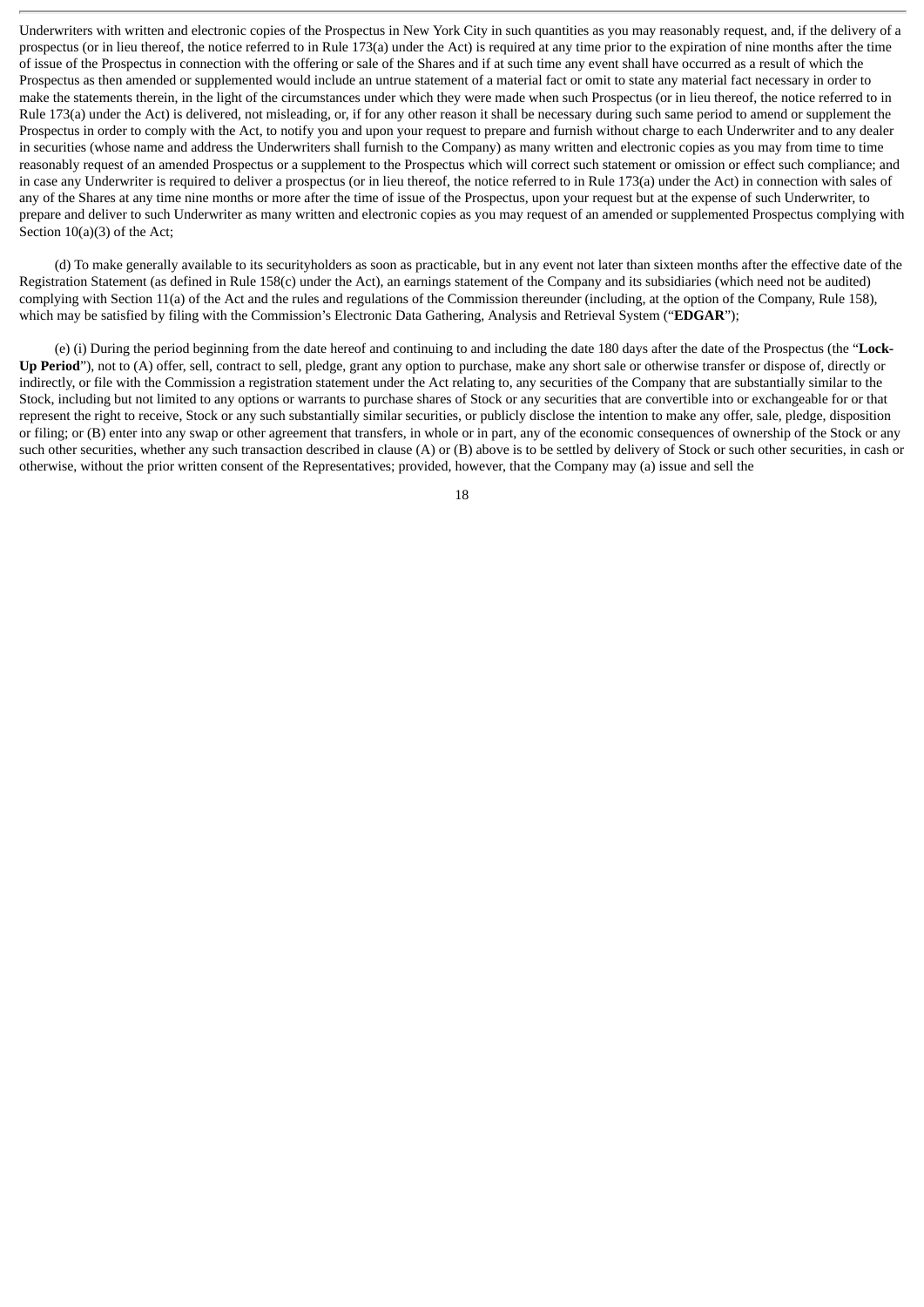Underwriters with written and electronic copies of the Prospectus in New York City in such quantities as you may reasonably request, and, if the delivery of a prospectus (or in lieu thereof, the notice referred to in Rule 173(a) under the Act) is required at any time prior to the expiration of nine months after the time of issue of the Prospectus in connection with the offering or sale of the Shares and if at such time any event shall have occurred as a result of which the Prospectus as then amended or supplemented would include an untrue statement of a material fact or omit to state any material fact necessary in order to make the statements therein, in the light of the circumstances under which they were made when such Prospectus (or in lieu thereof, the notice referred to in Rule 173(a) under the Act) is delivered, not misleading, or, if for any other reason it shall be necessary during such same period to amend or supplement the Prospectus in order to comply with the Act, to notify you and upon your request to prepare and furnish without charge to each Underwriter and to any dealer in securities (whose name and address the Underwriters shall furnish to the Company) as many written and electronic copies as you may from time to time reasonably request of an amended Prospectus or a supplement to the Prospectus which will correct such statement or omission or effect such compliance; and in case any Underwriter is required to deliver a prospectus (or in lieu thereof, the notice referred to in Rule 173(a) under the Act) in connection with sales of any of the Shares at any time nine months or more after the time of issue of the Prospectus, upon your request but at the expense of such Underwriter, to prepare and deliver to such Underwriter as many written and electronic copies as you may request of an amended or supplemented Prospectus complying with Section 10(a)(3) of the Act;

(d) To make generally available to its securityholders as soon as practicable, but in any event not later than sixteen months after the effective date of the Registration Statement (as defined in Rule 158(c) under the Act), an earnings statement of the Company and its subsidiaries (which need not be audited) complying with Section 11(a) of the Act and the rules and regulations of the Commission thereunder (including, at the option of the Company, Rule 158), which may be satisfied by filing with the Commission's Electronic Data Gathering, Analysis and Retrieval System ("**EDGAR**");

(e) (i) During the period beginning from the date hereof and continuing to and including the date 180 days after the date of the Prospectus (the "**Lock-Up Period**"), not to (A) offer, sell, contract to sell, pledge, grant any option to purchase, make any short sale or otherwise transfer or dispose of, directly or indirectly, or file with the Commission a registration statement under the Act relating to, any securities of the Company that are substantially similar to the Stock, including but not limited to any options or warrants to purchase shares of Stock or any securities that are convertible into or exchangeable for or that represent the right to receive, Stock or any such substantially similar securities, or publicly disclose the intention to make any offer, sale, pledge, disposition or filing; or (B) enter into any swap or other agreement that transfers, in whole or in part, any of the economic consequences of ownership of the Stock or any such other securities, whether any such transaction described in clause (A) or (B) above is to be settled by delivery of Stock or such other securities, in cash or otherwise, without the prior written consent of the Representatives; provided, however, that the Company may (a) issue and sell the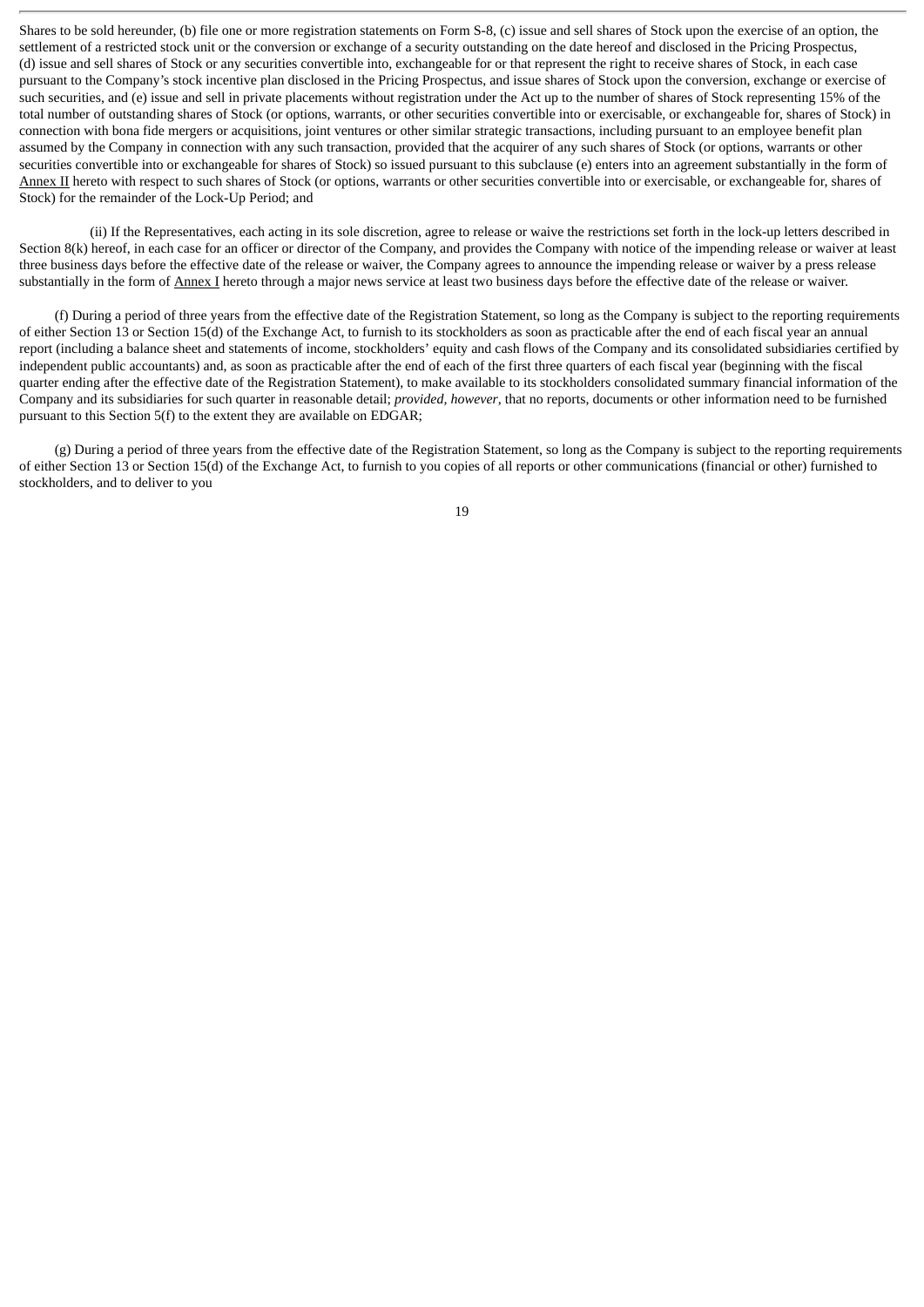Shares to be sold hereunder, (b) file one or more registration statements on Form S-8, (c) issue and sell shares of Stock upon the exercise of an option, the settlement of a restricted stock unit or the conversion or exchange of a security outstanding on the date hereof and disclosed in the Pricing Prospectus, (d) issue and sell shares of Stock or any securities convertible into, exchangeable for or that represent the right to receive shares of Stock, in each case pursuant to the Company's stock incentive plan disclosed in the Pricing Prospectus, and issue shares of Stock upon the conversion, exchange or exercise of such securities, and (e) issue and sell in private placements without registration under the Act up to the number of shares of Stock representing 15% of the total number of outstanding shares of Stock (or options, warrants, or other securities convertible into or exercisable, or exchangeable for, shares of Stock) in connection with bona fide mergers or acquisitions, joint ventures or other similar strategic transactions, including pursuant to an employee benefit plan assumed by the Company in connection with any such transaction, provided that the acquirer of any such shares of Stock (or options, warrants or other securities convertible into or exchangeable for shares of Stock) so issued pursuant to this subclause (e) enters into an agreement substantially in the form of Annex II hereto with respect to such shares of Stock (or options, warrants or other securities convertible into or exercisable, or exchangeable for, shares of Stock) for the remainder of the Lock-Up Period; and

(ii) If the Representatives, each acting in its sole discretion, agree to release or waive the restrictions set forth in the lock-up letters described in Section 8(k) hereof, in each case for an officer or director of the Company, and provides the Company with notice of the impending release or waiver at least three business days before the effective date of the release or waiver, the Company agrees to announce the impending release or waiver by a press release substantially in the form of Annex I hereto through a major news service at least two business days before the effective date of the release or waiver.

(f) During a period of three years from the effective date of the Registration Statement, so long as the Company is subject to the reporting requirements of either Section 13 or Section 15(d) of the Exchange Act, to furnish to its stockholders as soon as practicable after the end of each fiscal year an annual report (including a balance sheet and statements of income, stockholders' equity and cash flows of the Company and its consolidated subsidiaries certified by independent public accountants) and, as soon as practicable after the end of each of the first three quarters of each fiscal year (beginning with the fiscal quarter ending after the effective date of the Registration Statement), to make available to its stockholders consolidated summary financial information of the Company and its subsidiaries for such quarter in reasonable detail; *provided, however*, that no reports, documents or other information need to be furnished pursuant to this Section 5(f) to the extent they are available on EDGAR;

(g) During a period of three years from the effective date of the Registration Statement, so long as the Company is subject to the reporting requirements of either Section 13 or Section 15(d) of the Exchange Act, to furnish to you copies of all reports or other communications (financial or other) furnished to stockholders, and to deliver to you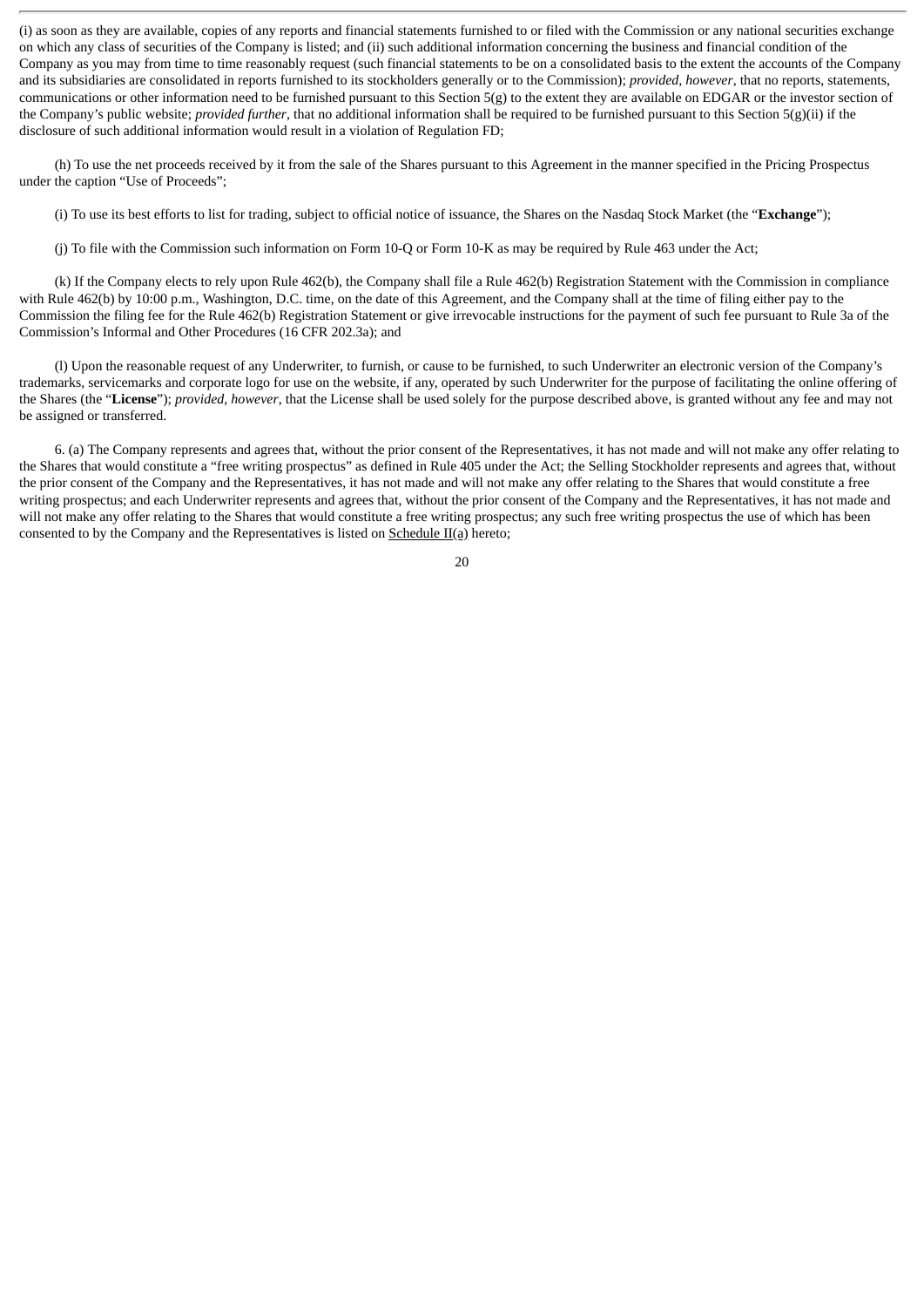(i) as soon as they are available, copies of any reports and financial statements furnished to or filed with the Commission or any national securities exchange on which any class of securities of the Company is listed; and (ii) such additional information concerning the business and financial condition of the Company as you may from time to time reasonably request (such financial statements to be on a consolidated basis to the extent the accounts of the Company and its subsidiaries are consolidated in reports furnished to its stockholders generally or to the Commission); *provided, however*, that no reports, statements, communications or other information need to be furnished pursuant to this Section 5(g) to the extent they are available on EDGAR or the investor section of the Company's public website; *provided further*, that no additional information shall be required to be furnished pursuant to this Section 5(g)(ii) if the disclosure of such additional information would result in a violation of Regulation FD;

(h) To use the net proceeds received by it from the sale of the Shares pursuant to this Agreement in the manner specified in the Pricing Prospectus under the caption "Use of Proceeds";

(i) To use its best efforts to list for trading, subject to official notice of issuance, the Shares on the Nasdaq Stock Market (the "**Exchange**");

(j) To file with the Commission such information on Form 10-Q or Form 10-K as may be required by Rule 463 under the Act;

(k) If the Company elects to rely upon Rule 462(b), the Company shall file a Rule 462(b) Registration Statement with the Commission in compliance with Rule 462(b) by 10:00 p.m., Washington, D.C. time, on the date of this Agreement, and the Company shall at the time of filing either pay to the Commission the filing fee for the Rule 462(b) Registration Statement or give irrevocable instructions for the payment of such fee pursuant to Rule 3a of the Commission's Informal and Other Procedures (16 CFR 202.3a); and

(l) Upon the reasonable request of any Underwriter, to furnish, or cause to be furnished, to such Underwriter an electronic version of the Company's trademarks, servicemarks and corporate logo for use on the website, if any, operated by such Underwriter for the purpose of facilitating the online offering of the Shares (the "**License**"); *provided, however*, that the License shall be used solely for the purpose described above, is granted without any fee and may not be assigned or transferred.

6. (a) The Company represents and agrees that, without the prior consent of the Representatives, it has not made and will not make any offer relating to the Shares that would constitute a "free writing prospectus" as defined in Rule 405 under the Act; the Selling Stockholder represents and agrees that, without the prior consent of the Company and the Representatives, it has not made and will not make any offer relating to the Shares that would constitute a free writing prospectus; and each Underwriter represents and agrees that, without the prior consent of the Company and the Representatives, it has not made and will not make any offer relating to the Shares that would constitute a free writing prospectus; any such free writing prospectus the use of which has been consented to by the Company and the Representatives is listed on  $S$ chedule  $II(a)$  hereto;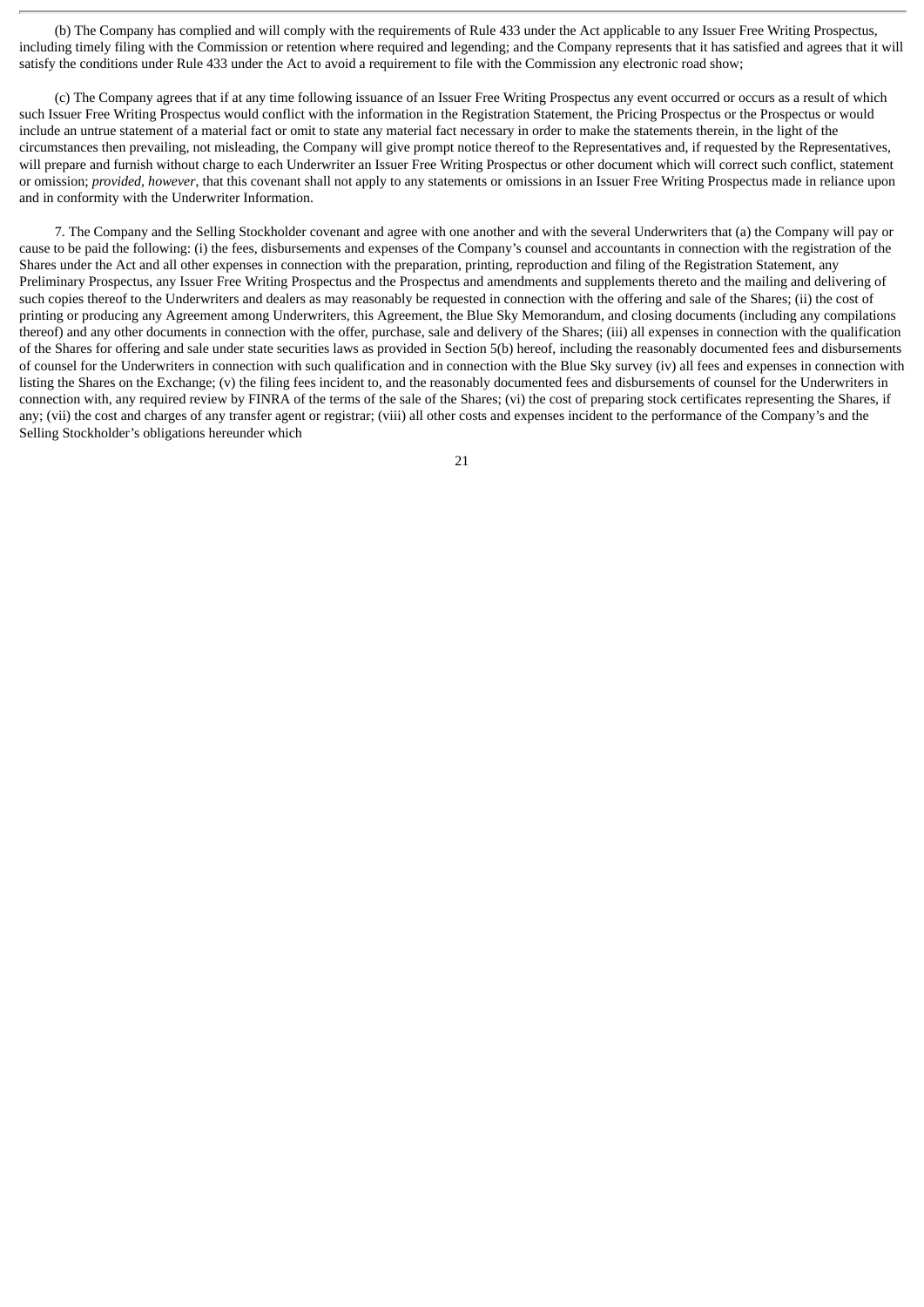(b) The Company has complied and will comply with the requirements of Rule 433 under the Act applicable to any Issuer Free Writing Prospectus, including timely filing with the Commission or retention where required and legending; and the Company represents that it has satisfied and agrees that it will satisfy the conditions under Rule 433 under the Act to avoid a requirement to file with the Commission any electronic road show;

(c) The Company agrees that if at any time following issuance of an Issuer Free Writing Prospectus any event occurred or occurs as a result of which such Issuer Free Writing Prospectus would conflict with the information in the Registration Statement, the Pricing Prospectus or the Prospectus or would include an untrue statement of a material fact or omit to state any material fact necessary in order to make the statements therein, in the light of the circumstances then prevailing, not misleading, the Company will give prompt notice thereof to the Representatives and, if requested by the Representatives, will prepare and furnish without charge to each Underwriter an Issuer Free Writing Prospectus or other document which will correct such conflict, statement or omission; *provided, however*, that this covenant shall not apply to any statements or omissions in an Issuer Free Writing Prospectus made in reliance upon and in conformity with the Underwriter Information.

7. The Company and the Selling Stockholder covenant and agree with one another and with the several Underwriters that (a) the Company will pay or cause to be paid the following: (i) the fees, disbursements and expenses of the Company's counsel and accountants in connection with the registration of the Shares under the Act and all other expenses in connection with the preparation, printing, reproduction and filing of the Registration Statement, any Preliminary Prospectus, any Issuer Free Writing Prospectus and the Prospectus and amendments and supplements thereto and the mailing and delivering of such copies thereof to the Underwriters and dealers as may reasonably be requested in connection with the offering and sale of the Shares; (ii) the cost of printing or producing any Agreement among Underwriters, this Agreement, the Blue Sky Memorandum, and closing documents (including any compilations thereof) and any other documents in connection with the offer, purchase, sale and delivery of the Shares; (iii) all expenses in connection with the qualification of the Shares for offering and sale under state securities laws as provided in Section 5(b) hereof, including the reasonably documented fees and disbursements of counsel for the Underwriters in connection with such qualification and in connection with the Blue Sky survey (iv) all fees and expenses in connection with listing the Shares on the Exchange; (v) the filing fees incident to, and the reasonably documented fees and disbursements of counsel for the Underwriters in connection with, any required review by FINRA of the terms of the sale of the Shares; (vi) the cost of preparing stock certificates representing the Shares, if any; (vii) the cost and charges of any transfer agent or registrar; (viii) all other costs and expenses incident to the performance of the Company's and the Selling Stockholder's obligations hereunder which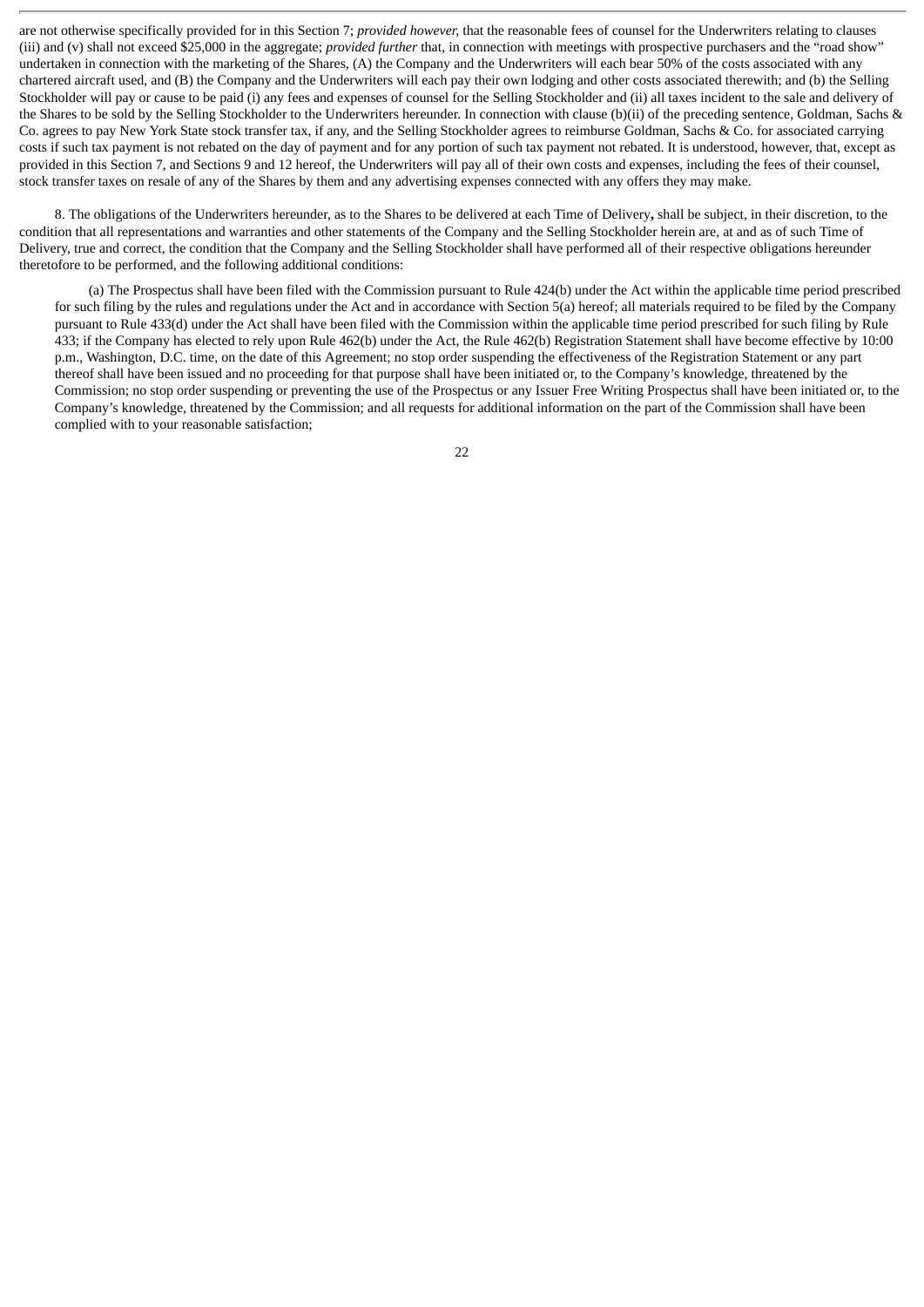are not otherwise specifically provided for in this Section 7; *provided however,* that the reasonable fees of counsel for the Underwriters relating to clauses (iii) and (v) shall not exceed \$25,000 in the aggregate; *provided further* that, in connection with meetings with prospective purchasers and the "road show" undertaken in connection with the marketing of the Shares, (A) the Company and the Underwriters will each bear 50% of the costs associated with any chartered aircraft used, and (B) the Company and the Underwriters will each pay their own lodging and other costs associated therewith; and (b) the Selling Stockholder will pay or cause to be paid (i) any fees and expenses of counsel for the Selling Stockholder and (ii) all taxes incident to the sale and delivery of the Shares to be sold by the Selling Stockholder to the Underwriters hereunder. In connection with clause (b)(ii) of the preceding sentence, Goldman, Sachs & Co. agrees to pay New York State stock transfer tax, if any, and the Selling Stockholder agrees to reimburse Goldman, Sachs & Co. for associated carrying costs if such tax payment is not rebated on the day of payment and for any portion of such tax payment not rebated. It is understood, however, that, except as provided in this Section 7, and Sections 9 and 12 hereof, the Underwriters will pay all of their own costs and expenses, including the fees of their counsel, stock transfer taxes on resale of any of the Shares by them and any advertising expenses connected with any offers they may make.

8. The obligations of the Underwriters hereunder, as to the Shares to be delivered at each Time of Delivery**,** shall be subject, in their discretion, to the condition that all representations and warranties and other statements of the Company and the Selling Stockholder herein are, at and as of such Time of Delivery, true and correct, the condition that the Company and the Selling Stockholder shall have performed all of their respective obligations hereunder theretofore to be performed, and the following additional conditions:

(a) The Prospectus shall have been filed with the Commission pursuant to Rule 424(b) under the Act within the applicable time period prescribed for such filing by the rules and regulations under the Act and in accordance with Section 5(a) hereof; all materials required to be filed by the Company pursuant to Rule 433(d) under the Act shall have been filed with the Commission within the applicable time period prescribed for such filing by Rule 433; if the Company has elected to rely upon Rule 462(b) under the Act, the Rule 462(b) Registration Statement shall have become effective by 10:00 p.m., Washington, D.C. time, on the date of this Agreement; no stop order suspending the effectiveness of the Registration Statement or any part thereof shall have been issued and no proceeding for that purpose shall have been initiated or, to the Company's knowledge, threatened by the Commission; no stop order suspending or preventing the use of the Prospectus or any Issuer Free Writing Prospectus shall have been initiated or, to the Company's knowledge, threatened by the Commission; and all requests for additional information on the part of the Commission shall have been complied with to your reasonable satisfaction;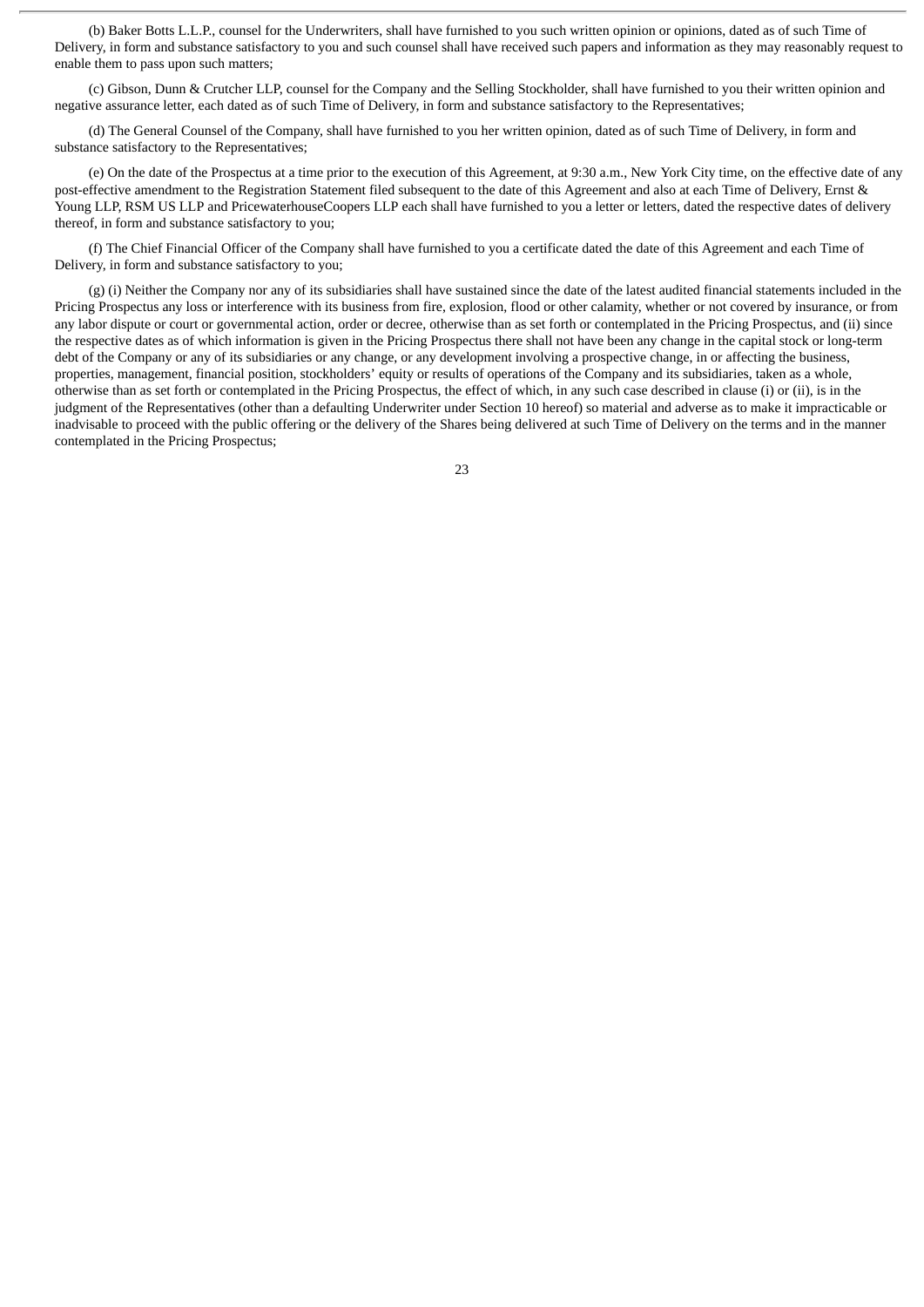(b) Baker Botts L.L.P., counsel for the Underwriters, shall have furnished to you such written opinion or opinions, dated as of such Time of Delivery, in form and substance satisfactory to you and such counsel shall have received such papers and information as they may reasonably request to enable them to pass upon such matters;

(c) Gibson, Dunn & Crutcher LLP, counsel for the Company and the Selling Stockholder, shall have furnished to you their written opinion and negative assurance letter, each dated as of such Time of Delivery, in form and substance satisfactory to the Representatives;

(d) The General Counsel of the Company, shall have furnished to you her written opinion, dated as of such Time of Delivery, in form and substance satisfactory to the Representatives;

(e) On the date of the Prospectus at a time prior to the execution of this Agreement, at 9:30 a.m., New York City time, on the effective date of any post-effective amendment to the Registration Statement filed subsequent to the date of this Agreement and also at each Time of Delivery, Ernst & Young LLP, RSM US LLP and PricewaterhouseCoopers LLP each shall have furnished to you a letter or letters, dated the respective dates of delivery thereof, in form and substance satisfactory to you;

(f) The Chief Financial Officer of the Company shall have furnished to you a certificate dated the date of this Agreement and each Time of Delivery, in form and substance satisfactory to you;

(g) (i) Neither the Company nor any of its subsidiaries shall have sustained since the date of the latest audited financial statements included in the Pricing Prospectus any loss or interference with its business from fire, explosion, flood or other calamity, whether or not covered by insurance, or from any labor dispute or court or governmental action, order or decree, otherwise than as set forth or contemplated in the Pricing Prospectus, and (ii) since the respective dates as of which information is given in the Pricing Prospectus there shall not have been any change in the capital stock or long-term debt of the Company or any of its subsidiaries or any change, or any development involving a prospective change, in or affecting the business, properties, management, financial position, stockholders' equity or results of operations of the Company and its subsidiaries, taken as a whole, otherwise than as set forth or contemplated in the Pricing Prospectus, the effect of which, in any such case described in clause (i) or (ii), is in the judgment of the Representatives (other than a defaulting Underwriter under Section 10 hereof) so material and adverse as to make it impracticable or inadvisable to proceed with the public offering or the delivery of the Shares being delivered at such Time of Delivery on the terms and in the manner contemplated in the Pricing Prospectus;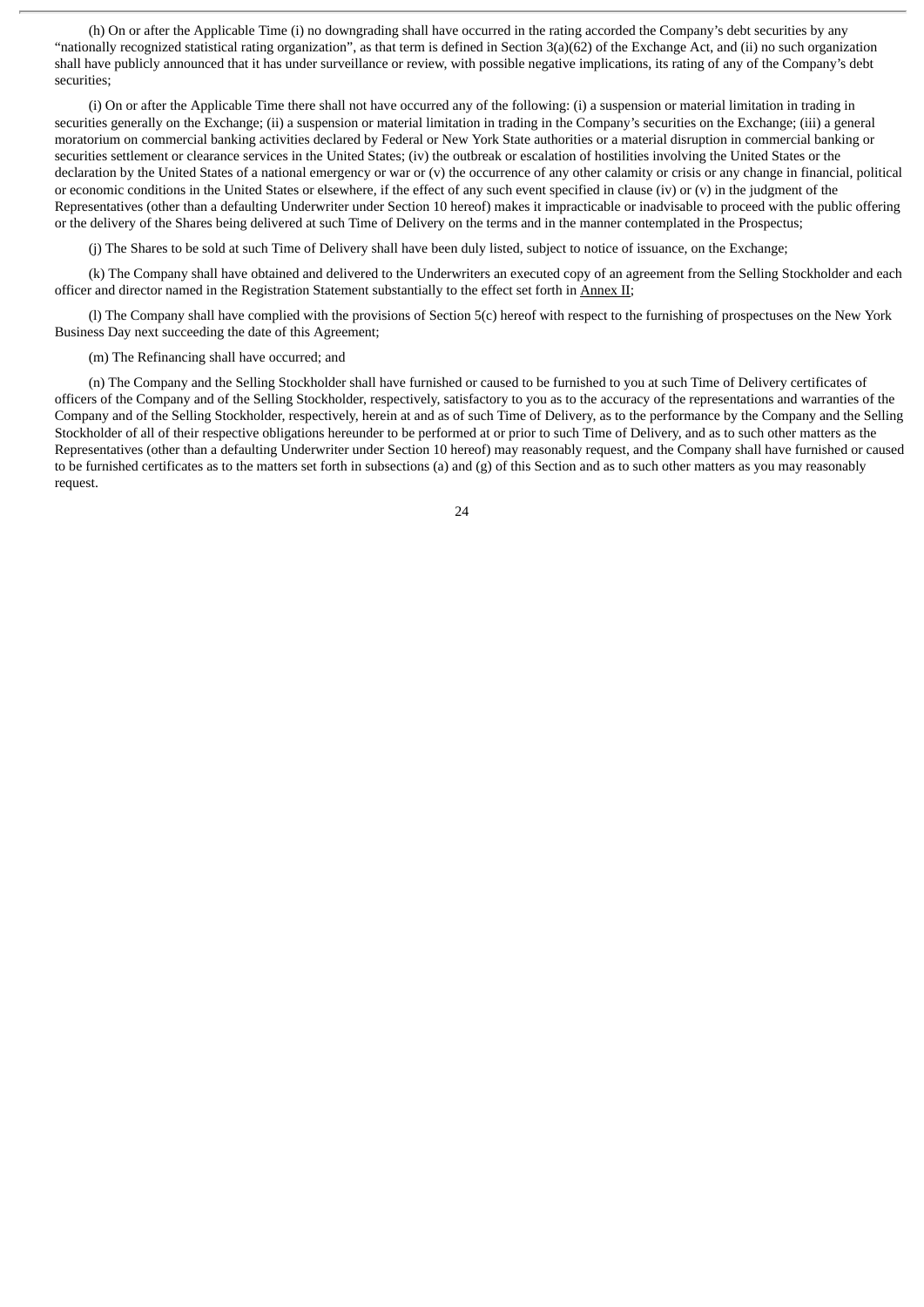(h) On or after the Applicable Time (i) no downgrading shall have occurred in the rating accorded the Company's debt securities by any "nationally recognized statistical rating organization", as that term is defined in Section 3(a)(62) of the Exchange Act, and (ii) no such organization shall have publicly announced that it has under surveillance or review, with possible negative implications, its rating of any of the Company's debt securities;

(i) On or after the Applicable Time there shall not have occurred any of the following: (i) a suspension or material limitation in trading in securities generally on the Exchange; (ii) a suspension or material limitation in trading in the Company's securities on the Exchange; (iii) a general moratorium on commercial banking activities declared by Federal or New York State authorities or a material disruption in commercial banking or securities settlement or clearance services in the United States; (iv) the outbreak or escalation of hostilities involving the United States or the declaration by the United States of a national emergency or war or (v) the occurrence of any other calamity or crisis or any change in financial, political or economic conditions in the United States or elsewhere, if the effect of any such event specified in clause (iv) or (v) in the judgment of the Representatives (other than a defaulting Underwriter under Section 10 hereof) makes it impracticable or inadvisable to proceed with the public offering or the delivery of the Shares being delivered at such Time of Delivery on the terms and in the manner contemplated in the Prospectus;

(j) The Shares to be sold at such Time of Delivery shall have been duly listed, subject to notice of issuance, on the Exchange;

(k) The Company shall have obtained and delivered to the Underwriters an executed copy of an agreement from the Selling Stockholder and each officer and director named in the Registration Statement substantially to the effect set forth in Annex II;

(l) The Company shall have complied with the provisions of Section 5(c) hereof with respect to the furnishing of prospectuses on the New York Business Day next succeeding the date of this Agreement;

(m) The Refinancing shall have occurred; and

(n) The Company and the Selling Stockholder shall have furnished or caused to be furnished to you at such Time of Delivery certificates of officers of the Company and of the Selling Stockholder, respectively, satisfactory to you as to the accuracy of the representations and warranties of the Company and of the Selling Stockholder, respectively, herein at and as of such Time of Delivery, as to the performance by the Company and the Selling Stockholder of all of their respective obligations hereunder to be performed at or prior to such Time of Delivery, and as to such other matters as the Representatives (other than a defaulting Underwriter under Section 10 hereof) may reasonably request, and the Company shall have furnished or caused to be furnished certificates as to the matters set forth in subsections (a) and (g) of this Section and as to such other matters as you may reasonably request.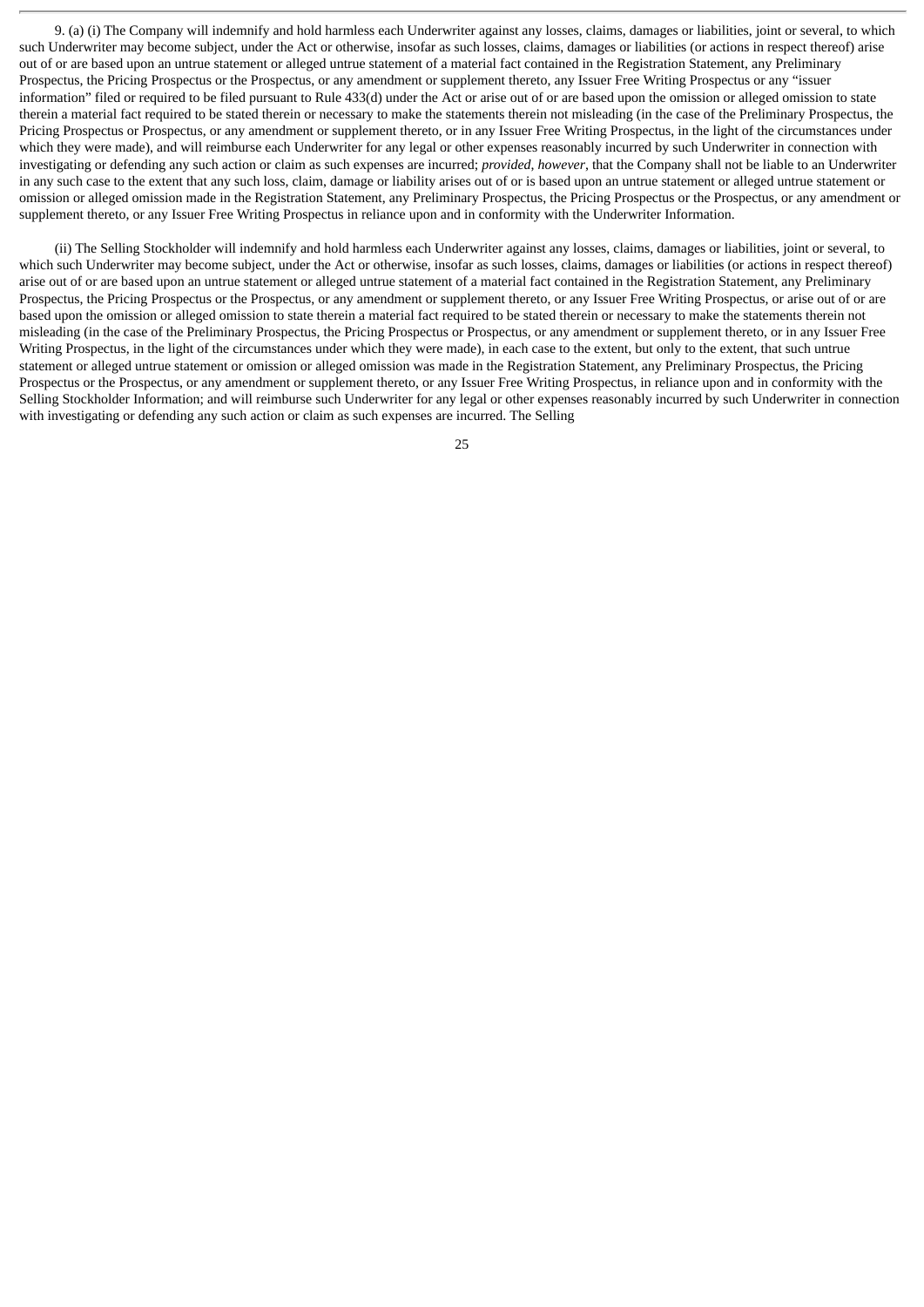9. (a) (i) The Company will indemnify and hold harmless each Underwriter against any losses, claims, damages or liabilities, joint or several, to which such Underwriter may become subject, under the Act or otherwise, insofar as such losses, claims, damages or liabilities (or actions in respect thereof) arise out of or are based upon an untrue statement or alleged untrue statement of a material fact contained in the Registration Statement, any Preliminary Prospectus, the Pricing Prospectus or the Prospectus, or any amendment or supplement thereto, any Issuer Free Writing Prospectus or any "issuer information" filed or required to be filed pursuant to Rule 433(d) under the Act or arise out of or are based upon the omission or alleged omission to state therein a material fact required to be stated therein or necessary to make the statements therein not misleading (in the case of the Preliminary Prospectus, the Pricing Prospectus or Prospectus, or any amendment or supplement thereto, or in any Issuer Free Writing Prospectus, in the light of the circumstances under which they were made), and will reimburse each Underwriter for any legal or other expenses reasonably incurred by such Underwriter in connection with investigating or defending any such action or claim as such expenses are incurred; *provided*, *however*, that the Company shall not be liable to an Underwriter in any such case to the extent that any such loss, claim, damage or liability arises out of or is based upon an untrue statement or alleged untrue statement or omission or alleged omission made in the Registration Statement, any Preliminary Prospectus, the Pricing Prospectus or the Prospectus, or any amendment or supplement thereto, or any Issuer Free Writing Prospectus in reliance upon and in conformity with the Underwriter Information.

(ii) The Selling Stockholder will indemnify and hold harmless each Underwriter against any losses, claims, damages or liabilities, joint or several, to which such Underwriter may become subject, under the Act or otherwise, insofar as such losses, claims, damages or liabilities (or actions in respect thereof) arise out of or are based upon an untrue statement or alleged untrue statement of a material fact contained in the Registration Statement, any Preliminary Prospectus, the Pricing Prospectus or the Prospectus, or any amendment or supplement thereto, or any Issuer Free Writing Prospectus, or arise out of or are based upon the omission or alleged omission to state therein a material fact required to be stated therein or necessary to make the statements therein not misleading (in the case of the Preliminary Prospectus, the Pricing Prospectus or Prospectus, or any amendment or supplement thereto, or in any Issuer Free Writing Prospectus, in the light of the circumstances under which they were made), in each case to the extent, but only to the extent, that such untrue statement or alleged untrue statement or omission or alleged omission was made in the Registration Statement, any Preliminary Prospectus, the Pricing Prospectus or the Prospectus, or any amendment or supplement thereto, or any Issuer Free Writing Prospectus, in reliance upon and in conformity with the Selling Stockholder Information; and will reimburse such Underwriter for any legal or other expenses reasonably incurred by such Underwriter in connection with investigating or defending any such action or claim as such expenses are incurred. The Selling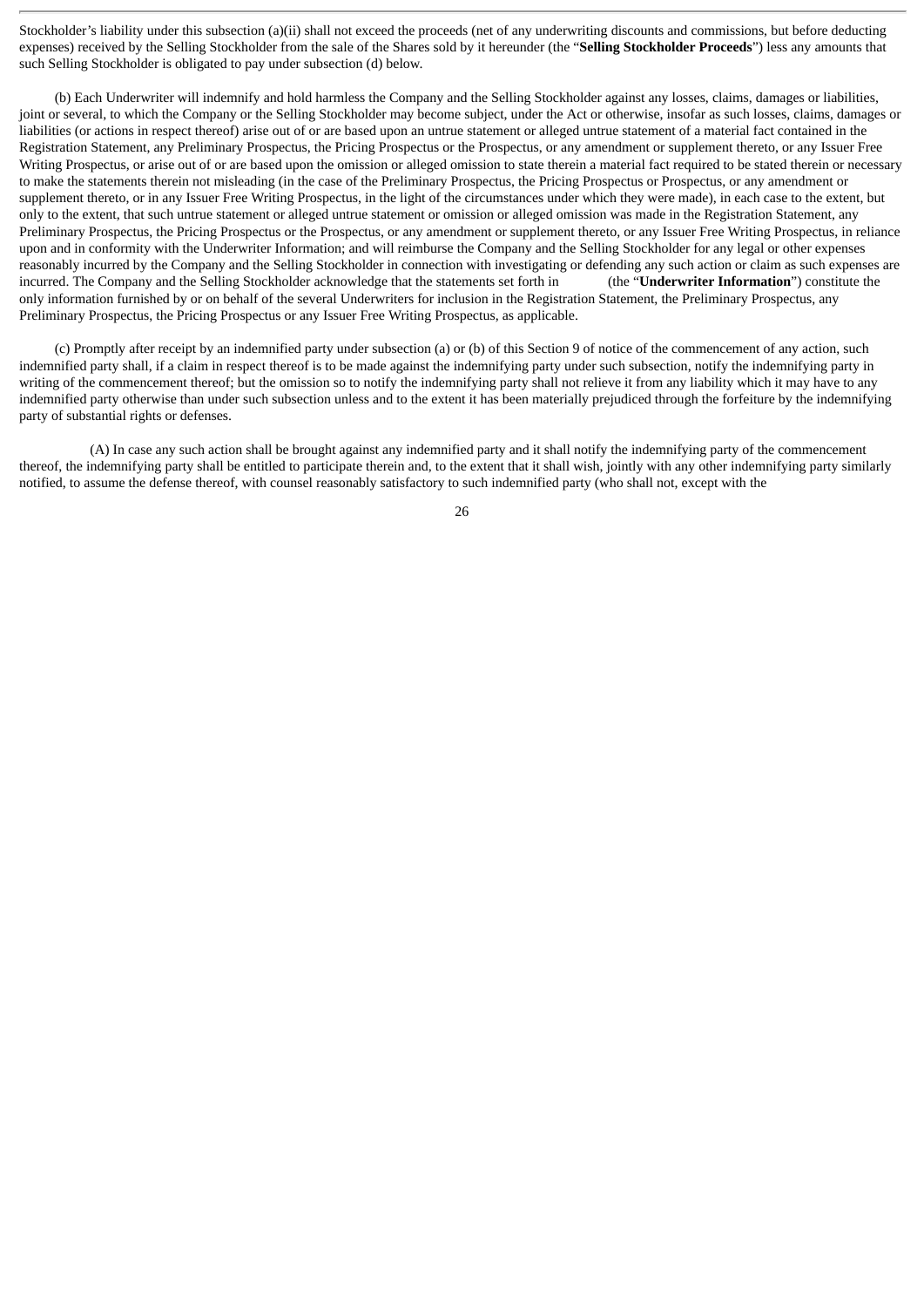Stockholder's liability under this subsection (a)(ii) shall not exceed the proceeds (net of any underwriting discounts and commissions, but before deducting expenses) received by the Selling Stockholder from the sale of the Shares sold by it hereunder (the "**Selling Stockholder Proceeds**") less any amounts that such Selling Stockholder is obligated to pay under subsection (d) below.

(b) Each Underwriter will indemnify and hold harmless the Company and the Selling Stockholder against any losses, claims, damages or liabilities, joint or several, to which the Company or the Selling Stockholder may become subject, under the Act or otherwise, insofar as such losses, claims, damages or liabilities (or actions in respect thereof) arise out of or are based upon an untrue statement or alleged untrue statement of a material fact contained in the Registration Statement, any Preliminary Prospectus, the Pricing Prospectus or the Prospectus, or any amendment or supplement thereto, or any Issuer Free Writing Prospectus, or arise out of or are based upon the omission or alleged omission to state therein a material fact required to be stated therein or necessary to make the statements therein not misleading (in the case of the Preliminary Prospectus, the Pricing Prospectus or Prospectus, or any amendment or supplement thereto, or in any Issuer Free Writing Prospectus, in the light of the circumstances under which they were made), in each case to the extent, but only to the extent, that such untrue statement or alleged untrue statement or omission or alleged omission was made in the Registration Statement, any Preliminary Prospectus, the Pricing Prospectus or the Prospectus, or any amendment or supplement thereto, or any Issuer Free Writing Prospectus, in reliance upon and in conformity with the Underwriter Information; and will reimburse the Company and the Selling Stockholder for any legal or other expenses reasonably incurred by the Company and the Selling Stockholder in connection with investigating or defending any such action or claim as such expenses are incurred. The Company and the Selling Stockholder acknowledge that the statements set forth in (the "**Underwriter Information**") constitute the only information furnished by or on behalf of the several Underwriters for inclusion in the Registration Statement, the Preliminary Prospectus, any Preliminary Prospectus, the Pricing Prospectus or any Issuer Free Writing Prospectus, as applicable.

(c) Promptly after receipt by an indemnified party under subsection (a) or (b) of this Section 9 of notice of the commencement of any action, such indemnified party shall, if a claim in respect thereof is to be made against the indemnifying party under such subsection, notify the indemnifying party in writing of the commencement thereof; but the omission so to notify the indemnifying party shall not relieve it from any liability which it may have to any indemnified party otherwise than under such subsection unless and to the extent it has been materially prejudiced through the forfeiture by the indemnifying party of substantial rights or defenses.

(A) In case any such action shall be brought against any indemnified party and it shall notify the indemnifying party of the commencement thereof, the indemnifying party shall be entitled to participate therein and, to the extent that it shall wish, jointly with any other indemnifying party similarly notified, to assume the defense thereof, with counsel reasonably satisfactory to such indemnified party (who shall not, except with the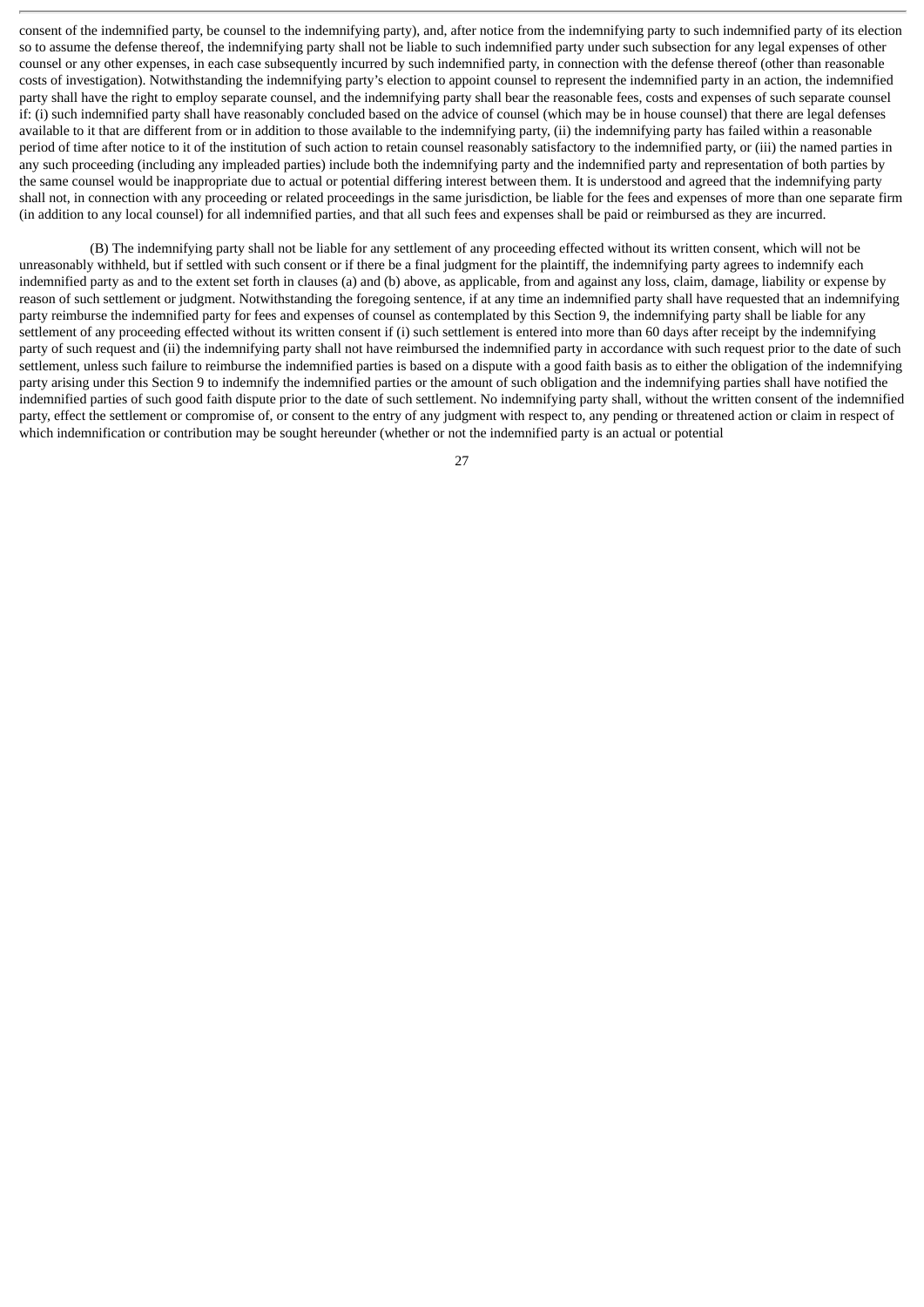consent of the indemnified party, be counsel to the indemnifying party), and, after notice from the indemnifying party to such indemnified party of its election so to assume the defense thereof, the indemnifying party shall not be liable to such indemnified party under such subsection for any legal expenses of other counsel or any other expenses, in each case subsequently incurred by such indemnified party, in connection with the defense thereof (other than reasonable costs of investigation). Notwithstanding the indemnifying party's election to appoint counsel to represent the indemnified party in an action, the indemnified party shall have the right to employ separate counsel, and the indemnifying party shall bear the reasonable fees, costs and expenses of such separate counsel if: (i) such indemnified party shall have reasonably concluded based on the advice of counsel (which may be in house counsel) that there are legal defenses available to it that are different from or in addition to those available to the indemnifying party, (ii) the indemnifying party has failed within a reasonable period of time after notice to it of the institution of such action to retain counsel reasonably satisfactory to the indemnified party, or (iii) the named parties in any such proceeding (including any impleaded parties) include both the indemnifying party and the indemnified party and representation of both parties by the same counsel would be inappropriate due to actual or potential differing interest between them. It is understood and agreed that the indemnifying party shall not, in connection with any proceeding or related proceedings in the same jurisdiction, be liable for the fees and expenses of more than one separate firm (in addition to any local counsel) for all indemnified parties, and that all such fees and expenses shall be paid or reimbursed as they are incurred.

(B) The indemnifying party shall not be liable for any settlement of any proceeding effected without its written consent, which will not be unreasonably withheld, but if settled with such consent or if there be a final judgment for the plaintiff, the indemnifying party agrees to indemnify each indemnified party as and to the extent set forth in clauses (a) and (b) above, as applicable, from and against any loss, claim, damage, liability or expense by reason of such settlement or judgment. Notwithstanding the foregoing sentence, if at any time an indemnified party shall have requested that an indemnifying party reimburse the indemnified party for fees and expenses of counsel as contemplated by this Section 9, the indemnifying party shall be liable for any settlement of any proceeding effected without its written consent if (i) such settlement is entered into more than 60 days after receipt by the indemnifying party of such request and (ii) the indemnifying party shall not have reimbursed the indemnified party in accordance with such request prior to the date of such settlement, unless such failure to reimburse the indemnified parties is based on a dispute with a good faith basis as to either the obligation of the indemnifying party arising under this Section 9 to indemnify the indemnified parties or the amount of such obligation and the indemnifying parties shall have notified the indemnified parties of such good faith dispute prior to the date of such settlement. No indemnifying party shall, without the written consent of the indemnified party, effect the settlement or compromise of, or consent to the entry of any judgment with respect to, any pending or threatened action or claim in respect of which indemnification or contribution may be sought hereunder (whether or not the indemnified party is an actual or potential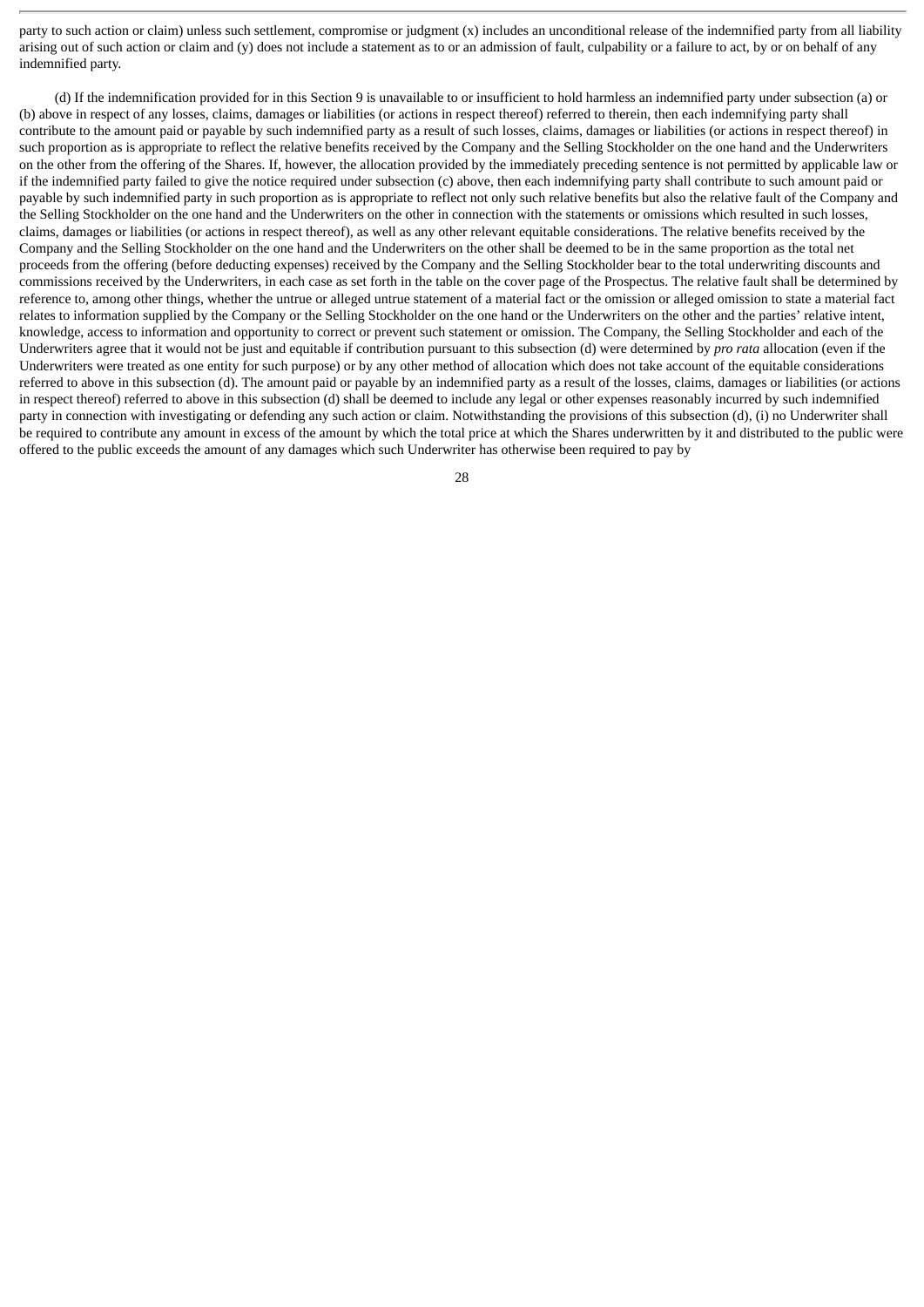party to such action or claim) unless such settlement, compromise or judgment (x) includes an unconditional release of the indemnified party from all liability arising out of such action or claim and (y) does not include a statement as to or an admission of fault, culpability or a failure to act, by or on behalf of any indemnified party.

(d) If the indemnification provided for in this Section 9 is unavailable to or insufficient to hold harmless an indemnified party under subsection (a) or (b) above in respect of any losses, claims, damages or liabilities (or actions in respect thereof) referred to therein, then each indemnifying party shall contribute to the amount paid or payable by such indemnified party as a result of such losses, claims, damages or liabilities (or actions in respect thereof) in such proportion as is appropriate to reflect the relative benefits received by the Company and the Selling Stockholder on the one hand and the Underwriters on the other from the offering of the Shares. If, however, the allocation provided by the immediately preceding sentence is not permitted by applicable law or if the indemnified party failed to give the notice required under subsection (c) above, then each indemnifying party shall contribute to such amount paid or payable by such indemnified party in such proportion as is appropriate to reflect not only such relative benefits but also the relative fault of the Company and the Selling Stockholder on the one hand and the Underwriters on the other in connection with the statements or omissions which resulted in such losses, claims, damages or liabilities (or actions in respect thereof), as well as any other relevant equitable considerations. The relative benefits received by the Company and the Selling Stockholder on the one hand and the Underwriters on the other shall be deemed to be in the same proportion as the total net proceeds from the offering (before deducting expenses) received by the Company and the Selling Stockholder bear to the total underwriting discounts and commissions received by the Underwriters, in each case as set forth in the table on the cover page of the Prospectus. The relative fault shall be determined by reference to, among other things, whether the untrue or alleged untrue statement of a material fact or the omission or alleged omission to state a material fact relates to information supplied by the Company or the Selling Stockholder on the one hand or the Underwriters on the other and the parties' relative intent, knowledge, access to information and opportunity to correct or prevent such statement or omission. The Company, the Selling Stockholder and each of the Underwriters agree that it would not be just and equitable if contribution pursuant to this subsection (d) were determined by *pro rata* allocation (even if the Underwriters were treated as one entity for such purpose) or by any other method of allocation which does not take account of the equitable considerations referred to above in this subsection (d). The amount paid or payable by an indemnified party as a result of the losses, claims, damages or liabilities (or actions in respect thereof) referred to above in this subsection (d) shall be deemed to include any legal or other expenses reasonably incurred by such indemnified party in connection with investigating or defending any such action or claim. Notwithstanding the provisions of this subsection (d), (i) no Underwriter shall be required to contribute any amount in excess of the amount by which the total price at which the Shares underwritten by it and distributed to the public were offered to the public exceeds the amount of any damages which such Underwriter has otherwise been required to pay by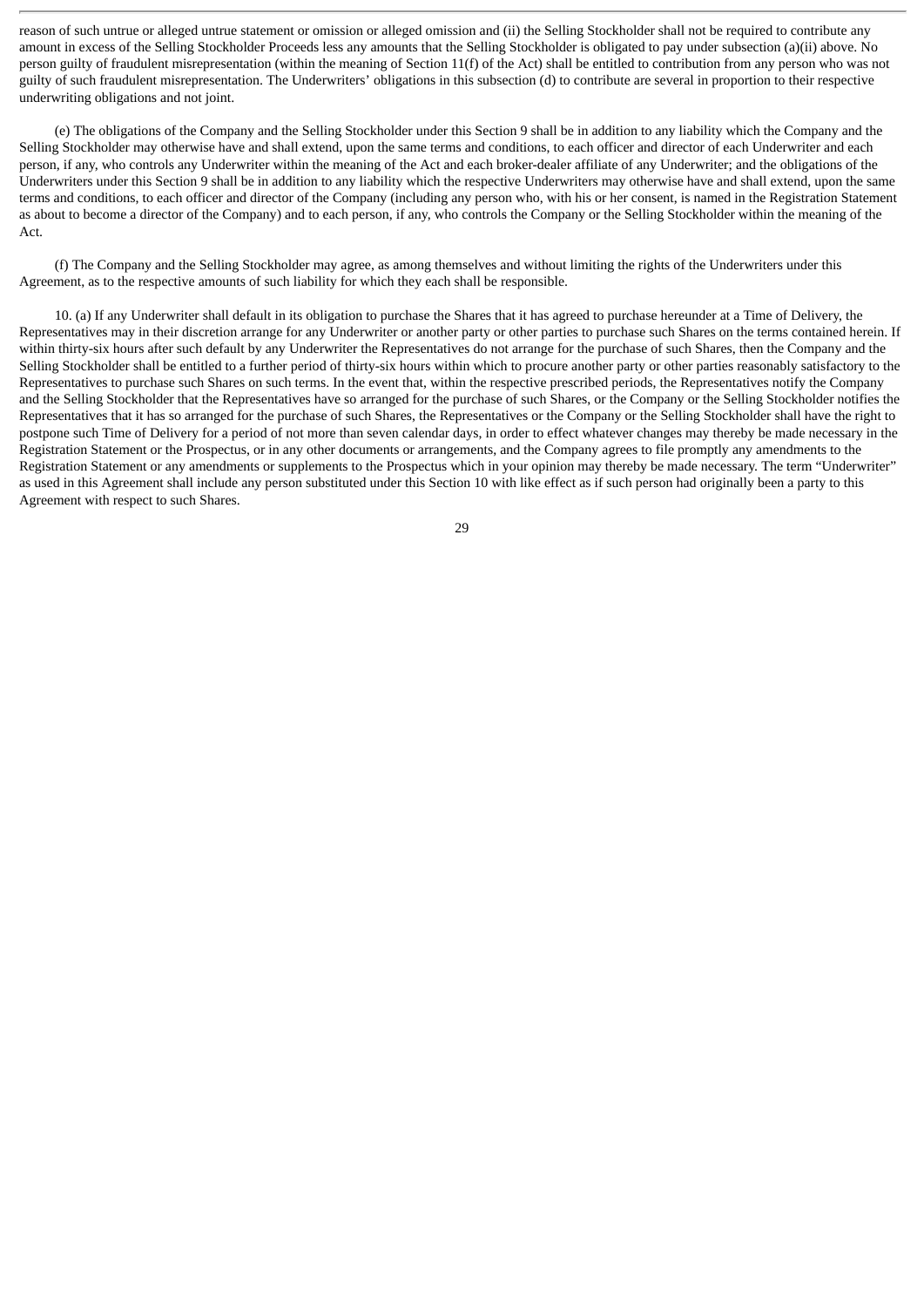reason of such untrue or alleged untrue statement or omission or alleged omission and (ii) the Selling Stockholder shall not be required to contribute any amount in excess of the Selling Stockholder Proceeds less any amounts that the Selling Stockholder is obligated to pay under subsection (a)(ii) above. No person guilty of fraudulent misrepresentation (within the meaning of Section 11(f) of the Act) shall be entitled to contribution from any person who was not guilty of such fraudulent misrepresentation. The Underwriters' obligations in this subsection (d) to contribute are several in proportion to their respective underwriting obligations and not joint.

(e) The obligations of the Company and the Selling Stockholder under this Section 9 shall be in addition to any liability which the Company and the Selling Stockholder may otherwise have and shall extend, upon the same terms and conditions, to each officer and director of each Underwriter and each person, if any, who controls any Underwriter within the meaning of the Act and each broker-dealer affiliate of any Underwriter; and the obligations of the Underwriters under this Section 9 shall be in addition to any liability which the respective Underwriters may otherwise have and shall extend, upon the same terms and conditions, to each officer and director of the Company (including any person who, with his or her consent, is named in the Registration Statement as about to become a director of the Company) and to each person, if any, who controls the Company or the Selling Stockholder within the meaning of the Act.

(f) The Company and the Selling Stockholder may agree, as among themselves and without limiting the rights of the Underwriters under this Agreement, as to the respective amounts of such liability for which they each shall be responsible.

10. (a) If any Underwriter shall default in its obligation to purchase the Shares that it has agreed to purchase hereunder at a Time of Delivery, the Representatives may in their discretion arrange for any Underwriter or another party or other parties to purchase such Shares on the terms contained herein. If within thirty-six hours after such default by any Underwriter the Representatives do not arrange for the purchase of such Shares, then the Company and the Selling Stockholder shall be entitled to a further period of thirty-six hours within which to procure another party or other parties reasonably satisfactory to the Representatives to purchase such Shares on such terms. In the event that, within the respective prescribed periods, the Representatives notify the Company and the Selling Stockholder that the Representatives have so arranged for the purchase of such Shares, or the Company or the Selling Stockholder notifies the Representatives that it has so arranged for the purchase of such Shares, the Representatives or the Company or the Selling Stockholder shall have the right to postpone such Time of Delivery for a period of not more than seven calendar days, in order to effect whatever changes may thereby be made necessary in the Registration Statement or the Prospectus, or in any other documents or arrangements, and the Company agrees to file promptly any amendments to the Registration Statement or any amendments or supplements to the Prospectus which in your opinion may thereby be made necessary. The term "Underwriter" as used in this Agreement shall include any person substituted under this Section 10 with like effect as if such person had originally been a party to this Agreement with respect to such Shares.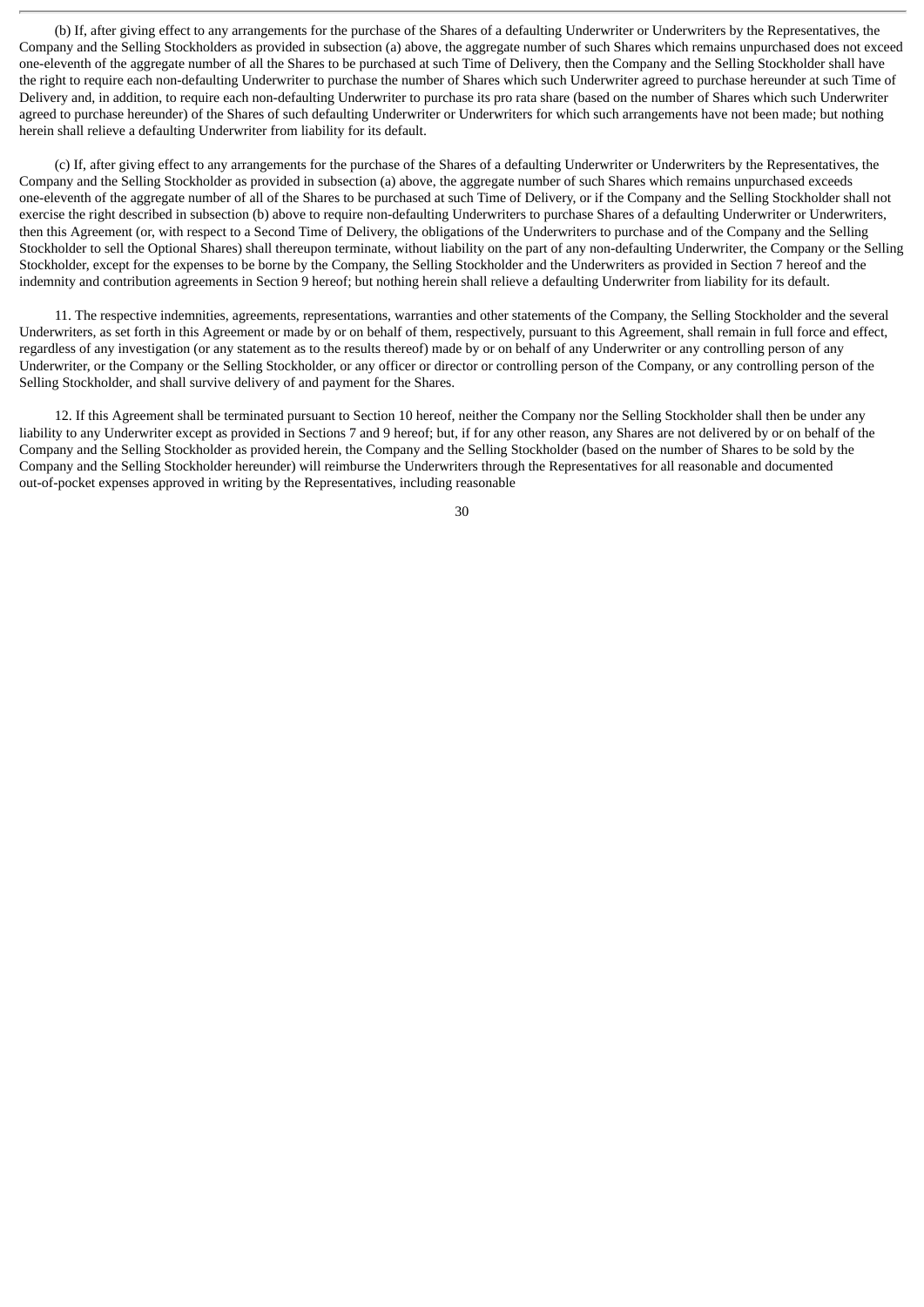(b) If, after giving effect to any arrangements for the purchase of the Shares of a defaulting Underwriter or Underwriters by the Representatives, the Company and the Selling Stockholders as provided in subsection (a) above, the aggregate number of such Shares which remains unpurchased does not exceed one-eleventh of the aggregate number of all the Shares to be purchased at such Time of Delivery, then the Company and the Selling Stockholder shall have the right to require each non-defaulting Underwriter to purchase the number of Shares which such Underwriter agreed to purchase hereunder at such Time of Delivery and, in addition, to require each non-defaulting Underwriter to purchase its pro rata share (based on the number of Shares which such Underwriter agreed to purchase hereunder) of the Shares of such defaulting Underwriter or Underwriters for which such arrangements have not been made; but nothing herein shall relieve a defaulting Underwriter from liability for its default.

(c) If, after giving effect to any arrangements for the purchase of the Shares of a defaulting Underwriter or Underwriters by the Representatives, the Company and the Selling Stockholder as provided in subsection (a) above, the aggregate number of such Shares which remains unpurchased exceeds one-eleventh of the aggregate number of all of the Shares to be purchased at such Time of Delivery, or if the Company and the Selling Stockholder shall not exercise the right described in subsection (b) above to require non-defaulting Underwriters to purchase Shares of a defaulting Underwriter or Underwriters, then this Agreement (or, with respect to a Second Time of Delivery, the obligations of the Underwriters to purchase and of the Company and the Selling Stockholder to sell the Optional Shares) shall thereupon terminate, without liability on the part of any non-defaulting Underwriter, the Company or the Selling Stockholder, except for the expenses to be borne by the Company, the Selling Stockholder and the Underwriters as provided in Section 7 hereof and the indemnity and contribution agreements in Section 9 hereof; but nothing herein shall relieve a defaulting Underwriter from liability for its default.

11. The respective indemnities, agreements, representations, warranties and other statements of the Company, the Selling Stockholder and the several Underwriters, as set forth in this Agreement or made by or on behalf of them, respectively, pursuant to this Agreement, shall remain in full force and effect, regardless of any investigation (or any statement as to the results thereof) made by or on behalf of any Underwriter or any controlling person of any Underwriter, or the Company or the Selling Stockholder, or any officer or director or controlling person of the Company, or any controlling person of the Selling Stockholder, and shall survive delivery of and payment for the Shares.

12. If this Agreement shall be terminated pursuant to Section 10 hereof, neither the Company nor the Selling Stockholder shall then be under any liability to any Underwriter except as provided in Sections 7 and 9 hereof; but, if for any other reason, any Shares are not delivered by or on behalf of the Company and the Selling Stockholder as provided herein, the Company and the Selling Stockholder (based on the number of Shares to be sold by the Company and the Selling Stockholder hereunder) will reimburse the Underwriters through the Representatives for all reasonable and documented out-of-pocket expenses approved in writing by the Representatives, including reasonable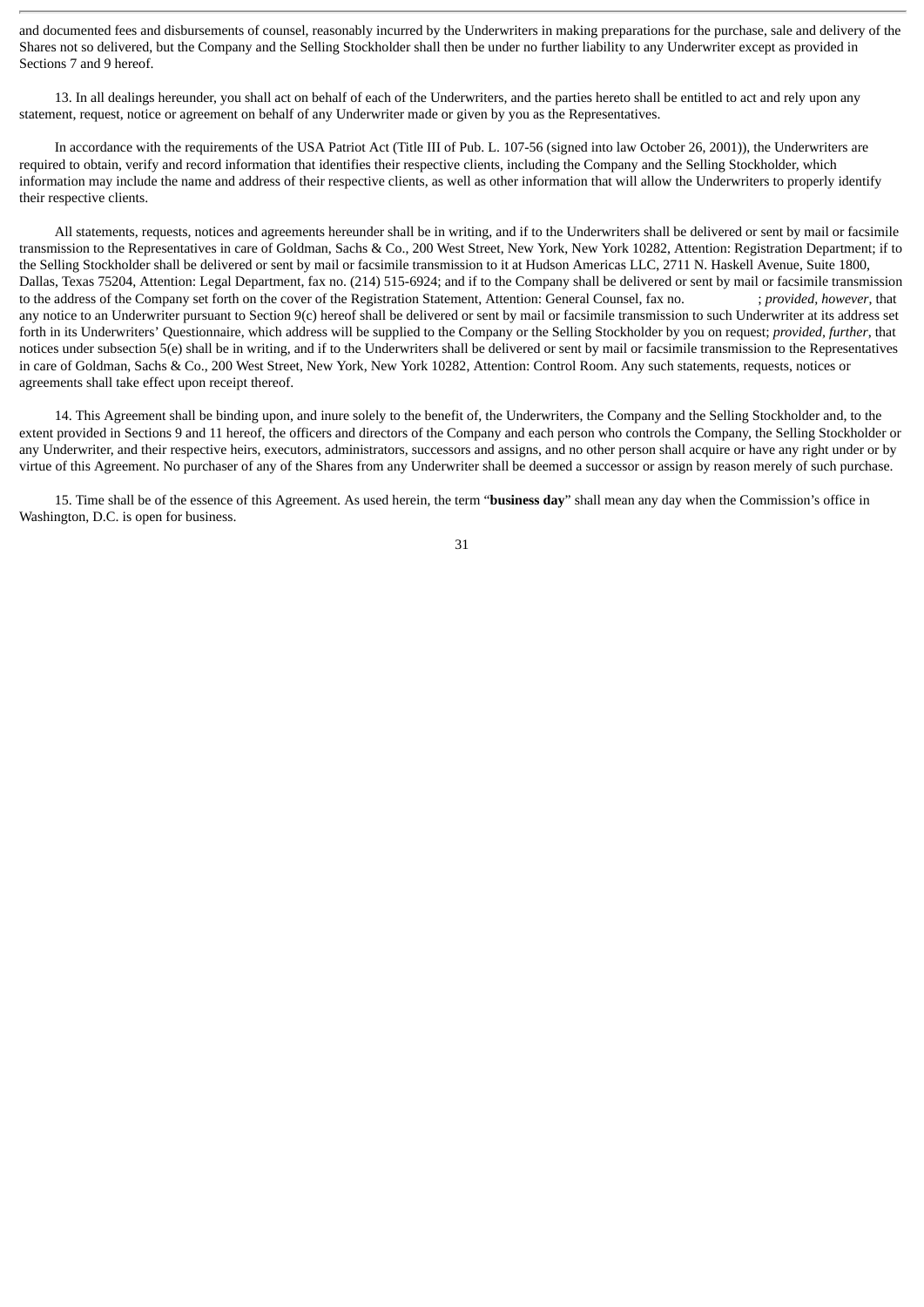and documented fees and disbursements of counsel, reasonably incurred by the Underwriters in making preparations for the purchase, sale and delivery of the Shares not so delivered, but the Company and the Selling Stockholder shall then be under no further liability to any Underwriter except as provided in Sections 7 and 9 hereof.

13. In all dealings hereunder, you shall act on behalf of each of the Underwriters, and the parties hereto shall be entitled to act and rely upon any statement, request, notice or agreement on behalf of any Underwriter made or given by you as the Representatives.

In accordance with the requirements of the USA Patriot Act (Title III of Pub. L. 107-56 (signed into law October 26, 2001)), the Underwriters are required to obtain, verify and record information that identifies their respective clients, including the Company and the Selling Stockholder, which information may include the name and address of their respective clients, as well as other information that will allow the Underwriters to properly identify their respective clients.

All statements, requests, notices and agreements hereunder shall be in writing, and if to the Underwriters shall be delivered or sent by mail or facsimile transmission to the Representatives in care of Goldman, Sachs & Co., 200 West Street, New York, New York 10282, Attention: Registration Department; if to the Selling Stockholder shall be delivered or sent by mail or facsimile transmission to it at Hudson Americas LLC, 2711 N. Haskell Avenue, Suite 1800, Dallas, Texas 75204, Attention: Legal Department, fax no. (214) 515-6924; and if to the Company shall be delivered or sent by mail or facsimile transmission to the address of the Company set forth on the cover of the Registration Statement, Attention: General Counsel, fax no. ; *provided, however*, that any notice to an Underwriter pursuant to Section 9(c) hereof shall be delivered or sent by mail or facsimile transmission to such Underwriter at its address set forth in its Underwriters' Questionnaire, which address will be supplied to the Company or the Selling Stockholder by you on request; *provided, further*, that notices under subsection 5(e) shall be in writing, and if to the Underwriters shall be delivered or sent by mail or facsimile transmission to the Representatives in care of Goldman, Sachs & Co., 200 West Street, New York, New York 10282, Attention: Control Room. Any such statements, requests, notices or agreements shall take effect upon receipt thereof.

14. This Agreement shall be binding upon, and inure solely to the benefit of, the Underwriters, the Company and the Selling Stockholder and, to the extent provided in Sections 9 and 11 hereof, the officers and directors of the Company and each person who controls the Company, the Selling Stockholder or any Underwriter, and their respective heirs, executors, administrators, successors and assigns, and no other person shall acquire or have any right under or by virtue of this Agreement. No purchaser of any of the Shares from any Underwriter shall be deemed a successor or assign by reason merely of such purchase.

15. Time shall be of the essence of this Agreement. As used herein, the term "**business day**" shall mean any day when the Commission's office in Washington, D.C. is open for business.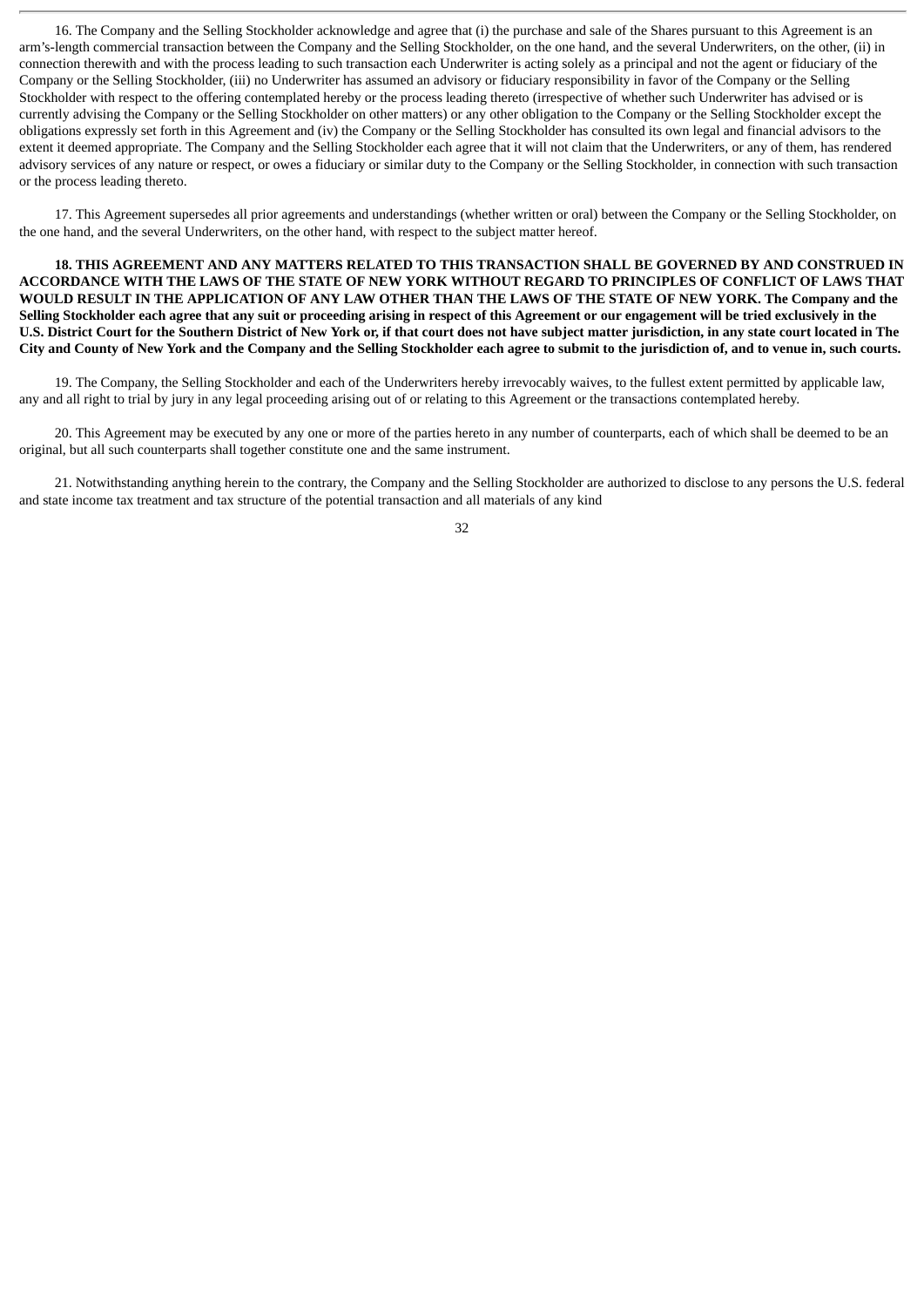16. The Company and the Selling Stockholder acknowledge and agree that (i) the purchase and sale of the Shares pursuant to this Agreement is an arm's-length commercial transaction between the Company and the Selling Stockholder, on the one hand, and the several Underwriters, on the other, (ii) in connection therewith and with the process leading to such transaction each Underwriter is acting solely as a principal and not the agent or fiduciary of the Company or the Selling Stockholder, (iii) no Underwriter has assumed an advisory or fiduciary responsibility in favor of the Company or the Selling Stockholder with respect to the offering contemplated hereby or the process leading thereto (irrespective of whether such Underwriter has advised or is currently advising the Company or the Selling Stockholder on other matters) or any other obligation to the Company or the Selling Stockholder except the obligations expressly set forth in this Agreement and (iv) the Company or the Selling Stockholder has consulted its own legal and financial advisors to the extent it deemed appropriate. The Company and the Selling Stockholder each agree that it will not claim that the Underwriters, or any of them, has rendered advisory services of any nature or respect, or owes a fiduciary or similar duty to the Company or the Selling Stockholder, in connection with such transaction or the process leading thereto.

17. This Agreement supersedes all prior agreements and understandings (whether written or oral) between the Company or the Selling Stockholder, on the one hand, and the several Underwriters, on the other hand, with respect to the subject matter hereof.

**18. THIS AGREEMENT AND ANY MATTERS RELATED TO THIS TRANSACTION SHALL BE GOVERNED BY AND CONSTRUED IN** ACCORDANCE WITH THE LAWS OF THE STATE OF NEW YORK WITHOUT REGARD TO PRINCIPLES OF CONFLICT OF LAWS THAT WOULD RESULT IN THE APPLICATION OF ANY LAW OTHER THAN THE LAWS OF THE STATE OF NEW YORK. The Company and the Selling Stockholder each agree that any suit or proceeding arising in respect of this Agreement or our engagement will be tried exclusively in the U.S. District Court for the Southern District of New York or, if that court does not have subject matter jurisdiction, in any state court located in The City and County of New York and the Company and the Selling Stockholder each agree to submit to the jurisdiction of, and to venue in, such courts.

19. The Company, the Selling Stockholder and each of the Underwriters hereby irrevocably waives, to the fullest extent permitted by applicable law, any and all right to trial by jury in any legal proceeding arising out of or relating to this Agreement or the transactions contemplated hereby.

20. This Agreement may be executed by any one or more of the parties hereto in any number of counterparts, each of which shall be deemed to be an original, but all such counterparts shall together constitute one and the same instrument.

21. Notwithstanding anything herein to the contrary, the Company and the Selling Stockholder are authorized to disclose to any persons the U.S. federal and state income tax treatment and tax structure of the potential transaction and all materials of any kind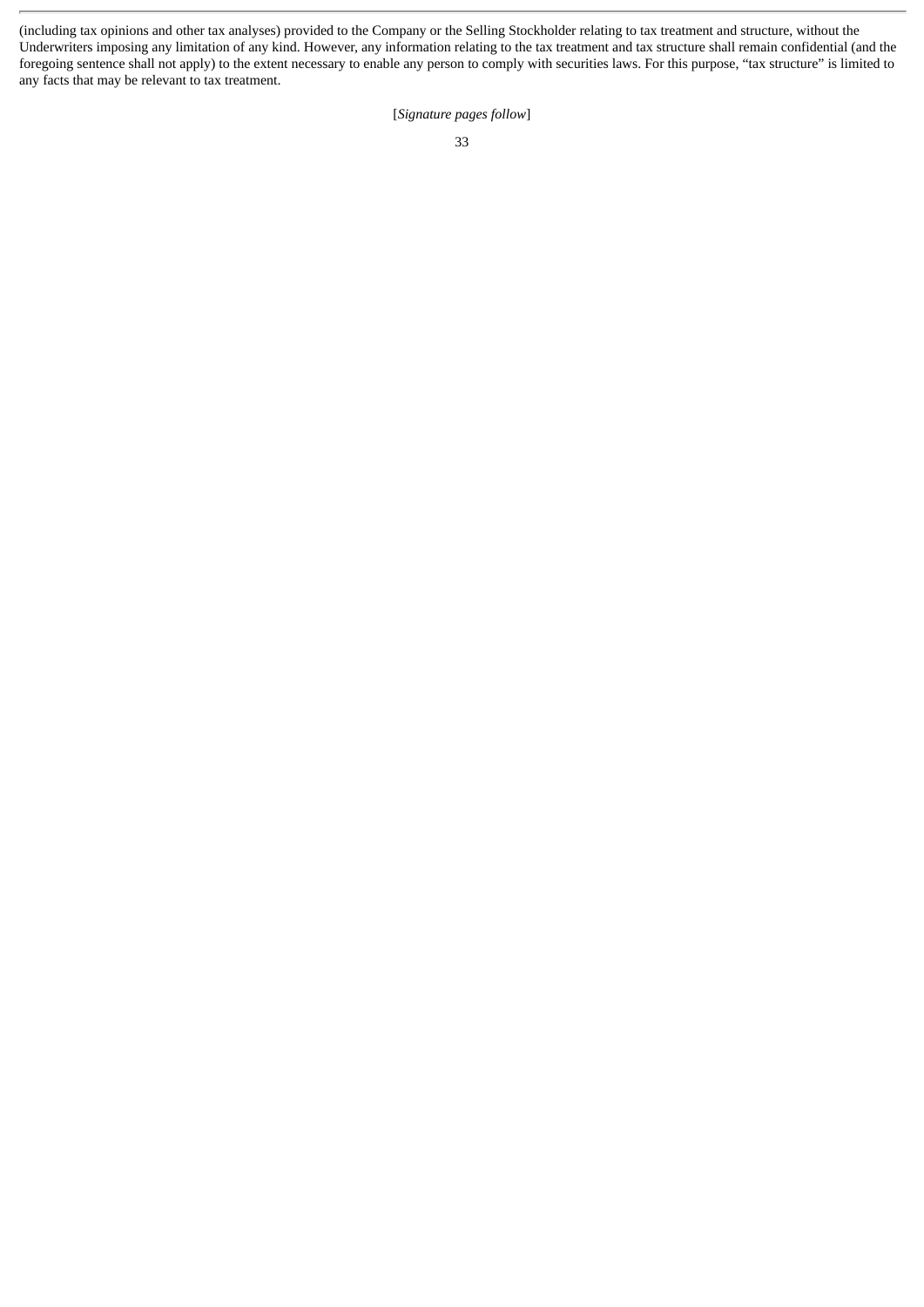(including tax opinions and other tax analyses) provided to the Company or the Selling Stockholder relating to tax treatment and structure, without the Underwriters imposing any limitation of any kind. However, any information relating to the tax treatment and tax structure shall remain confidential (and the foregoing sentence shall not apply) to the extent necessary to enable any person to comply with securities laws. For this purpose, "tax structure" is limited to any facts that may be relevant to tax treatment.

[*Signature pages follow*]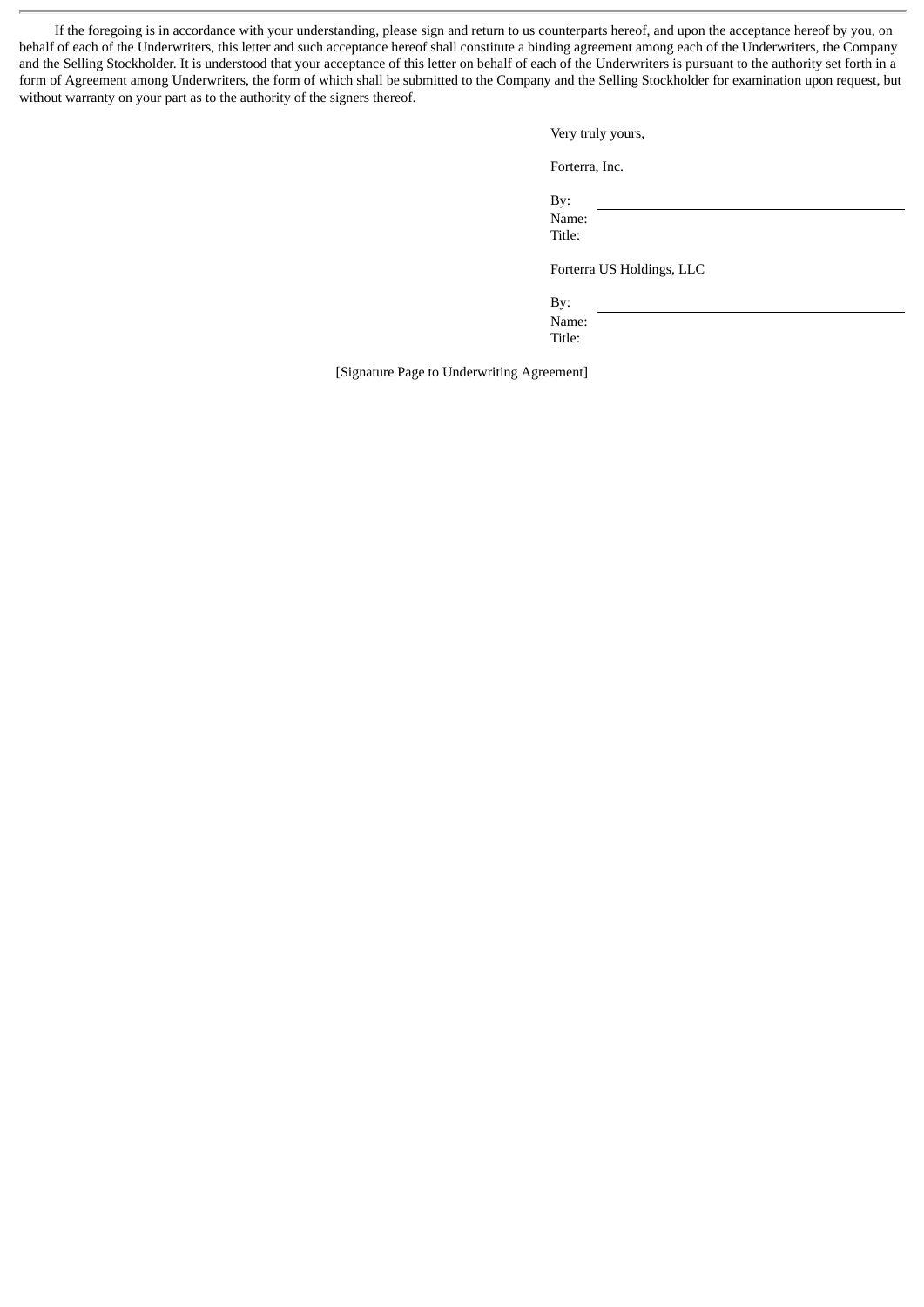If the foregoing is in accordance with your understanding, please sign and return to us counterparts hereof, and upon the acceptance hereof by you, on behalf of each of the Underwriters, this letter and such acceptance hereof shall constitute a binding agreement among each of the Underwriters, the Company and the Selling Stockholder. It is understood that your acceptance of this letter on behalf of each of the Underwriters is pursuant to the authority set forth in a form of Agreement among Underwriters, the form of which shall be submitted to the Company and the Selling Stockholder for examination upon request, but without warranty on your part as to the authority of the signers thereof.

Very truly yours,

Forterra, Inc.

By:

Name: Title:

Forterra US Holdings, LLC

By: Name: Title:

[Signature Page to Underwriting Agreement]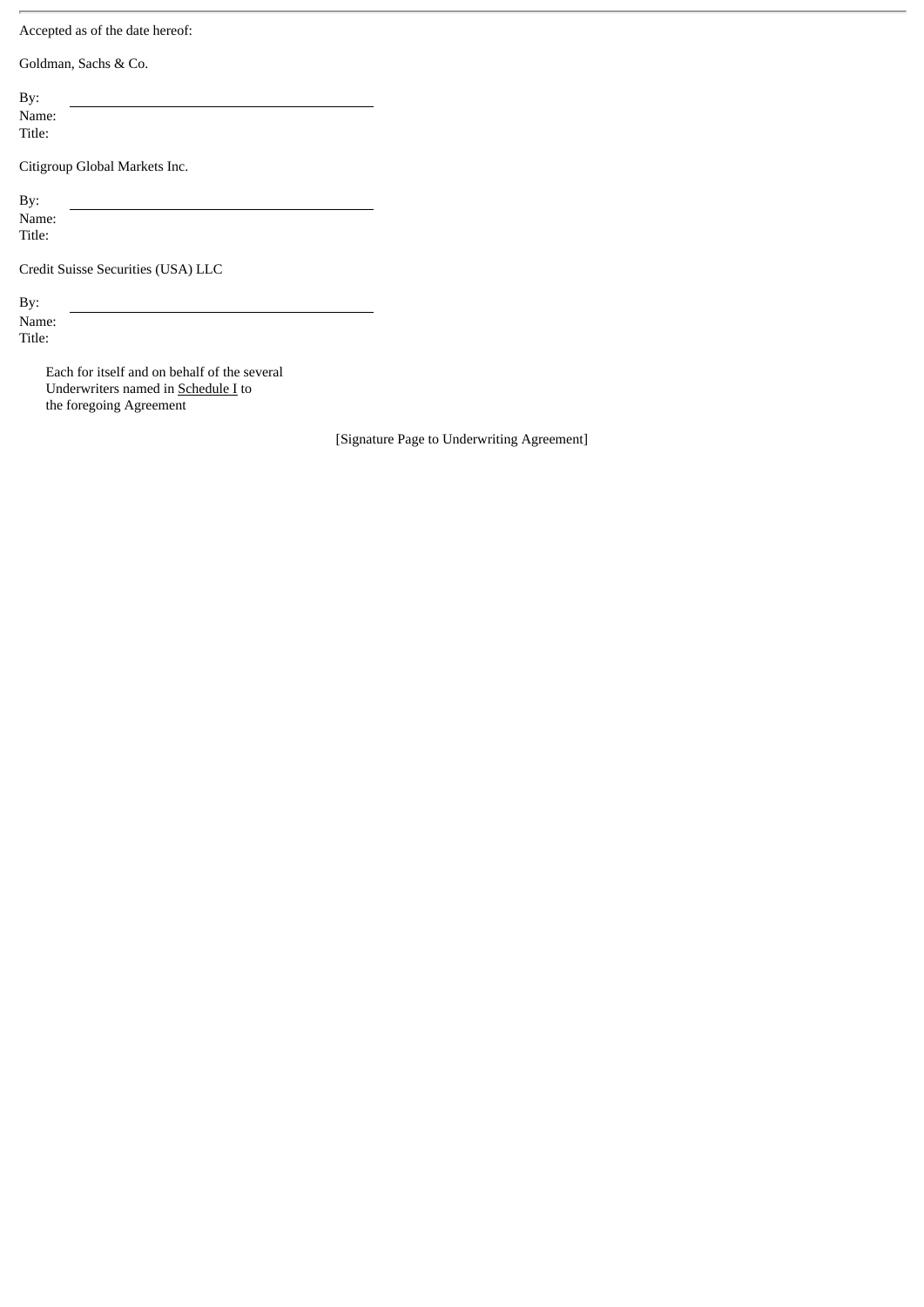Accepted as of the date hereof:

Goldman, Sachs & Co.

By: Name:

Title:

Citigroup Global Markets Inc.

By: Name: Title:

Credit Suisse Securities (USA) LLC

By: Name: Title:

> Each for itself and on behalf of the several Underwriters named in **Schedule I** to the foregoing Agreement

> > [Signature Page to Underwriting Agreement]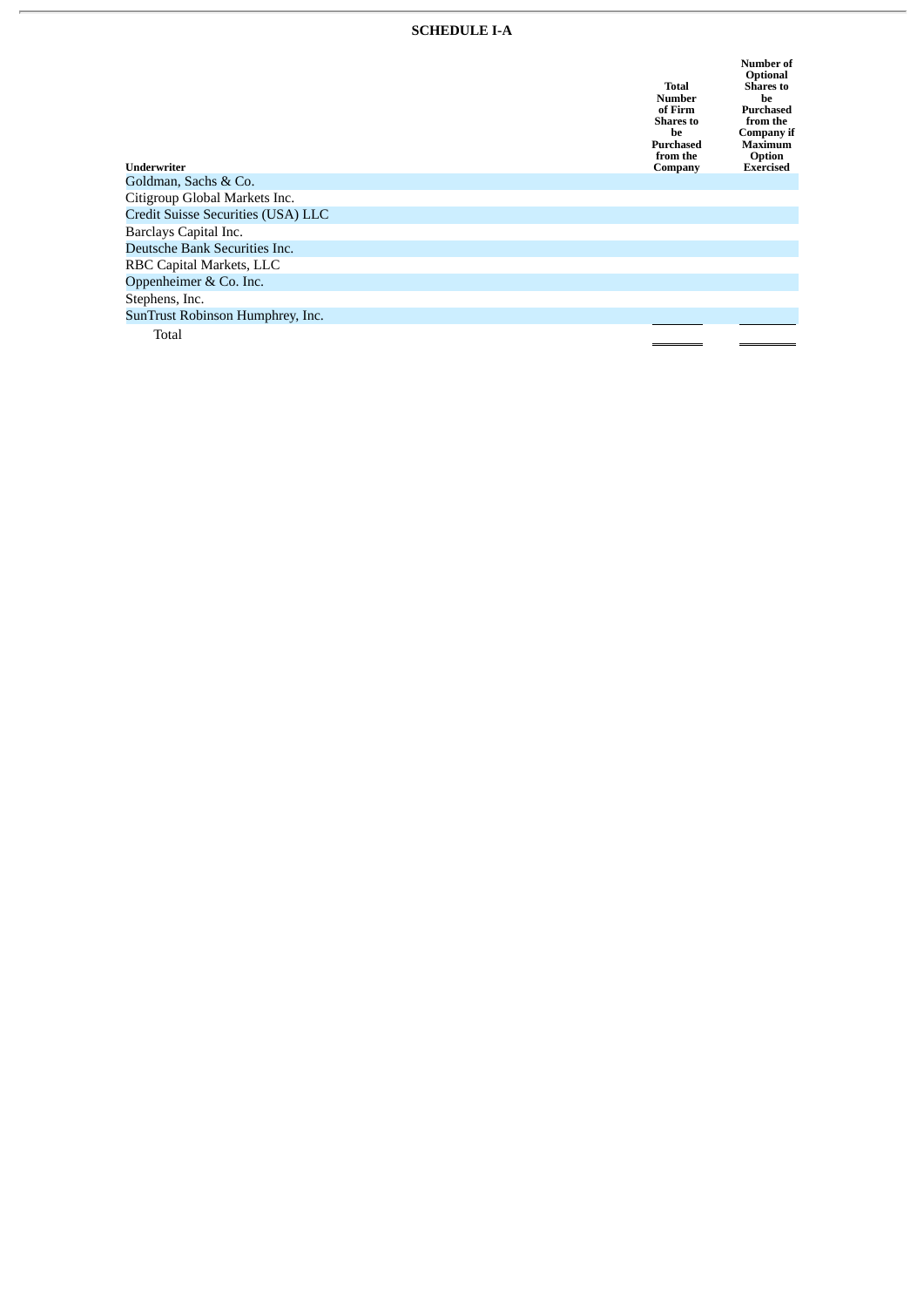#### **SCHEDULE I-A**

| Underwriter                        | Total<br>Number<br>of Firm<br><b>Shares to</b><br>he<br>Purchased<br>from the<br>Company | Number of<br>Optional<br><b>Shares</b> to<br>he<br>Purchased<br>from the<br>Company if<br>Maximum<br>Option<br><b>Exercised</b> |
|------------------------------------|------------------------------------------------------------------------------------------|---------------------------------------------------------------------------------------------------------------------------------|
| Goldman, Sachs & Co.               |                                                                                          |                                                                                                                                 |
| Citigroup Global Markets Inc.      |                                                                                          |                                                                                                                                 |
| Credit Suisse Securities (USA) LLC |                                                                                          |                                                                                                                                 |
| Barclays Capital Inc.              |                                                                                          |                                                                                                                                 |
| Deutsche Bank Securities Inc.      |                                                                                          |                                                                                                                                 |
| RBC Capital Markets, LLC           |                                                                                          |                                                                                                                                 |
| Oppenheimer & Co. Inc.             |                                                                                          |                                                                                                                                 |
| Stephens, Inc.                     |                                                                                          |                                                                                                                                 |
| SunTrust Robinson Humphrey, Inc.   |                                                                                          |                                                                                                                                 |
| Total                              |                                                                                          |                                                                                                                                 |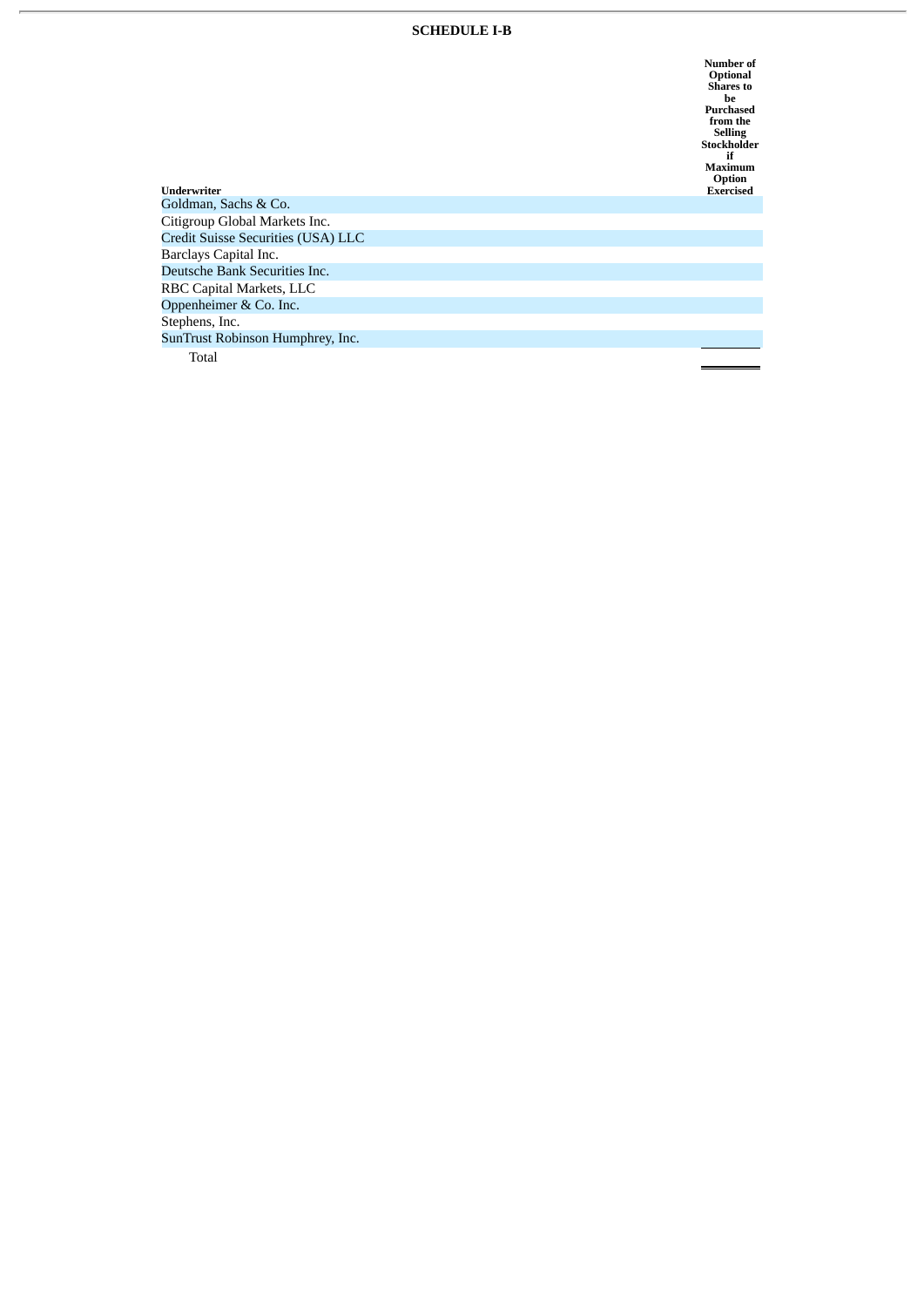#### **SCHEDULE I-B**

Number of<br>Optional<br>Shares to<br>Durchased<br>Funches drom the<br>Selling<br>Stockholder<br>Maximum<br>Option **E x e r c i s e d**

| Underwriter                        | Option<br><b>Exercised</b> |
|------------------------------------|----------------------------|
| Goldman, Sachs & Co.               |                            |
| Citigroup Global Markets Inc.      |                            |
| Credit Suisse Securities (USA) LLC |                            |
| Barclays Capital Inc.              |                            |
| Deutsche Bank Securities Inc.      |                            |
| RBC Capital Markets, LLC           |                            |
| Oppenheimer & Co. Inc.             |                            |
| Stephens, Inc.                     |                            |
| SunTrust Robinson Humphrey, Inc.   |                            |
| Total                              |                            |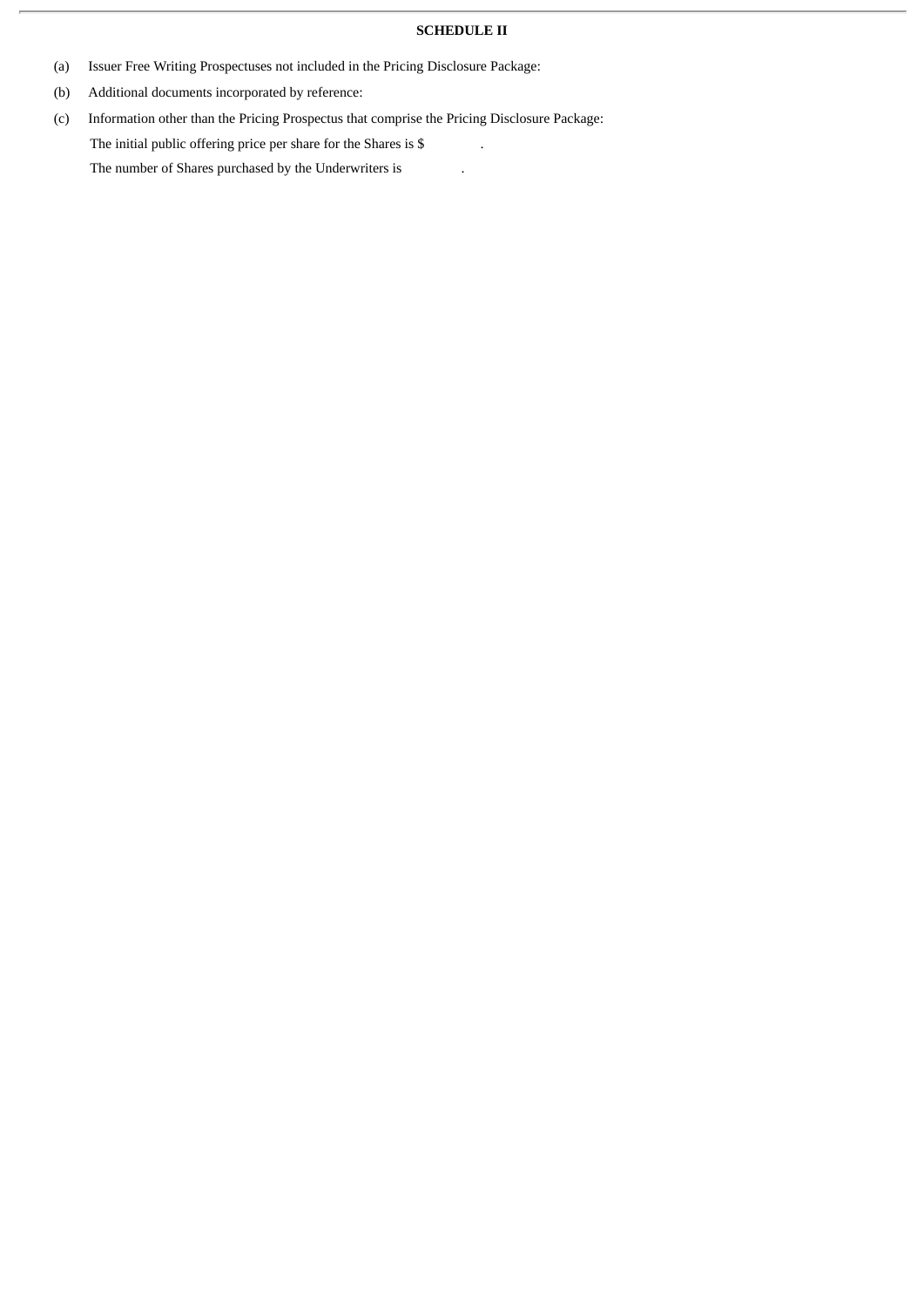## **SCHEDULE II**

- (a) Issuer Free Writing Prospectuses not included in the Pricing Disclosure Package:
- (b) Additional documents incorporated by reference:
- (c) Information other than the Pricing Prospectus that comprise the Pricing Disclosure Package: The initial public offering price per share for the Shares is  $\$$ The number of Shares purchased by the Underwriters is .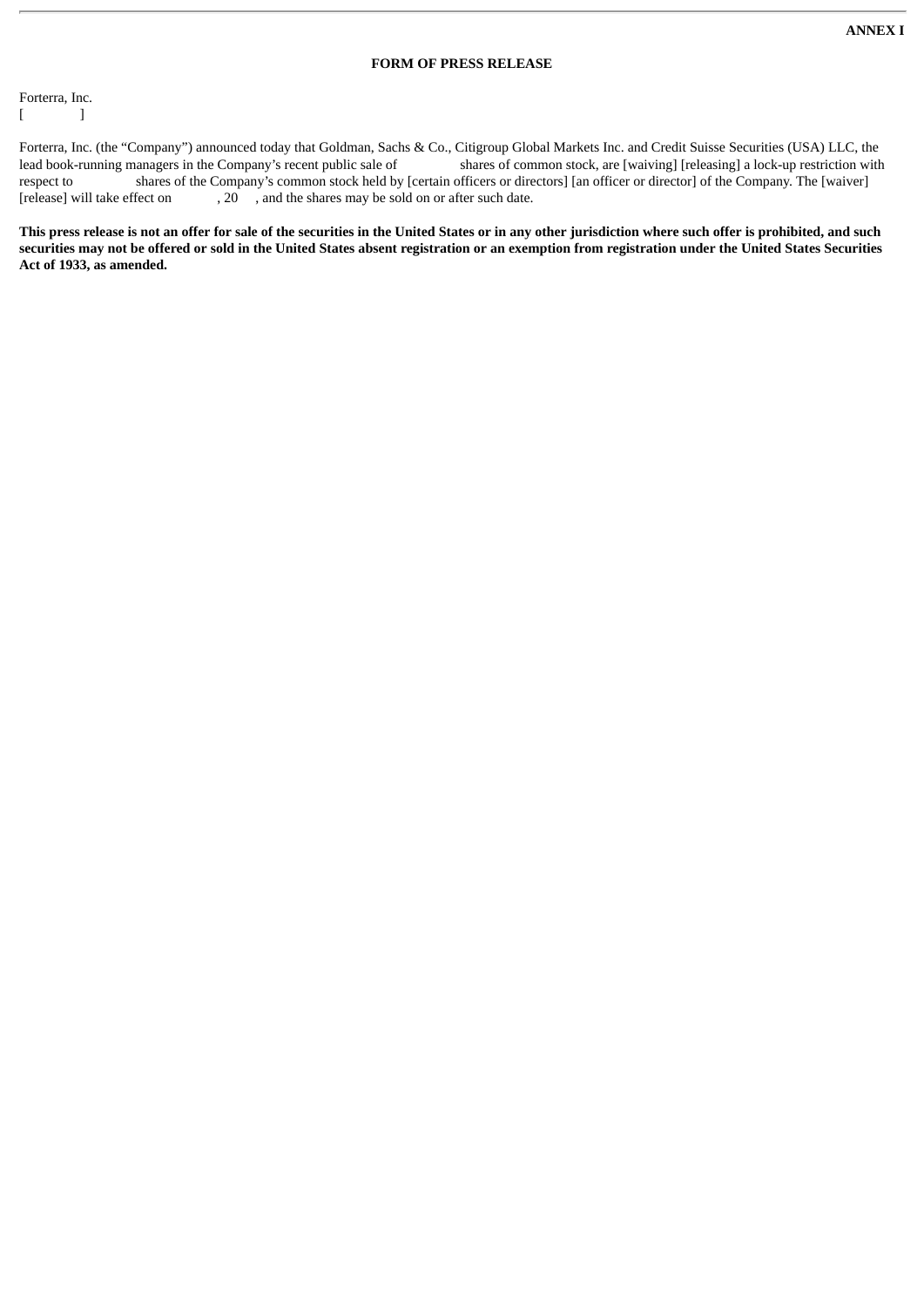#### **FORM OF PRESS RELEASE**

Forterra, Inc.  $[$   $]$ 

Forterra, Inc. (the "Company") announced today that Goldman, Sachs & Co., Citigroup Global Markets Inc. and Credit Suisse Securities (USA) LLC, the lead book-running managers in the Company's recent public sale of shares of common stock, are [waiving] [releasing] a lock-up restriction with respect to shares of the Company's common stock held by [certain officers or directors] [an officer or director] of the Company. The [waiver] [release] will take effect on 20, and the shares may be sold on or after such da  $, 20$ , and the shares may be sold on or after such date.

This press release is not an offer for sale of the securities in the United States or in any other jurisdiction where such offer is prohibited, and such securities may not be offered or sold in the United States absent registration or an exemption from registration under the United States Securities **Act of 1933, as amended.**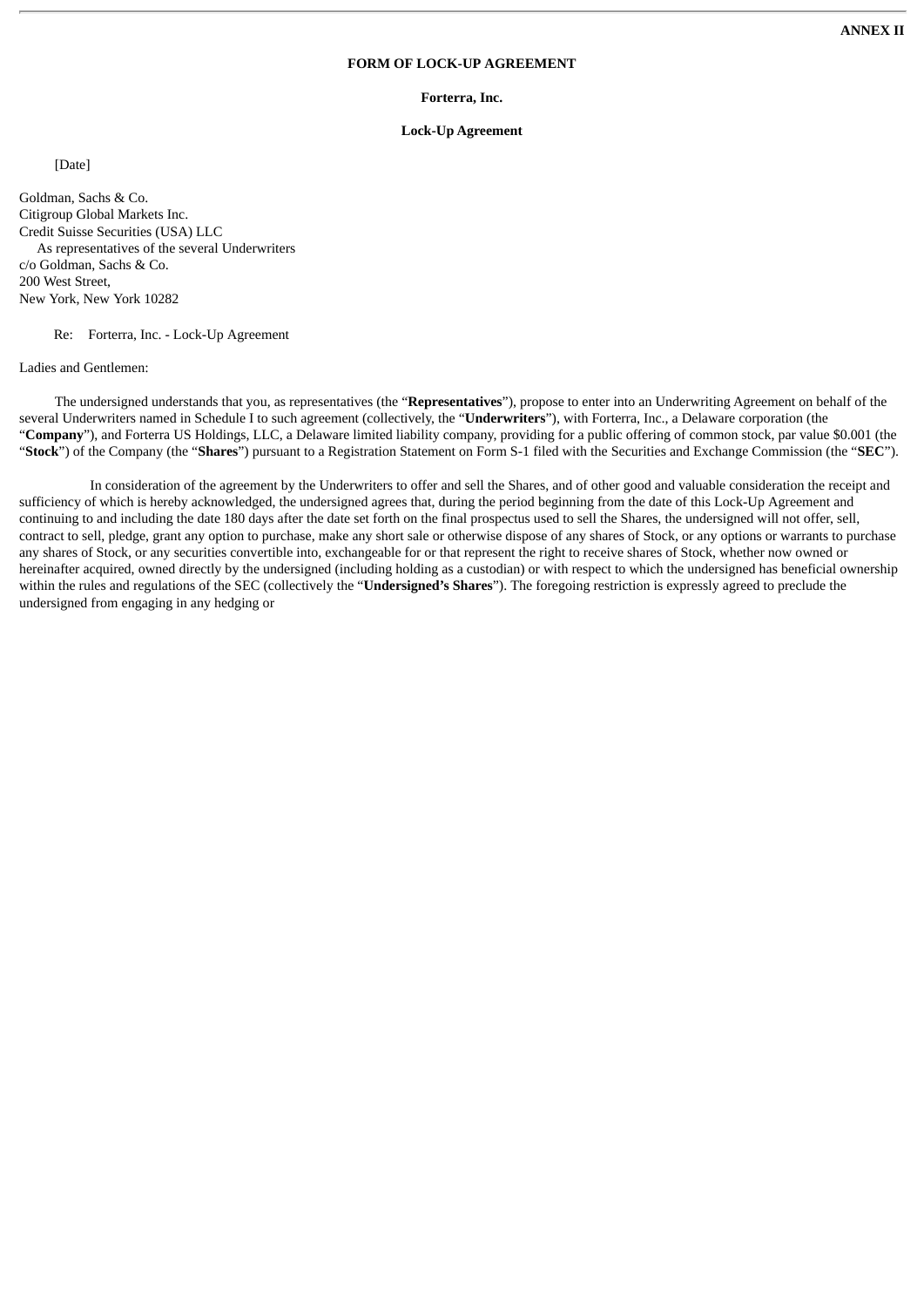#### **FORM OF LOCK-UP AGREEMENT**

#### **Forterra, Inc.**

#### **Lock-Up Agreement**

[Date]

Goldman, Sachs & Co. Citigroup Global Markets Inc. Credit Suisse Securities (USA) LLC As representatives of the several Underwriters c/o Goldman, Sachs & Co. 200 West Street, New York, New York 10282

Re: Forterra, Inc. - Lock-Up Agreement

Ladies and Gentlemen:

The undersigned understands that you, as representatives (the "**Representatives**"), propose to enter into an Underwriting Agreement on behalf of the several Underwriters named in Schedule I to such agreement (collectively, the "**Underwriters**"), with Forterra, Inc., a Delaware corporation (the "**Company**"), and Forterra US Holdings, LLC, a Delaware limited liability company, providing for a public offering of common stock, par value \$0.001 (the "**Stock**") of the Company (the "**Shares**") pursuant to a Registration Statement on Form S-1 filed with the Securities and Exchange Commission (the "**SEC**").

In consideration of the agreement by the Underwriters to offer and sell the Shares, and of other good and valuable consideration the receipt and sufficiency of which is hereby acknowledged, the undersigned agrees that, during the period beginning from the date of this Lock-Up Agreement and continuing to and including the date 180 days after the date set forth on the final prospectus used to sell the Shares, the undersigned will not offer, sell, contract to sell, pledge, grant any option to purchase, make any short sale or otherwise dispose of any shares of Stock, or any options or warrants to purchase any shares of Stock, or any securities convertible into, exchangeable for or that represent the right to receive shares of Stock, whether now owned or hereinafter acquired, owned directly by the undersigned (including holding as a custodian) or with respect to which the undersigned has beneficial ownership within the rules and regulations of the SEC (collectively the "**Undersigned's Shares**"). The foregoing restriction is expressly agreed to preclude the undersigned from engaging in any hedging or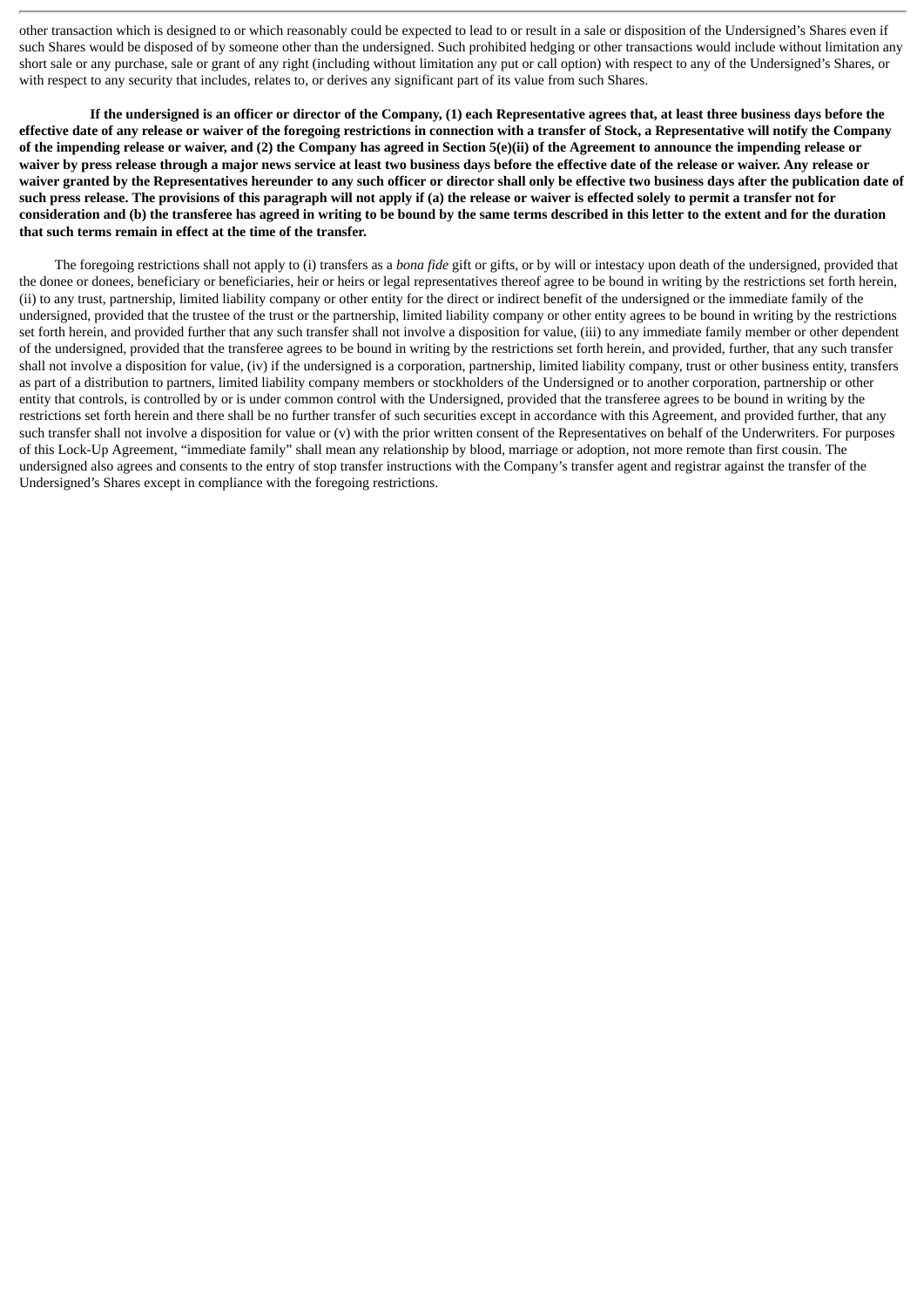other transaction which is designed to or which reasonably could be expected to lead to or result in a sale or disposition of the Undersigned's Shares even if such Shares would be disposed of by someone other than the undersigned. Such prohibited hedging or other transactions would include without limitation any short sale or any purchase, sale or grant of any right (including without limitation any put or call option) with respect to any of the Undersigned's Shares, or with respect to any security that includes, relates to, or derives any significant part of its value from such Shares.

If the undersigned is an officer or director of the Company, (1) each Representative agrees that, at least three business days before the effective date of any release or waiver of the foregoing restrictions in connection with a transfer of Stock, a Representative will notify the Company of the impending release or waiver, and (2) the Company has agreed in Section 5(e)(ii) of the Agreement to announce the impending release or waiver by press release through a major news service at least two business days before the effective date of the release or waiver. Any release or waiver granted by the Representatives hereunder to any such officer or director shall only be effective two business days after the publication date of such press release. The provisions of this paragraph will not apply if (a) the release or waiver is effected solely to permit a transfer not for consideration and (b) the transferee has agreed in writing to be bound by the same terms described in this letter to the extent and for the duration **that such terms remain in effect at the time of the transfer.**

The foregoing restrictions shall not apply to (i) transfers as a *bona fide* gift or gifts, or by will or intestacy upon death of the undersigned, provided that the donee or donees, beneficiary or beneficiaries, heir or heirs or legal representatives thereof agree to be bound in writing by the restrictions set forth herein, (ii) to any trust, partnership, limited liability company or other entity for the direct or indirect benefit of the undersigned or the immediate family of the undersigned, provided that the trustee of the trust or the partnership, limited liability company or other entity agrees to be bound in writing by the restrictions set forth herein, and provided further that any such transfer shall not involve a disposition for value, (iii) to any immediate family member or other dependent of the undersigned, provided that the transferee agrees to be bound in writing by the restrictions set forth herein, and provided, further, that any such transfer shall not involve a disposition for value, (iv) if the undersigned is a corporation, partnership, limited liability company, trust or other business entity, transfers as part of a distribution to partners, limited liability company members or stockholders of the Undersigned or to another corporation, partnership or other entity that controls, is controlled by or is under common control with the Undersigned, provided that the transferee agrees to be bound in writing by the restrictions set forth herein and there shall be no further transfer of such securities except in accordance with this Agreement, and provided further, that any such transfer shall not involve a disposition for value or (v) with the prior written consent of the Representatives on behalf of the Underwriters. For purposes of this Lock-Up Agreement, "immediate family" shall mean any relationship by blood, marriage or adoption, not more remote than first cousin. The undersigned also agrees and consents to the entry of stop transfer instructions with the Company's transfer agent and registrar against the transfer of the Undersigned's Shares except in compliance with the foregoing restrictions.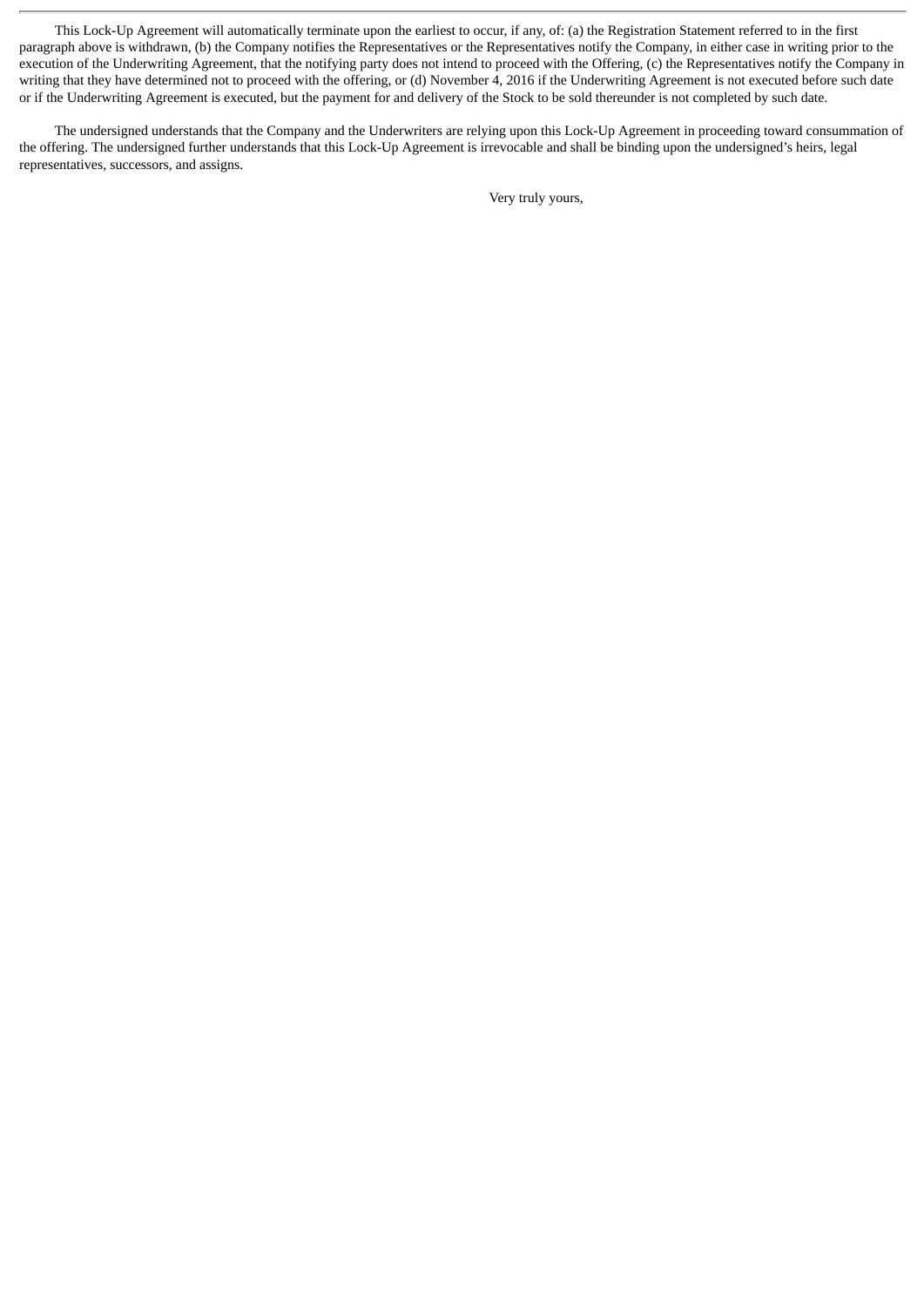This Lock-Up Agreement will automatically terminate upon the earliest to occur, if any, of: (a) the Registration Statement referred to in the first paragraph above is withdrawn, (b) the Company notifies the Representatives or the Representatives notify the Company, in either case in writing prior to the execution of the Underwriting Agreement, that the notifying party does not intend to proceed with the Offering, (c) the Representatives notify the Company in writing that they have determined not to proceed with the offering, or (d) November 4, 2016 if the Underwriting Agreement is not executed before such date or if the Underwriting Agreement is executed, but the payment for and delivery of the Stock to be sold thereunder is not completed by such date.

The undersigned understands that the Company and the Underwriters are relying upon this Lock-Up Agreement in proceeding toward consummation of the offering. The undersigned further understands that this Lock-Up Agreement is irrevocable and shall be binding upon the undersigned's heirs, legal representatives, successors, and assigns.

Very truly yours,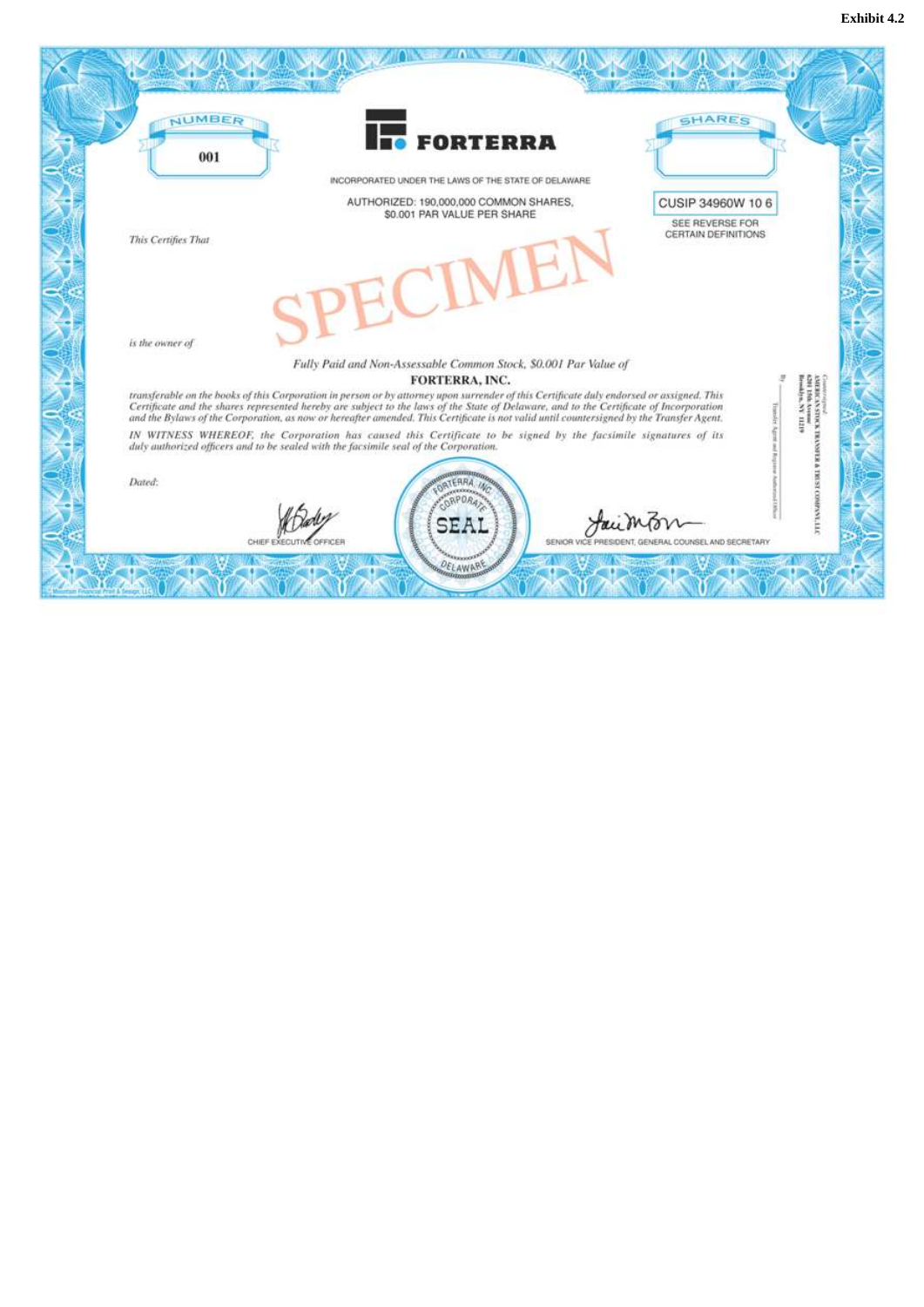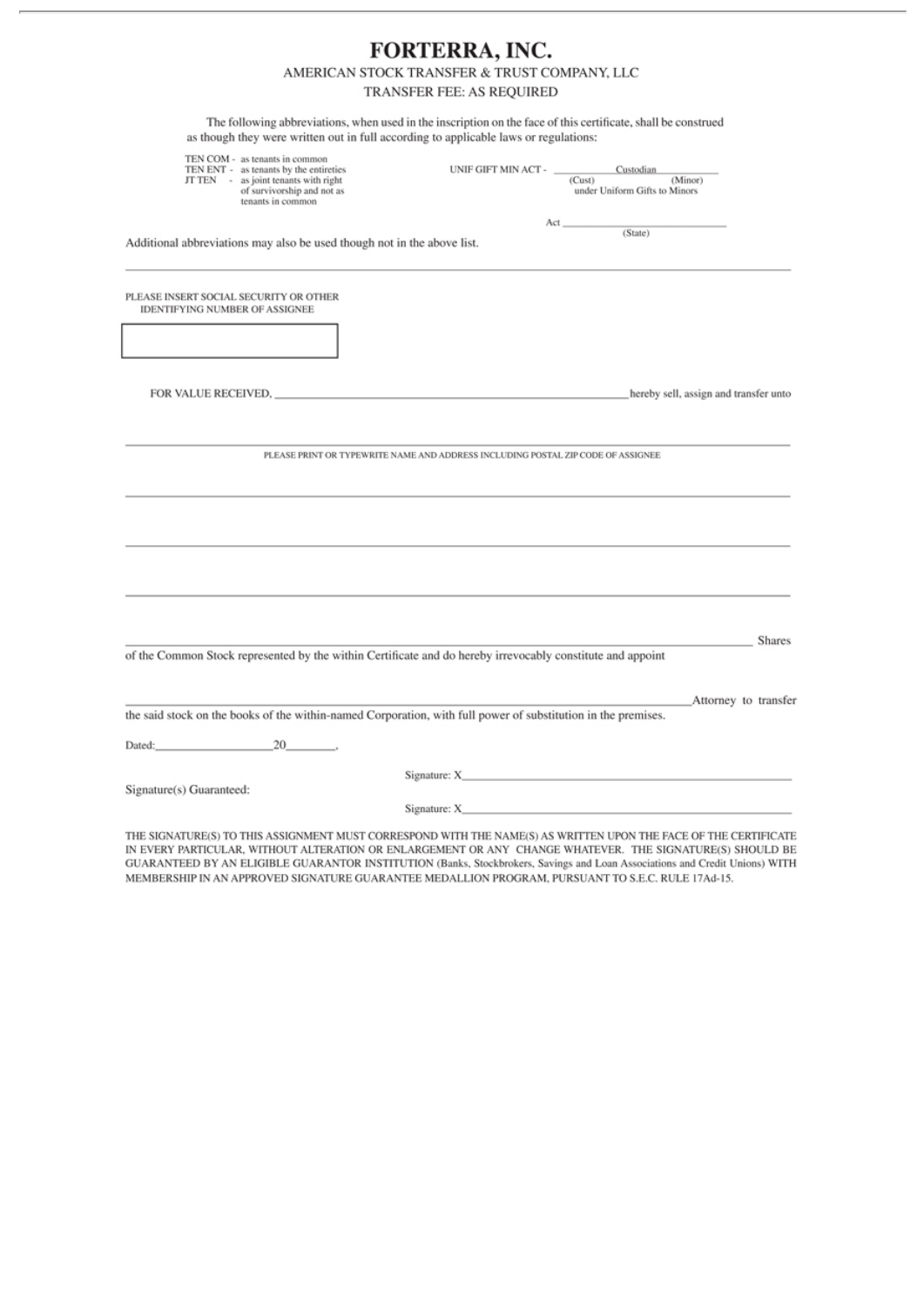# FORTERRA, INC.

## AMERICAN STOCK TRANSFER & TRUST COMPANY, LLC

TRANSFER FEE: AS REQUIRED

The following abbreviations, when used in the inscription on the face of this certificate, shall be construed as though they were written out in full according to applicable laws or regulations:

| TEN COM - as tenants in common<br>TEN ENT - as tenants by the entireties<br>JT TEN - as joint tenants with right<br>of survivorship and not as<br>tenants in common | UNIF GIFT MIN ACT - Custodian                                                    | (Cust)<br>under Uniform Gifts to Minors | (Minor)                               |
|---------------------------------------------------------------------------------------------------------------------------------------------------------------------|----------------------------------------------------------------------------------|-----------------------------------------|---------------------------------------|
| Additional abbreviations may also be used though not in the above list.                                                                                             |                                                                                  | (State)                                 |                                       |
| PLEASE INSERT SOCIAL SECURITY OR OTHER<br><b>IDENTIFYING NUMBER OF ASSIGNEE</b>                                                                                     |                                                                                  |                                         |                                       |
|                                                                                                                                                                     |                                                                                  |                                         |                                       |
|                                                                                                                                                                     |                                                                                  |                                         | hereby sell, assign and transfer unto |
|                                                                                                                                                                     | PLEASE PRINT OR TYPEWRITE NAME AND ADDRESS INCLUDING POSTAL ZIP CODE OF ASSIGNEE |                                         |                                       |
|                                                                                                                                                                     |                                                                                  |                                         |                                       |
| of the Common Stock represented by the within Certificate and do hereby irrevocably constitute and appoint                                                          |                                                                                  |                                         | <b>Shares</b>                         |
| the said stock on the books of the within-named Corporation, with full power of substitution in the premises.                                                       |                                                                                  |                                         | Attorney to transfer                  |
| Dated: 20 and 20                                                                                                                                                    |                                                                                  |                                         |                                       |
| Signature(s) Guaranteed:                                                                                                                                            |                                                                                  |                                         |                                       |
|                                                                                                                                                                     |                                                                                  |                                         |                                       |
| THE SICNATURE/SYD TO THIS ASSICNMENT MUST CORRESPOND WITH THE NAME/SY AS WRITTEN URON THE EACE OF THE CERTIFICATE                                                   |                                                                                  |                                         |                                       |

THE SIGNATURE(S) TO THIS ASSIGNMENT MUST CORRESPOND WITH THE NAME(S) AS WRITTEN UPON THE FACE OF THE CERTIFICATE IN EVERY PARTICULAR, WITHOUT ALTERATION OR ENLARGEMENT OR ANY CHANGE WHATEVER. THE SIGNATURE(S) SHOULD BE GUARANTEED BY AN ELIGIBLE GUARANTOR INSTITUTION (Banks, Stockbrokers, Savings and Loan Associations and Credit Unions) WITH MEMBERSHIP IN AN APPROVED SIGNATURE GUARANTEE MEDALLION PROGRAM, PURSUANT TO S.E.C. RULE 17Ad-15.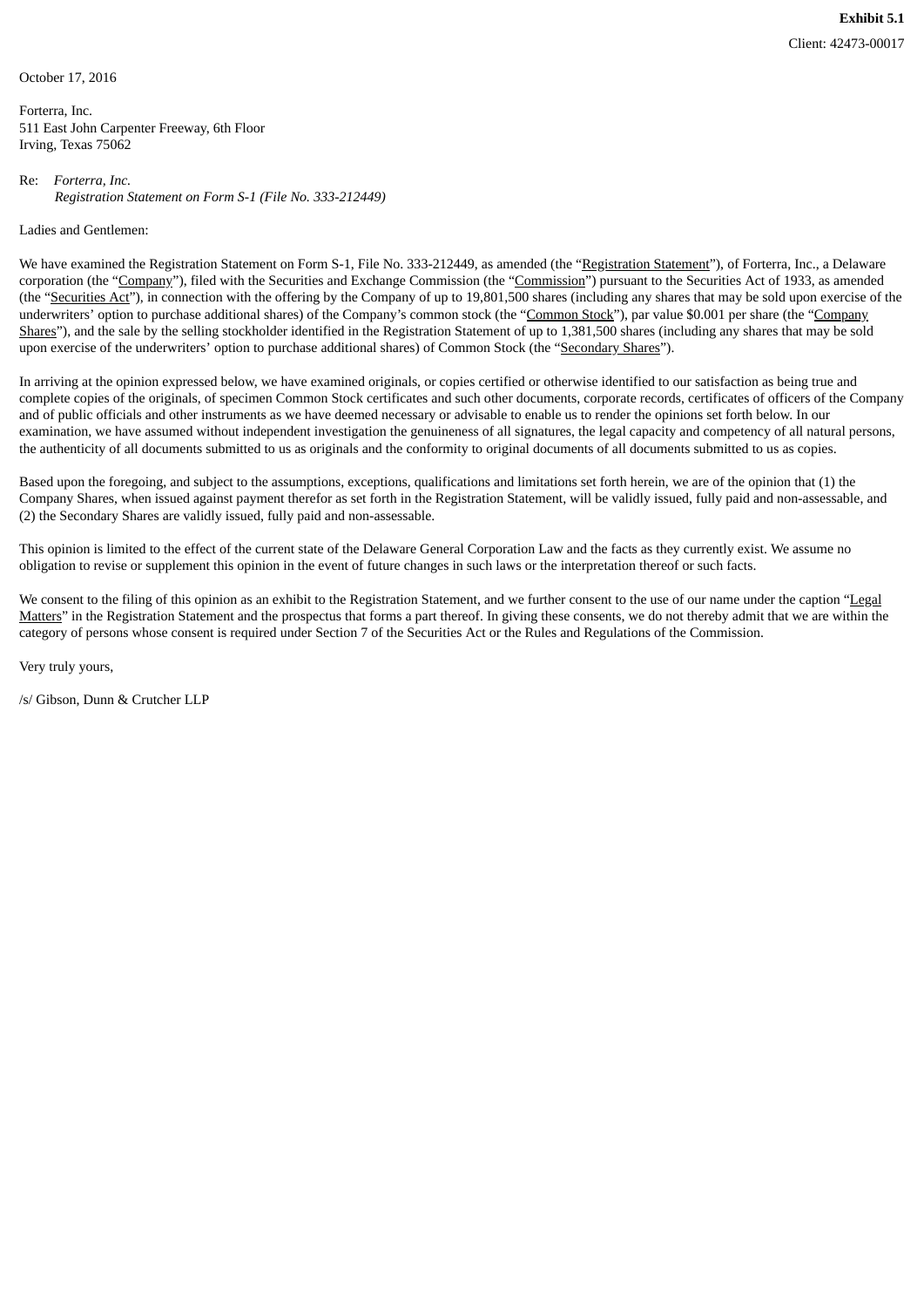October 17, 2016

Forterra, Inc. 511 East John Carpenter Freeway, 6th Floor Irving, Texas 75062

Re: *Forterra, Inc. Registration Statement on Form S-1 (File No. 333-212449)*

Ladies and Gentlemen:

We have examined the Registration Statement on Form S-1, File No. 333-212449, as amended (the "Registration Statement"), of Forterra, Inc., a Delaware corporation (the "Company"), filed with the Securities and Exchange Commission (the "Commission") pursuant to the Securities Act of 1933, as amended (the "Securities Act"), in connection with the offering by the Company of up to 19,801,500 shares (including any shares that may be sold upon exercise of the underwriters' option to purchase additional shares) of the Company's common stock (the "Common Stock"), par value \$0.001 per share (the "Company Shares"), and the sale by the selling stockholder identified in the Registration Statement of up to 1,381,500 shares (including any shares that may be sold upon exercise of the underwriters' option to purchase additional shares) of Common Stock (the "Secondary Shares").

In arriving at the opinion expressed below, we have examined originals, or copies certified or otherwise identified to our satisfaction as being true and complete copies of the originals, of specimen Common Stock certificates and such other documents, corporate records, certificates of officers of the Company and of public officials and other instruments as we have deemed necessary or advisable to enable us to render the opinions set forth below. In our examination, we have assumed without independent investigation the genuineness of all signatures, the legal capacity and competency of all natural persons, the authenticity of all documents submitted to us as originals and the conformity to original documents of all documents submitted to us as copies.

Based upon the foregoing, and subject to the assumptions, exceptions, qualifications and limitations set forth herein, we are of the opinion that (1) the Company Shares, when issued against payment therefor as set forth in the Registration Statement, will be validly issued, fully paid and non-assessable, and (2) the Secondary Shares are validly issued, fully paid and non-assessable.

This opinion is limited to the effect of the current state of the Delaware General Corporation Law and the facts as they currently exist. We assume no obligation to revise or supplement this opinion in the event of future changes in such laws or the interpretation thereof or such facts.

We consent to the filing of this opinion as an exhibit to the Registration Statement, and we further consent to the use of our name under the caption "Legal" Matters" in the Registration Statement and the prospectus that forms a part thereof. In giving these consents, we do not thereby admit that we are within the category of persons whose consent is required under Section 7 of the Securities Act or the Rules and Regulations of the Commission.

Very truly yours,

/s/ Gibson, Dunn & Crutcher LLP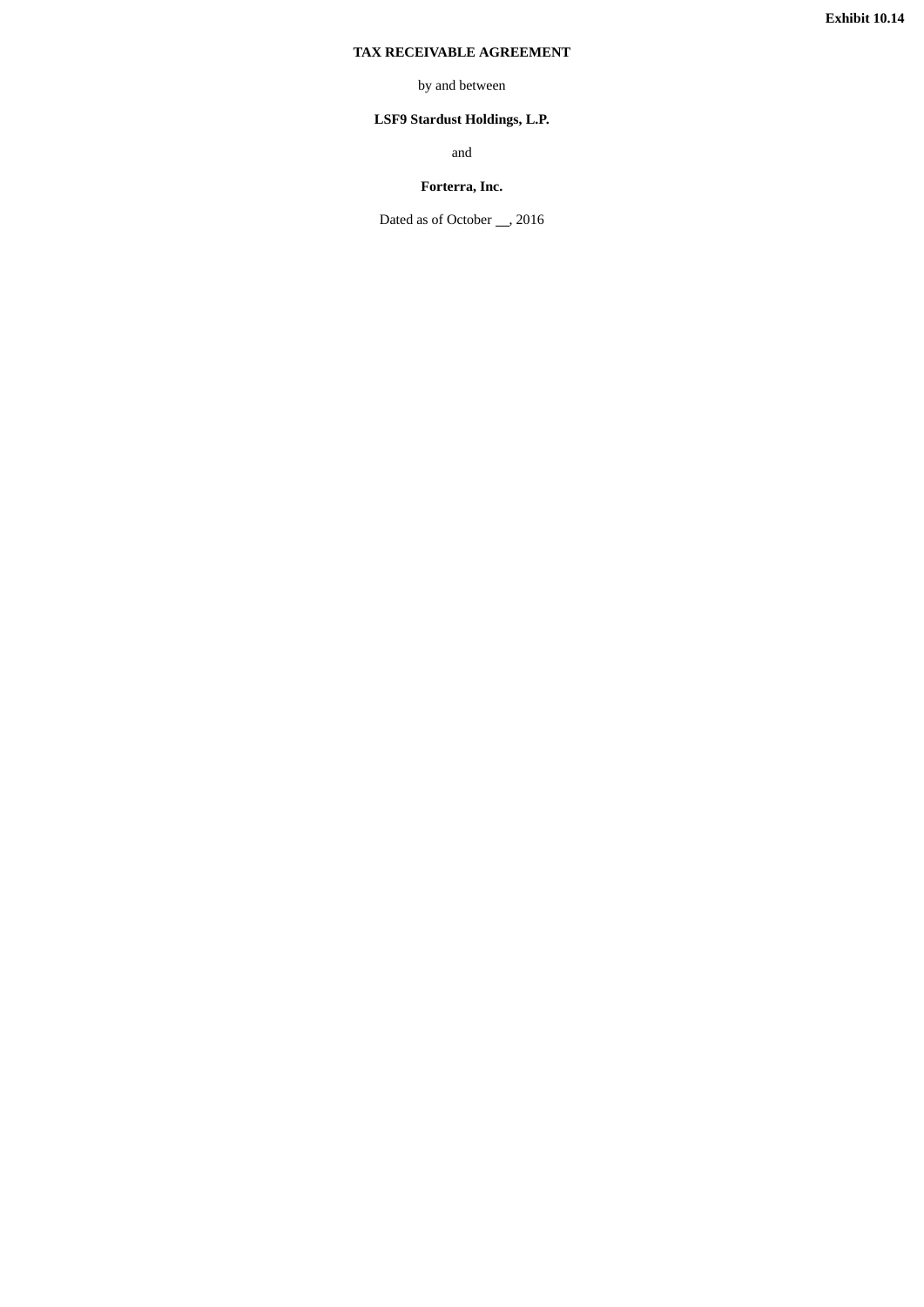## **TAX RECEIVABLE AGREEMENT**

## by and between

## **LSF9 Stardust Holdings, L.P.**

and

## **Forterra, Inc.**

Dated as of October \_\_, 2016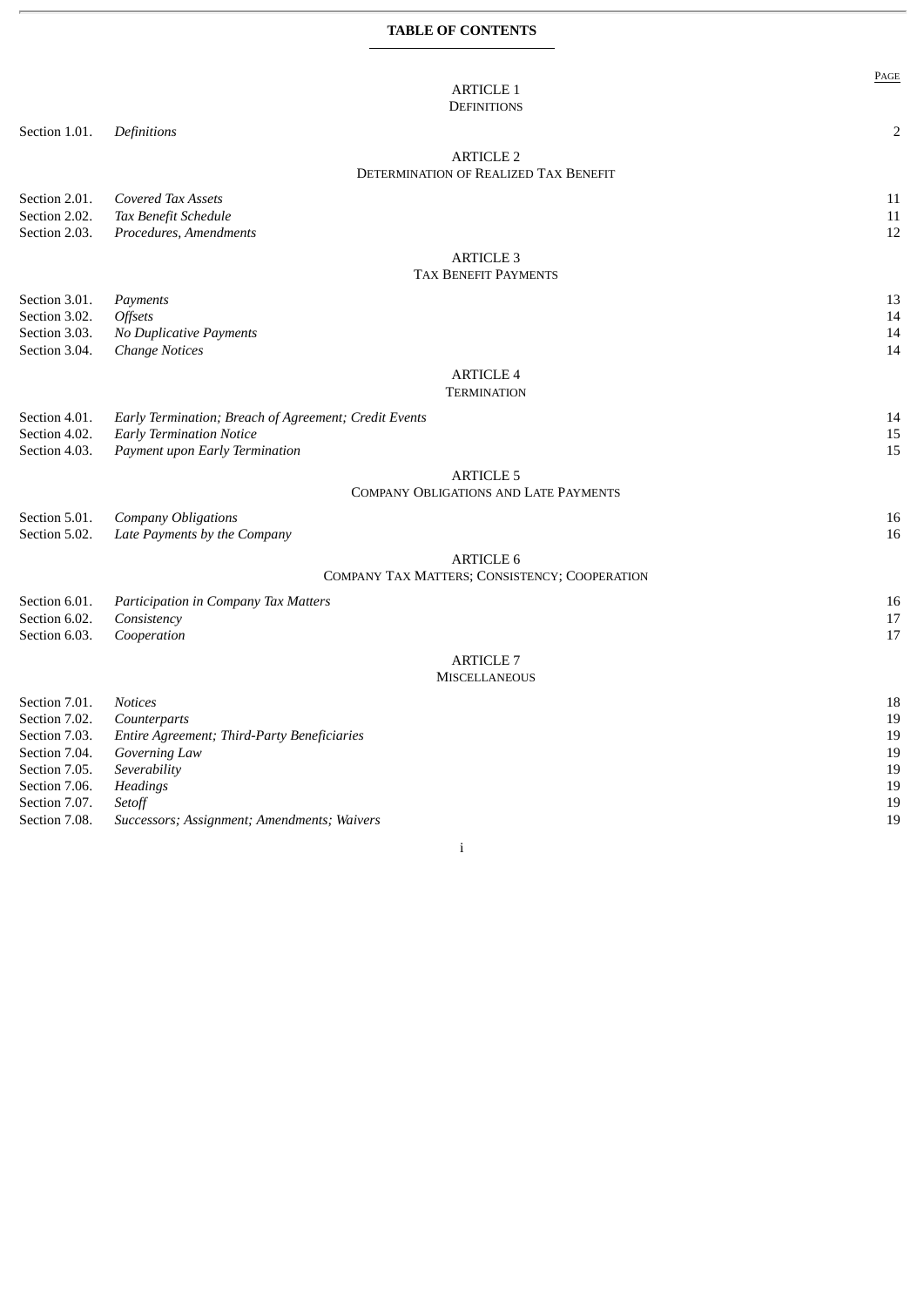## **TABLE OF CONTENTS**

|               |                                                       | PAGE |
|---------------|-------------------------------------------------------|------|
|               | <b>ARTICLE 1</b>                                      |      |
|               | <b>DEFINITIONS</b>                                    |      |
| Section 1.01. | Definitions                                           | 2    |
|               | <b>ARTICLE 2</b>                                      |      |
|               | DETERMINATION OF REALIZED TAX BENEFIT                 |      |
| Section 2.01. | Covered Tax Assets                                    | 11   |
| Section 2.02. | Tax Benefit Schedule                                  | 11   |
| Section 2.03. | Procedures, Amendments                                | 12   |
|               |                                                       |      |
|               | <b>ARTICLE 3</b><br><b>TAX BENEFIT PAYMENTS</b>       |      |
|               |                                                       |      |
| Section 3.01. | Payments                                              | 13   |
| Section 3.02. | Offsets                                               | 14   |
| Section 3.03. | No Duplicative Payments                               | 14   |
| Section 3.04. | <b>Change Notices</b>                                 | 14   |
|               | <b>ARTICLE 4</b>                                      |      |
|               | <b>TERMINATION</b>                                    |      |
| Section 4.01. | Early Termination; Breach of Agreement; Credit Events | 14   |
| Section 4.02. | <b>Early Termination Notice</b>                       | 15   |
| Section 4.03. | Payment upon Early Termination                        | 15   |
|               | <b>ARTICLE 5</b>                                      |      |
|               | <b>COMPANY OBLIGATIONS AND LATE PAYMENTS</b>          |      |
| Section 5.01. | <b>Company Obligations</b>                            | 16   |
| Section 5.02. | Late Payments by the Company                          | 16   |
|               |                                                       |      |
|               | <b>ARTICLE 6</b>                                      |      |
|               | COMPANY TAX MATTERS; CONSISTENCY; COOPERATION         |      |
| Section 6.01. | Participation in Company Tax Matters                  | 16   |
| Section 6.02. | Consistency                                           | 17   |
| Section 6.03. | Cooperation                                           | 17   |
|               | <b>ARTICLE 7</b>                                      |      |
|               | <b>MISCELLANEOUS</b>                                  |      |
| Section 7.01. | <b>Notices</b>                                        | 18   |
| Section 7.02. | Counterparts                                          | 19   |
| Section 7.03. | Entire Agreement; Third-Party Beneficiaries           | 19   |
| Section 7.04. | Governing Law                                         | 19   |
| Section 7.05. | Severability                                          | 19   |
| Section 7.06. | Headings                                              | 19   |
| Section 7.07. | Setoff                                                | 19   |
| Section 7.08. | Successors; Assignment; Amendments; Waivers           | 19   |

i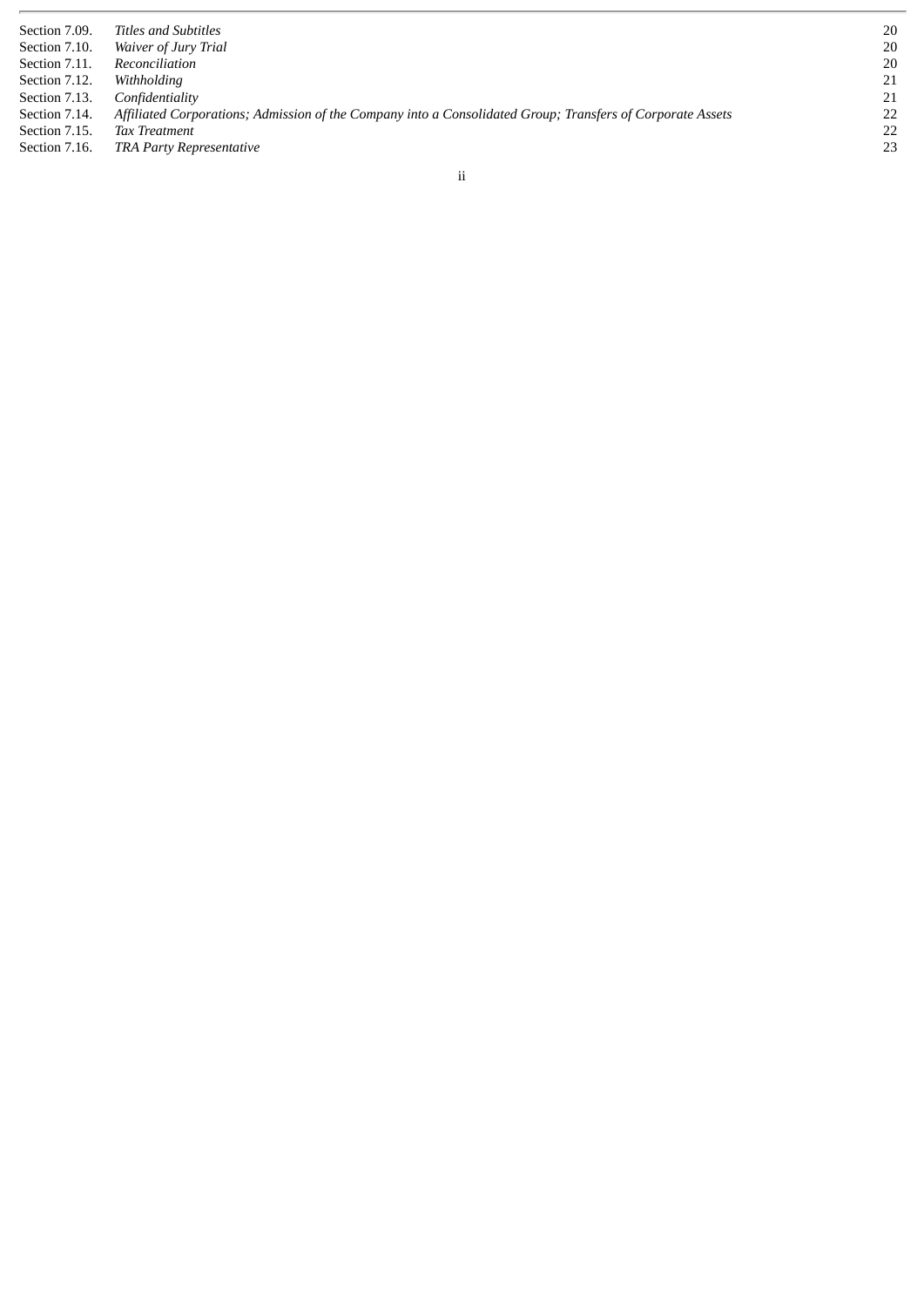| Section 7.09. | Titles and Subtitles                                                                                       | 20 |
|---------------|------------------------------------------------------------------------------------------------------------|----|
| Section 7.10. | Waiver of Jury Trial                                                                                       | 20 |
| Section 7.11. | Reconciliation                                                                                             | 20 |
| Section 7.12. | Withholdina                                                                                                | 21 |
| Section 7.13. | Confidentiality                                                                                            | 21 |
| Section 7.14. | Affiliated Corporations; Admission of the Company into a Consolidated Group; Transfers of Corporate Assets | 22 |
| Section 7.15. | <b>Tax Treatment</b>                                                                                       | 22 |
| Section 7.16. | <b>TRA Party Representative</b>                                                                            | 23 |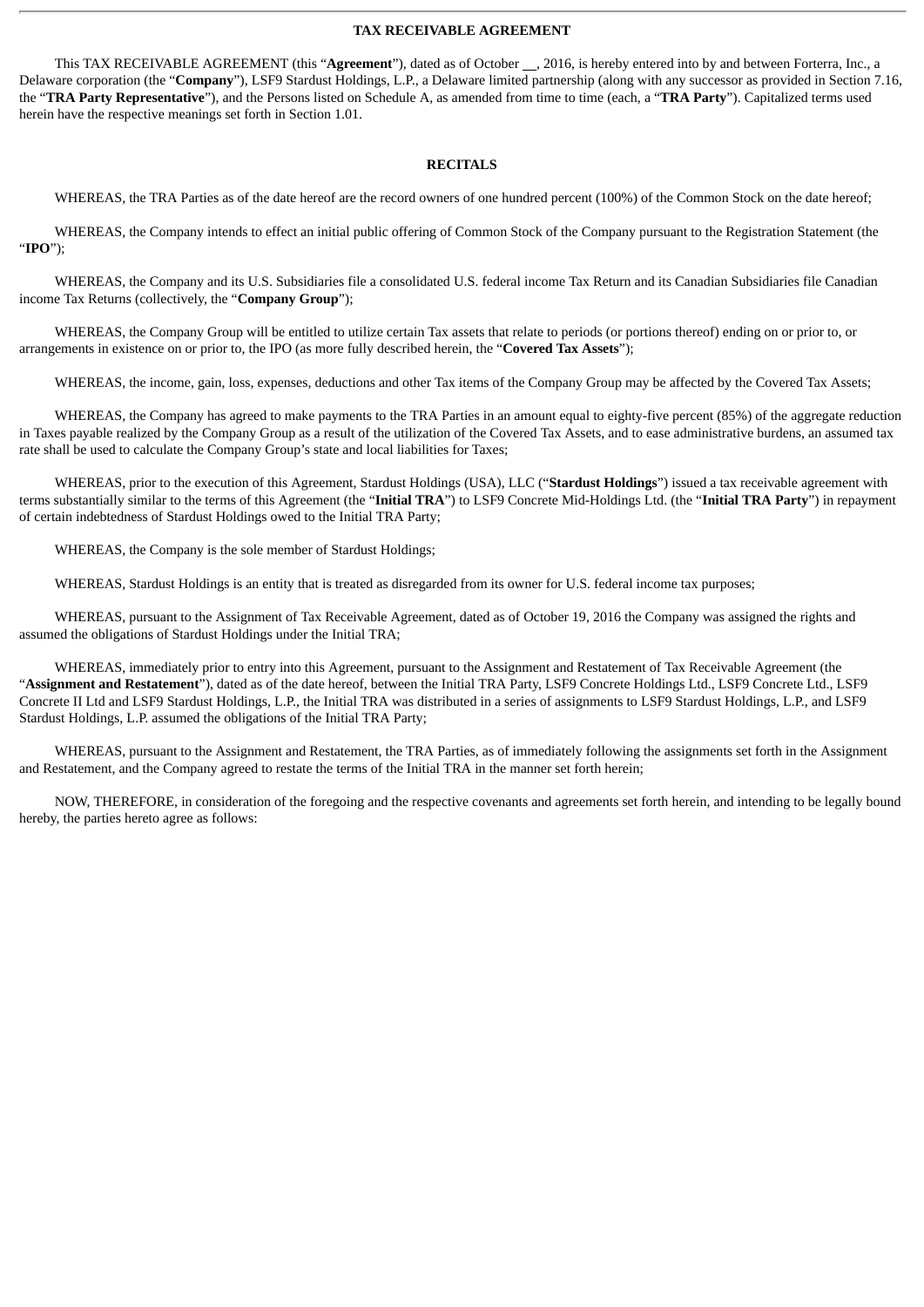#### **TAX RECEIVABLE AGREEMENT**

This TAX RECEIVABLE AGREEMENT (this "Agreement"), dated as of October \_\_, 2016, is hereby entered into by and between Forterra, Inc., a Delaware corporation (the "**Company**"), LSF9 Stardust Holdings, L.P., a Delaware limited partnership (along with any successor as provided in Section 7.16, the "**TRA Party Representative**"), and the Persons listed on Schedule A, as amended from time to time (each, a "**TRA Party**"). Capitalized terms used herein have the respective meanings set forth in Section 1.01.

#### **RECITALS**

WHEREAS, the TRA Parties as of the date hereof are the record owners of one hundred percent (100%) of the Common Stock on the date hereof;

WHEREAS, the Company intends to effect an initial public offering of Common Stock of the Company pursuant to the Registration Statement (the "**IPO**");

WHEREAS, the Company and its U.S. Subsidiaries file a consolidated U.S. federal income Tax Return and its Canadian Subsidiaries file Canadian income Tax Returns (collectively, the "**Company Group**");

WHEREAS, the Company Group will be entitled to utilize certain Tax assets that relate to periods (or portions thereof) ending on or prior to, or arrangements in existence on or prior to, the IPO (as more fully described herein, the "**Covered Tax Assets**");

WHEREAS, the income, gain, loss, expenses, deductions and other Tax items of the Company Group may be affected by the Covered Tax Assets;

WHEREAS, the Company has agreed to make payments to the TRA Parties in an amount equal to eighty-five percent (85%) of the aggregate reduction in Taxes payable realized by the Company Group as a result of the utilization of the Covered Tax Assets, and to ease administrative burdens, an assumed tax rate shall be used to calculate the Company Group's state and local liabilities for Taxes;

WHEREAS, prior to the execution of this Agreement, Stardust Holdings (USA), LLC ("**Stardust Holdings**") issued a tax receivable agreement with terms substantially similar to the terms of this Agreement (the "**Initial TRA**") to LSF9 Concrete Mid-Holdings Ltd. (the "**Initial TRA Party**") in repayment of certain indebtedness of Stardust Holdings owed to the Initial TRA Party;

WHEREAS, the Company is the sole member of Stardust Holdings;

WHEREAS, Stardust Holdings is an entity that is treated as disregarded from its owner for U.S. federal income tax purposes;

WHEREAS, pursuant to the Assignment of Tax Receivable Agreement, dated as of October 19, 2016 the Company was assigned the rights and assumed the obligations of Stardust Holdings under the Initial TRA;

WHEREAS, immediately prior to entry into this Agreement, pursuant to the Assignment and Restatement of Tax Receivable Agreement (the "**Assignment and Restatement**"), dated as of the date hereof, between the Initial TRA Party, LSF9 Concrete Holdings Ltd., LSF9 Concrete Ltd., LSF9 Concrete II Ltd and LSF9 Stardust Holdings, L.P., the Initial TRA was distributed in a series of assignments to LSF9 Stardust Holdings, L.P., and LSF9 Stardust Holdings, L.P. assumed the obligations of the Initial TRA Party;

WHEREAS, pursuant to the Assignment and Restatement, the TRA Parties, as of immediately following the assignments set forth in the Assignment and Restatement, and the Company agreed to restate the terms of the Initial TRA in the manner set forth herein;

NOW, THEREFORE, in consideration of the foregoing and the respective covenants and agreements set forth herein, and intending to be legally bound hereby, the parties hereto agree as follows: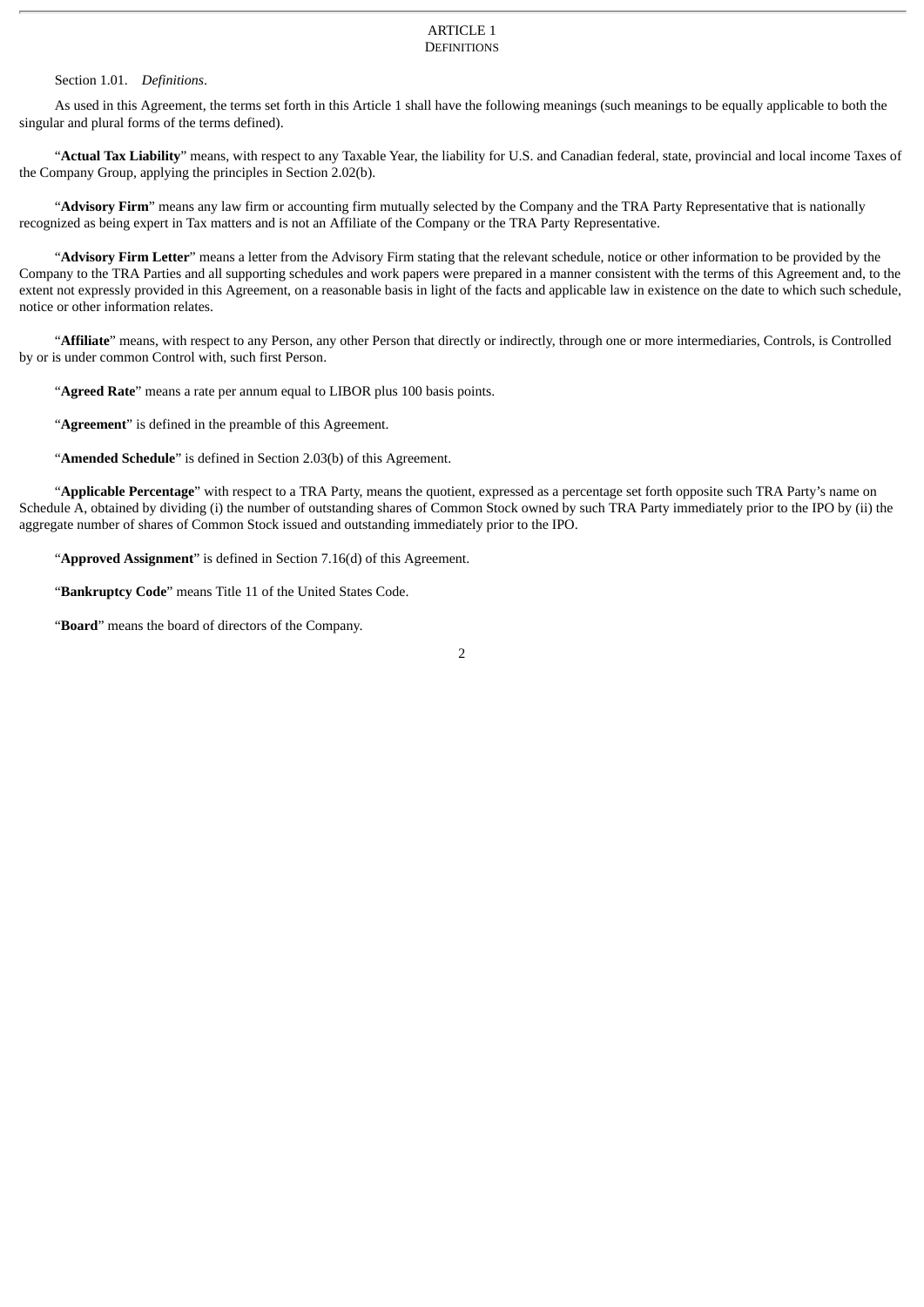#### ARTICLE 1 **DEFINITIONS**

#### Section 1.01. *Definitions*.

As used in this Agreement, the terms set forth in this Article 1 shall have the following meanings (such meanings to be equally applicable to both the singular and plural forms of the terms defined).

"**Actual Tax Liability**" means, with respect to any Taxable Year, the liability for U.S. and Canadian federal, state, provincial and local income Taxes of the Company Group, applying the principles in Section 2.02(b).

"**Advisory Firm**" means any law firm or accounting firm mutually selected by the Company and the TRA Party Representative that is nationally recognized as being expert in Tax matters and is not an Affiliate of the Company or the TRA Party Representative.

"**Advisory Firm Letter**" means a letter from the Advisory Firm stating that the relevant schedule, notice or other information to be provided by the Company to the TRA Parties and all supporting schedules and work papers were prepared in a manner consistent with the terms of this Agreement and, to the extent not expressly provided in this Agreement, on a reasonable basis in light of the facts and applicable law in existence on the date to which such schedule, notice or other information relates.

"**Affiliate**" means, with respect to any Person, any other Person that directly or indirectly, through one or more intermediaries, Controls, is Controlled by or is under common Control with, such first Person.

"**Agreed Rate**" means a rate per annum equal to LIBOR plus 100 basis points.

"**Agreement**" is defined in the preamble of this Agreement.

"**Amended Schedule**" is defined in Section 2.03(b) of this Agreement.

"**Applicable Percentage**" with respect to a TRA Party, means the quotient, expressed as a percentage set forth opposite such TRA Party's name on Schedule A, obtained by dividing (i) the number of outstanding shares of Common Stock owned by such TRA Party immediately prior to the IPO by (ii) the aggregate number of shares of Common Stock issued and outstanding immediately prior to the IPO.

"**Approved Assignment**" is defined in Section 7.16(d) of this Agreement.

"**Bankruptcy Code**" means Title 11 of the United States Code.

"**Board**" means the board of directors of the Company.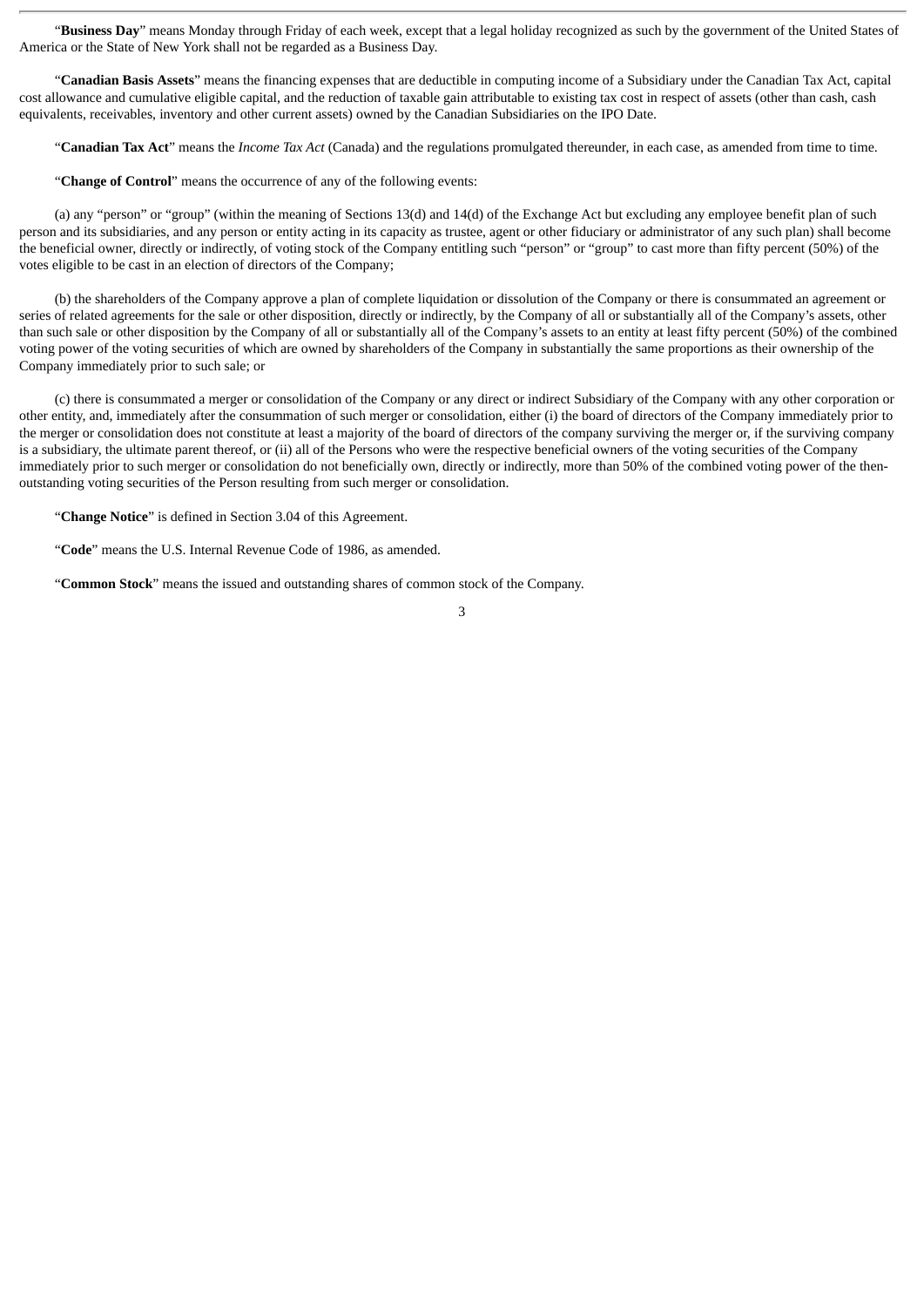"**Business Day**" means Monday through Friday of each week, except that a legal holiday recognized as such by the government of the United States of America or the State of New York shall not be regarded as a Business Day.

"**Canadian Basis Assets**" means the financing expenses that are deductible in computing income of a Subsidiary under the Canadian Tax Act, capital cost allowance and cumulative eligible capital, and the reduction of taxable gain attributable to existing tax cost in respect of assets (other than cash, cash equivalents, receivables, inventory and other current assets) owned by the Canadian Subsidiaries on the IPO Date.

"**Canadian Tax Act**" means the *Income Tax Act* (Canada) and the regulations promulgated thereunder, in each case, as amended from time to time.

"**Change of Control**" means the occurrence of any of the following events:

(a) any "person" or "group" (within the meaning of Sections 13(d) and 14(d) of the Exchange Act but excluding any employee benefit plan of such person and its subsidiaries, and any person or entity acting in its capacity as trustee, agent or other fiduciary or administrator of any such plan) shall become the beneficial owner, directly or indirectly, of voting stock of the Company entitling such "person" or "group" to cast more than fifty percent (50%) of the votes eligible to be cast in an election of directors of the Company;

(b) the shareholders of the Company approve a plan of complete liquidation or dissolution of the Company or there is consummated an agreement or series of related agreements for the sale or other disposition, directly or indirectly, by the Company of all or substantially all of the Company's assets, other than such sale or other disposition by the Company of all or substantially all of the Company's assets to an entity at least fifty percent (50%) of the combined voting power of the voting securities of which are owned by shareholders of the Company in substantially the same proportions as their ownership of the Company immediately prior to such sale; or

(c) there is consummated a merger or consolidation of the Company or any direct or indirect Subsidiary of the Company with any other corporation or other entity, and, immediately after the consummation of such merger or consolidation, either (i) the board of directors of the Company immediately prior to the merger or consolidation does not constitute at least a majority of the board of directors of the company surviving the merger or, if the surviving company is a subsidiary, the ultimate parent thereof, or (ii) all of the Persons who were the respective beneficial owners of the voting securities of the Company immediately prior to such merger or consolidation do not beneficially own, directly or indirectly, more than 50% of the combined voting power of the thenoutstanding voting securities of the Person resulting from such merger or consolidation.

"**Change Notice**" is defined in Section 3.04 of this Agreement.

"**Code**" means the U.S. Internal Revenue Code of 1986, as amended.

"**Common Stock**" means the issued and outstanding shares of common stock of the Company.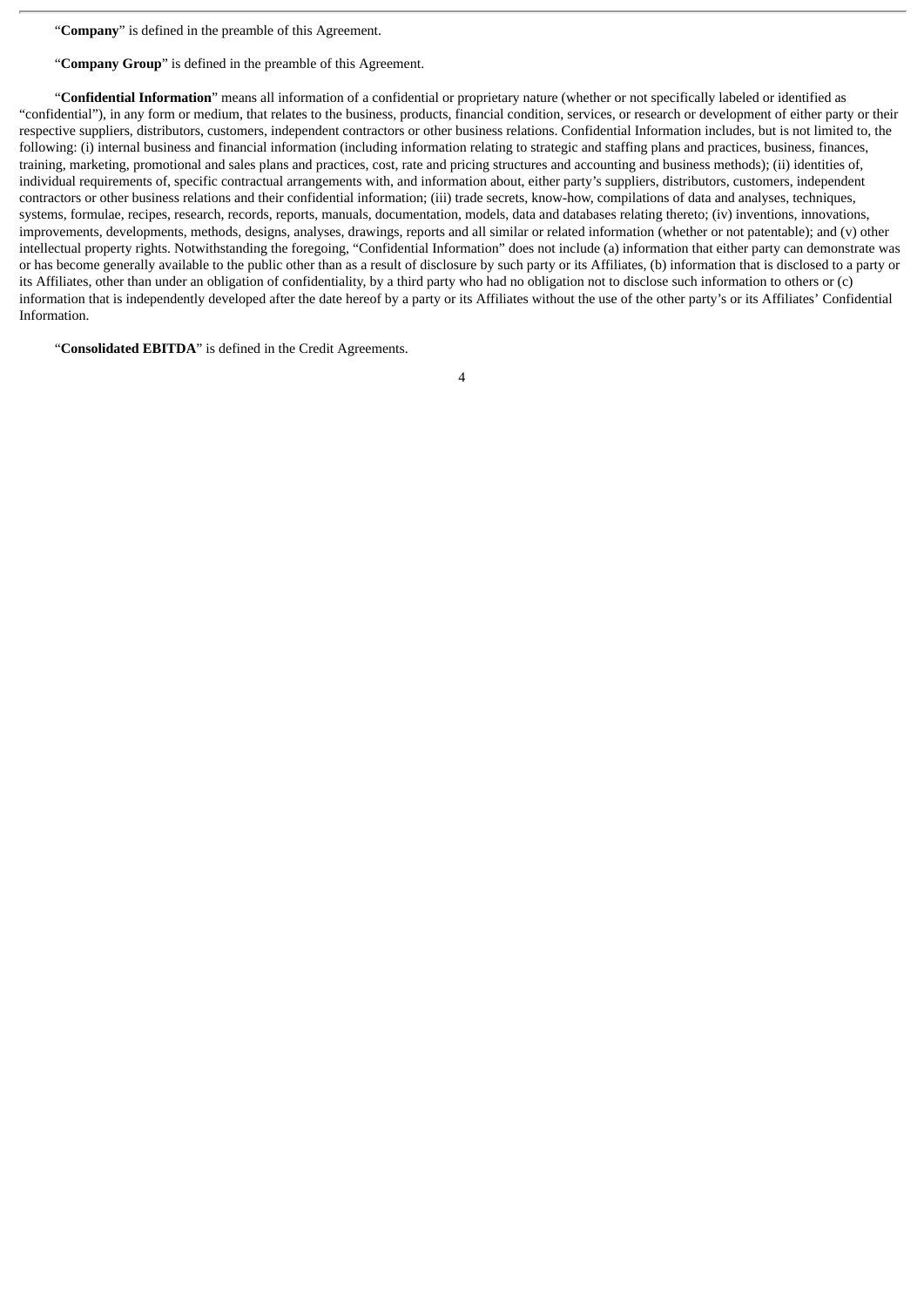"**Company**" is defined in the preamble of this Agreement.

"**Company Group**" is defined in the preamble of this Agreement.

"**Confidential Information**" means all information of a confidential or proprietary nature (whether or not specifically labeled or identified as "confidential"), in any form or medium, that relates to the business, products, financial condition, services, or research or development of either party or their respective suppliers, distributors, customers, independent contractors or other business relations. Confidential Information includes, but is not limited to, the following: (i) internal business and financial information (including information relating to strategic and staffing plans and practices, business, finances, training, marketing, promotional and sales plans and practices, cost, rate and pricing structures and accounting and business methods); (ii) identities of, individual requirements of, specific contractual arrangements with, and information about, either party's suppliers, distributors, customers, independent contractors or other business relations and their confidential information; (iii) trade secrets, know-how, compilations of data and analyses, techniques, systems, formulae, recipes, research, records, reports, manuals, documentation, models, data and databases relating thereto; (iv) inventions, innovations, improvements, developments, methods, designs, analyses, drawings, reports and all similar or related information (whether or not patentable); and (v) other intellectual property rights. Notwithstanding the foregoing, "Confidential Information" does not include (a) information that either party can demonstrate was or has become generally available to the public other than as a result of disclosure by such party or its Affiliates, (b) information that is disclosed to a party or its Affiliates, other than under an obligation of confidentiality, by a third party who had no obligation not to disclose such information to others or (c) information that is independently developed after the date hereof by a party or its Affiliates without the use of the other party's or its Affiliates' Confidential Information.

"**Consolidated EBITDA**" is defined in the Credit Agreements.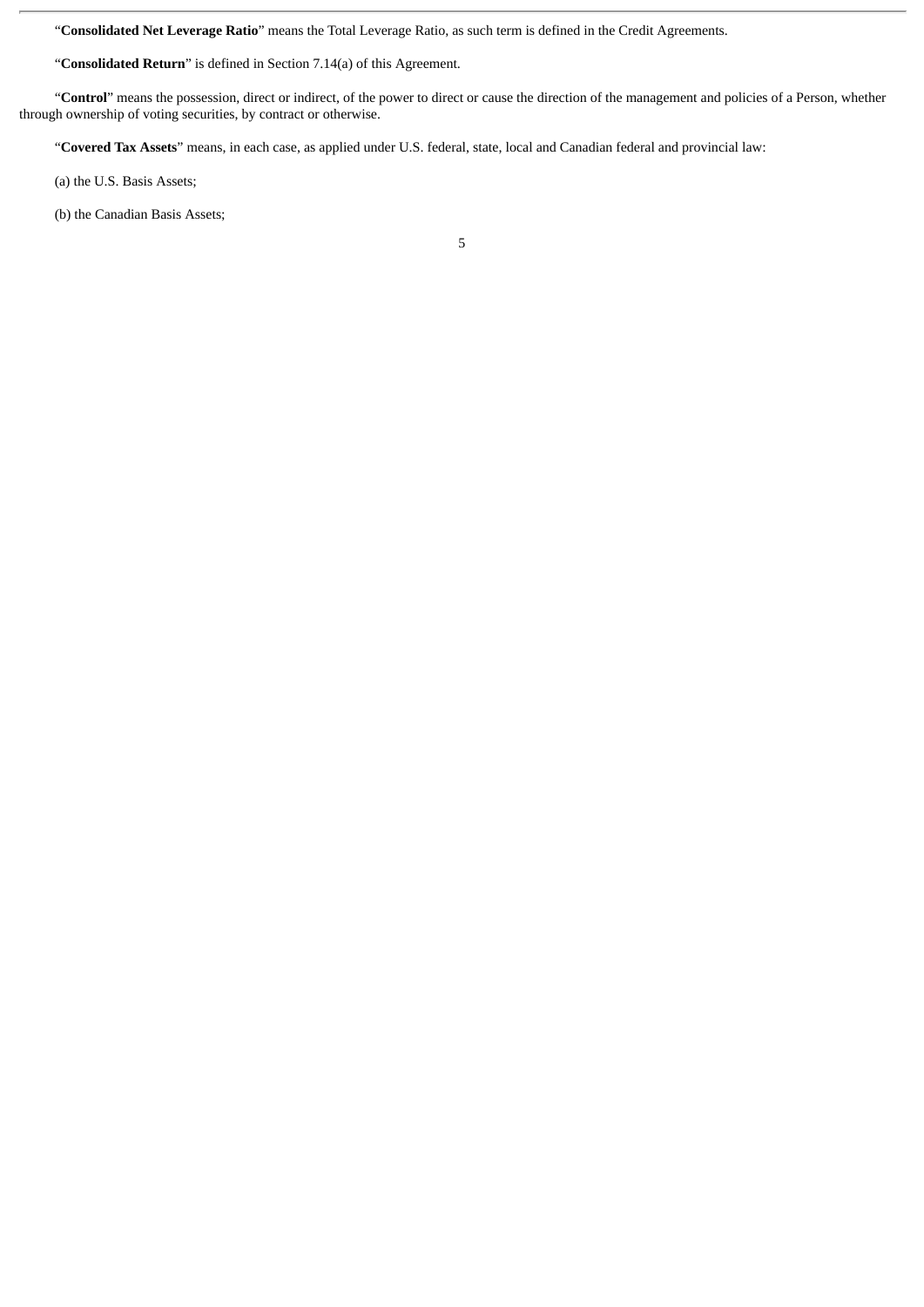"**Consolidated Net Leverage Ratio**" means the Total Leverage Ratio, as such term is defined in the Credit Agreements.

"**Consolidated Return**" is defined in Section 7.14(a) of this Agreement.

"**Control**" means the possession, direct or indirect, of the power to direct or cause the direction of the management and policies of a Person, whether through ownership of voting securities, by contract or otherwise.

"**Covered Tax Assets**" means, in each case, as applied under U.S. federal, state, local and Canadian federal and provincial law:

(a) the U.S. Basis Assets;

(b) the Canadian Basis Assets;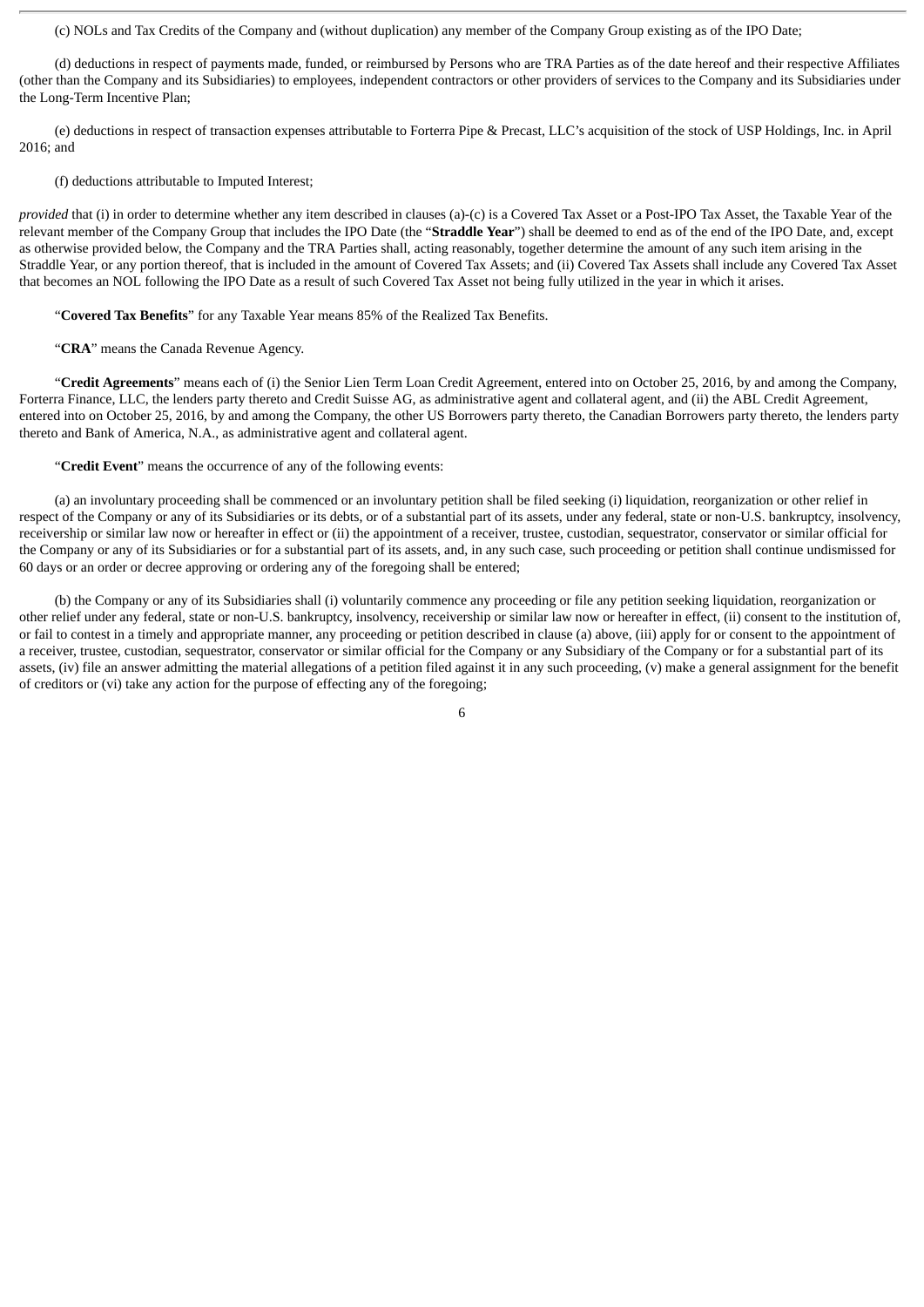(c) NOLs and Tax Credits of the Company and (without duplication) any member of the Company Group existing as of the IPO Date;

(d) deductions in respect of payments made, funded, or reimbursed by Persons who are TRA Parties as of the date hereof and their respective Affiliates (other than the Company and its Subsidiaries) to employees, independent contractors or other providers of services to the Company and its Subsidiaries under the Long-Term Incentive Plan;

(e) deductions in respect of transaction expenses attributable to Forterra Pipe & Precast, LLC's acquisition of the stock of USP Holdings, Inc. in April 2016; and

#### (f) deductions attributable to Imputed Interest;

*provided* that (i) in order to determine whether any item described in clauses (a)-(c) is a Covered Tax Asset or a Post-IPO Tax Asset, the Taxable Year of the relevant member of the Company Group that includes the IPO Date (the "**Straddle Year**") shall be deemed to end as of the end of the IPO Date, and, except as otherwise provided below, the Company and the TRA Parties shall, acting reasonably, together determine the amount of any such item arising in the Straddle Year, or any portion thereof, that is included in the amount of Covered Tax Assets; and (ii) Covered Tax Assets shall include any Covered Tax Asset that becomes an NOL following the IPO Date as a result of such Covered Tax Asset not being fully utilized in the year in which it arises.

"**Covered Tax Benefits**" for any Taxable Year means 85% of the Realized Tax Benefits.

"**CRA**" means the Canada Revenue Agency.

"**Credit Agreements**" means each of (i) the Senior Lien Term Loan Credit Agreement, entered into on October 25, 2016, by and among the Company, Forterra Finance, LLC, the lenders party thereto and Credit Suisse AG, as administrative agent and collateral agent, and (ii) the ABL Credit Agreement, entered into on October 25, 2016, by and among the Company, the other US Borrowers party thereto, the Canadian Borrowers party thereto, the lenders party thereto and Bank of America, N.A., as administrative agent and collateral agent.

"**Credit Event**" means the occurrence of any of the following events:

(a) an involuntary proceeding shall be commenced or an involuntary petition shall be filed seeking (i) liquidation, reorganization or other relief in respect of the Company or any of its Subsidiaries or its debts, or of a substantial part of its assets, under any federal, state or non-U.S. bankruptcy, insolvency, receivership or similar law now or hereafter in effect or (ii) the appointment of a receiver, trustee, custodian, sequestrator, conservator or similar official for the Company or any of its Subsidiaries or for a substantial part of its assets, and, in any such case, such proceeding or petition shall continue undismissed for 60 days or an order or decree approving or ordering any of the foregoing shall be entered;

(b) the Company or any of its Subsidiaries shall (i) voluntarily commence any proceeding or file any petition seeking liquidation, reorganization or other relief under any federal, state or non-U.S. bankruptcy, insolvency, receivership or similar law now or hereafter in effect, (ii) consent to the institution of, or fail to contest in a timely and appropriate manner, any proceeding or petition described in clause (a) above, (iii) apply for or consent to the appointment of a receiver, trustee, custodian, sequestrator, conservator or similar official for the Company or any Subsidiary of the Company or for a substantial part of its assets, (iv) file an answer admitting the material allegations of a petition filed against it in any such proceeding, (v) make a general assignment for the benefit of creditors or (vi) take any action for the purpose of effecting any of the foregoing;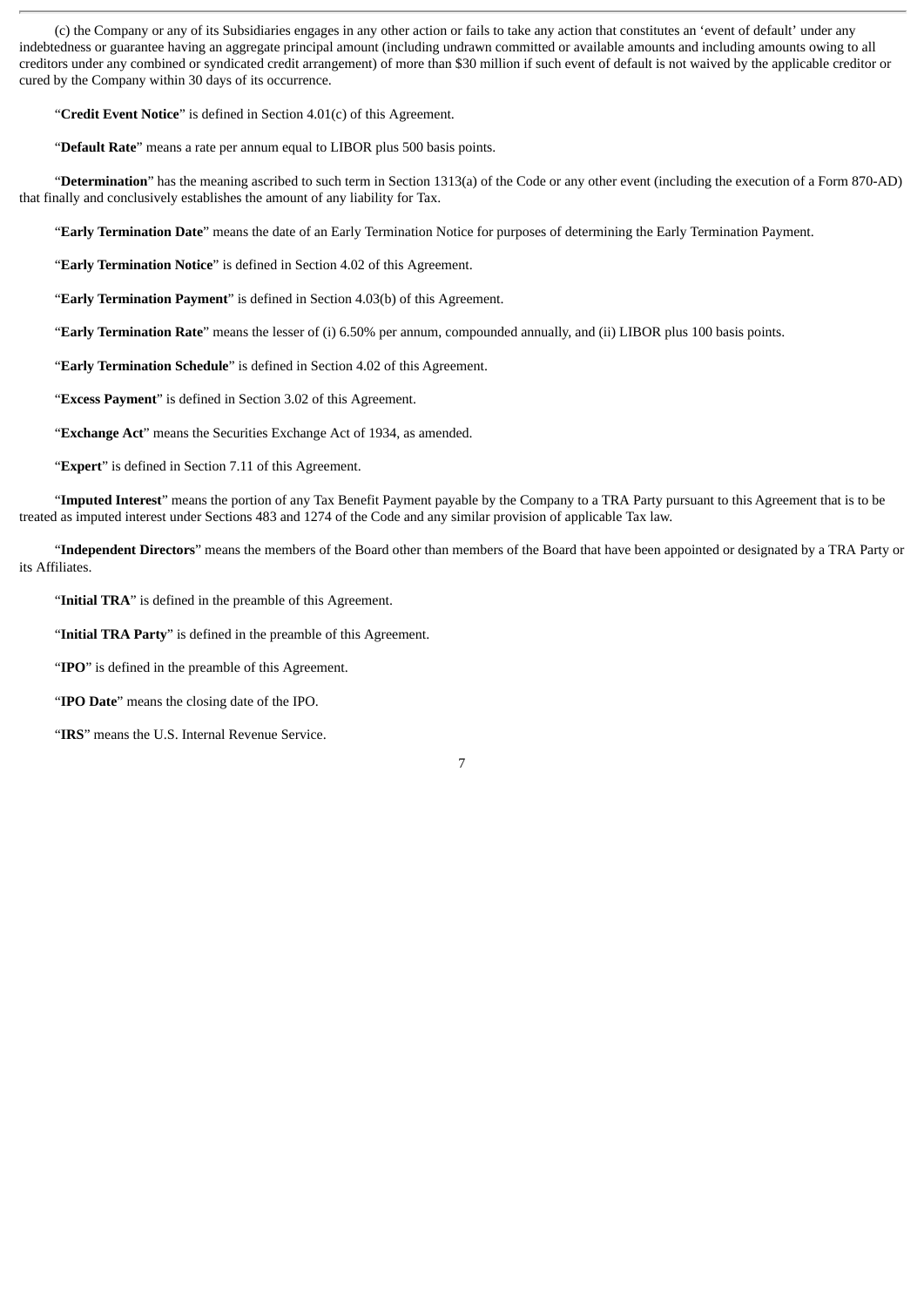(c) the Company or any of its Subsidiaries engages in any other action or fails to take any action that constitutes an 'event of default' under any indebtedness or guarantee having an aggregate principal amount (including undrawn committed or available amounts and including amounts owing to all creditors under any combined or syndicated credit arrangement) of more than \$30 million if such event of default is not waived by the applicable creditor or cured by the Company within 30 days of its occurrence.

"**Credit Event Notice**" is defined in Section 4.01(c) of this Agreement.

"**Default Rate**" means a rate per annum equal to LIBOR plus 500 basis points.

"**Determination**" has the meaning ascribed to such term in Section 1313(a) of the Code or any other event (including the execution of a Form 870-AD) that finally and conclusively establishes the amount of any liability for Tax.

"**Early Termination Date**" means the date of an Early Termination Notice for purposes of determining the Early Termination Payment.

"**Early Termination Notice**" is defined in Section 4.02 of this Agreement.

"**Early Termination Payment**" is defined in Section 4.03(b) of this Agreement.

"**Early Termination Rate**" means the lesser of (i) 6.50% per annum, compounded annually, and (ii) LIBOR plus 100 basis points.

"**Early Termination Schedule**" is defined in Section 4.02 of this Agreement.

"**Excess Payment**" is defined in Section 3.02 of this Agreement.

"**Exchange Act**" means the Securities Exchange Act of 1934, as amended.

"**Expert**" is defined in Section 7.11 of this Agreement.

"**Imputed Interest**" means the portion of any Tax Benefit Payment payable by the Company to a TRA Party pursuant to this Agreement that is to be treated as imputed interest under Sections 483 and 1274 of the Code and any similar provision of applicable Tax law.

"**Independent Directors**" means the members of the Board other than members of the Board that have been appointed or designated by a TRA Party or its Affiliates.

"**Initial TRA**" is defined in the preamble of this Agreement.

"**Initial TRA Party**" is defined in the preamble of this Agreement.

"**IPO**" is defined in the preamble of this Agreement.

"**IPO Date**" means the closing date of the IPO.

"**IRS**" means the U.S. Internal Revenue Service.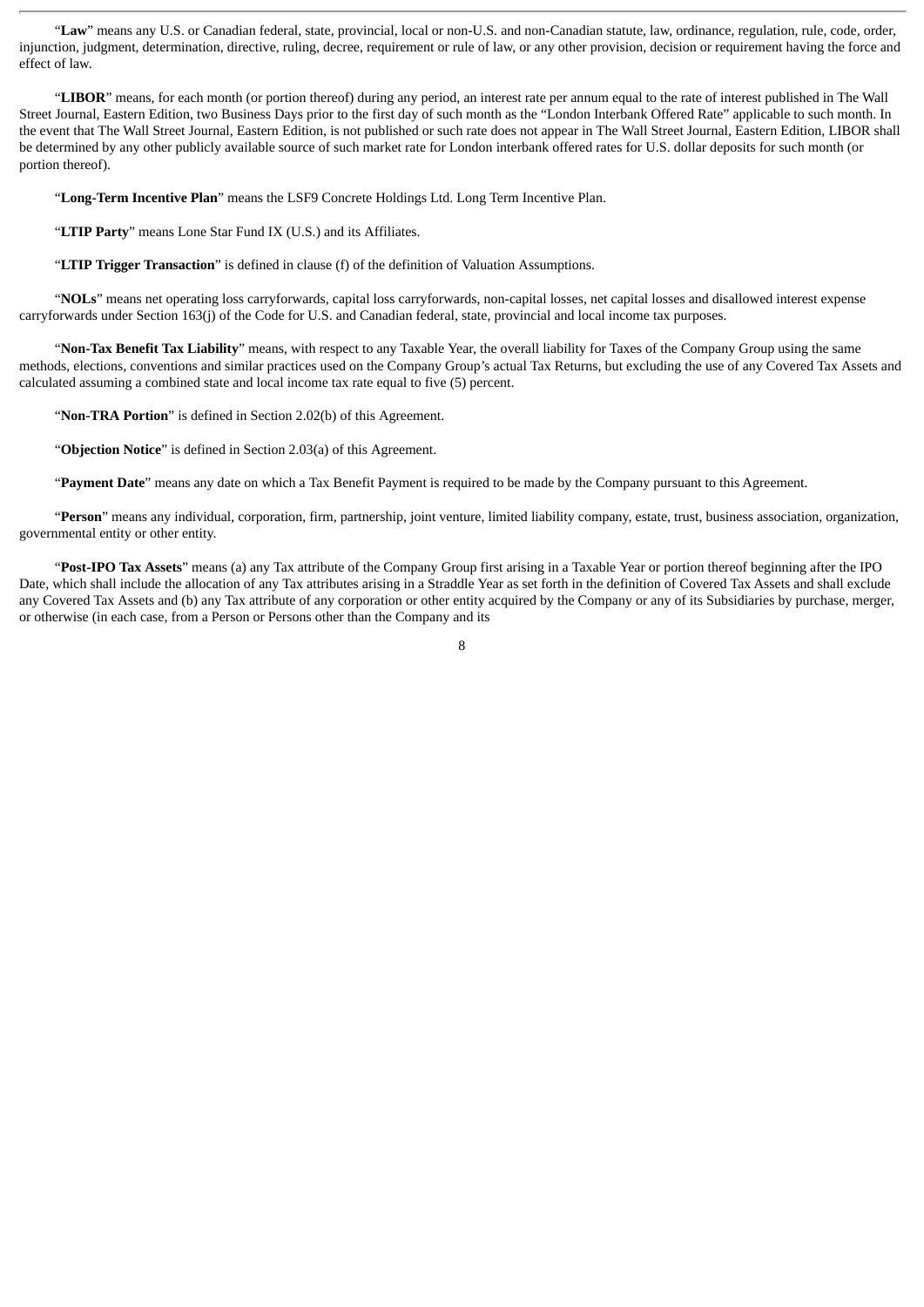"**Law**" means any U.S. or Canadian federal, state, provincial, local or non-U.S. and non-Canadian statute, law, ordinance, regulation, rule, code, order, injunction, judgment, determination, directive, ruling, decree, requirement or rule of law, or any other provision, decision or requirement having the force and effect of law.

"**LIBOR**" means, for each month (or portion thereof) during any period, an interest rate per annum equal to the rate of interest published in The Wall Street Journal, Eastern Edition, two Business Days prior to the first day of such month as the "London Interbank Offered Rate" applicable to such month. In the event that The Wall Street Journal, Eastern Edition, is not published or such rate does not appear in The Wall Street Journal, Eastern Edition, LIBOR shall be determined by any other publicly available source of such market rate for London interbank offered rates for U.S. dollar deposits for such month (or portion thereof).

"**Long-Term Incentive Plan**" means the LSF9 Concrete Holdings Ltd. Long Term Incentive Plan.

"**LTIP Party**" means Lone Star Fund IX (U.S.) and its Affiliates.

"**LTIP Trigger Transaction**" is defined in clause (f) of the definition of Valuation Assumptions.

"**NOLs**" means net operating loss carryforwards, capital loss carryforwards, non-capital losses, net capital losses and disallowed interest expense carryforwards under Section 163(j) of the Code for U.S. and Canadian federal, state, provincial and local income tax purposes.

"**Non-Tax Benefit Tax Liability**" means, with respect to any Taxable Year, the overall liability for Taxes of the Company Group using the same methods, elections, conventions and similar practices used on the Company Group's actual Tax Returns, but excluding the use of any Covered Tax Assets and calculated assuming a combined state and local income tax rate equal to five (5) percent.

"**Non-TRA Portion**" is defined in Section 2.02(b) of this Agreement.

"**Objection Notice**" is defined in Section 2.03(a) of this Agreement.

"**Payment Date**" means any date on which a Tax Benefit Payment is required to be made by the Company pursuant to this Agreement.

"**Person**" means any individual, corporation, firm, partnership, joint venture, limited liability company, estate, trust, business association, organization, governmental entity or other entity.

"**Post-IPO Tax Assets**" means (a) any Tax attribute of the Company Group first arising in a Taxable Year or portion thereof beginning after the IPO Date, which shall include the allocation of any Tax attributes arising in a Straddle Year as set forth in the definition of Covered Tax Assets and shall exclude any Covered Tax Assets and (b) any Tax attribute of any corporation or other entity acquired by the Company or any of its Subsidiaries by purchase, merger, or otherwise (in each case, from a Person or Persons other than the Company and its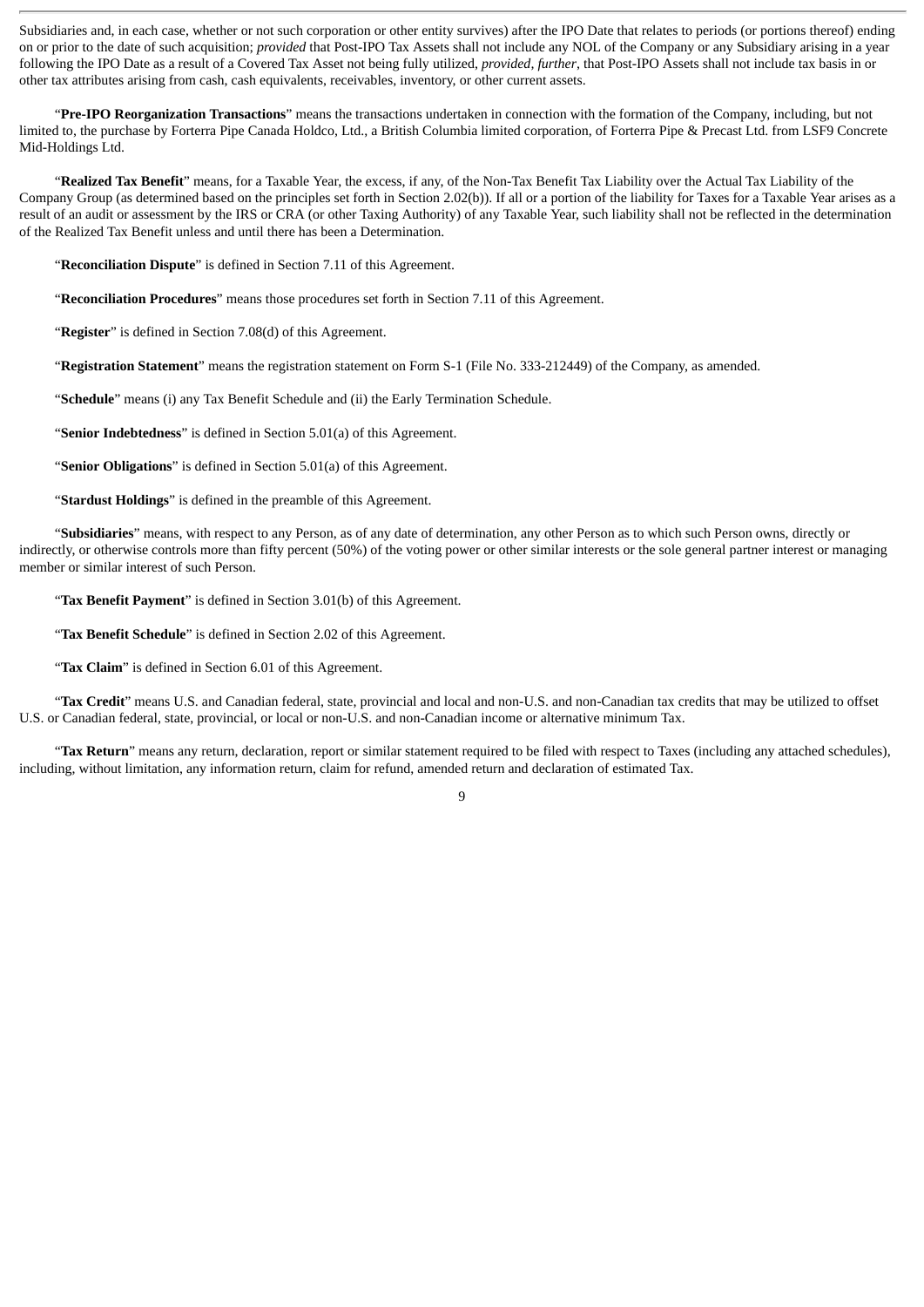Subsidiaries and, in each case, whether or not such corporation or other entity survives) after the IPO Date that relates to periods (or portions thereof) ending on or prior to the date of such acquisition; *provided* that Post-IPO Tax Assets shall not include any NOL of the Company or any Subsidiary arising in a year following the IPO Date as a result of a Covered Tax Asset not being fully utilized, *provided, further*, that Post-IPO Assets shall not include tax basis in or other tax attributes arising from cash, cash equivalents, receivables, inventory, or other current assets.

"**Pre-IPO Reorganization Transactions**" means the transactions undertaken in connection with the formation of the Company, including, but not limited to, the purchase by Forterra Pipe Canada Holdco, Ltd., a British Columbia limited corporation, of Forterra Pipe & Precast Ltd. from LSF9 Concrete Mid-Holdings Ltd.

"**Realized Tax Benefit**" means, for a Taxable Year, the excess, if any, of the Non-Tax Benefit Tax Liability over the Actual Tax Liability of the Company Group (as determined based on the principles set forth in Section 2.02(b)). If all or a portion of the liability for Taxes for a Taxable Year arises as a result of an audit or assessment by the IRS or CRA (or other Taxing Authority) of any Taxable Year, such liability shall not be reflected in the determination of the Realized Tax Benefit unless and until there has been a Determination.

"**Reconciliation Dispute**" is defined in Section 7.11 of this Agreement.

"**Reconciliation Procedures**" means those procedures set forth in Section 7.11 of this Agreement.

"**Register**" is defined in Section 7.08(d) of this Agreement.

"**Registration Statement**" means the registration statement on Form S-1 (File No. 333-212449) of the Company, as amended.

"**Schedule**" means (i) any Tax Benefit Schedule and (ii) the Early Termination Schedule.

"**Senior Indebtedness**" is defined in Section 5.01(a) of this Agreement.

"**Senior Obligations**" is defined in Section 5.01(a) of this Agreement.

"**Stardust Holdings**" is defined in the preamble of this Agreement.

"**Subsidiaries**" means, with respect to any Person, as of any date of determination, any other Person as to which such Person owns, directly or indirectly, or otherwise controls more than fifty percent (50%) of the voting power or other similar interests or the sole general partner interest or managing member or similar interest of such Person.

"**Tax Benefit Payment**" is defined in Section 3.01(b) of this Agreement.

"**Tax Benefit Schedule**" is defined in Section 2.02 of this Agreement.

"**Tax Claim**" is defined in Section 6.01 of this Agreement.

"**Tax Credit**" means U.S. and Canadian federal, state, provincial and local and non-U.S. and non-Canadian tax credits that may be utilized to offset U.S. or Canadian federal, state, provincial, or local or non-U.S. and non-Canadian income or alternative minimum Tax.

"**Tax Return**" means any return, declaration, report or similar statement required to be filed with respect to Taxes (including any attached schedules), including, without limitation, any information return, claim for refund, amended return and declaration of estimated Tax.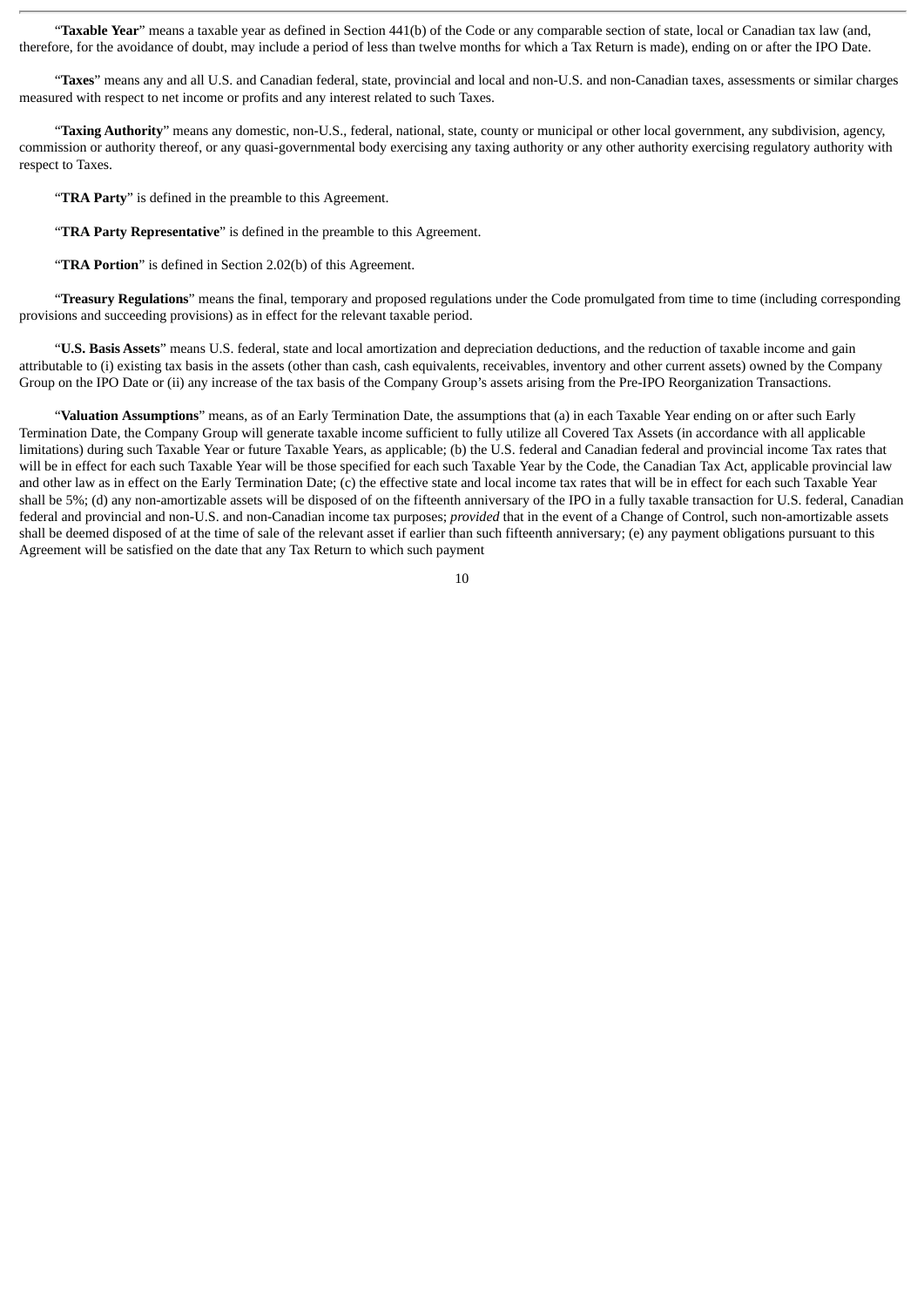"**Taxable Year**" means a taxable year as defined in Section 441(b) of the Code or any comparable section of state, local or Canadian tax law (and, therefore, for the avoidance of doubt, may include a period of less than twelve months for which a Tax Return is made), ending on or after the IPO Date.

"**Taxes**" means any and all U.S. and Canadian federal, state, provincial and local and non-U.S. and non-Canadian taxes, assessments or similar charges measured with respect to net income or profits and any interest related to such Taxes.

"**Taxing Authority**" means any domestic, non-U.S., federal, national, state, county or municipal or other local government, any subdivision, agency, commission or authority thereof, or any quasi-governmental body exercising any taxing authority or any other authority exercising regulatory authority with respect to Taxes.

"**TRA Party**" is defined in the preamble to this Agreement.

"**TRA Party Representative**" is defined in the preamble to this Agreement.

"**TRA Portion**" is defined in Section 2.02(b) of this Agreement.

"**Treasury Regulations**" means the final, temporary and proposed regulations under the Code promulgated from time to time (including corresponding provisions and succeeding provisions) as in effect for the relevant taxable period.

"**U.S. Basis Assets**" means U.S. federal, state and local amortization and depreciation deductions, and the reduction of taxable income and gain attributable to (i) existing tax basis in the assets (other than cash, cash equivalents, receivables, inventory and other current assets) owned by the Company Group on the IPO Date or (ii) any increase of the tax basis of the Company Group's assets arising from the Pre-IPO Reorganization Transactions.

"**Valuation Assumptions**" means, as of an Early Termination Date, the assumptions that (a) in each Taxable Year ending on or after such Early Termination Date, the Company Group will generate taxable income sufficient to fully utilize all Covered Tax Assets (in accordance with all applicable limitations) during such Taxable Year or future Taxable Years, as applicable; (b) the U.S. federal and Canadian federal and provincial income Tax rates that will be in effect for each such Taxable Year will be those specified for each such Taxable Year by the Code, the Canadian Tax Act, applicable provincial law and other law as in effect on the Early Termination Date; (c) the effective state and local income tax rates that will be in effect for each such Taxable Year shall be 5%; (d) any non-amortizable assets will be disposed of on the fifteenth anniversary of the IPO in a fully taxable transaction for U.S. federal, Canadian federal and provincial and non-U.S. and non-Canadian income tax purposes; *provided* that in the event of a Change of Control, such non-amortizable assets shall be deemed disposed of at the time of sale of the relevant asset if earlier than such fifteenth anniversary; (e) any payment obligations pursuant to this Agreement will be satisfied on the date that any Tax Return to which such payment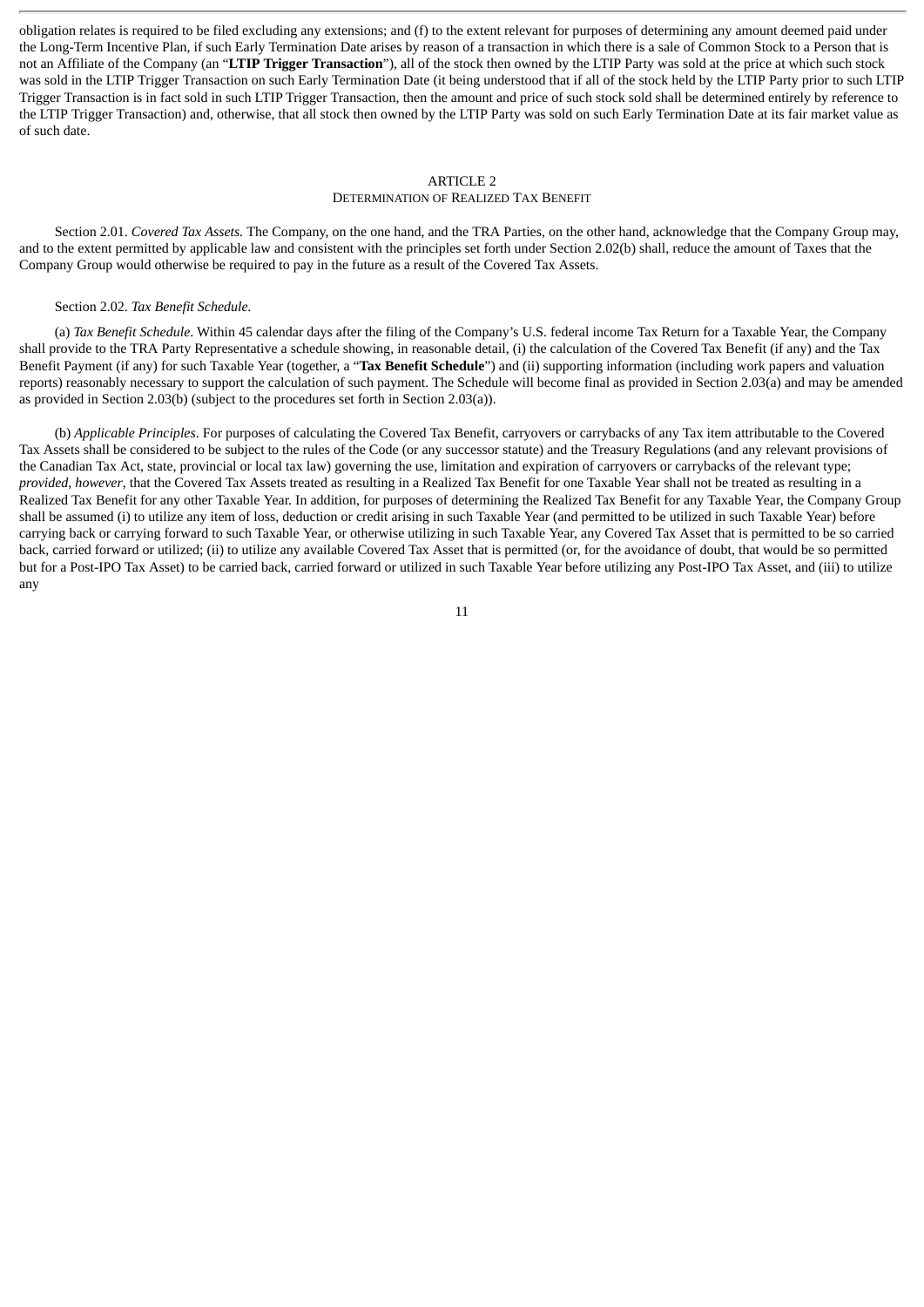obligation relates is required to be filed excluding any extensions; and (f) to the extent relevant for purposes of determining any amount deemed paid under the Long-Term Incentive Plan, if such Early Termination Date arises by reason of a transaction in which there is a sale of Common Stock to a Person that is not an Affiliate of the Company (an "**LTIP Trigger Transaction**"), all of the stock then owned by the LTIP Party was sold at the price at which such stock was sold in the LTIP Trigger Transaction on such Early Termination Date (it being understood that if all of the stock held by the LTIP Party prior to such LTIP Trigger Transaction is in fact sold in such LTIP Trigger Transaction, then the amount and price of such stock sold shall be determined entirely by reference to the LTIP Trigger Transaction) and, otherwise, that all stock then owned by the LTIP Party was sold on such Early Termination Date at its fair market value as of such date.

## ARTICLE 2

#### DETERMINATION OF REALIZED TAX BENEFIT

Section 2.01. *Covered Tax Assets.* The Company, on the one hand, and the TRA Parties, on the other hand, acknowledge that the Company Group may, and to the extent permitted by applicable law and consistent with the principles set forth under Section 2.02(b) shall, reduce the amount of Taxes that the Company Group would otherwise be required to pay in the future as a result of the Covered Tax Assets.

#### Section 2.02. *Tax Benefit Schedule.*

(a) *Tax Benefit Schedule*. Within 45 calendar days after the filing of the Company's U.S. federal income Tax Return for a Taxable Year, the Company shall provide to the TRA Party Representative a schedule showing, in reasonable detail, (i) the calculation of the Covered Tax Benefit (if any) and the Tax Benefit Payment (if any) for such Taxable Year (together, a "**Tax Benefit Schedule**") and (ii) supporting information (including work papers and valuation reports) reasonably necessary to support the calculation of such payment. The Schedule will become final as provided in Section 2.03(a) and may be amended as provided in Section 2.03(b) (subject to the procedures set forth in Section 2.03(a)).

(b) *Applicable Principles*. For purposes of calculating the Covered Tax Benefit, carryovers or carrybacks of any Tax item attributable to the Covered Tax Assets shall be considered to be subject to the rules of the Code (or any successor statute) and the Treasury Regulations (and any relevant provisions of the Canadian Tax Act, state, provincial or local tax law) governing the use, limitation and expiration of carryovers or carrybacks of the relevant type; *provided*, *however*, that the Covered Tax Assets treated as resulting in a Realized Tax Benefit for one Taxable Year shall not be treated as resulting in a Realized Tax Benefit for any other Taxable Year. In addition, for purposes of determining the Realized Tax Benefit for any Taxable Year, the Company Group shall be assumed (i) to utilize any item of loss, deduction or credit arising in such Taxable Year (and permitted to be utilized in such Taxable Year) before carrying back or carrying forward to such Taxable Year, or otherwise utilizing in such Taxable Year, any Covered Tax Asset that is permitted to be so carried back, carried forward or utilized; (ii) to utilize any available Covered Tax Asset that is permitted (or, for the avoidance of doubt, that would be so permitted but for a Post-IPO Tax Asset) to be carried back, carried forward or utilized in such Taxable Year before utilizing any Post-IPO Tax Asset, and (iii) to utilize any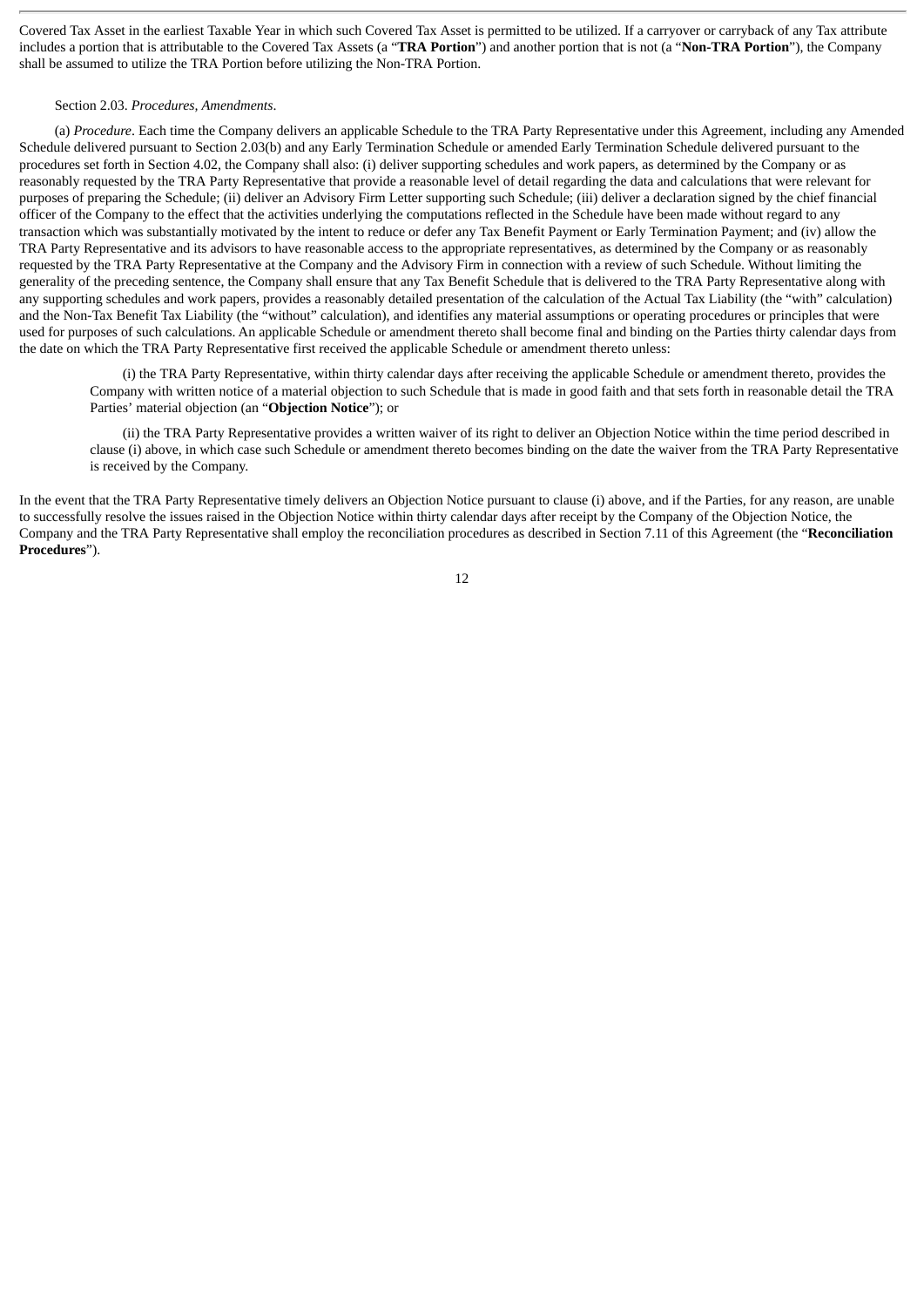Covered Tax Asset in the earliest Taxable Year in which such Covered Tax Asset is permitted to be utilized. If a carryover or carryback of any Tax attribute includes a portion that is attributable to the Covered Tax Assets (a "**TRA Portion**") and another portion that is not (a "**Non-TRA Portion**"), the Company shall be assumed to utilize the TRA Portion before utilizing the Non-TRA Portion.

#### Section 2.03. *Procedures, Amendments*.

(a) *Procedure*. Each time the Company delivers an applicable Schedule to the TRA Party Representative under this Agreement, including any Amended Schedule delivered pursuant to Section 2.03(b) and any Early Termination Schedule or amended Early Termination Schedule delivered pursuant to the procedures set forth in Section 4.02, the Company shall also: (i) deliver supporting schedules and work papers, as determined by the Company or as reasonably requested by the TRA Party Representative that provide a reasonable level of detail regarding the data and calculations that were relevant for purposes of preparing the Schedule; (ii) deliver an Advisory Firm Letter supporting such Schedule; (iii) deliver a declaration signed by the chief financial officer of the Company to the effect that the activities underlying the computations reflected in the Schedule have been made without regard to any transaction which was substantially motivated by the intent to reduce or defer any Tax Benefit Payment or Early Termination Payment; and (iv) allow the TRA Party Representative and its advisors to have reasonable access to the appropriate representatives, as determined by the Company or as reasonably requested by the TRA Party Representative at the Company and the Advisory Firm in connection with a review of such Schedule. Without limiting the generality of the preceding sentence, the Company shall ensure that any Tax Benefit Schedule that is delivered to the TRA Party Representative along with any supporting schedules and work papers, provides a reasonably detailed presentation of the calculation of the Actual Tax Liability (the "with" calculation) and the Non-Tax Benefit Tax Liability (the "without" calculation), and identifies any material assumptions or operating procedures or principles that were used for purposes of such calculations. An applicable Schedule or amendment thereto shall become final and binding on the Parties thirty calendar days from the date on which the TRA Party Representative first received the applicable Schedule or amendment thereto unless:

(i) the TRA Party Representative, within thirty calendar days after receiving the applicable Schedule or amendment thereto, provides the Company with written notice of a material objection to such Schedule that is made in good faith and that sets forth in reasonable detail the TRA Parties' material objection (an "**Objection Notice**"); or

(ii) the TRA Party Representative provides a written waiver of its right to deliver an Objection Notice within the time period described in clause (i) above, in which case such Schedule or amendment thereto becomes binding on the date the waiver from the TRA Party Representative is received by the Company.

In the event that the TRA Party Representative timely delivers an Objection Notice pursuant to clause (i) above, and if the Parties, for any reason, are unable to successfully resolve the issues raised in the Objection Notice within thirty calendar days after receipt by the Company of the Objection Notice, the Company and the TRA Party Representative shall employ the reconciliation procedures as described in Section 7.11 of this Agreement (the "**Reconciliation Procedures**").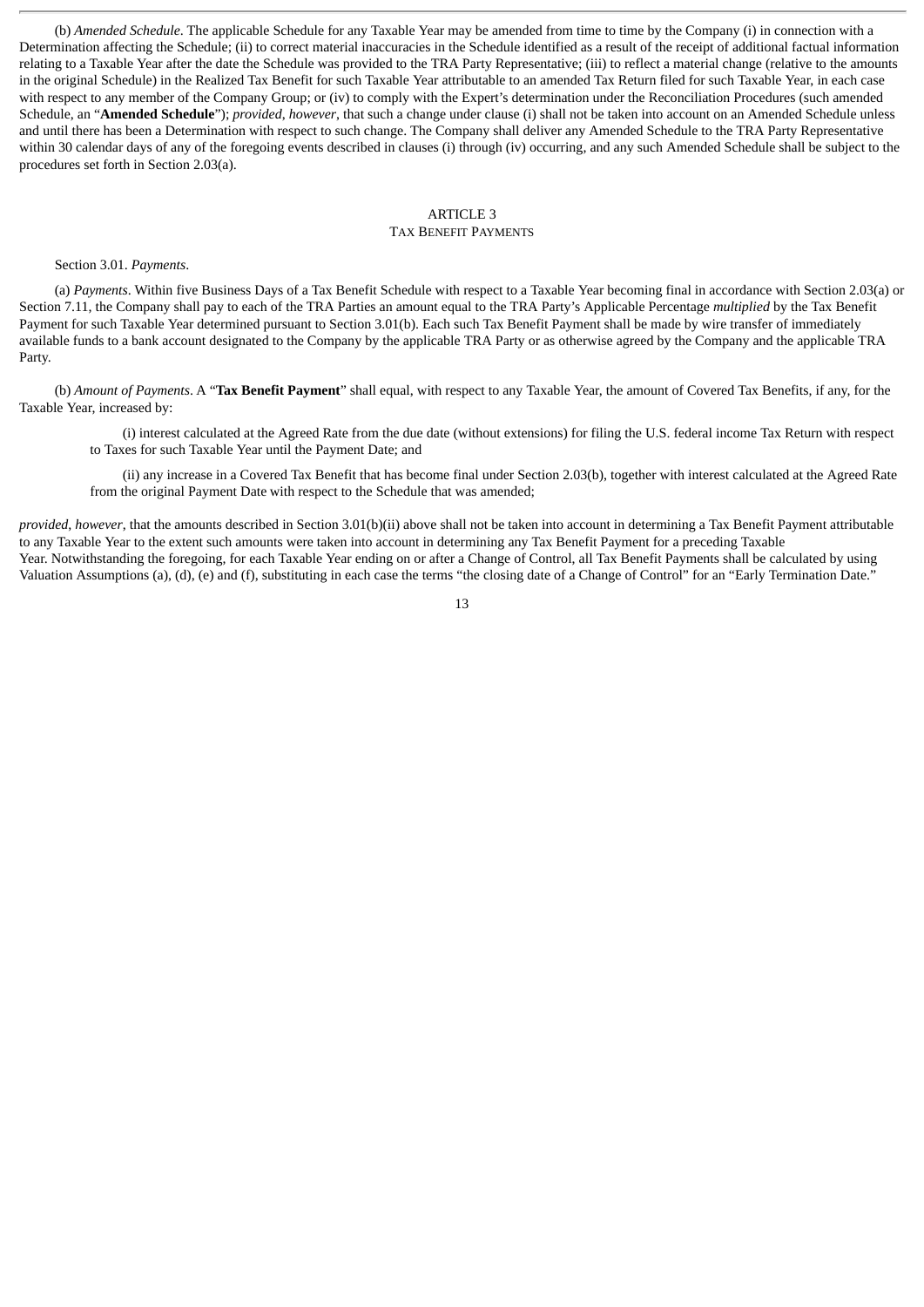(b) *Amended Schedule*. The applicable Schedule for any Taxable Year may be amended from time to time by the Company (i) in connection with a Determination affecting the Schedule; (ii) to correct material inaccuracies in the Schedule identified as a result of the receipt of additional factual information relating to a Taxable Year after the date the Schedule was provided to the TRA Party Representative; (iii) to reflect a material change (relative to the amounts in the original Schedule) in the Realized Tax Benefit for such Taxable Year attributable to an amended Tax Return filed for such Taxable Year, in each case with respect to any member of the Company Group; or (iv) to comply with the Expert's determination under the Reconciliation Procedures (such amended Schedule, an "**Amended Schedule**"); *provided*, *however*, that such a change under clause (i) shall not be taken into account on an Amended Schedule unless and until there has been a Determination with respect to such change. The Company shall deliver any Amended Schedule to the TRA Party Representative within 30 calendar days of any of the foregoing events described in clauses (i) through (iv) occurring, and any such Amended Schedule shall be subject to the procedures set forth in Section 2.03(a).

### ARTICLE 3 TAX BENEFIT PAYMENTS

Section 3.01. *Payments*.

(a) *Payments*. Within five Business Days of a Tax Benefit Schedule with respect to a Taxable Year becoming final in accordance with Section 2.03(a) or Section 7.11, the Company shall pay to each of the TRA Parties an amount equal to the TRA Party's Applicable Percentage *multiplied* by the Tax Benefit Payment for such Taxable Year determined pursuant to Section 3.01(b). Each such Tax Benefit Payment shall be made by wire transfer of immediately available funds to a bank account designated to the Company by the applicable TRA Party or as otherwise agreed by the Company and the applicable TRA Party.

(b) *Amount of Payments*. A "**Tax Benefit Payment**" shall equal, with respect to any Taxable Year, the amount of Covered Tax Benefits, if any, for the Taxable Year, increased by:

(i) interest calculated at the Agreed Rate from the due date (without extensions) for filing the U.S. federal income Tax Return with respect to Taxes for such Taxable Year until the Payment Date; and

(ii) any increase in a Covered Tax Benefit that has become final under Section 2.03(b), together with interest calculated at the Agreed Rate from the original Payment Date with respect to the Schedule that was amended;

*provided*, *however*, that the amounts described in Section 3.01(b)(ii) above shall not be taken into account in determining a Tax Benefit Payment attributable to any Taxable Year to the extent such amounts were taken into account in determining any Tax Benefit Payment for a preceding Taxable Year. Notwithstanding the foregoing, for each Taxable Year ending on or after a Change of Control, all Tax Benefit Payments shall be calculated by using Valuation Assumptions (a), (d), (e) and (f), substituting in each case the terms "the closing date of a Change of Control" for an "Early Termination Date."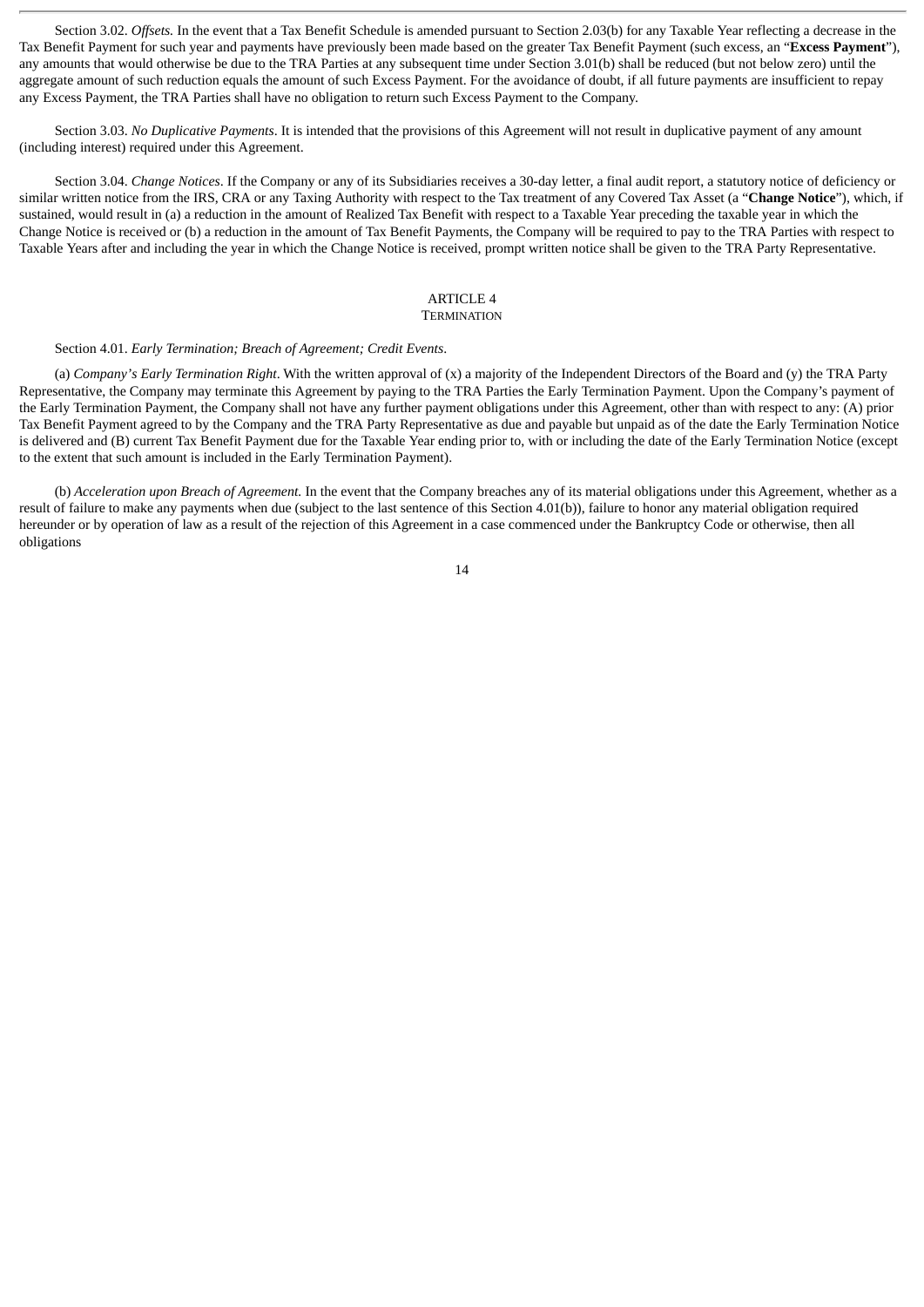Section 3.02. *Offsets.* In the event that a Tax Benefit Schedule is amended pursuant to Section 2.03(b) for any Taxable Year reflecting a decrease in the Tax Benefit Payment for such year and payments have previously been made based on the greater Tax Benefit Payment (such excess, an "**Excess Payment**"), any amounts that would otherwise be due to the TRA Parties at any subsequent time under Section 3.01(b) shall be reduced (but not below zero) until the aggregate amount of such reduction equals the amount of such Excess Payment. For the avoidance of doubt, if all future payments are insufficient to repay any Excess Payment, the TRA Parties shall have no obligation to return such Excess Payment to the Company.

Section 3.03. *No Duplicative Payments*. It is intended that the provisions of this Agreement will not result in duplicative payment of any amount (including interest) required under this Agreement.

Section 3.04. *Change Notices*. If the Company or any of its Subsidiaries receives a 30-day letter, a final audit report, a statutory notice of deficiency or similar written notice from the IRS, CRA or any Taxing Authority with respect to the Tax treatment of any Covered Tax Asset (a "**Change Notice**"), which, if sustained, would result in (a) a reduction in the amount of Realized Tax Benefit with respect to a Taxable Year preceding the taxable year in which the Change Notice is received or (b) a reduction in the amount of Tax Benefit Payments, the Company will be required to pay to the TRA Parties with respect to Taxable Years after and including the year in which the Change Notice is received, prompt written notice shall be given to the TRA Party Representative.

#### ARTICLE 4 **TERMINATION**

#### Section 4.01. *Early Termination; Breach of Agreement; Credit Events*.

(a) *Company's Early Termination Right*. With the written approval of (x) a majority of the Independent Directors of the Board and (y) the TRA Party Representative, the Company may terminate this Agreement by paying to the TRA Parties the Early Termination Payment. Upon the Company's payment of the Early Termination Payment, the Company shall not have any further payment obligations under this Agreement, other than with respect to any: (A) prior Tax Benefit Payment agreed to by the Company and the TRA Party Representative as due and payable but unpaid as of the date the Early Termination Notice is delivered and (B) current Tax Benefit Payment due for the Taxable Year ending prior to, with or including the date of the Early Termination Notice (except to the extent that such amount is included in the Early Termination Payment).

(b) *Acceleration upon Breach of Agreement.* In the event that the Company breaches any of its material obligations under this Agreement, whether as a result of failure to make any payments when due (subject to the last sentence of this Section 4.01(b)), failure to honor any material obligation required hereunder or by operation of law as a result of the rejection of this Agreement in a case commenced under the Bankruptcy Code or otherwise, then all obligations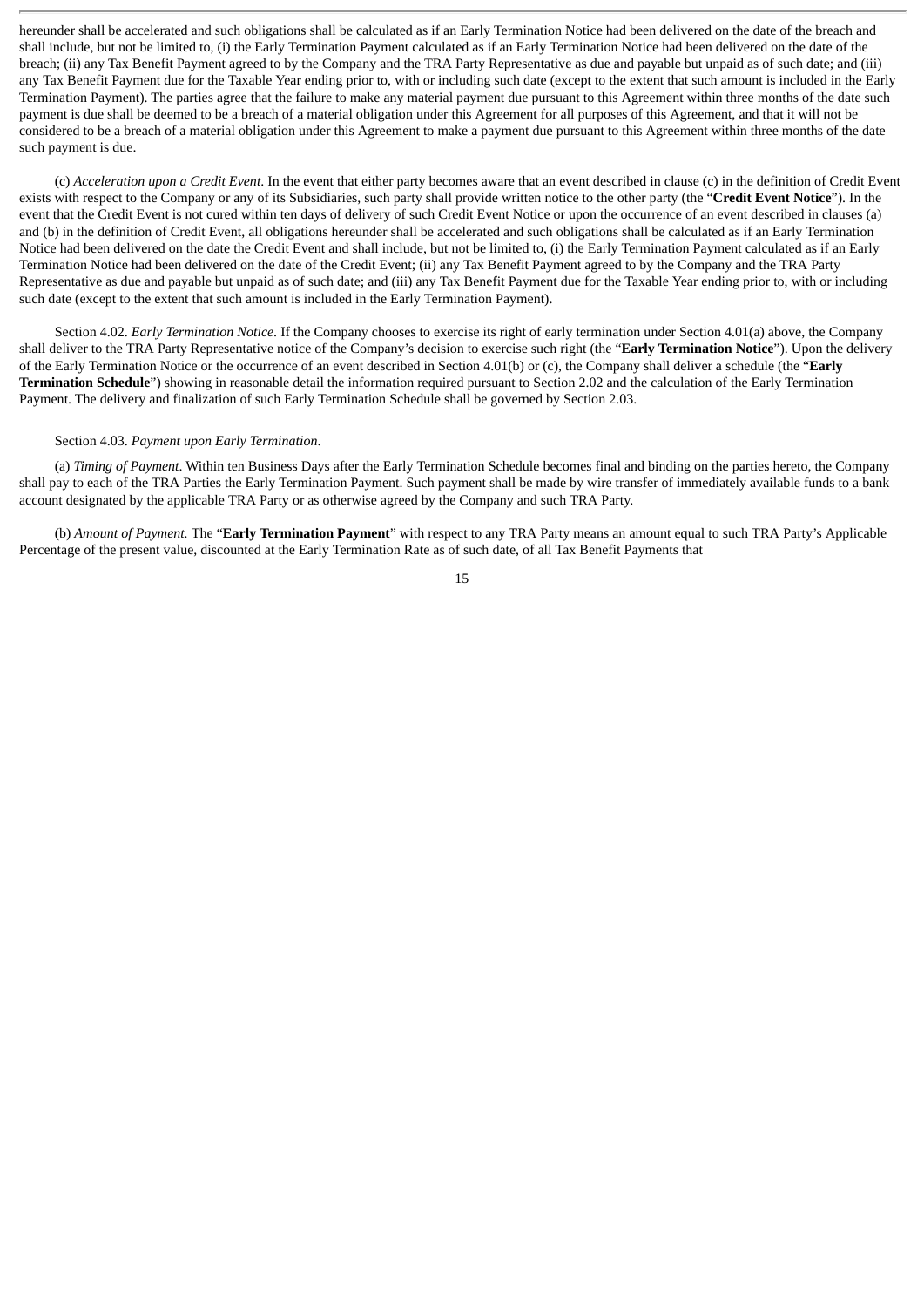hereunder shall be accelerated and such obligations shall be calculated as if an Early Termination Notice had been delivered on the date of the breach and shall include, but not be limited to, (i) the Early Termination Payment calculated as if an Early Termination Notice had been delivered on the date of the breach; (ii) any Tax Benefit Payment agreed to by the Company and the TRA Party Representative as due and payable but unpaid as of such date; and (iii) any Tax Benefit Payment due for the Taxable Year ending prior to, with or including such date (except to the extent that such amount is included in the Early Termination Payment). The parties agree that the failure to make any material payment due pursuant to this Agreement within three months of the date such payment is due shall be deemed to be a breach of a material obligation under this Agreement for all purposes of this Agreement, and that it will not be considered to be a breach of a material obligation under this Agreement to make a payment due pursuant to this Agreement within three months of the date such payment is due.

(c) *Acceleration upon a Credit Event*. In the event that either party becomes aware that an event described in clause (c) in the definition of Credit Event exists with respect to the Company or any of its Subsidiaries, such party shall provide written notice to the other party (the "**Credit Event Notice**"). In the event that the Credit Event is not cured within ten days of delivery of such Credit Event Notice or upon the occurrence of an event described in clauses (a) and (b) in the definition of Credit Event, all obligations hereunder shall be accelerated and such obligations shall be calculated as if an Early Termination Notice had been delivered on the date the Credit Event and shall include, but not be limited to, (i) the Early Termination Payment calculated as if an Early Termination Notice had been delivered on the date of the Credit Event; (ii) any Tax Benefit Payment agreed to by the Company and the TRA Party Representative as due and payable but unpaid as of such date; and (iii) any Tax Benefit Payment due for the Taxable Year ending prior to, with or including such date (except to the extent that such amount is included in the Early Termination Payment).

Section 4.02. *Early Termination Notice*. If the Company chooses to exercise its right of early termination under Section 4.01(a) above, the Company shall deliver to the TRA Party Representative notice of the Company's decision to exercise such right (the "**Early Termination Notice**"). Upon the delivery of the Early Termination Notice or the occurrence of an event described in Section 4.01(b) or (c), the Company shall deliver a schedule (the "**Early Termination Schedule**") showing in reasonable detail the information required pursuant to Section 2.02 and the calculation of the Early Termination Payment. The delivery and finalization of such Early Termination Schedule shall be governed by Section 2.03.

#### Section 4.03. *Payment upon Early Termination*.

(a) *Timing of Payment*. Within ten Business Days after the Early Termination Schedule becomes final and binding on the parties hereto, the Company shall pay to each of the TRA Parties the Early Termination Payment. Such payment shall be made by wire transfer of immediately available funds to a bank account designated by the applicable TRA Party or as otherwise agreed by the Company and such TRA Party.

(b) *Amount of Payment.* The "**Early Termination Payment**" with respect to any TRA Party means an amount equal to such TRA Party's Applicable Percentage of the present value, discounted at the Early Termination Rate as of such date, of all Tax Benefit Payments that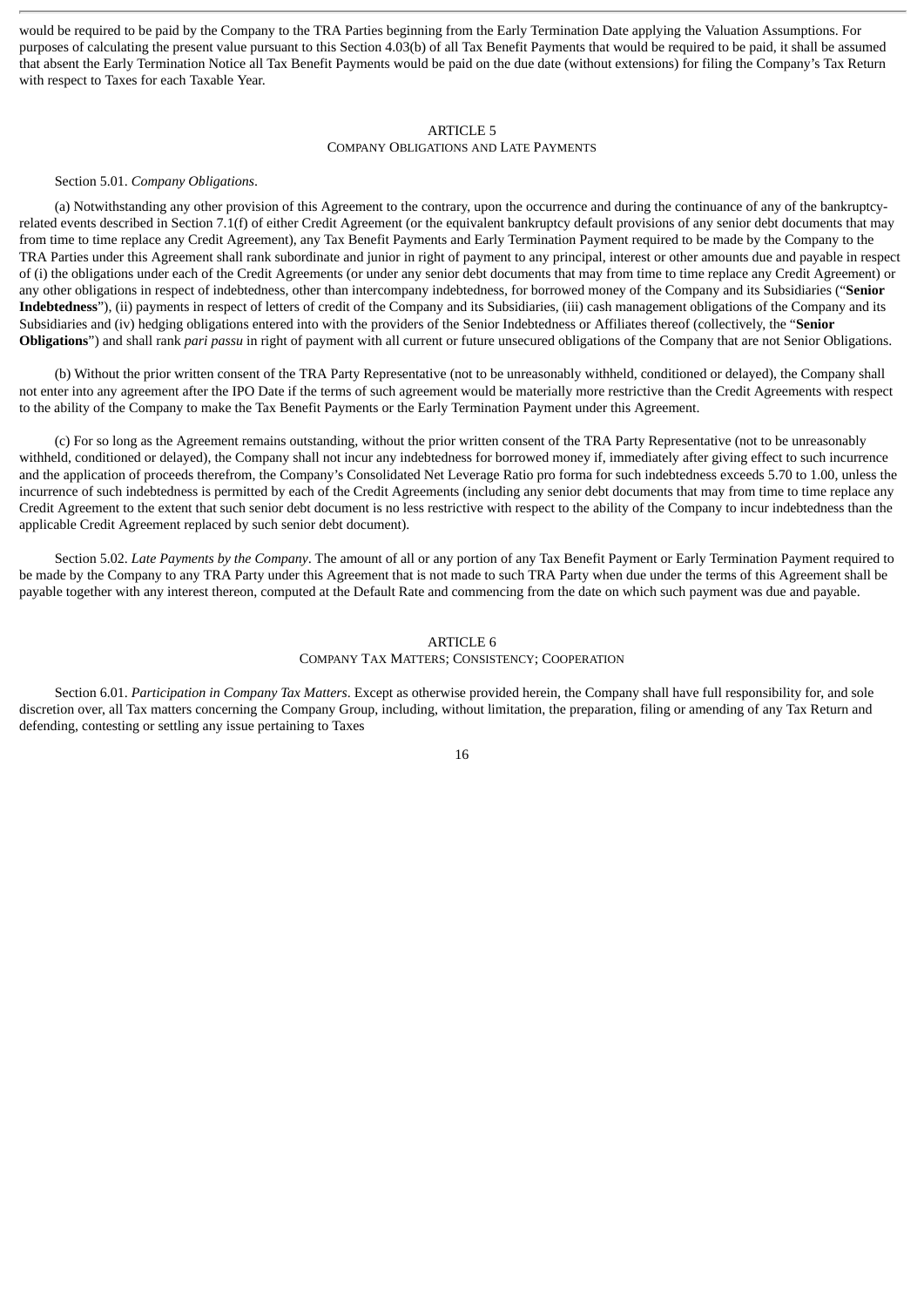would be required to be paid by the Company to the TRA Parties beginning from the Early Termination Date applying the Valuation Assumptions. For purposes of calculating the present value pursuant to this Section 4.03(b) of all Tax Benefit Payments that would be required to be paid, it shall be assumed that absent the Early Termination Notice all Tax Benefit Payments would be paid on the due date (without extensions) for filing the Company's Tax Return with respect to Taxes for each Taxable Year.

## ARTICLE 5

# COMPANY OBLIGATIONS AND LATE PAYMENTS

Section 5.01. *Company Obligations*.

(a) Notwithstanding any other provision of this Agreement to the contrary, upon the occurrence and during the continuance of any of the bankruptcyrelated events described in Section 7.1(f) of either Credit Agreement (or the equivalent bankruptcy default provisions of any senior debt documents that may from time to time replace any Credit Agreement), any Tax Benefit Payments and Early Termination Payment required to be made by the Company to the TRA Parties under this Agreement shall rank subordinate and junior in right of payment to any principal, interest or other amounts due and payable in respect of (i) the obligations under each of the Credit Agreements (or under any senior debt documents that may from time to time replace any Credit Agreement) or any other obligations in respect of indebtedness, other than intercompany indebtedness, for borrowed money of the Company and its Subsidiaries ("**Senior Indebtedness**"), (ii) payments in respect of letters of credit of the Company and its Subsidiaries, (iii) cash management obligations of the Company and its Subsidiaries and (iv) hedging obligations entered into with the providers of the Senior Indebtedness or Affiliates thereof (collectively, the "**Senior Obligations**") and shall rank *pari passu* in right of payment with all current or future unsecured obligations of the Company that are not Senior Obligations.

(b) Without the prior written consent of the TRA Party Representative (not to be unreasonably withheld, conditioned or delayed), the Company shall not enter into any agreement after the IPO Date if the terms of such agreement would be materially more restrictive than the Credit Agreements with respect to the ability of the Company to make the Tax Benefit Payments or the Early Termination Payment under this Agreement.

(c) For so long as the Agreement remains outstanding, without the prior written consent of the TRA Party Representative (not to be unreasonably withheld, conditioned or delayed), the Company shall not incur any indebtedness for borrowed money if, immediately after giving effect to such incurrence and the application of proceeds therefrom, the Company's Consolidated Net Leverage Ratio pro forma for such indebtedness exceeds 5.70 to 1.00, unless the incurrence of such indebtedness is permitted by each of the Credit Agreements (including any senior debt documents that may from time to time replace any Credit Agreement to the extent that such senior debt document is no less restrictive with respect to the ability of the Company to incur indebtedness than the applicable Credit Agreement replaced by such senior debt document).

Section 5.02. *Late Payments by the Company*. The amount of all or any portion of any Tax Benefit Payment or Early Termination Payment required to be made by the Company to any TRA Party under this Agreement that is not made to such TRA Party when due under the terms of this Agreement shall be payable together with any interest thereon, computed at the Default Rate and commencing from the date on which such payment was due and payable.

#### ARTICLE 6 COMPANY TAX MATTERS; CONSISTENCY; COOPERATION

Section 6.01. *Participation in Company Tax Matters*. Except as otherwise provided herein, the Company shall have full responsibility for, and sole discretion over, all Tax matters concerning the Company Group, including, without limitation, the preparation, filing or amending of any Tax Return and defending, contesting or settling any issue pertaining to Taxes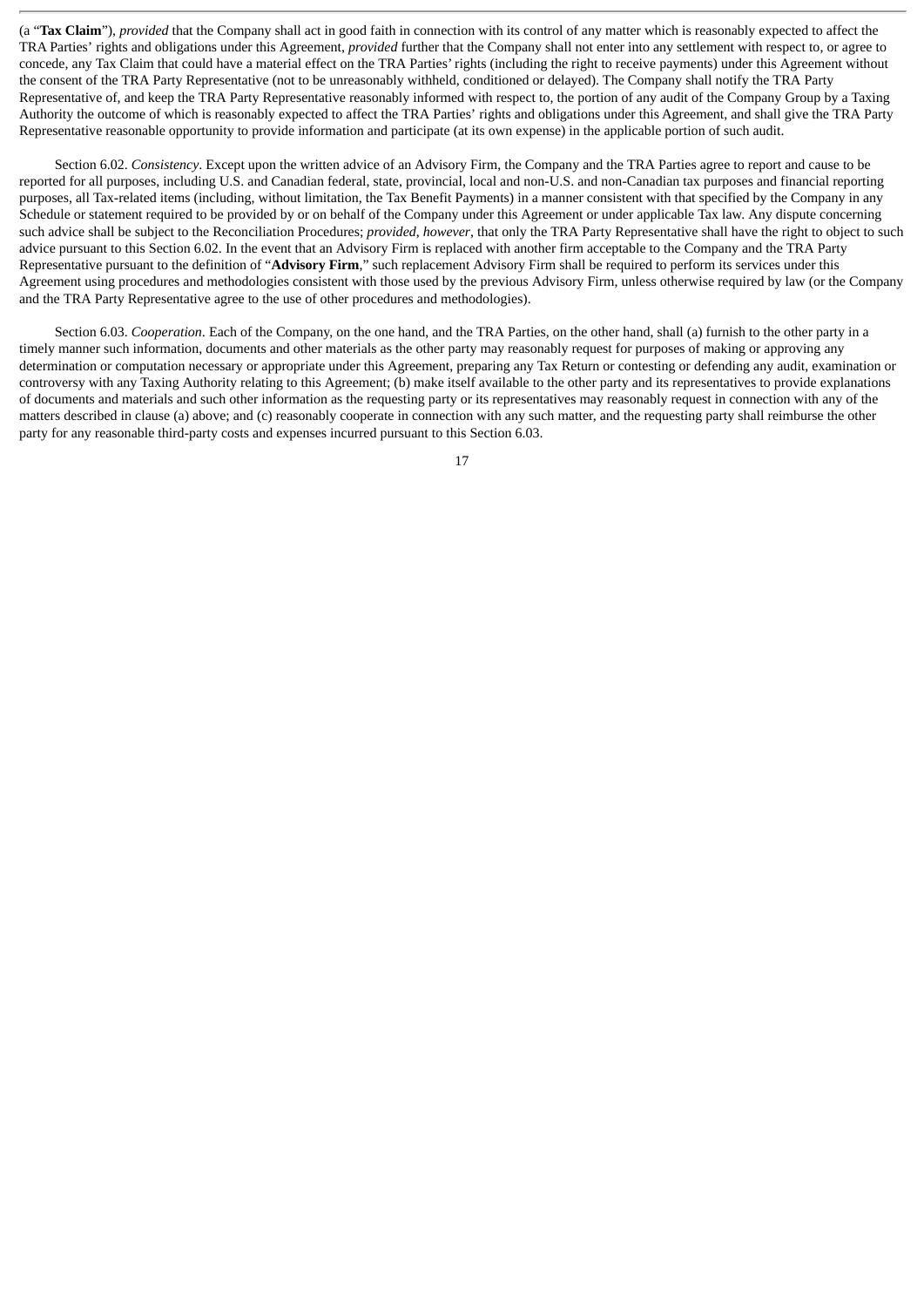(a "**Tax Claim**"), *provided* that the Company shall act in good faith in connection with its control of any matter which is reasonably expected to affect the TRA Parties' rights and obligations under this Agreement, *provided* further that the Company shall not enter into any settlement with respect to, or agree to concede, any Tax Claim that could have a material effect on the TRA Parties' rights (including the right to receive payments) under this Agreement without the consent of the TRA Party Representative (not to be unreasonably withheld, conditioned or delayed). The Company shall notify the TRA Party Representative of, and keep the TRA Party Representative reasonably informed with respect to, the portion of any audit of the Company Group by a Taxing Authority the outcome of which is reasonably expected to affect the TRA Parties' rights and obligations under this Agreement, and shall give the TRA Party Representative reasonable opportunity to provide information and participate (at its own expense) in the applicable portion of such audit.

Section 6.02. *Consistency*. Except upon the written advice of an Advisory Firm, the Company and the TRA Parties agree to report and cause to be reported for all purposes, including U.S. and Canadian federal, state, provincial, local and non-U.S. and non-Canadian tax purposes and financial reporting purposes, all Tax-related items (including, without limitation, the Tax Benefit Payments) in a manner consistent with that specified by the Company in any Schedule or statement required to be provided by or on behalf of the Company under this Agreement or under applicable Tax law. Any dispute concerning such advice shall be subject to the Reconciliation Procedures; *provided*, *however*, that only the TRA Party Representative shall have the right to object to such advice pursuant to this Section 6.02. In the event that an Advisory Firm is replaced with another firm acceptable to the Company and the TRA Party Representative pursuant to the definition of "**Advisory Firm**," such replacement Advisory Firm shall be required to perform its services under this Agreement using procedures and methodologies consistent with those used by the previous Advisory Firm, unless otherwise required by law (or the Company and the TRA Party Representative agree to the use of other procedures and methodologies).

Section 6.03. *Cooperation*. Each of the Company, on the one hand, and the TRA Parties, on the other hand, shall (a) furnish to the other party in a timely manner such information, documents and other materials as the other party may reasonably request for purposes of making or approving any determination or computation necessary or appropriate under this Agreement, preparing any Tax Return or contesting or defending any audit, examination or controversy with any Taxing Authority relating to this Agreement; (b) make itself available to the other party and its representatives to provide explanations of documents and materials and such other information as the requesting party or its representatives may reasonably request in connection with any of the matters described in clause (a) above; and (c) reasonably cooperate in connection with any such matter, and the requesting party shall reimburse the other party for any reasonable third-party costs and expenses incurred pursuant to this Section 6.03.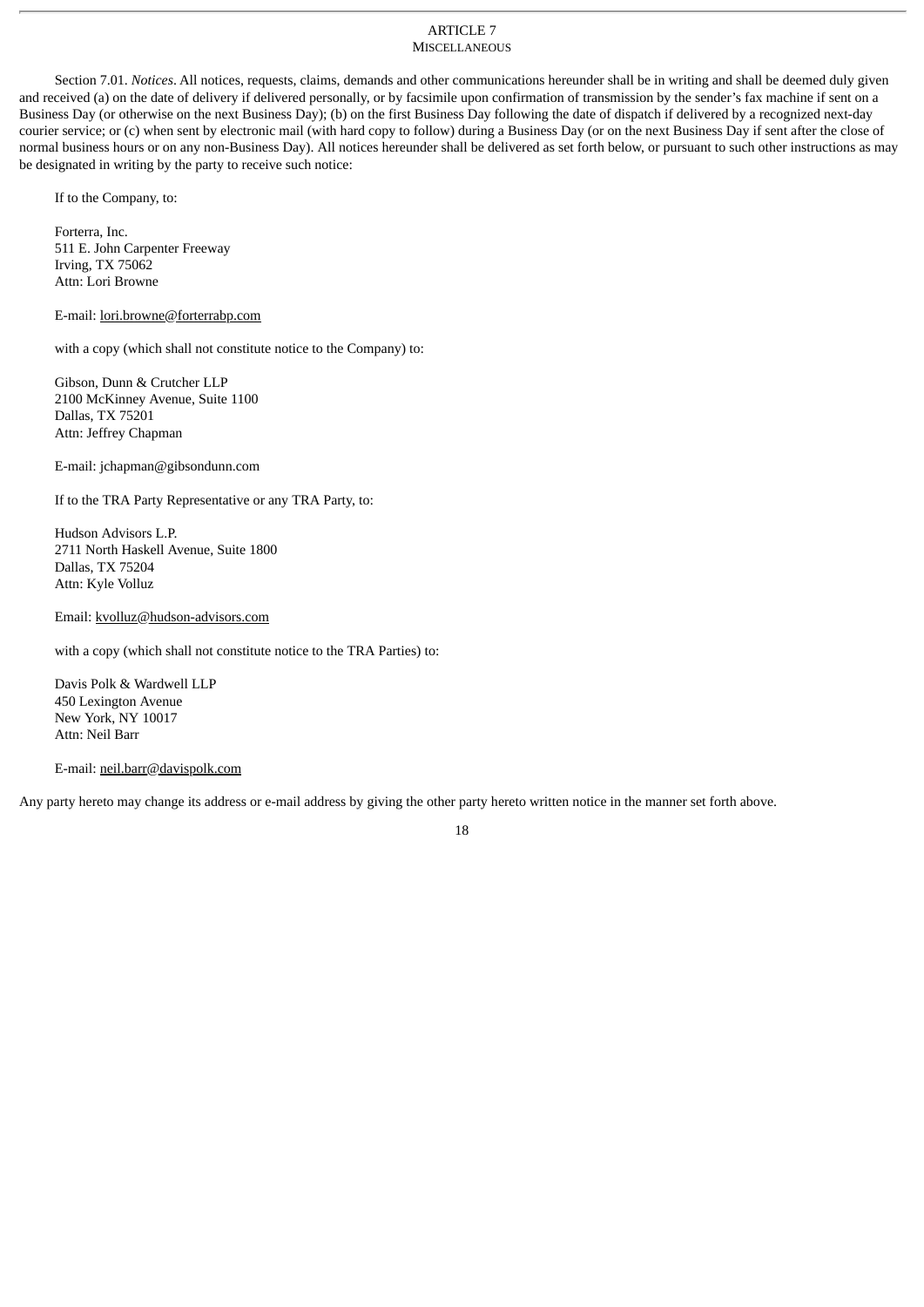#### ARTICLE 7 **MISCELLANEOUS**

Section 7.01. *Notices*. All notices, requests, claims, demands and other communications hereunder shall be in writing and shall be deemed duly given and received (a) on the date of delivery if delivered personally, or by facsimile upon confirmation of transmission by the sender's fax machine if sent on a Business Day (or otherwise on the next Business Day); (b) on the first Business Day following the date of dispatch if delivered by a recognized next-day courier service; or (c) when sent by electronic mail (with hard copy to follow) during a Business Day (or on the next Business Day if sent after the close of normal business hours or on any non-Business Day). All notices hereunder shall be delivered as set forth below, or pursuant to such other instructions as may be designated in writing by the party to receive such notice:

If to the Company, to:

Forterra, Inc. 511 E. John Carpenter Freeway Irving, TX 75062 Attn: Lori Browne

E-mail: lori.browne@forterrabp.com

with a copy (which shall not constitute notice to the Company) to:

Gibson, Dunn & Crutcher LLP 2100 McKinney Avenue, Suite 1100 Dallas, TX 75201 Attn: Jeffrey Chapman

E-mail: jchapman@gibsondunn.com

If to the TRA Party Representative or any TRA Party, to:

Hudson Advisors L.P. 2711 North Haskell Avenue, Suite 1800 Dallas, TX 75204 Attn: Kyle Volluz

Email: kvolluz@hudson-advisors.com

with a copy (which shall not constitute notice to the TRA Parties) to:

Davis Polk & Wardwell LLP 450 Lexington Avenue New York, NY 10017 Attn: Neil Barr

E-mail: neil.barr@davispolk.com

Any party hereto may change its address or e-mail address by giving the other party hereto written notice in the manner set forth above.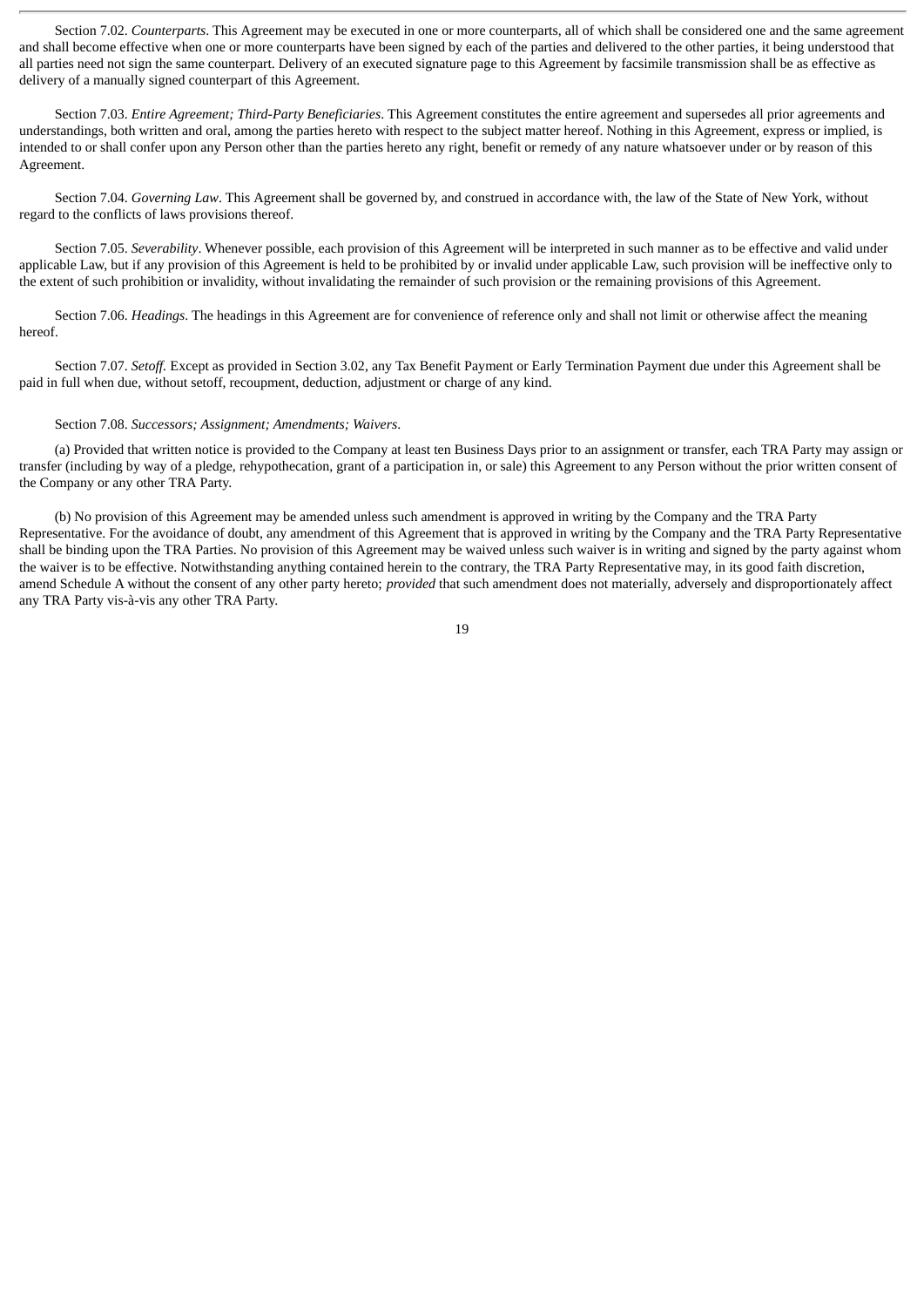Section 7.02. *Counterparts*. This Agreement may be executed in one or more counterparts, all of which shall be considered one and the same agreement and shall become effective when one or more counterparts have been signed by each of the parties and delivered to the other parties, it being understood that all parties need not sign the same counterpart. Delivery of an executed signature page to this Agreement by facsimile transmission shall be as effective as delivery of a manually signed counterpart of this Agreement.

Section 7.03. *Entire Agreement; Third-Party Beneficiaries*. This Agreement constitutes the entire agreement and supersedes all prior agreements and understandings, both written and oral, among the parties hereto with respect to the subject matter hereof. Nothing in this Agreement, express or implied, is intended to or shall confer upon any Person other than the parties hereto any right, benefit or remedy of any nature whatsoever under or by reason of this Agreement.

Section 7.04. *Governing Law*. This Agreement shall be governed by, and construed in accordance with, the law of the State of New York, without regard to the conflicts of laws provisions thereof.

Section 7.05. *Severability*. Whenever possible, each provision of this Agreement will be interpreted in such manner as to be effective and valid under applicable Law, but if any provision of this Agreement is held to be prohibited by or invalid under applicable Law, such provision will be ineffective only to the extent of such prohibition or invalidity, without invalidating the remainder of such provision or the remaining provisions of this Agreement.

Section 7.06. *Headings*. The headings in this Agreement are for convenience of reference only and shall not limit or otherwise affect the meaning hereof.

Section 7.07. *Setoff.* Except as provided in Section 3.02, any Tax Benefit Payment or Early Termination Payment due under this Agreement shall be paid in full when due, without setoff, recoupment, deduction, adjustment or charge of any kind.

#### Section 7.08. *Successors; Assignment; Amendments; Waivers*.

(a) Provided that written notice is provided to the Company at least ten Business Days prior to an assignment or transfer, each TRA Party may assign or transfer (including by way of a pledge, rehypothecation, grant of a participation in, or sale) this Agreement to any Person without the prior written consent of the Company or any other TRA Party.

(b) No provision of this Agreement may be amended unless such amendment is approved in writing by the Company and the TRA Party Representative. For the avoidance of doubt, any amendment of this Agreement that is approved in writing by the Company and the TRA Party Representative shall be binding upon the TRA Parties. No provision of this Agreement may be waived unless such waiver is in writing and signed by the party against whom the waiver is to be effective. Notwithstanding anything contained herein to the contrary, the TRA Party Representative may, in its good faith discretion, amend Schedule A without the consent of any other party hereto; *provided* that such amendment does not materially, adversely and disproportionately affect any TRA Party vis-à-vis any other TRA Party.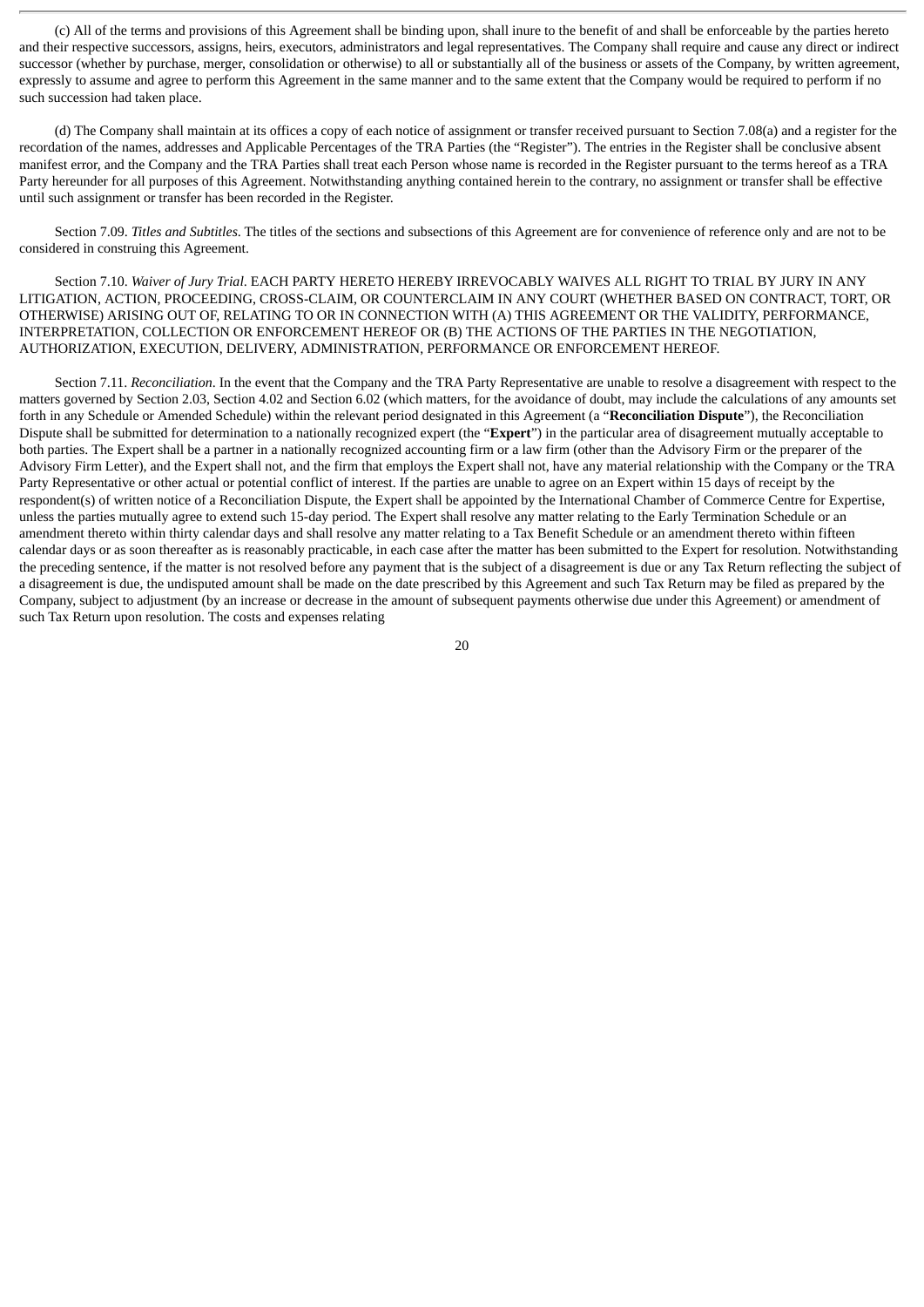(c) All of the terms and provisions of this Agreement shall be binding upon, shall inure to the benefit of and shall be enforceable by the parties hereto and their respective successors, assigns, heirs, executors, administrators and legal representatives. The Company shall require and cause any direct or indirect successor (whether by purchase, merger, consolidation or otherwise) to all or substantially all of the business or assets of the Company, by written agreement, expressly to assume and agree to perform this Agreement in the same manner and to the same extent that the Company would be required to perform if no such succession had taken place.

(d) The Company shall maintain at its offices a copy of each notice of assignment or transfer received pursuant to Section 7.08(a) and a register for the recordation of the names, addresses and Applicable Percentages of the TRA Parties (the "Register"). The entries in the Register shall be conclusive absent manifest error, and the Company and the TRA Parties shall treat each Person whose name is recorded in the Register pursuant to the terms hereof as a TRA Party hereunder for all purposes of this Agreement. Notwithstanding anything contained herein to the contrary, no assignment or transfer shall be effective until such assignment or transfer has been recorded in the Register.

Section 7.09. *Titles and Subtitles*. The titles of the sections and subsections of this Agreement are for convenience of reference only and are not to be considered in construing this Agreement.

Section 7.10. *Waiver of Jury Trial*. EACH PARTY HERETO HEREBY IRREVOCABLY WAIVES ALL RIGHT TO TRIAL BY JURY IN ANY LITIGATION, ACTION, PROCEEDING, CROSS-CLAIM, OR COUNTERCLAIM IN ANY COURT (WHETHER BASED ON CONTRACT, TORT, OR OTHERWISE) ARISING OUT OF, RELATING TO OR IN CONNECTION WITH (A) THIS AGREEMENT OR THE VALIDITY, PERFORMANCE, INTERPRETATION, COLLECTION OR ENFORCEMENT HEREOF OR (B) THE ACTIONS OF THE PARTIES IN THE NEGOTIATION, AUTHORIZATION, EXECUTION, DELIVERY, ADMINISTRATION, PERFORMANCE OR ENFORCEMENT HEREOF.

Section 7.11. *Reconciliation*. In the event that the Company and the TRA Party Representative are unable to resolve a disagreement with respect to the matters governed by Section 2.03, Section 4.02 and Section 6.02 (which matters, for the avoidance of doubt, may include the calculations of any amounts set forth in any Schedule or Amended Schedule) within the relevant period designated in this Agreement (a "**Reconciliation Dispute**"), the Reconciliation Dispute shall be submitted for determination to a nationally recognized expert (the "**Expert**") in the particular area of disagreement mutually acceptable to both parties. The Expert shall be a partner in a nationally recognized accounting firm or a law firm (other than the Advisory Firm or the preparer of the Advisory Firm Letter), and the Expert shall not, and the firm that employs the Expert shall not, have any material relationship with the Company or the TRA Party Representative or other actual or potential conflict of interest. If the parties are unable to agree on an Expert within 15 days of receipt by the respondent(s) of written notice of a Reconciliation Dispute, the Expert shall be appointed by the International Chamber of Commerce Centre for Expertise, unless the parties mutually agree to extend such 15-day period. The Expert shall resolve any matter relating to the Early Termination Schedule or an amendment thereto within thirty calendar days and shall resolve any matter relating to a Tax Benefit Schedule or an amendment thereto within fifteen calendar days or as soon thereafter as is reasonably practicable, in each case after the matter has been submitted to the Expert for resolution. Notwithstanding the preceding sentence, if the matter is not resolved before any payment that is the subject of a disagreement is due or any Tax Return reflecting the subject of a disagreement is due, the undisputed amount shall be made on the date prescribed by this Agreement and such Tax Return may be filed as prepared by the Company, subject to adjustment (by an increase or decrease in the amount of subsequent payments otherwise due under this Agreement) or amendment of such Tax Return upon resolution. The costs and expenses relating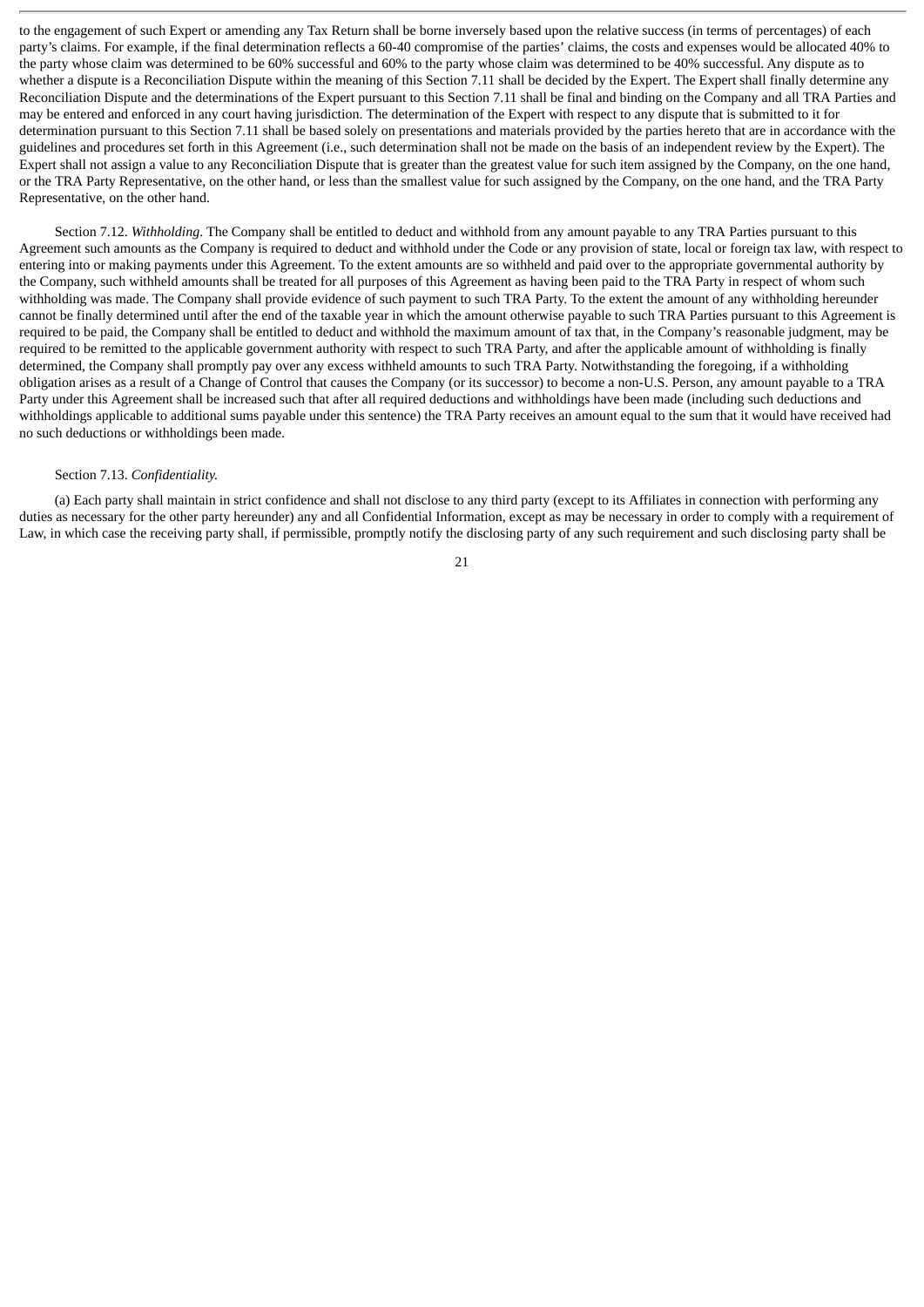to the engagement of such Expert or amending any Tax Return shall be borne inversely based upon the relative success (in terms of percentages) of each party's claims. For example, if the final determination reflects a 60-40 compromise of the parties' claims, the costs and expenses would be allocated 40% to the party whose claim was determined to be 60% successful and 60% to the party whose claim was determined to be 40% successful. Any dispute as to whether a dispute is a Reconciliation Dispute within the meaning of this Section 7.11 shall be decided by the Expert. The Expert shall finally determine any Reconciliation Dispute and the determinations of the Expert pursuant to this Section 7.11 shall be final and binding on the Company and all TRA Parties and may be entered and enforced in any court having jurisdiction. The determination of the Expert with respect to any dispute that is submitted to it for determination pursuant to this Section 7.11 shall be based solely on presentations and materials provided by the parties hereto that are in accordance with the guidelines and procedures set forth in this Agreement (i.e., such determination shall not be made on the basis of an independent review by the Expert). The Expert shall not assign a value to any Reconciliation Dispute that is greater than the greatest value for such item assigned by the Company, on the one hand, or the TRA Party Representative, on the other hand, or less than the smallest value for such assigned by the Company, on the one hand, and the TRA Party Representative, on the other hand.

Section 7.12. *Withholding*. The Company shall be entitled to deduct and withhold from any amount payable to any TRA Parties pursuant to this Agreement such amounts as the Company is required to deduct and withhold under the Code or any provision of state, local or foreign tax law, with respect to entering into or making payments under this Agreement. To the extent amounts are so withheld and paid over to the appropriate governmental authority by the Company, such withheld amounts shall be treated for all purposes of this Agreement as having been paid to the TRA Party in respect of whom such withholding was made. The Company shall provide evidence of such payment to such TRA Party. To the extent the amount of any withholding hereunder cannot be finally determined until after the end of the taxable year in which the amount otherwise payable to such TRA Parties pursuant to this Agreement is required to be paid, the Company shall be entitled to deduct and withhold the maximum amount of tax that, in the Company's reasonable judgment, may be required to be remitted to the applicable government authority with respect to such TRA Party, and after the applicable amount of withholding is finally determined, the Company shall promptly pay over any excess withheld amounts to such TRA Party. Notwithstanding the foregoing, if a withholding obligation arises as a result of a Change of Control that causes the Company (or its successor) to become a non-U.S. Person, any amount payable to a TRA Party under this Agreement shall be increased such that after all required deductions and withholdings have been made (including such deductions and withholdings applicable to additional sums payable under this sentence) the TRA Party receives an amount equal to the sum that it would have received had no such deductions or withholdings been made.

## Section 7.13. *Confidentiality.*

(a) Each party shall maintain in strict confidence and shall not disclose to any third party (except to its Affiliates in connection with performing any duties as necessary for the other party hereunder) any and all Confidential Information, except as may be necessary in order to comply with a requirement of Law, in which case the receiving party shall, if permissible, promptly notify the disclosing party of any such requirement and such disclosing party shall be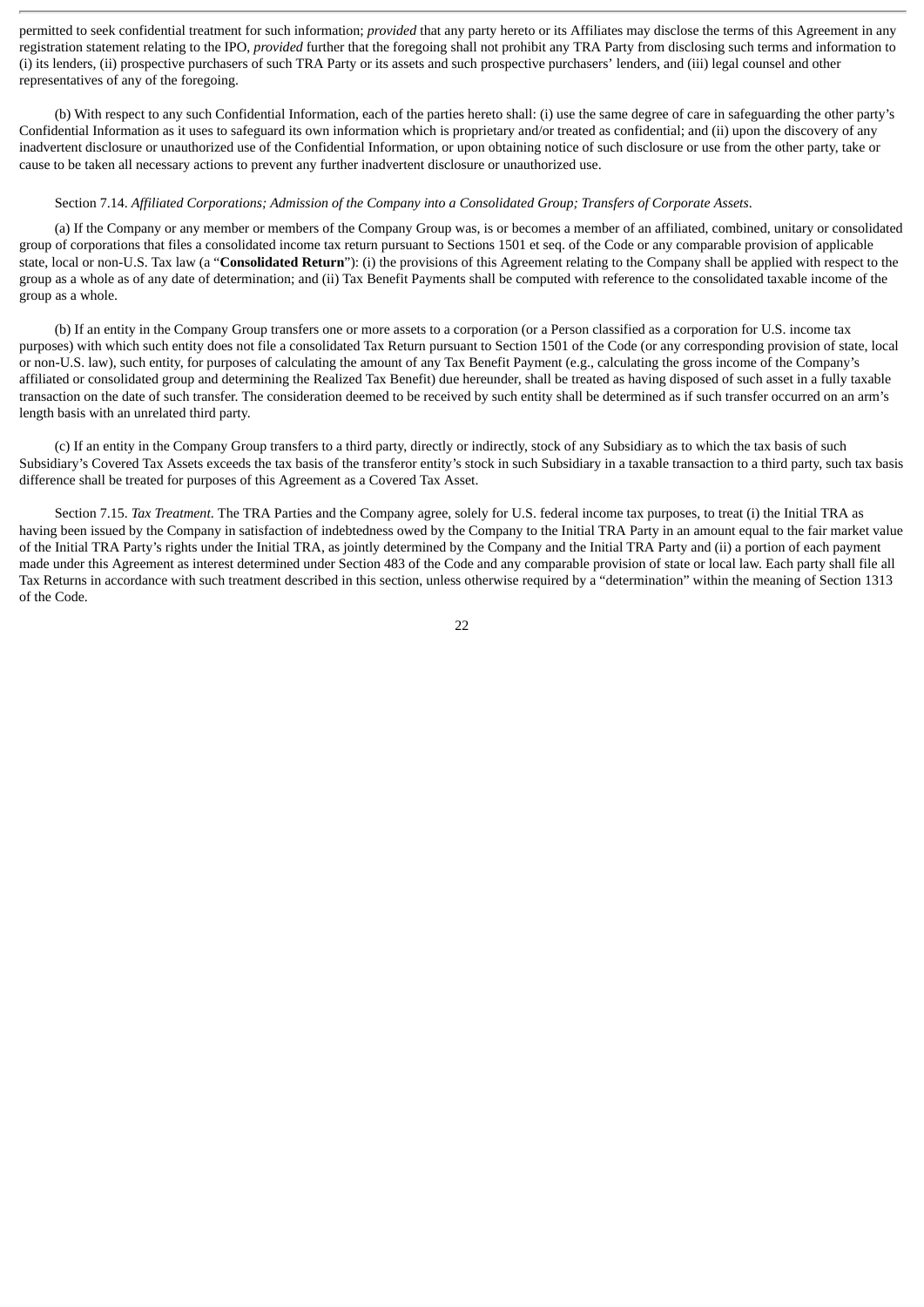permitted to seek confidential treatment for such information; *provided* that any party hereto or its Affiliates may disclose the terms of this Agreement in any registration statement relating to the IPO, *provided* further that the foregoing shall not prohibit any TRA Party from disclosing such terms and information to (i) its lenders, (ii) prospective purchasers of such TRA Party or its assets and such prospective purchasers' lenders, and (iii) legal counsel and other representatives of any of the foregoing.

(b) With respect to any such Confidential Information, each of the parties hereto shall: (i) use the same degree of care in safeguarding the other party's Confidential Information as it uses to safeguard its own information which is proprietary and/or treated as confidential; and (ii) upon the discovery of any inadvertent disclosure or unauthorized use of the Confidential Information, or upon obtaining notice of such disclosure or use from the other party, take or cause to be taken all necessary actions to prevent any further inadvertent disclosure or unauthorized use.

#### Section 7.14. *Affiliated Corporations; Admission of the Company into a Consolidated Group; Transfers of Corporate Assets*.

(a) If the Company or any member or members of the Company Group was, is or becomes a member of an affiliated, combined, unitary or consolidated group of corporations that files a consolidated income tax return pursuant to Sections 1501 et seq. of the Code or any comparable provision of applicable state, local or non-U.S. Tax law (a "**Consolidated Return**"): (i) the provisions of this Agreement relating to the Company shall be applied with respect to the group as a whole as of any date of determination; and (ii) Tax Benefit Payments shall be computed with reference to the consolidated taxable income of the group as a whole.

(b) If an entity in the Company Group transfers one or more assets to a corporation (or a Person classified as a corporation for U.S. income tax purposes) with which such entity does not file a consolidated Tax Return pursuant to Section 1501 of the Code (or any corresponding provision of state, local or non-U.S. law), such entity, for purposes of calculating the amount of any Tax Benefit Payment (e.g., calculating the gross income of the Company's affiliated or consolidated group and determining the Realized Tax Benefit) due hereunder, shall be treated as having disposed of such asset in a fully taxable transaction on the date of such transfer. The consideration deemed to be received by such entity shall be determined as if such transfer occurred on an arm's length basis with an unrelated third party.

(c) If an entity in the Company Group transfers to a third party, directly or indirectly, stock of any Subsidiary as to which the tax basis of such Subsidiary's Covered Tax Assets exceeds the tax basis of the transferor entity's stock in such Subsidiary in a taxable transaction to a third party, such tax basis difference shall be treated for purposes of this Agreement as a Covered Tax Asset.

Section 7.15. *Tax Treatment*. The TRA Parties and the Company agree, solely for U.S. federal income tax purposes, to treat (i) the Initial TRA as having been issued by the Company in satisfaction of indebtedness owed by the Company to the Initial TRA Party in an amount equal to the fair market value of the Initial TRA Party's rights under the Initial TRA, as jointly determined by the Company and the Initial TRA Party and (ii) a portion of each payment made under this Agreement as interest determined under Section 483 of the Code and any comparable provision of state or local law. Each party shall file all Tax Returns in accordance with such treatment described in this section, unless otherwise required by a "determination" within the meaning of Section 1313 of the Code.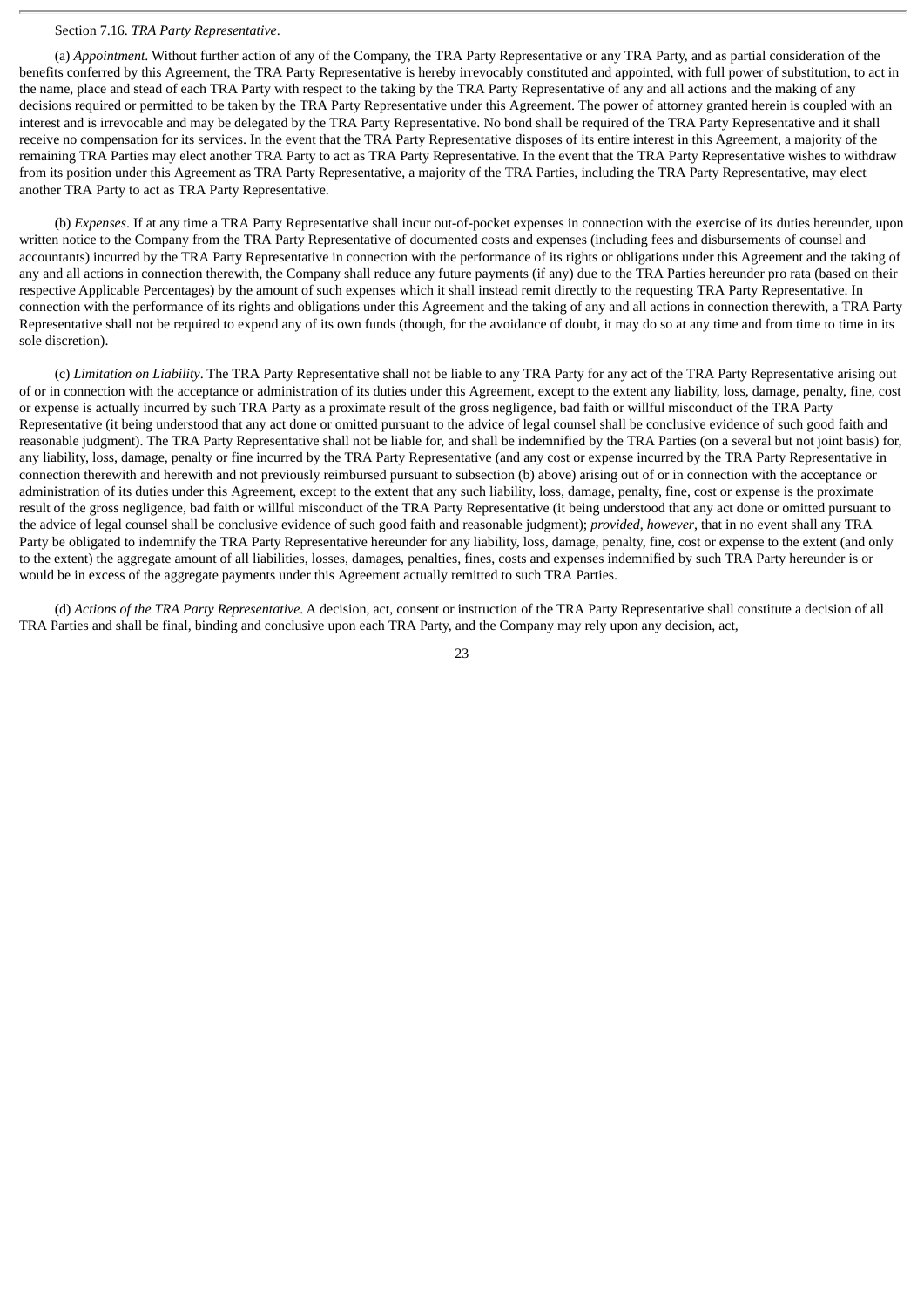#### Section 7.16. *TRA Party Representative*.

(a) *Appointment*. Without further action of any of the Company, the TRA Party Representative or any TRA Party, and as partial consideration of the benefits conferred by this Agreement, the TRA Party Representative is hereby irrevocably constituted and appointed, with full power of substitution, to act in the name, place and stead of each TRA Party with respect to the taking by the TRA Party Representative of any and all actions and the making of any decisions required or permitted to be taken by the TRA Party Representative under this Agreement. The power of attorney granted herein is coupled with an interest and is irrevocable and may be delegated by the TRA Party Representative. No bond shall be required of the TRA Party Representative and it shall receive no compensation for its services. In the event that the TRA Party Representative disposes of its entire interest in this Agreement, a majority of the remaining TRA Parties may elect another TRA Party to act as TRA Party Representative. In the event that the TRA Party Representative wishes to withdraw from its position under this Agreement as TRA Party Representative, a majority of the TRA Parties, including the TRA Party Representative, may elect another TRA Party to act as TRA Party Representative.

(b) *Expenses*. If at any time a TRA Party Representative shall incur out-of-pocket expenses in connection with the exercise of its duties hereunder, upon written notice to the Company from the TRA Party Representative of documented costs and expenses (including fees and disbursements of counsel and accountants) incurred by the TRA Party Representative in connection with the performance of its rights or obligations under this Agreement and the taking of any and all actions in connection therewith, the Company shall reduce any future payments (if any) due to the TRA Parties hereunder pro rata (based on their respective Applicable Percentages) by the amount of such expenses which it shall instead remit directly to the requesting TRA Party Representative. In connection with the performance of its rights and obligations under this Agreement and the taking of any and all actions in connection therewith, a TRA Party Representative shall not be required to expend any of its own funds (though, for the avoidance of doubt, it may do so at any time and from time to time in its sole discretion).

(c) *Limitation on Liability*. The TRA Party Representative shall not be liable to any TRA Party for any act of the TRA Party Representative arising out of or in connection with the acceptance or administration of its duties under this Agreement, except to the extent any liability, loss, damage, penalty, fine, cost or expense is actually incurred by such TRA Party as a proximate result of the gross negligence, bad faith or willful misconduct of the TRA Party Representative (it being understood that any act done or omitted pursuant to the advice of legal counsel shall be conclusive evidence of such good faith and reasonable judgment). The TRA Party Representative shall not be liable for, and shall be indemnified by the TRA Parties (on a several but not joint basis) for, any liability, loss, damage, penalty or fine incurred by the TRA Party Representative (and any cost or expense incurred by the TRA Party Representative in connection therewith and herewith and not previously reimbursed pursuant to subsection (b) above) arising out of or in connection with the acceptance or administration of its duties under this Agreement, except to the extent that any such liability, loss, damage, penalty, fine, cost or expense is the proximate result of the gross negligence, bad faith or willful misconduct of the TRA Party Representative (it being understood that any act done or omitted pursuant to the advice of legal counsel shall be conclusive evidence of such good faith and reasonable judgment); *provided*, *however*, that in no event shall any TRA Party be obligated to indemnify the TRA Party Representative hereunder for any liability, loss, damage, penalty, fine, cost or expense to the extent (and only to the extent) the aggregate amount of all liabilities, losses, damages, penalties, fines, costs and expenses indemnified by such TRA Party hereunder is or would be in excess of the aggregate payments under this Agreement actually remitted to such TRA Parties.

(d) *Actions of the TRA Party Representative*. A decision, act, consent or instruction of the TRA Party Representative shall constitute a decision of all TRA Parties and shall be final, binding and conclusive upon each TRA Party, and the Company may rely upon any decision, act,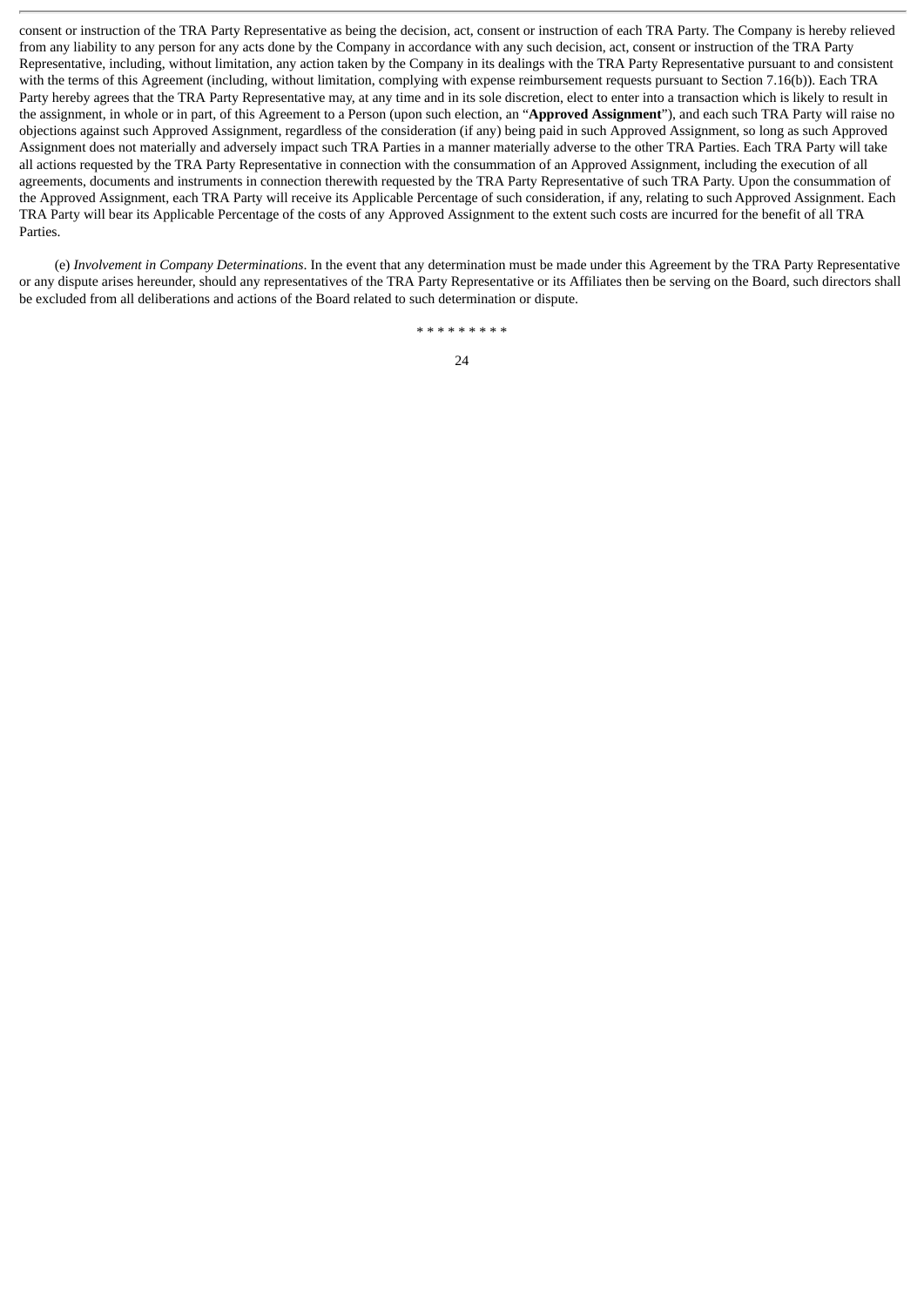consent or instruction of the TRA Party Representative as being the decision, act, consent or instruction of each TRA Party. The Company is hereby relieved from any liability to any person for any acts done by the Company in accordance with any such decision, act, consent or instruction of the TRA Party Representative, including, without limitation, any action taken by the Company in its dealings with the TRA Party Representative pursuant to and consistent with the terms of this Agreement (including, without limitation, complying with expense reimbursement requests pursuant to Section 7.16(b)). Each TRA Party hereby agrees that the TRA Party Representative may, at any time and in its sole discretion, elect to enter into a transaction which is likely to result in the assignment, in whole or in part, of this Agreement to a Person (upon such election, an "**Approved Assignment**"), and each such TRA Party will raise no objections against such Approved Assignment, regardless of the consideration (if any) being paid in such Approved Assignment, so long as such Approved Assignment does not materially and adversely impact such TRA Parties in a manner materially adverse to the other TRA Parties. Each TRA Party will take all actions requested by the TRA Party Representative in connection with the consummation of an Approved Assignment, including the execution of all agreements, documents and instruments in connection therewith requested by the TRA Party Representative of such TRA Party. Upon the consummation of the Approved Assignment, each TRA Party will receive its Applicable Percentage of such consideration, if any, relating to such Approved Assignment. Each TRA Party will bear its Applicable Percentage of the costs of any Approved Assignment to the extent such costs are incurred for the benefit of all TRA Parties.

(e) *Involvement in Company Determinations*. In the event that any determination must be made under this Agreement by the TRA Party Representative or any dispute arises hereunder, should any representatives of the TRA Party Representative or its Affiliates then be serving on the Board, such directors shall be excluded from all deliberations and actions of the Board related to such determination or dispute.

\* \* \* \* \* \* \* \* \*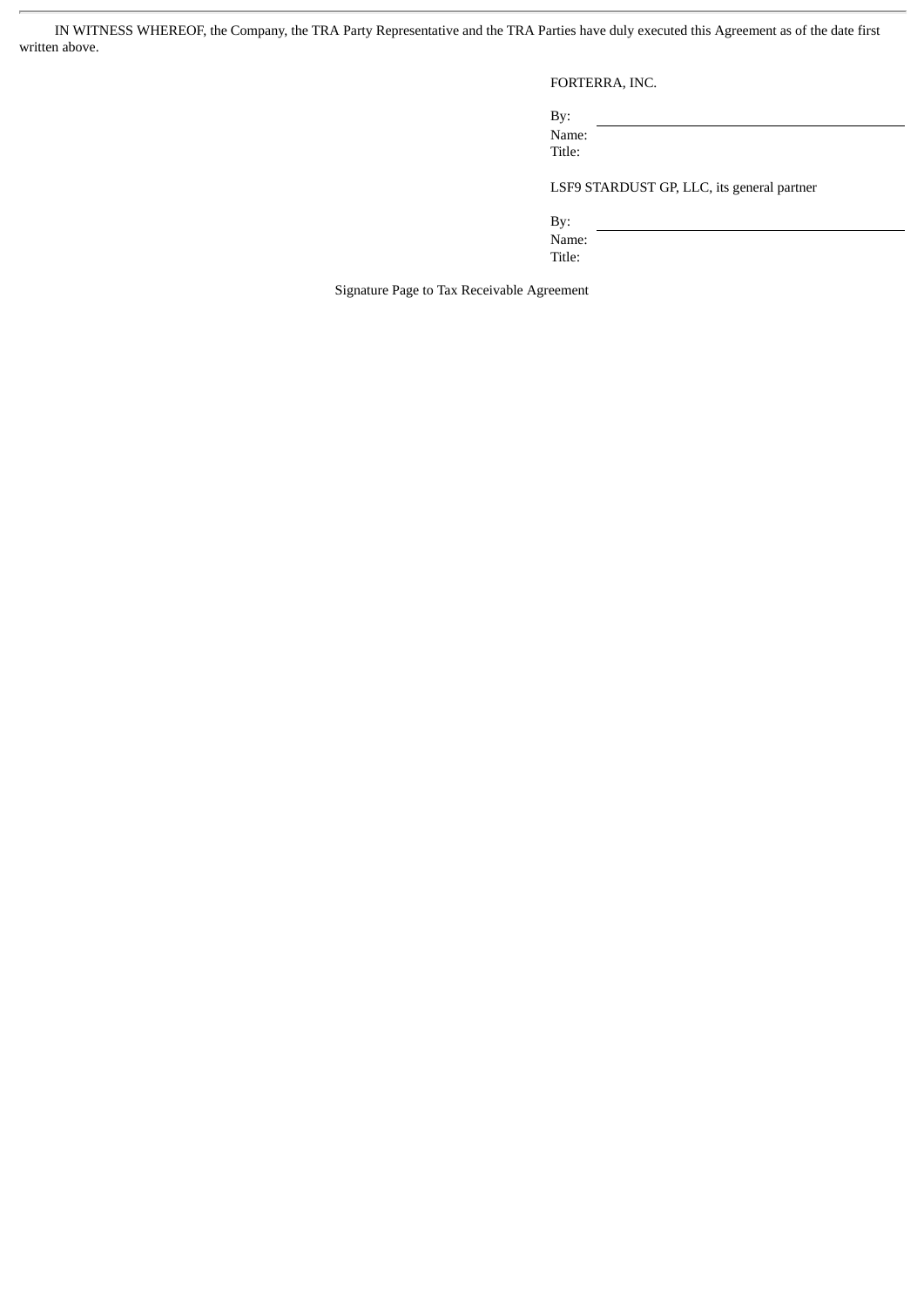IN WITNESS WHEREOF, the Company, the TRA Party Representative and the TRA Parties have duly executed this Agreement as of the date first written above.

FORTERRA, INC.

By: Name: Title:

LSF9 STARDUST GP, LLC, its general partner

By:

Name: Title:

Signature Page to Tax Receivable Agreement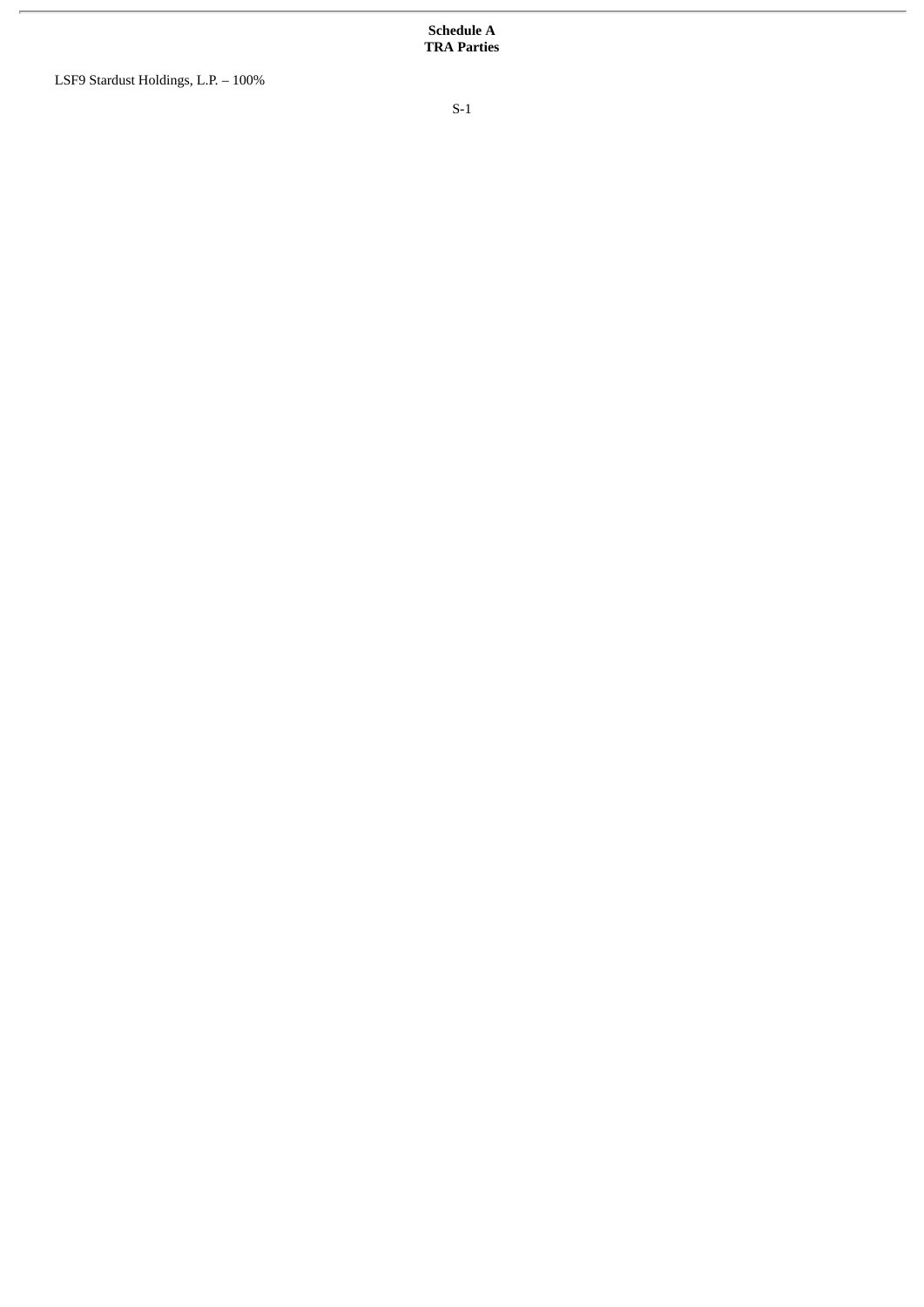**Schedule A TRA Parties**

LSF9 Stardust Holdings, L.P. – 100%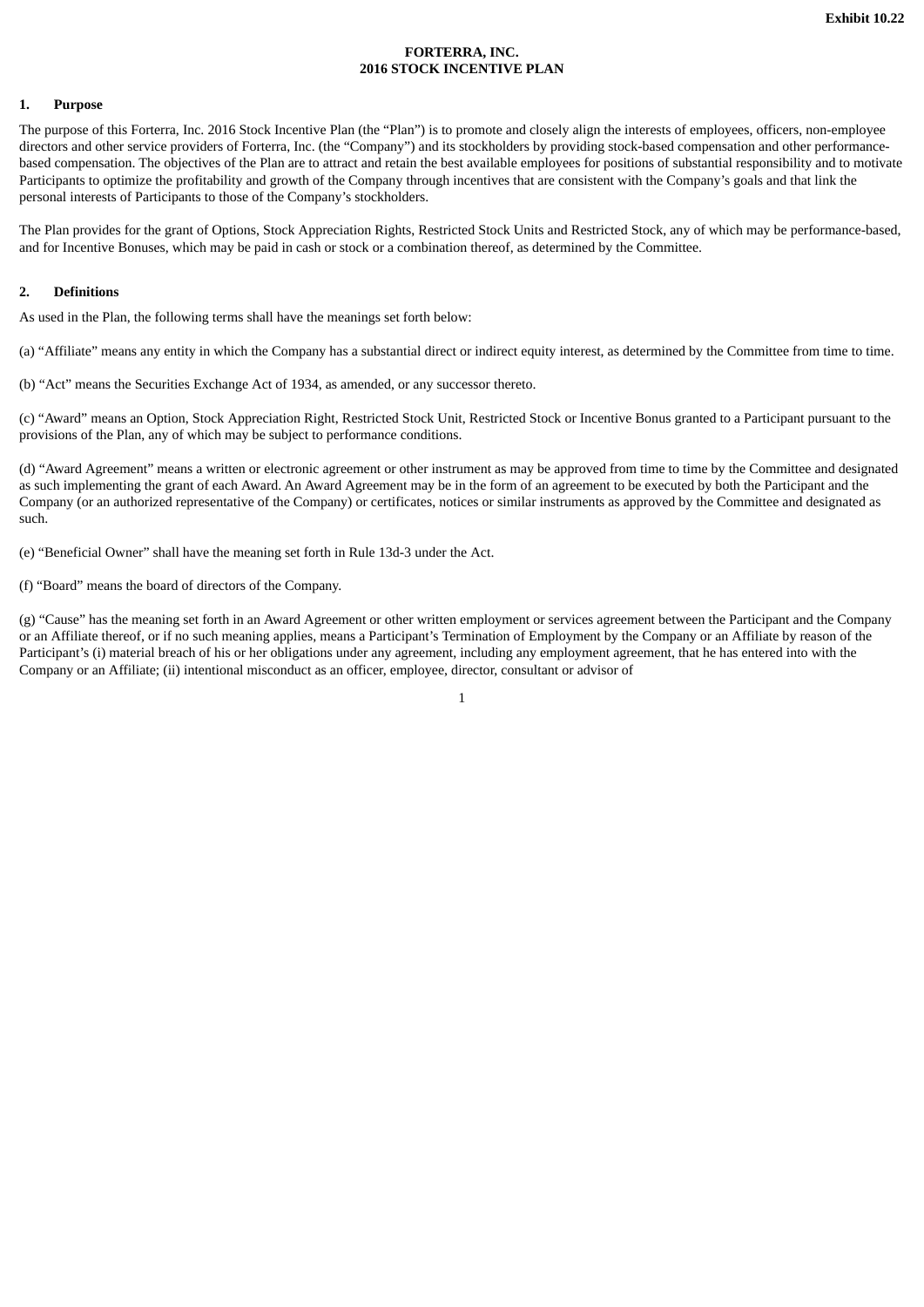## **FORTERRA, INC. 2016 STOCK INCENTIVE PLAN**

## **1. Purpose**

The purpose of this Forterra, Inc. 2016 Stock Incentive Plan (the "Plan") is to promote and closely align the interests of employees, officers, non-employee directors and other service providers of Forterra, Inc. (the "Company") and its stockholders by providing stock-based compensation and other performancebased compensation. The objectives of the Plan are to attract and retain the best available employees for positions of substantial responsibility and to motivate Participants to optimize the profitability and growth of the Company through incentives that are consistent with the Company's goals and that link the personal interests of Participants to those of the Company's stockholders.

The Plan provides for the grant of Options, Stock Appreciation Rights, Restricted Stock Units and Restricted Stock, any of which may be performance-based, and for Incentive Bonuses, which may be paid in cash or stock or a combination thereof, as determined by the Committee.

### **2. Definitions**

As used in the Plan, the following terms shall have the meanings set forth below:

(a) "Affiliate" means any entity in which the Company has a substantial direct or indirect equity interest, as determined by the Committee from time to time.

(b) "Act" means the Securities Exchange Act of 1934, as amended, or any successor thereto.

(c) "Award" means an Option, Stock Appreciation Right, Restricted Stock Unit, Restricted Stock or Incentive Bonus granted to a Participant pursuant to the provisions of the Plan, any of which may be subject to performance conditions.

(d) "Award Agreement" means a written or electronic agreement or other instrument as may be approved from time to time by the Committee and designated as such implementing the grant of each Award. An Award Agreement may be in the form of an agreement to be executed by both the Participant and the Company (or an authorized representative of the Company) or certificates, notices or similar instruments as approved by the Committee and designated as such.

(e) "Beneficial Owner" shall have the meaning set forth in Rule 13d-3 under the Act.

(f) "Board" means the board of directors of the Company.

(g) "Cause" has the meaning set forth in an Award Agreement or other written employment or services agreement between the Participant and the Company or an Affiliate thereof, or if no such meaning applies, means a Participant's Termination of Employment by the Company or an Affiliate by reason of the Participant's (i) material breach of his or her obligations under any agreement, including any employment agreement, that he has entered into with the Company or an Affiliate; (ii) intentional misconduct as an officer, employee, director, consultant or advisor of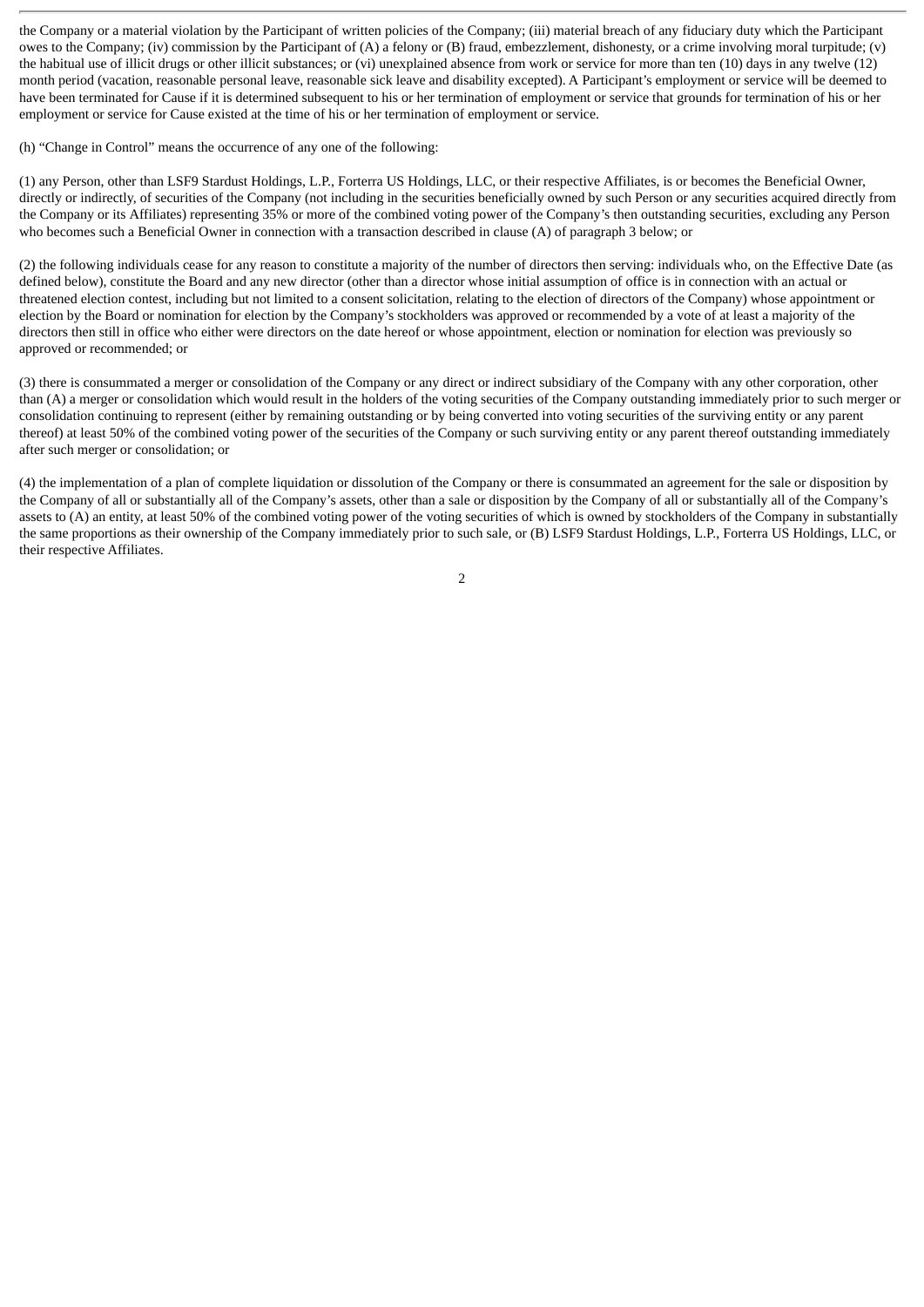the Company or a material violation by the Participant of written policies of the Company; (iii) material breach of any fiduciary duty which the Participant owes to the Company; (iv) commission by the Participant of (A) a felony or (B) fraud, embezzlement, dishonesty, or a crime involving moral turpitude; (v) the habitual use of illicit drugs or other illicit substances; or (vi) unexplained absence from work or service for more than ten (10) days in any twelve (12) month period (vacation, reasonable personal leave, reasonable sick leave and disability excepted). A Participant's employment or service will be deemed to have been terminated for Cause if it is determined subsequent to his or her termination of employment or service that grounds for termination of his or her employment or service for Cause existed at the time of his or her termination of employment or service.

(h) "Change in Control" means the occurrence of any one of the following:

(1) any Person, other than LSF9 Stardust Holdings, L.P., Forterra US Holdings, LLC, or their respective Affiliates, is or becomes the Beneficial Owner, directly or indirectly, of securities of the Company (not including in the securities beneficially owned by such Person or any securities acquired directly from the Company or its Affiliates) representing 35% or more of the combined voting power of the Company's then outstanding securities, excluding any Person who becomes such a Beneficial Owner in connection with a transaction described in clause (A) of paragraph 3 below; or

(2) the following individuals cease for any reason to constitute a majority of the number of directors then serving: individuals who, on the Effective Date (as defined below), constitute the Board and any new director (other than a director whose initial assumption of office is in connection with an actual or threatened election contest, including but not limited to a consent solicitation, relating to the election of directors of the Company) whose appointment or election by the Board or nomination for election by the Company's stockholders was approved or recommended by a vote of at least a majority of the directors then still in office who either were directors on the date hereof or whose appointment, election or nomination for election was previously so approved or recommended; or

(3) there is consummated a merger or consolidation of the Company or any direct or indirect subsidiary of the Company with any other corporation, other than (A) a merger or consolidation which would result in the holders of the voting securities of the Company outstanding immediately prior to such merger or consolidation continuing to represent (either by remaining outstanding or by being converted into voting securities of the surviving entity or any parent thereof) at least 50% of the combined voting power of the securities of the Company or such surviving entity or any parent thereof outstanding immediately after such merger or consolidation; or

(4) the implementation of a plan of complete liquidation or dissolution of the Company or there is consummated an agreement for the sale or disposition by the Company of all or substantially all of the Company's assets, other than a sale or disposition by the Company of all or substantially all of the Company's assets to (A) an entity, at least 50% of the combined voting power of the voting securities of which is owned by stockholders of the Company in substantially the same proportions as their ownership of the Company immediately prior to such sale, or (B) LSF9 Stardust Holdings, L.P., Forterra US Holdings, LLC, or their respective Affiliates.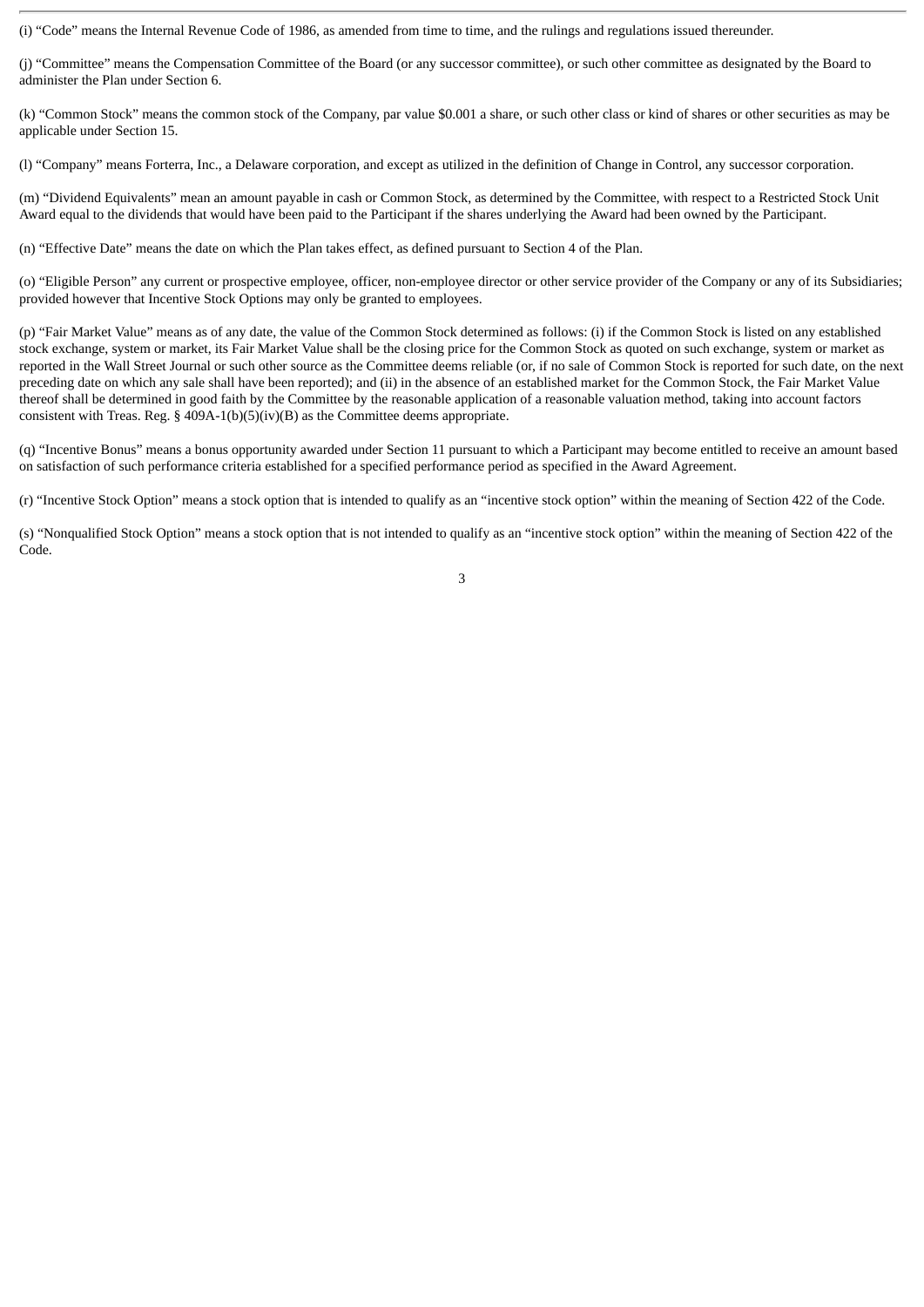(i) "Code" means the Internal Revenue Code of 1986, as amended from time to time, and the rulings and regulations issued thereunder.

(j) "Committee" means the Compensation Committee of the Board (or any successor committee), or such other committee as designated by the Board to administer the Plan under Section 6.

(k) "Common Stock" means the common stock of the Company, par value \$0.001 a share, or such other class or kind of shares or other securities as may be applicable under Section 15.

(l) "Company" means Forterra, Inc., a Delaware corporation, and except as utilized in the definition of Change in Control, any successor corporation.

(m) "Dividend Equivalents" mean an amount payable in cash or Common Stock, as determined by the Committee, with respect to a Restricted Stock Unit Award equal to the dividends that would have been paid to the Participant if the shares underlying the Award had been owned by the Participant.

(n) "Effective Date" means the date on which the Plan takes effect, as defined pursuant to Section 4 of the Plan.

(o) "Eligible Person" any current or prospective employee, officer, non-employee director or other service provider of the Company or any of its Subsidiaries; provided however that Incentive Stock Options may only be granted to employees.

(p) "Fair Market Value" means as of any date, the value of the Common Stock determined as follows: (i) if the Common Stock is listed on any established stock exchange, system or market, its Fair Market Value shall be the closing price for the Common Stock as quoted on such exchange, system or market as reported in the Wall Street Journal or such other source as the Committee deems reliable (or, if no sale of Common Stock is reported for such date, on the next preceding date on which any sale shall have been reported); and (ii) in the absence of an established market for the Common Stock, the Fair Market Value thereof shall be determined in good faith by the Committee by the reasonable application of a reasonable valuation method, taking into account factors consistent with Treas. Reg. § 409A-1(b)(5)(iv)(B) as the Committee deems appropriate.

(q) "Incentive Bonus" means a bonus opportunity awarded under Section 11 pursuant to which a Participant may become entitled to receive an amount based on satisfaction of such performance criteria established for a specified performance period as specified in the Award Agreement.

(r) "Incentive Stock Option" means a stock option that is intended to qualify as an "incentive stock option" within the meaning of Section 422 of the Code.

(s) "Nonqualified Stock Option" means a stock option that is not intended to qualify as an "incentive stock option" within the meaning of Section 422 of the Code.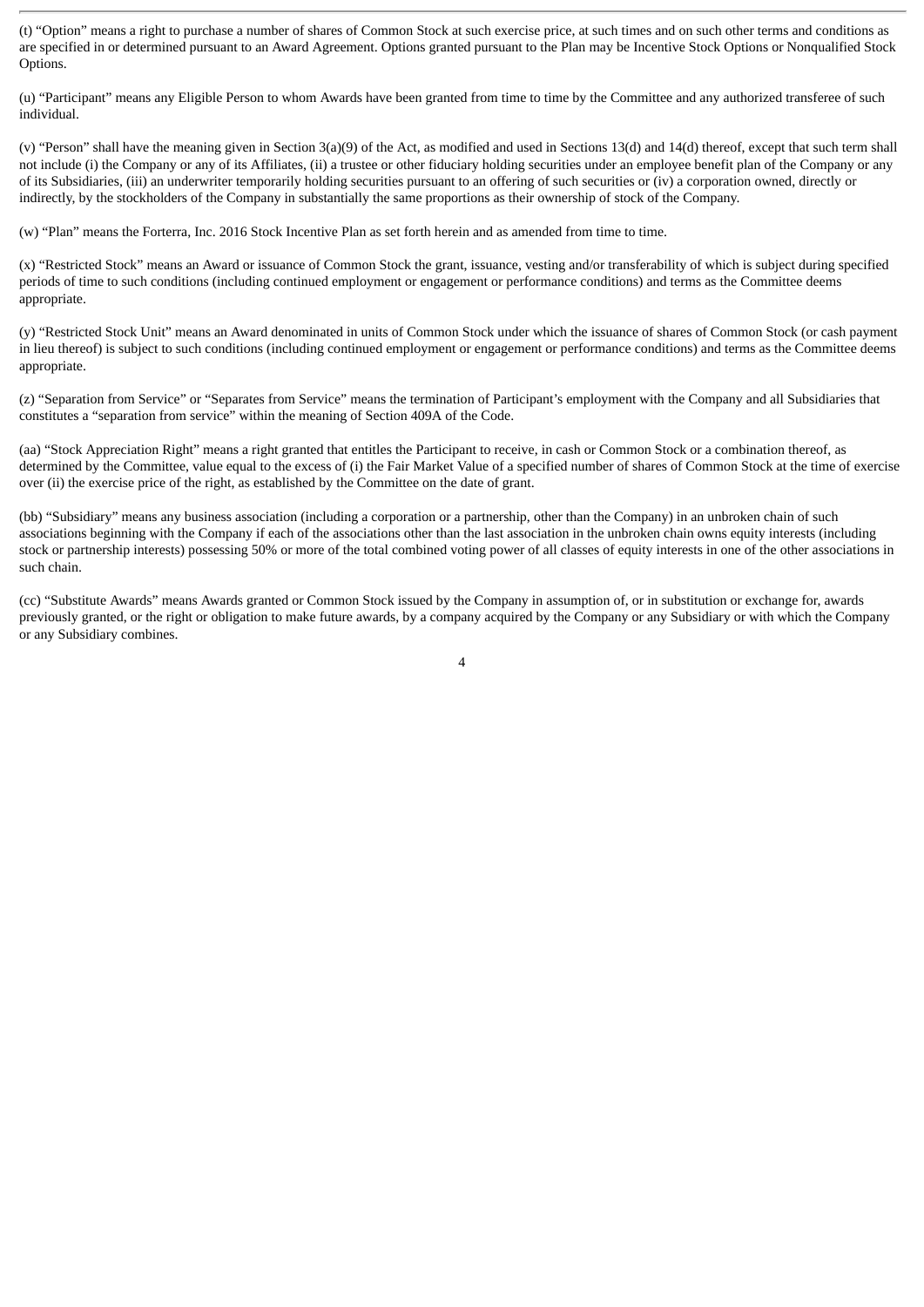(t) "Option" means a right to purchase a number of shares of Common Stock at such exercise price, at such times and on such other terms and conditions as are specified in or determined pursuant to an Award Agreement. Options granted pursuant to the Plan may be Incentive Stock Options or Nonqualified Stock Options.

(u) "Participant" means any Eligible Person to whom Awards have been granted from time to time by the Committee and any authorized transferee of such individual.

(v) "Person" shall have the meaning given in Section 3(a)(9) of the Act, as modified and used in Sections 13(d) and 14(d) thereof, except that such term shall not include (i) the Company or any of its Affiliates, (ii) a trustee or other fiduciary holding securities under an employee benefit plan of the Company or any of its Subsidiaries, (iii) an underwriter temporarily holding securities pursuant to an offering of such securities or (iv) a corporation owned, directly or indirectly, by the stockholders of the Company in substantially the same proportions as their ownership of stock of the Company.

(w) "Plan" means the Forterra, Inc. 2016 Stock Incentive Plan as set forth herein and as amended from time to time.

(x) "Restricted Stock" means an Award or issuance of Common Stock the grant, issuance, vesting and/or transferability of which is subject during specified periods of time to such conditions (including continued employment or engagement or performance conditions) and terms as the Committee deems appropriate.

(y) "Restricted Stock Unit" means an Award denominated in units of Common Stock under which the issuance of shares of Common Stock (or cash payment in lieu thereof) is subject to such conditions (including continued employment or engagement or performance conditions) and terms as the Committee deems appropriate.

(z) "Separation from Service" or "Separates from Service" means the termination of Participant's employment with the Company and all Subsidiaries that constitutes a "separation from service" within the meaning of Section 409A of the Code.

(aa) "Stock Appreciation Right" means a right granted that entitles the Participant to receive, in cash or Common Stock or a combination thereof, as determined by the Committee, value equal to the excess of (i) the Fair Market Value of a specified number of shares of Common Stock at the time of exercise over (ii) the exercise price of the right, as established by the Committee on the date of grant.

(bb) "Subsidiary" means any business association (including a corporation or a partnership, other than the Company) in an unbroken chain of such associations beginning with the Company if each of the associations other than the last association in the unbroken chain owns equity interests (including stock or partnership interests) possessing 50% or more of the total combined voting power of all classes of equity interests in one of the other associations in such chain.

(cc) "Substitute Awards" means Awards granted or Common Stock issued by the Company in assumption of, or in substitution or exchange for, awards previously granted, or the right or obligation to make future awards, by a company acquired by the Company or any Subsidiary or with which the Company or any Subsidiary combines.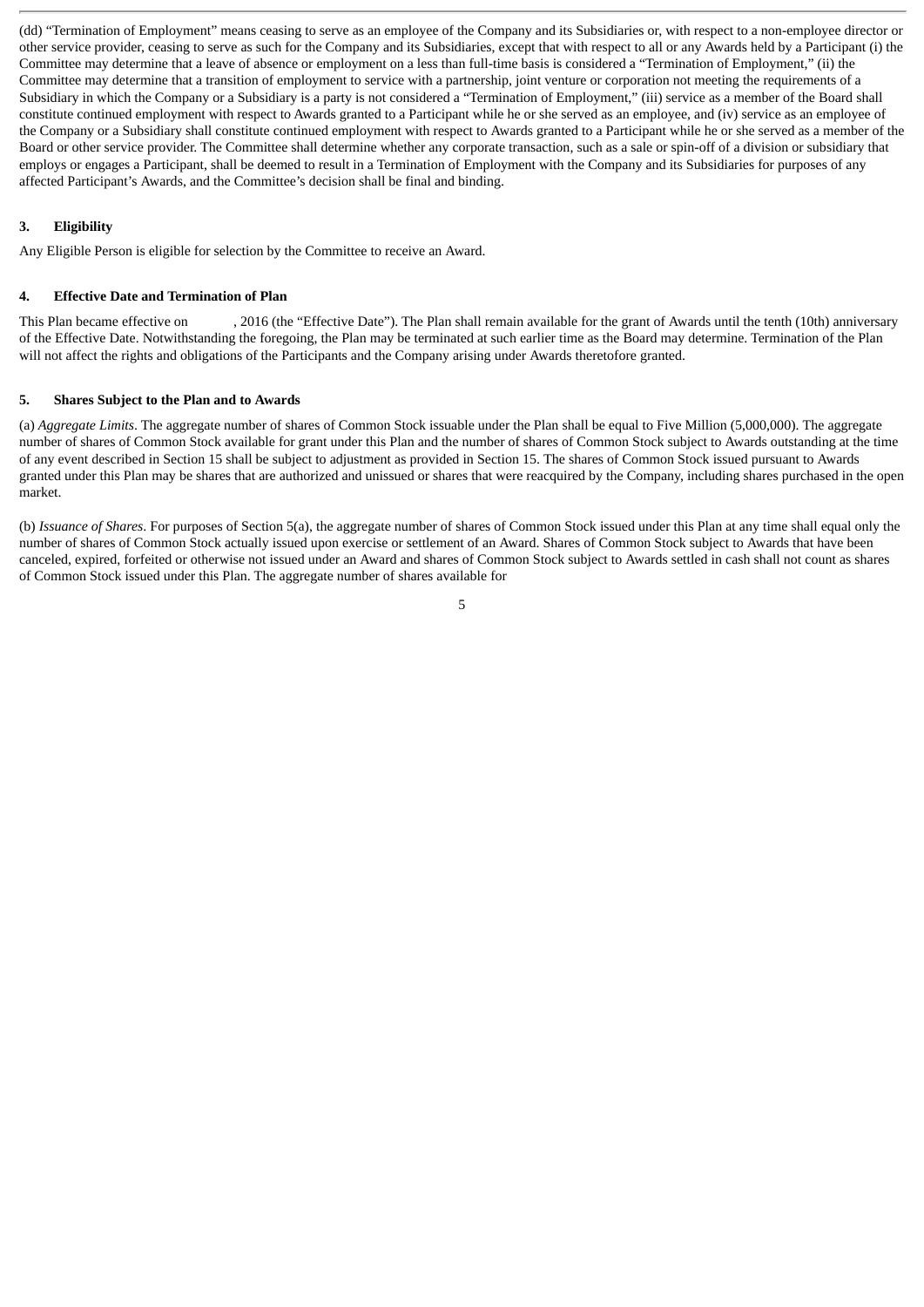(dd) "Termination of Employment" means ceasing to serve as an employee of the Company and its Subsidiaries or, with respect to a non-employee director or other service provider, ceasing to serve as such for the Company and its Subsidiaries, except that with respect to all or any Awards held by a Participant (i) the Committee may determine that a leave of absence or employment on a less than full-time basis is considered a "Termination of Employment," (ii) the Committee may determine that a transition of employment to service with a partnership, joint venture or corporation not meeting the requirements of a Subsidiary in which the Company or a Subsidiary is a party is not considered a "Termination of Employment," (iii) service as a member of the Board shall constitute continued employment with respect to Awards granted to a Participant while he or she served as an employee, and (iv) service as an employee of the Company or a Subsidiary shall constitute continued employment with respect to Awards granted to a Participant while he or she served as a member of the Board or other service provider. The Committee shall determine whether any corporate transaction, such as a sale or spin-off of a division or subsidiary that employs or engages a Participant, shall be deemed to result in a Termination of Employment with the Company and its Subsidiaries for purposes of any affected Participant's Awards, and the Committee's decision shall be final and binding.

# **3. Eligibility**

Any Eligible Person is eligible for selection by the Committee to receive an Award.

# **4. Effective Date and Termination of Plan**

This Plan became effective on , 2016 (the "Effective Date"). The Plan shall remain available for the grant of Awards until the tenth (10th) anniversary of the Effective Date. Notwithstanding the foregoing, the Plan may be terminated at such earlier time as the Board may determine. Termination of the Plan will not affect the rights and obligations of the Participants and the Company arising under Awards theretofore granted.

# **5. Shares Subject to the Plan and to Awards**

(a) *Aggregate Limits*. The aggregate number of shares of Common Stock issuable under the Plan shall be equal to Five Million (5,000,000). The aggregate number of shares of Common Stock available for grant under this Plan and the number of shares of Common Stock subject to Awards outstanding at the time of any event described in Section 15 shall be subject to adjustment as provided in Section 15. The shares of Common Stock issued pursuant to Awards granted under this Plan may be shares that are authorized and unissued or shares that were reacquired by the Company, including shares purchased in the open market.

(b) *Issuance of Shares*. For purposes of Section 5(a), the aggregate number of shares of Common Stock issued under this Plan at any time shall equal only the number of shares of Common Stock actually issued upon exercise or settlement of an Award. Shares of Common Stock subject to Awards that have been canceled, expired, forfeited or otherwise not issued under an Award and shares of Common Stock subject to Awards settled in cash shall not count as shares of Common Stock issued under this Plan. The aggregate number of shares available for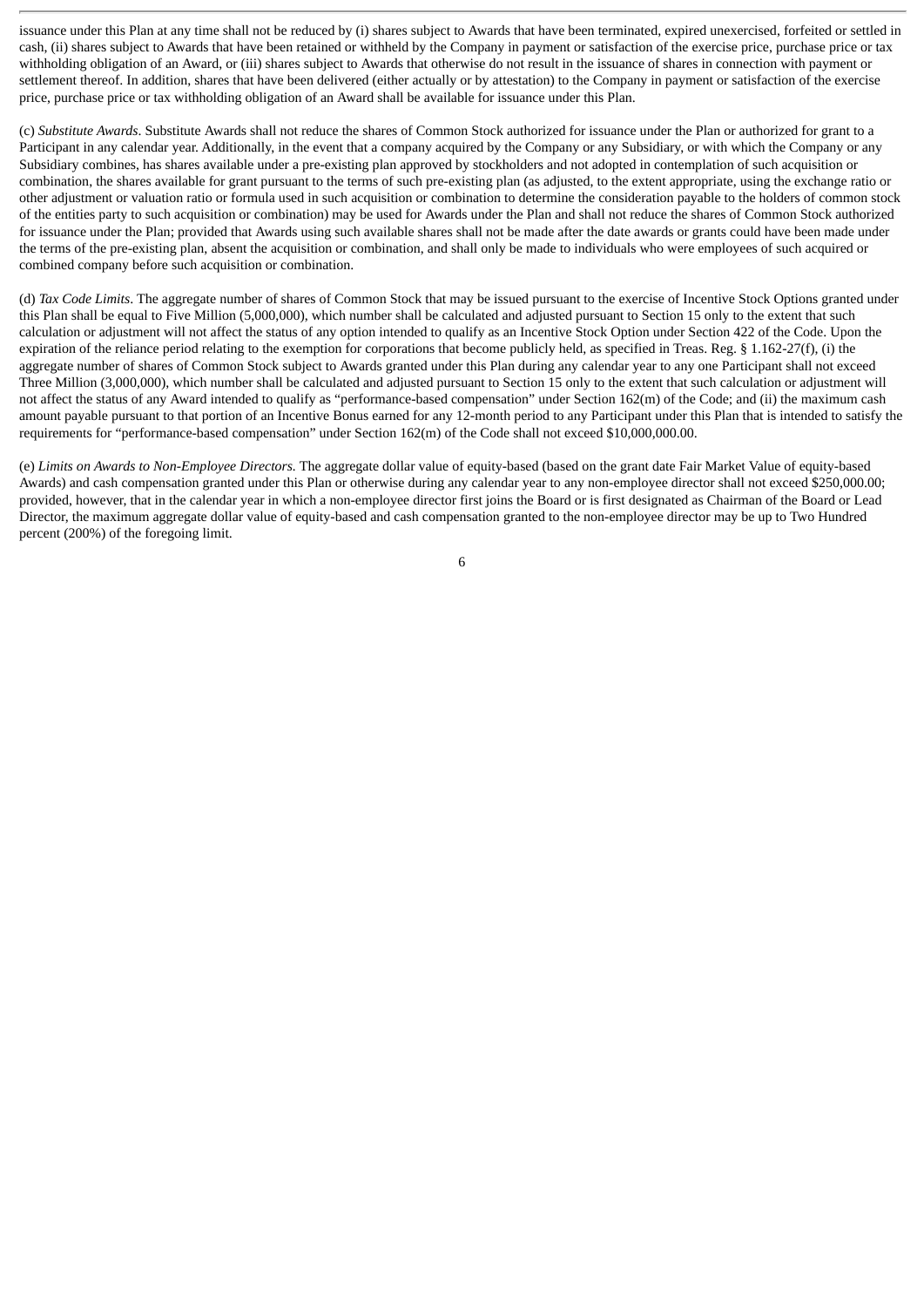issuance under this Plan at any time shall not be reduced by (i) shares subject to Awards that have been terminated, expired unexercised, forfeited or settled in cash, (ii) shares subject to Awards that have been retained or withheld by the Company in payment or satisfaction of the exercise price, purchase price or tax withholding obligation of an Award, or (iii) shares subject to Awards that otherwise do not result in the issuance of shares in connection with payment or settlement thereof. In addition, shares that have been delivered (either actually or by attestation) to the Company in payment or satisfaction of the exercise price, purchase price or tax withholding obligation of an Award shall be available for issuance under this Plan.

(c) *Substitute Awards*. Substitute Awards shall not reduce the shares of Common Stock authorized for issuance under the Plan or authorized for grant to a Participant in any calendar year. Additionally, in the event that a company acquired by the Company or any Subsidiary, or with which the Company or any Subsidiary combines, has shares available under a pre-existing plan approved by stockholders and not adopted in contemplation of such acquisition or combination, the shares available for grant pursuant to the terms of such pre-existing plan (as adjusted, to the extent appropriate, using the exchange ratio or other adjustment or valuation ratio or formula used in such acquisition or combination to determine the consideration payable to the holders of common stock of the entities party to such acquisition or combination) may be used for Awards under the Plan and shall not reduce the shares of Common Stock authorized for issuance under the Plan; provided that Awards using such available shares shall not be made after the date awards or grants could have been made under the terms of the pre-existing plan, absent the acquisition or combination, and shall only be made to individuals who were employees of such acquired or combined company before such acquisition or combination.

(d) *Tax Code Limits*. The aggregate number of shares of Common Stock that may be issued pursuant to the exercise of Incentive Stock Options granted under this Plan shall be equal to Five Million (5,000,000), which number shall be calculated and adjusted pursuant to Section 15 only to the extent that such calculation or adjustment will not affect the status of any option intended to qualify as an Incentive Stock Option under Section 422 of the Code. Upon the expiration of the reliance period relating to the exemption for corporations that become publicly held, as specified in Treas. Reg. § 1.162-27(f), (i) the aggregate number of shares of Common Stock subject to Awards granted under this Plan during any calendar year to any one Participant shall not exceed Three Million (3,000,000), which number shall be calculated and adjusted pursuant to Section 15 only to the extent that such calculation or adjustment will not affect the status of any Award intended to qualify as "performance-based compensation" under Section 162(m) of the Code; and (ii) the maximum cash amount payable pursuant to that portion of an Incentive Bonus earned for any 12-month period to any Participant under this Plan that is intended to satisfy the requirements for "performance-based compensation" under Section 162(m) of the Code shall not exceed \$10,000,000.00.

(e) *Limits on Awards to Non-Employee Directors.* The aggregate dollar value of equity-based (based on the grant date Fair Market Value of equity-based Awards) and cash compensation granted under this Plan or otherwise during any calendar year to any non-employee director shall not exceed \$250,000.00; provided, however, that in the calendar year in which a non-employee director first joins the Board or is first designated as Chairman of the Board or Lead Director, the maximum aggregate dollar value of equity-based and cash compensation granted to the non-employee director may be up to Two Hundred percent (200%) of the foregoing limit.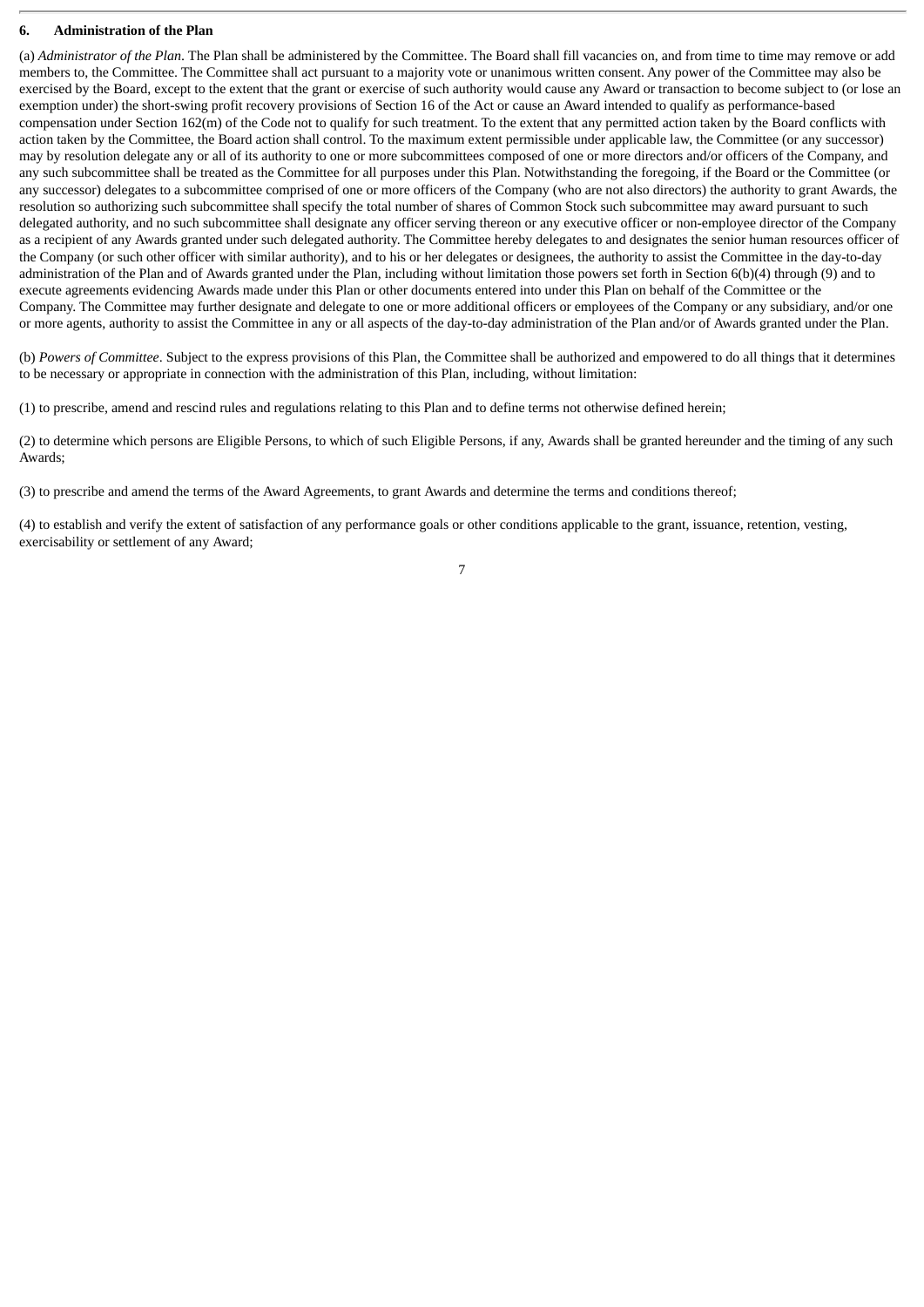## **6. Administration of the Plan**

(a) *Administrator of the Plan*. The Plan shall be administered by the Committee. The Board shall fill vacancies on, and from time to time may remove or add members to, the Committee. The Committee shall act pursuant to a majority vote or unanimous written consent. Any power of the Committee may also be exercised by the Board, except to the extent that the grant or exercise of such authority would cause any Award or transaction to become subject to (or lose an exemption under) the short-swing profit recovery provisions of Section 16 of the Act or cause an Award intended to qualify as performance-based compensation under Section 162(m) of the Code not to qualify for such treatment. To the extent that any permitted action taken by the Board conflicts with action taken by the Committee, the Board action shall control. To the maximum extent permissible under applicable law, the Committee (or any successor) may by resolution delegate any or all of its authority to one or more subcommittees composed of one or more directors and/or officers of the Company, and any such subcommittee shall be treated as the Committee for all purposes under this Plan. Notwithstanding the foregoing, if the Board or the Committee (or any successor) delegates to a subcommittee comprised of one or more officers of the Company (who are not also directors) the authority to grant Awards, the resolution so authorizing such subcommittee shall specify the total number of shares of Common Stock such subcommittee may award pursuant to such delegated authority, and no such subcommittee shall designate any officer serving thereon or any executive officer or non-employee director of the Company as a recipient of any Awards granted under such delegated authority. The Committee hereby delegates to and designates the senior human resources officer of the Company (or such other officer with similar authority), and to his or her delegates or designees, the authority to assist the Committee in the day-to-day administration of the Plan and of Awards granted under the Plan, including without limitation those powers set forth in Section 6(b)(4) through (9) and to execute agreements evidencing Awards made under this Plan or other documents entered into under this Plan on behalf of the Committee or the Company. The Committee may further designate and delegate to one or more additional officers or employees of the Company or any subsidiary, and/or one or more agents, authority to assist the Committee in any or all aspects of the day-to-day administration of the Plan and/or of Awards granted under the Plan.

(b) *Powers of Committee*. Subject to the express provisions of this Plan, the Committee shall be authorized and empowered to do all things that it determines to be necessary or appropriate in connection with the administration of this Plan, including, without limitation:

(1) to prescribe, amend and rescind rules and regulations relating to this Plan and to define terms not otherwise defined herein;

(2) to determine which persons are Eligible Persons, to which of such Eligible Persons, if any, Awards shall be granted hereunder and the timing of any such Awards;

(3) to prescribe and amend the terms of the Award Agreements, to grant Awards and determine the terms and conditions thereof;

(4) to establish and verify the extent of satisfaction of any performance goals or other conditions applicable to the grant, issuance, retention, vesting, exercisability or settlement of any Award;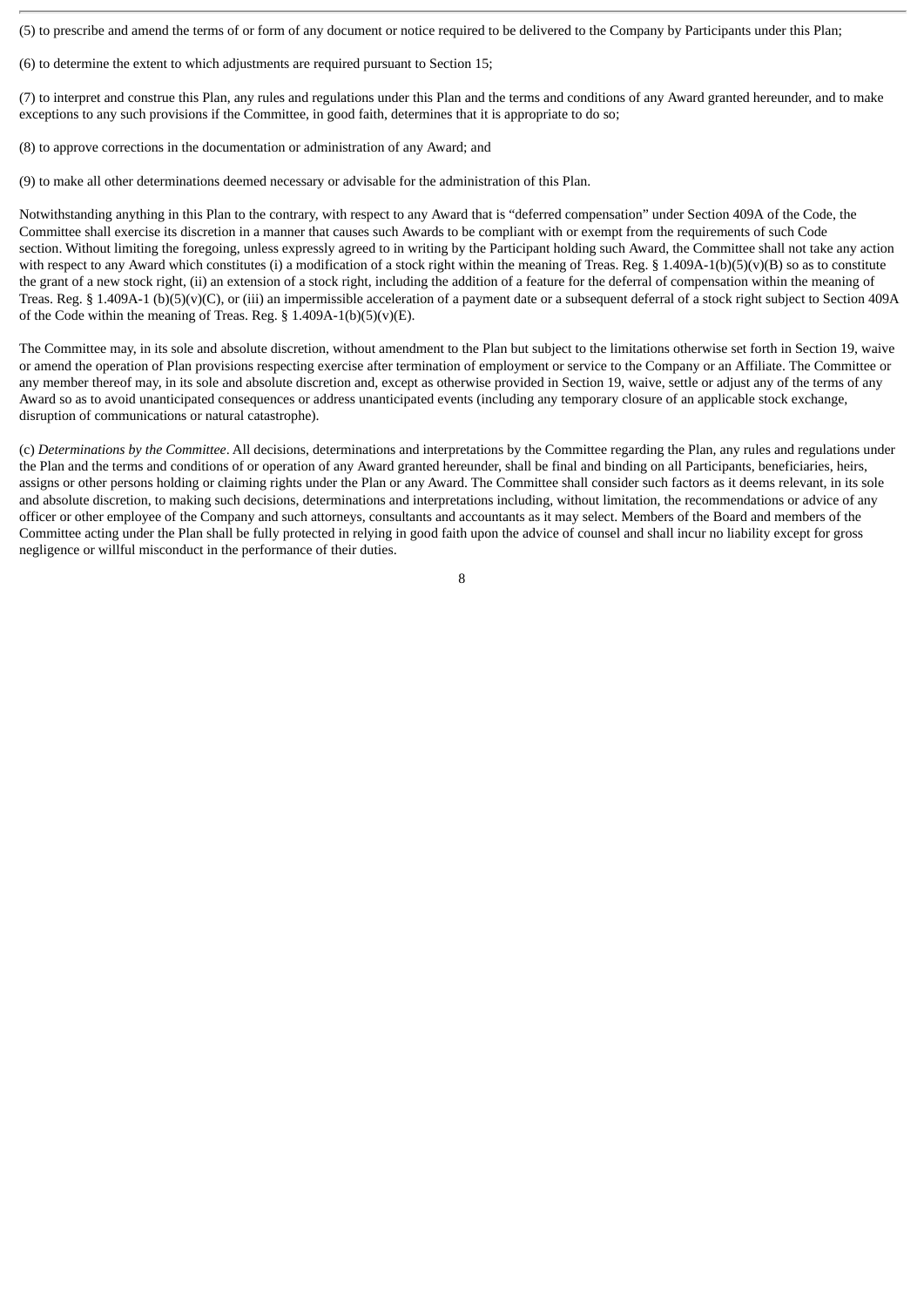(5) to prescribe and amend the terms of or form of any document or notice required to be delivered to the Company by Participants under this Plan;

(6) to determine the extent to which adjustments are required pursuant to Section 15;

(7) to interpret and construe this Plan, any rules and regulations under this Plan and the terms and conditions of any Award granted hereunder, and to make exceptions to any such provisions if the Committee, in good faith, determines that it is appropriate to do so;

(8) to approve corrections in the documentation or administration of any Award; and

(9) to make all other determinations deemed necessary or advisable for the administration of this Plan.

Notwithstanding anything in this Plan to the contrary, with respect to any Award that is "deferred compensation" under Section 409A of the Code, the Committee shall exercise its discretion in a manner that causes such Awards to be compliant with or exempt from the requirements of such Code section. Without limiting the foregoing, unless expressly agreed to in writing by the Participant holding such Award, the Committee shall not take any action with respect to any Award which constitutes (i) a modification of a stock right within the meaning of Treas. Reg. § 1.409A-1(b)(5)(v)(B) so as to constitute the grant of a new stock right, (ii) an extension of a stock right, including the addition of a feature for the deferral of compensation within the meaning of Treas. Reg. § 1.409A-1 (b)(5)(v)(C), or (iii) an impermissible acceleration of a payment date or a subsequent deferral of a stock right subject to Section 409A of the Code within the meaning of Treas. Reg.  $\S$  1.409A-1(b)(5)(v)(E).

The Committee may, in its sole and absolute discretion, without amendment to the Plan but subject to the limitations otherwise set forth in Section 19, waive or amend the operation of Plan provisions respecting exercise after termination of employment or service to the Company or an Affiliate. The Committee or any member thereof may, in its sole and absolute discretion and, except as otherwise provided in Section 19, waive, settle or adjust any of the terms of any Award so as to avoid unanticipated consequences or address unanticipated events (including any temporary closure of an applicable stock exchange, disruption of communications or natural catastrophe).

(c) *Determinations by the Committee*. All decisions, determinations and interpretations by the Committee regarding the Plan, any rules and regulations under the Plan and the terms and conditions of or operation of any Award granted hereunder, shall be final and binding on all Participants, beneficiaries, heirs, assigns or other persons holding or claiming rights under the Plan or any Award. The Committee shall consider such factors as it deems relevant, in its sole and absolute discretion, to making such decisions, determinations and interpretations including, without limitation, the recommendations or advice of any officer or other employee of the Company and such attorneys, consultants and accountants as it may select. Members of the Board and members of the Committee acting under the Plan shall be fully protected in relying in good faith upon the advice of counsel and shall incur no liability except for gross negligence or willful misconduct in the performance of their duties.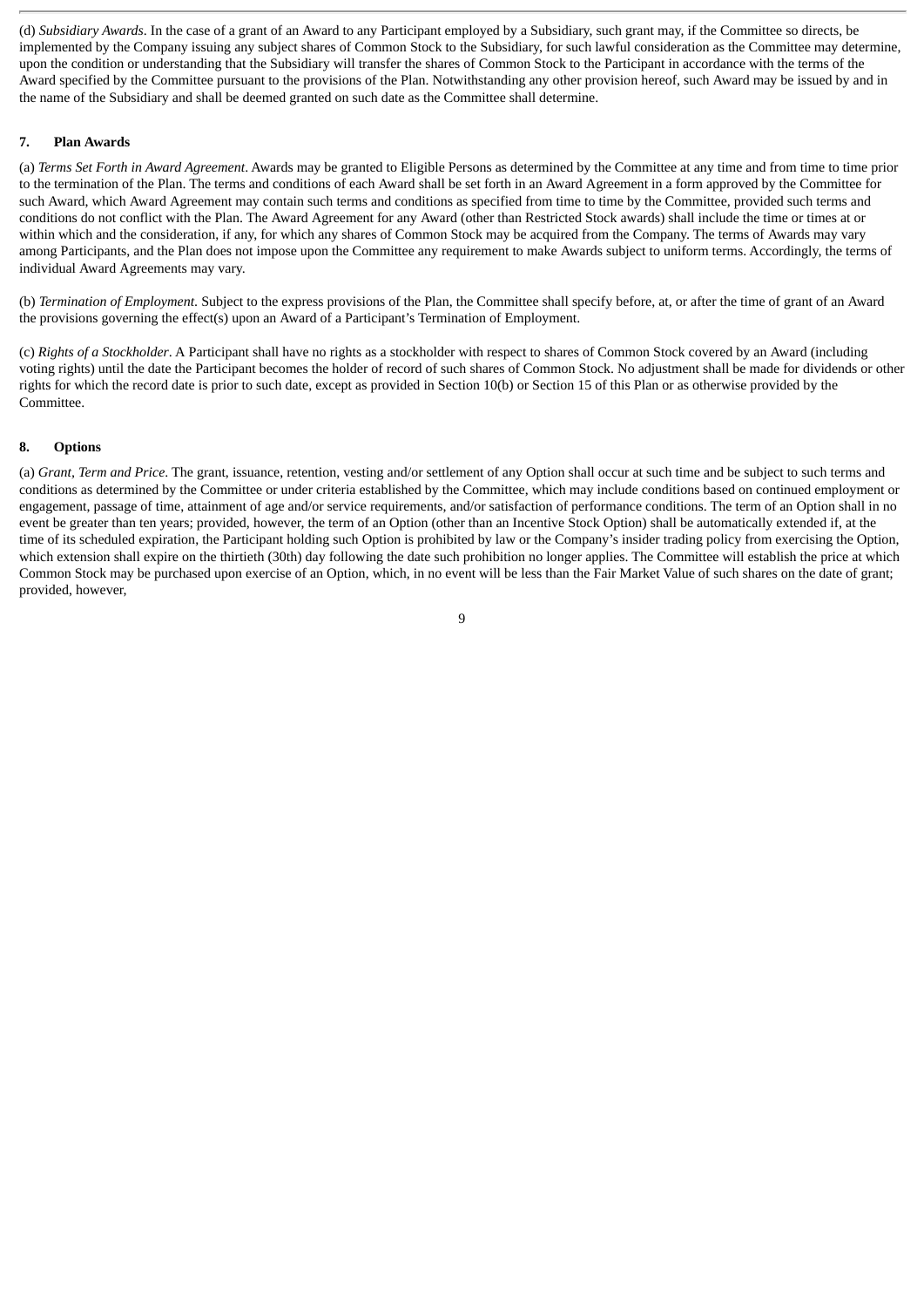(d) *Subsidiary Awards*. In the case of a grant of an Award to any Participant employed by a Subsidiary, such grant may, if the Committee so directs, be implemented by the Company issuing any subject shares of Common Stock to the Subsidiary, for such lawful consideration as the Committee may determine, upon the condition or understanding that the Subsidiary will transfer the shares of Common Stock to the Participant in accordance with the terms of the Award specified by the Committee pursuant to the provisions of the Plan. Notwithstanding any other provision hereof, such Award may be issued by and in the name of the Subsidiary and shall be deemed granted on such date as the Committee shall determine.

## **7. Plan Awards**

(a) *Terms Set Forth in Award Agreement*. Awards may be granted to Eligible Persons as determined by the Committee at any time and from time to time prior to the termination of the Plan. The terms and conditions of each Award shall be set forth in an Award Agreement in a form approved by the Committee for such Award, which Award Agreement may contain such terms and conditions as specified from time to time by the Committee, provided such terms and conditions do not conflict with the Plan. The Award Agreement for any Award (other than Restricted Stock awards) shall include the time or times at or within which and the consideration, if any, for which any shares of Common Stock may be acquired from the Company. The terms of Awards may vary among Participants, and the Plan does not impose upon the Committee any requirement to make Awards subject to uniform terms. Accordingly, the terms of individual Award Agreements may vary.

(b) *Termination of Employment*. Subject to the express provisions of the Plan, the Committee shall specify before, at, or after the time of grant of an Award the provisions governing the effect(s) upon an Award of a Participant's Termination of Employment.

(c) *Rights of a Stockholder*. A Participant shall have no rights as a stockholder with respect to shares of Common Stock covered by an Award (including voting rights) until the date the Participant becomes the holder of record of such shares of Common Stock. No adjustment shall be made for dividends or other rights for which the record date is prior to such date, except as provided in Section 10(b) or Section 15 of this Plan or as otherwise provided by the Committee.

## **8. Options**

(a) *Grant, Term and Price*. The grant, issuance, retention, vesting and/or settlement of any Option shall occur at such time and be subject to such terms and conditions as determined by the Committee or under criteria established by the Committee, which may include conditions based on continued employment or engagement, passage of time, attainment of age and/or service requirements, and/or satisfaction of performance conditions. The term of an Option shall in no event be greater than ten years; provided, however, the term of an Option (other than an Incentive Stock Option) shall be automatically extended if, at the time of its scheduled expiration, the Participant holding such Option is prohibited by law or the Company's insider trading policy from exercising the Option, which extension shall expire on the thirtieth (30th) day following the date such prohibition no longer applies. The Committee will establish the price at which Common Stock may be purchased upon exercise of an Option, which, in no event will be less than the Fair Market Value of such shares on the date of grant; provided, however,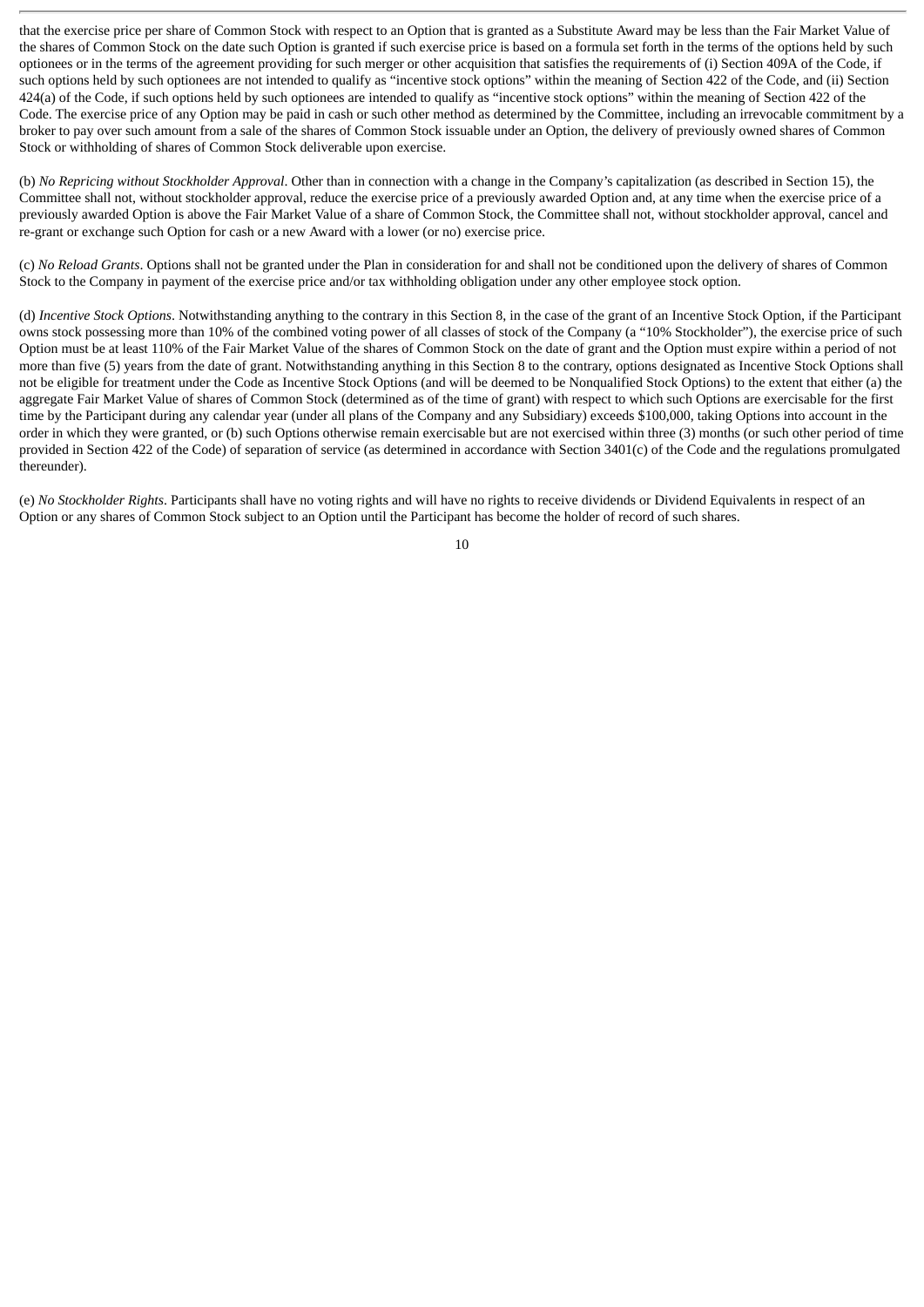that the exercise price per share of Common Stock with respect to an Option that is granted as a Substitute Award may be less than the Fair Market Value of the shares of Common Stock on the date such Option is granted if such exercise price is based on a formula set forth in the terms of the options held by such optionees or in the terms of the agreement providing for such merger or other acquisition that satisfies the requirements of (i) Section 409A of the Code, if such options held by such optionees are not intended to qualify as "incentive stock options" within the meaning of Section 422 of the Code, and (ii) Section 424(a) of the Code, if such options held by such optionees are intended to qualify as "incentive stock options" within the meaning of Section 422 of the Code. The exercise price of any Option may be paid in cash or such other method as determined by the Committee, including an irrevocable commitment by a broker to pay over such amount from a sale of the shares of Common Stock issuable under an Option, the delivery of previously owned shares of Common Stock or withholding of shares of Common Stock deliverable upon exercise.

(b) *No Repricing without Stockholder Approval*. Other than in connection with a change in the Company's capitalization (as described in Section 15), the Committee shall not, without stockholder approval, reduce the exercise price of a previously awarded Option and, at any time when the exercise price of a previously awarded Option is above the Fair Market Value of a share of Common Stock, the Committee shall not, without stockholder approval, cancel and re-grant or exchange such Option for cash or a new Award with a lower (or no) exercise price.

(c) *No Reload Grants*. Options shall not be granted under the Plan in consideration for and shall not be conditioned upon the delivery of shares of Common Stock to the Company in payment of the exercise price and/or tax withholding obligation under any other employee stock option.

(d) *Incentive Stock Options*. Notwithstanding anything to the contrary in this Section 8, in the case of the grant of an Incentive Stock Option, if the Participant owns stock possessing more than 10% of the combined voting power of all classes of stock of the Company (a "10% Stockholder"), the exercise price of such Option must be at least 110% of the Fair Market Value of the shares of Common Stock on the date of grant and the Option must expire within a period of not more than five (5) years from the date of grant. Notwithstanding anything in this Section 8 to the contrary, options designated as Incentive Stock Options shall not be eligible for treatment under the Code as Incentive Stock Options (and will be deemed to be Nonqualified Stock Options) to the extent that either (a) the aggregate Fair Market Value of shares of Common Stock (determined as of the time of grant) with respect to which such Options are exercisable for the first time by the Participant during any calendar year (under all plans of the Company and any Subsidiary) exceeds \$100,000, taking Options into account in the order in which they were granted, or (b) such Options otherwise remain exercisable but are not exercised within three (3) months (or such other period of time provided in Section 422 of the Code) of separation of service (as determined in accordance with Section 3401(c) of the Code and the regulations promulgated thereunder).

(e) *No Stockholder Rights*. Participants shall have no voting rights and will have no rights to receive dividends or Dividend Equivalents in respect of an Option or any shares of Common Stock subject to an Option until the Participant has become the holder of record of such shares.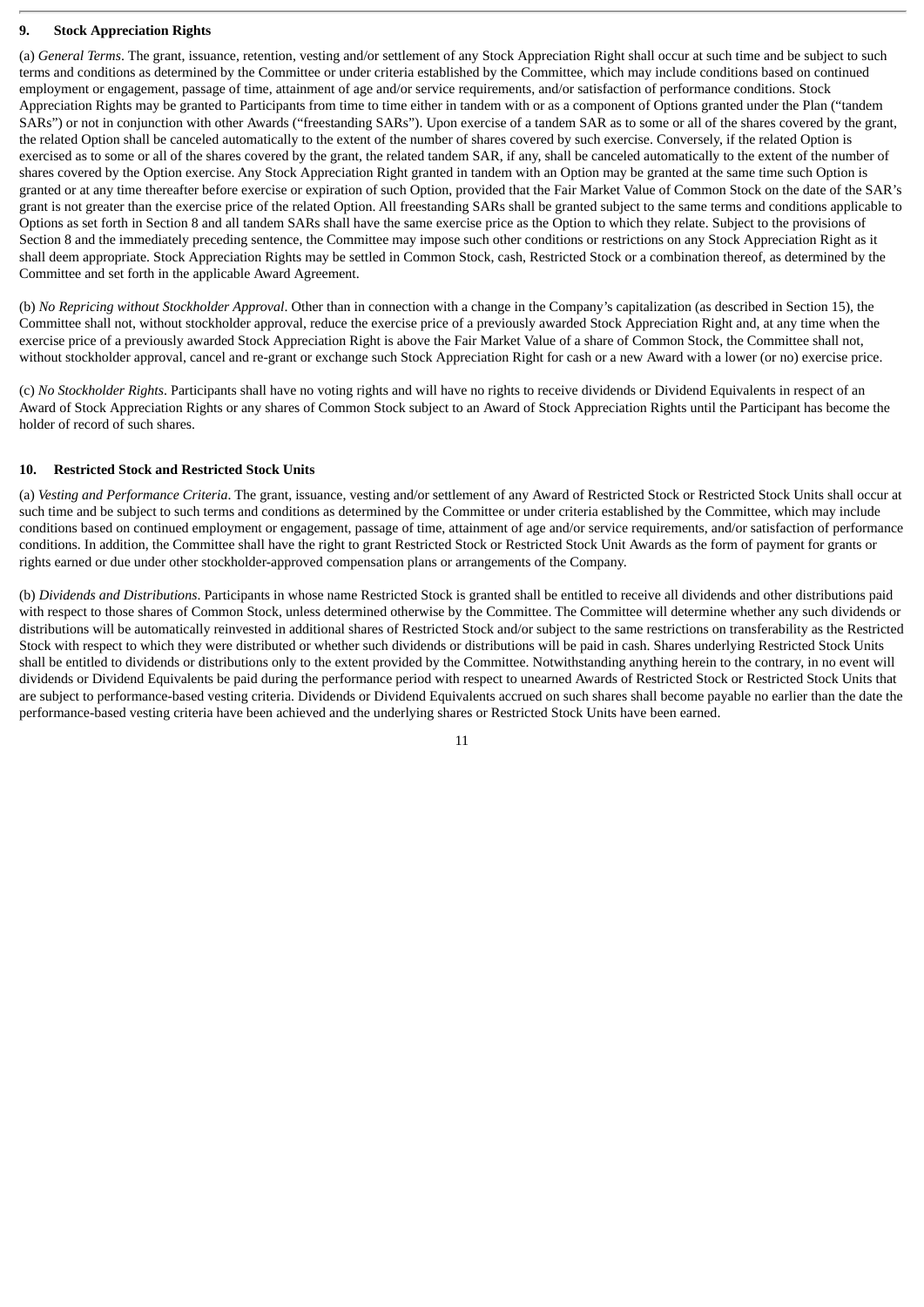# **9. Stock Appreciation Rights**

(a) *General Terms*. The grant, issuance, retention, vesting and/or settlement of any Stock Appreciation Right shall occur at such time and be subject to such terms and conditions as determined by the Committee or under criteria established by the Committee, which may include conditions based on continued employment or engagement, passage of time, attainment of age and/or service requirements, and/or satisfaction of performance conditions. Stock Appreciation Rights may be granted to Participants from time to time either in tandem with or as a component of Options granted under the Plan ("tandem SARs") or not in conjunction with other Awards ("freestanding SARs"). Upon exercise of a tandem SAR as to some or all of the shares covered by the grant, the related Option shall be canceled automatically to the extent of the number of shares covered by such exercise. Conversely, if the related Option is exercised as to some or all of the shares covered by the grant, the related tandem SAR, if any, shall be canceled automatically to the extent of the number of shares covered by the Option exercise. Any Stock Appreciation Right granted in tandem with an Option may be granted at the same time such Option is granted or at any time thereafter before exercise or expiration of such Option, provided that the Fair Market Value of Common Stock on the date of the SAR's grant is not greater than the exercise price of the related Option. All freestanding SARs shall be granted subject to the same terms and conditions applicable to Options as set forth in Section 8 and all tandem SARs shall have the same exercise price as the Option to which they relate. Subject to the provisions of Section 8 and the immediately preceding sentence, the Committee may impose such other conditions or restrictions on any Stock Appreciation Right as it shall deem appropriate. Stock Appreciation Rights may be settled in Common Stock, cash, Restricted Stock or a combination thereof, as determined by the Committee and set forth in the applicable Award Agreement.

(b) *No Repricing without Stockholder Approval*. Other than in connection with a change in the Company's capitalization (as described in Section 15), the Committee shall not, without stockholder approval, reduce the exercise price of a previously awarded Stock Appreciation Right and, at any time when the exercise price of a previously awarded Stock Appreciation Right is above the Fair Market Value of a share of Common Stock, the Committee shall not, without stockholder approval, cancel and re-grant or exchange such Stock Appreciation Right for cash or a new Award with a lower (or no) exercise price.

(c) *No Stockholder Rights*. Participants shall have no voting rights and will have no rights to receive dividends or Dividend Equivalents in respect of an Award of Stock Appreciation Rights or any shares of Common Stock subject to an Award of Stock Appreciation Rights until the Participant has become the holder of record of such shares.

## **10. Restricted Stock and Restricted Stock Units**

(a) *Vesting and Performance Criteria*. The grant, issuance, vesting and/or settlement of any Award of Restricted Stock or Restricted Stock Units shall occur at such time and be subject to such terms and conditions as determined by the Committee or under criteria established by the Committee, which may include conditions based on continued employment or engagement, passage of time, attainment of age and/or service requirements, and/or satisfaction of performance conditions. In addition, the Committee shall have the right to grant Restricted Stock or Restricted Stock Unit Awards as the form of payment for grants or rights earned or due under other stockholder-approved compensation plans or arrangements of the Company.

(b) *Dividends and Distributions*. Participants in whose name Restricted Stock is granted shall be entitled to receive all dividends and other distributions paid with respect to those shares of Common Stock, unless determined otherwise by the Committee. The Committee will determine whether any such dividends or distributions will be automatically reinvested in additional shares of Restricted Stock and/or subject to the same restrictions on transferability as the Restricted Stock with respect to which they were distributed or whether such dividends or distributions will be paid in cash. Shares underlying Restricted Stock Units shall be entitled to dividends or distributions only to the extent provided by the Committee. Notwithstanding anything herein to the contrary, in no event will dividends or Dividend Equivalents be paid during the performance period with respect to unearned Awards of Restricted Stock or Restricted Stock Units that are subject to performance-based vesting criteria. Dividends or Dividend Equivalents accrued on such shares shall become payable no earlier than the date the performance-based vesting criteria have been achieved and the underlying shares or Restricted Stock Units have been earned.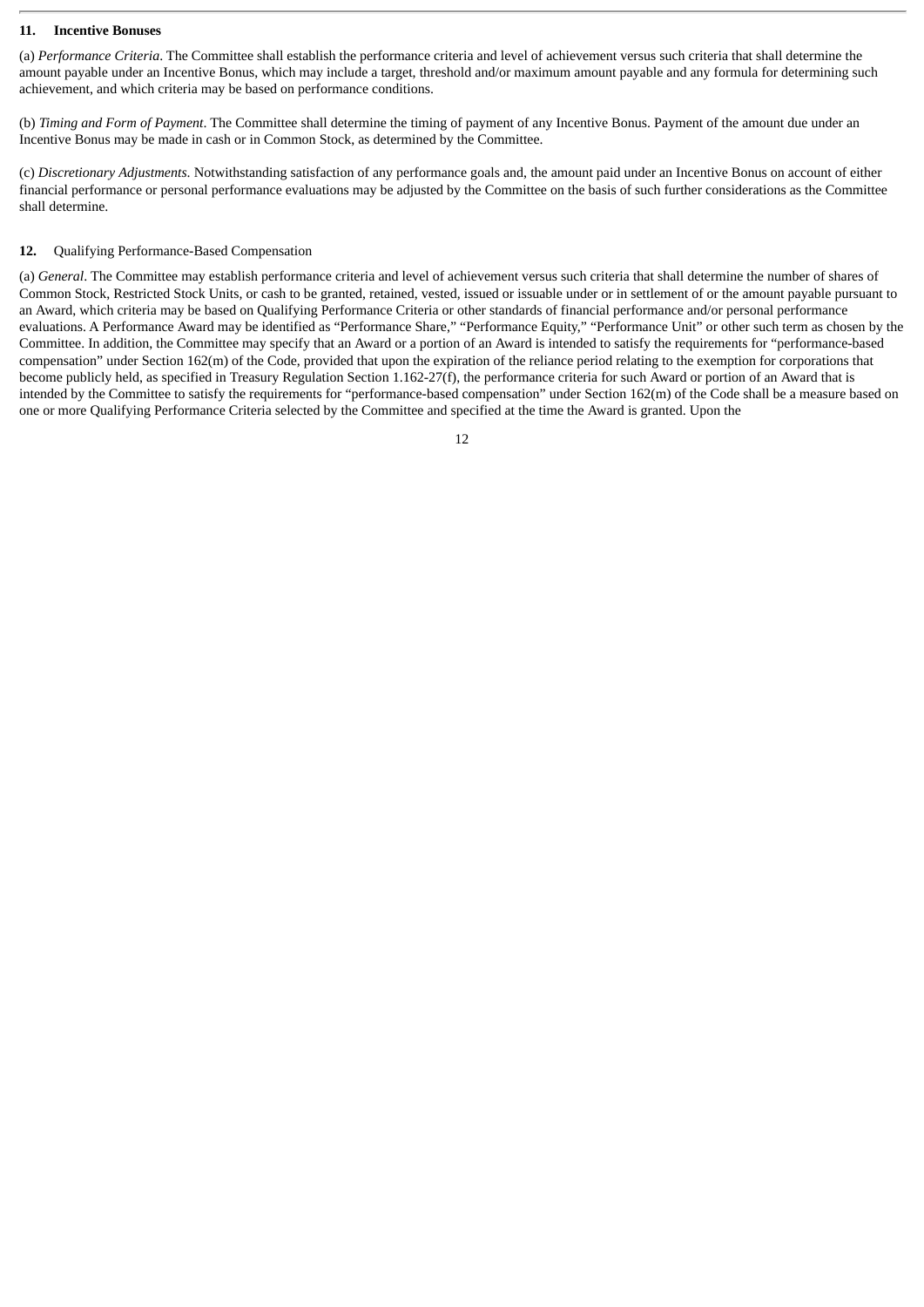## **11. Incentive Bonuses**

(a) *Performance Criteria*. The Committee shall establish the performance criteria and level of achievement versus such criteria that shall determine the amount payable under an Incentive Bonus, which may include a target, threshold and/or maximum amount payable and any formula for determining such achievement, and which criteria may be based on performance conditions.

(b) *Timing and Form of Payment*. The Committee shall determine the timing of payment of any Incentive Bonus. Payment of the amount due under an Incentive Bonus may be made in cash or in Common Stock, as determined by the Committee.

(c) *Discretionary Adjustments*. Notwithstanding satisfaction of any performance goals and, the amount paid under an Incentive Bonus on account of either financial performance or personal performance evaluations may be adjusted by the Committee on the basis of such further considerations as the Committee shall determine.

### **12.** Qualifying Performance-Based Compensation

(a) *General*. The Committee may establish performance criteria and level of achievement versus such criteria that shall determine the number of shares of Common Stock, Restricted Stock Units, or cash to be granted, retained, vested, issued or issuable under or in settlement of or the amount payable pursuant to an Award, which criteria may be based on Qualifying Performance Criteria or other standards of financial performance and/or personal performance evaluations. A Performance Award may be identified as "Performance Share," "Performance Equity," "Performance Unit" or other such term as chosen by the Committee. In addition, the Committee may specify that an Award or a portion of an Award is intended to satisfy the requirements for "performance-based compensation" under Section 162(m) of the Code, provided that upon the expiration of the reliance period relating to the exemption for corporations that become publicly held, as specified in Treasury Regulation Section 1.162-27(f), the performance criteria for such Award or portion of an Award that is intended by the Committee to satisfy the requirements for "performance-based compensation" under Section 162(m) of the Code shall be a measure based on one or more Qualifying Performance Criteria selected by the Committee and specified at the time the Award is granted. Upon the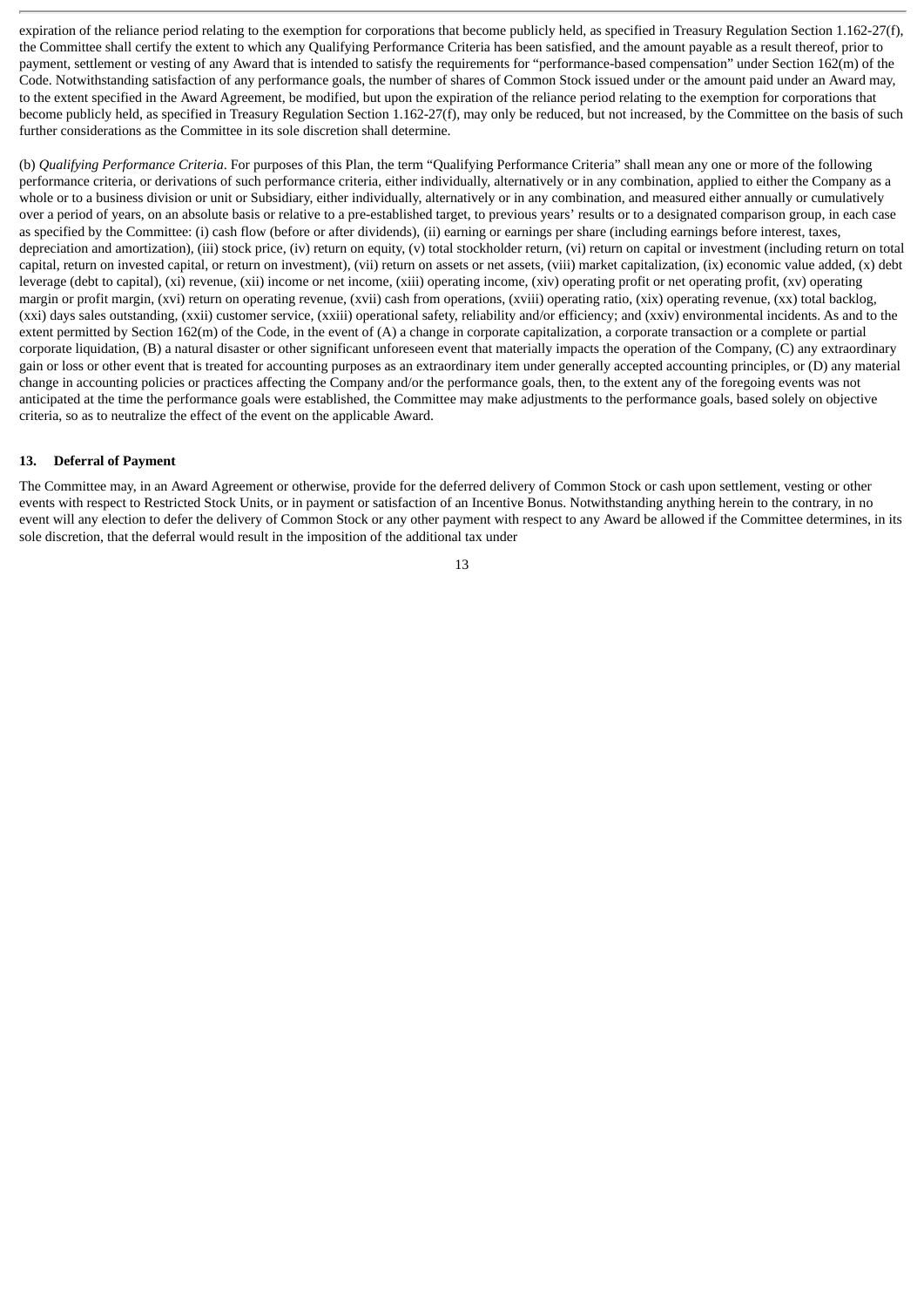expiration of the reliance period relating to the exemption for corporations that become publicly held, as specified in Treasury Regulation Section 1.162-27(f), the Committee shall certify the extent to which any Qualifying Performance Criteria has been satisfied, and the amount payable as a result thereof, prior to payment, settlement or vesting of any Award that is intended to satisfy the requirements for "performance-based compensation" under Section 162(m) of the Code. Notwithstanding satisfaction of any performance goals, the number of shares of Common Stock issued under or the amount paid under an Award may, to the extent specified in the Award Agreement, be modified, but upon the expiration of the reliance period relating to the exemption for corporations that become publicly held, as specified in Treasury Regulation Section 1.162-27(f), may only be reduced, but not increased, by the Committee on the basis of such further considerations as the Committee in its sole discretion shall determine.

(b) *Qualifying Performance Criteria*. For purposes of this Plan, the term "Qualifying Performance Criteria" shall mean any one or more of the following performance criteria, or derivations of such performance criteria, either individually, alternatively or in any combination, applied to either the Company as a whole or to a business division or unit or Subsidiary, either individually, alternatively or in any combination, and measured either annually or cumulatively over a period of years, on an absolute basis or relative to a pre-established target, to previous years' results or to a designated comparison group, in each case as specified by the Committee: (i) cash flow (before or after dividends), (ii) earning or earnings per share (including earnings before interest, taxes, depreciation and amortization), (iii) stock price, (iv) return on equity, (y) total stockholder return, (vi) return on capital or investment (including return on total capital, return on invested capital, or return on investment), (vii) return on assets or net assets, (viii) market capitalization, (ix) economic value added, (x) debt leverage (debt to capital), (xi) revenue, (xii) income or net income, (xiii) operating income, (xiv) operating profit or net operating profit, (xv) operating margin or profit margin, (xvi) return on operating revenue, (xvii) cash from operations, (xviii) operating ratio, (xix) operating revenue, (xx) total backlog, (xxi) days sales outstanding, (xxii) customer service, (xxiii) operational safety, reliability and/or efficiency; and (xxiv) environmental incidents. As and to the extent permitted by Section 162(m) of the Code, in the event of (A) a change in corporate capitalization, a corporate transaction or a complete or partial corporate liquidation, (B) a natural disaster or other significant unforeseen event that materially impacts the operation of the Company, (C) any extraordinary gain or loss or other event that is treated for accounting purposes as an extraordinary item under generally accepted accounting principles, or (D) any material change in accounting policies or practices affecting the Company and/or the performance goals, then, to the extent any of the foregoing events was not anticipated at the time the performance goals were established, the Committee may make adjustments to the performance goals, based solely on objective criteria, so as to neutralize the effect of the event on the applicable Award.

## **13. Deferral of Payment**

The Committee may, in an Award Agreement or otherwise, provide for the deferred delivery of Common Stock or cash upon settlement, vesting or other events with respect to Restricted Stock Units, or in payment or satisfaction of an Incentive Bonus. Notwithstanding anything herein to the contrary, in no event will any election to defer the delivery of Common Stock or any other payment with respect to any Award be allowed if the Committee determines, in its sole discretion, that the deferral would result in the imposition of the additional tax under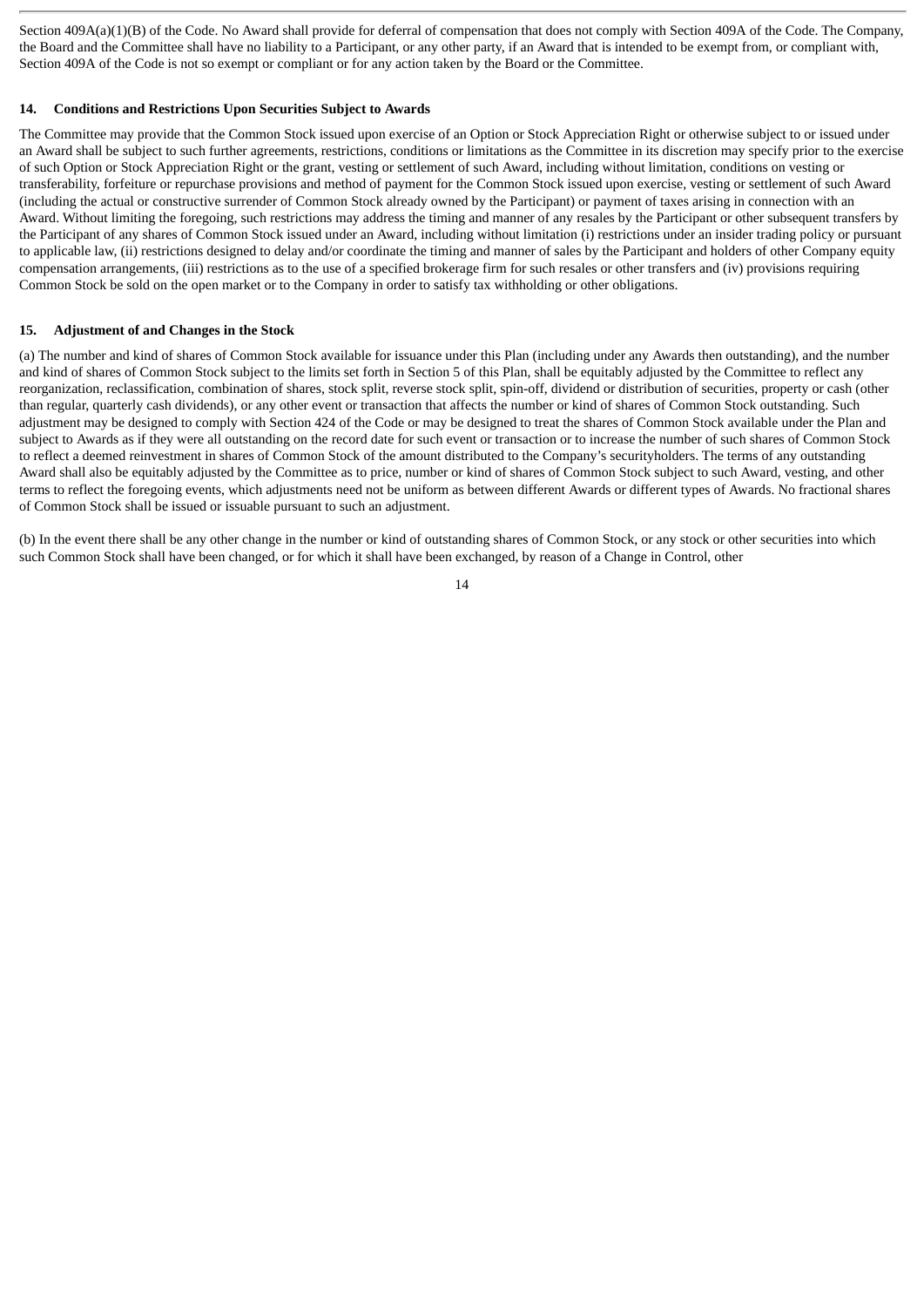Section 409A(a)(1)(B) of the Code. No Award shall provide for deferral of compensation that does not comply with Section 409A of the Code. The Company, the Board and the Committee shall have no liability to a Participant, or any other party, if an Award that is intended to be exempt from, or compliant with, Section 409A of the Code is not so exempt or compliant or for any action taken by the Board or the Committee.

### **14. Conditions and Restrictions Upon Securities Subject to Awards**

The Committee may provide that the Common Stock issued upon exercise of an Option or Stock Appreciation Right or otherwise subject to or issued under an Award shall be subject to such further agreements, restrictions, conditions or limitations as the Committee in its discretion may specify prior to the exercise of such Option or Stock Appreciation Right or the grant, vesting or settlement of such Award, including without limitation, conditions on vesting or transferability, forfeiture or repurchase provisions and method of payment for the Common Stock issued upon exercise, vesting or settlement of such Award (including the actual or constructive surrender of Common Stock already owned by the Participant) or payment of taxes arising in connection with an Award. Without limiting the foregoing, such restrictions may address the timing and manner of any resales by the Participant or other subsequent transfers by the Participant of any shares of Common Stock issued under an Award, including without limitation (i) restrictions under an insider trading policy or pursuant to applicable law, (ii) restrictions designed to delay and/or coordinate the timing and manner of sales by the Participant and holders of other Company equity compensation arrangements, (iii) restrictions as to the use of a specified brokerage firm for such resales or other transfers and (iv) provisions requiring Common Stock be sold on the open market or to the Company in order to satisfy tax withholding or other obligations.

## **15. Adjustment of and Changes in the Stock**

(a) The number and kind of shares of Common Stock available for issuance under this Plan (including under any Awards then outstanding), and the number and kind of shares of Common Stock subject to the limits set forth in Section 5 of this Plan, shall be equitably adjusted by the Committee to reflect any reorganization, reclassification, combination of shares, stock split, reverse stock split, spin-off, dividend or distribution of securities, property or cash (other than regular, quarterly cash dividends), or any other event or transaction that affects the number or kind of shares of Common Stock outstanding. Such adjustment may be designed to comply with Section 424 of the Code or may be designed to treat the shares of Common Stock available under the Plan and subject to Awards as if they were all outstanding on the record date for such event or transaction or to increase the number of such shares of Common Stock to reflect a deemed reinvestment in shares of Common Stock of the amount distributed to the Company's securityholders. The terms of any outstanding Award shall also be equitably adjusted by the Committee as to price, number or kind of shares of Common Stock subject to such Award, vesting, and other terms to reflect the foregoing events, which adjustments need not be uniform as between different Awards or different types of Awards. No fractional shares of Common Stock shall be issued or issuable pursuant to such an adjustment.

(b) In the event there shall be any other change in the number or kind of outstanding shares of Common Stock, or any stock or other securities into which such Common Stock shall have been changed, or for which it shall have been exchanged, by reason of a Change in Control, other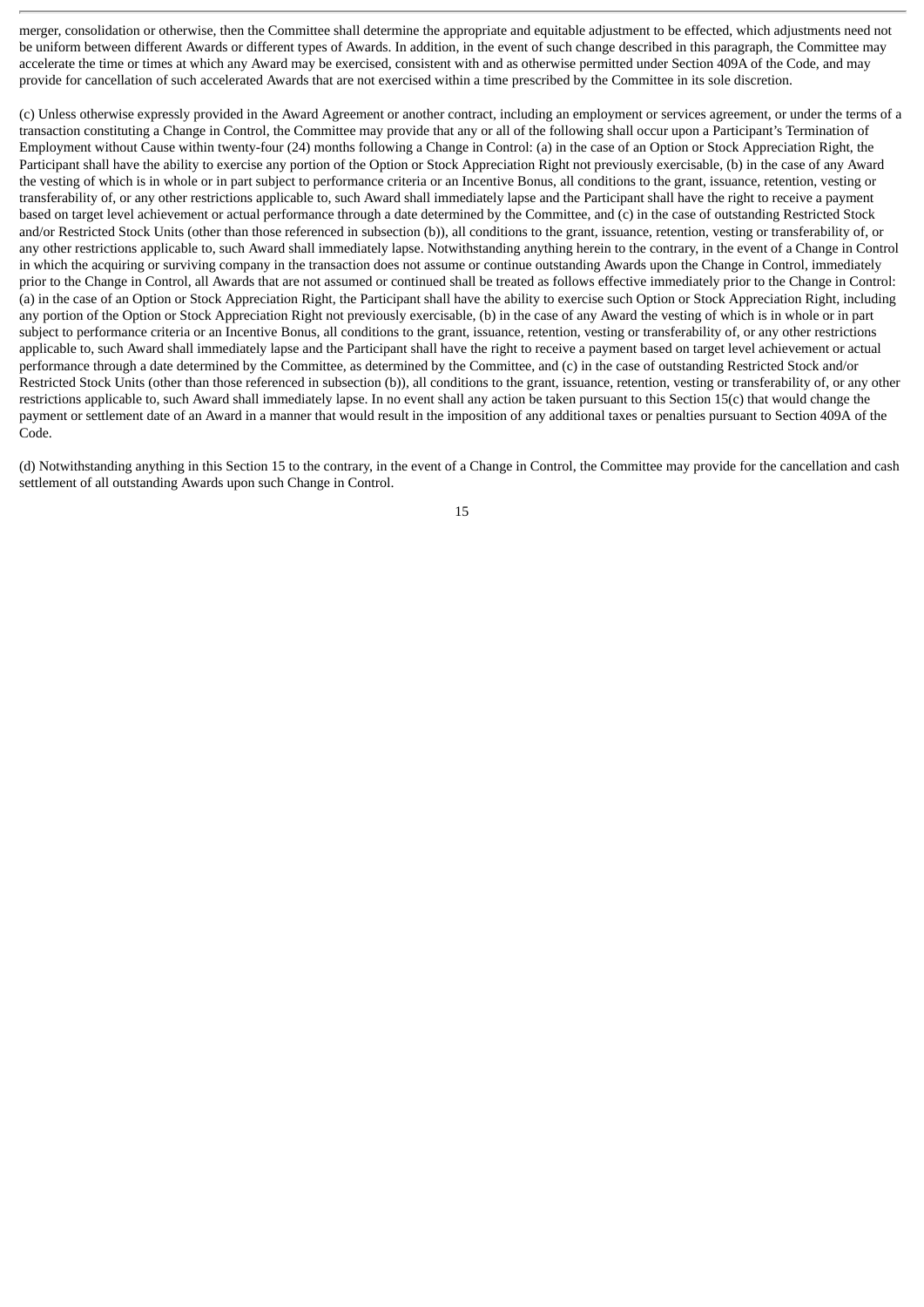merger, consolidation or otherwise, then the Committee shall determine the appropriate and equitable adjustment to be effected, which adjustments need not be uniform between different Awards or different types of Awards. In addition, in the event of such change described in this paragraph, the Committee may accelerate the time or times at which any Award may be exercised, consistent with and as otherwise permitted under Section 409A of the Code, and may provide for cancellation of such accelerated Awards that are not exercised within a time prescribed by the Committee in its sole discretion.

(c) Unless otherwise expressly provided in the Award Agreement or another contract, including an employment or services agreement, or under the terms of a transaction constituting a Change in Control, the Committee may provide that any or all of the following shall occur upon a Participant's Termination of Employment without Cause within twenty-four (24) months following a Change in Control: (a) in the case of an Option or Stock Appreciation Right, the Participant shall have the ability to exercise any portion of the Option or Stock Appreciation Right not previously exercisable, (b) in the case of any Award the vesting of which is in whole or in part subject to performance criteria or an Incentive Bonus, all conditions to the grant, issuance, retention, vesting or transferability of, or any other restrictions applicable to, such Award shall immediately lapse and the Participant shall have the right to receive a payment based on target level achievement or actual performance through a date determined by the Committee, and (c) in the case of outstanding Restricted Stock and/or Restricted Stock Units (other than those referenced in subsection (b)), all conditions to the grant, issuance, retention, vesting or transferability of, or any other restrictions applicable to, such Award shall immediately lapse. Notwithstanding anything herein to the contrary, in the event of a Change in Control in which the acquiring or surviving company in the transaction does not assume or continue outstanding Awards upon the Change in Control, immediately prior to the Change in Control, all Awards that are not assumed or continued shall be treated as follows effective immediately prior to the Change in Control: (a) in the case of an Option or Stock Appreciation Right, the Participant shall have the ability to exercise such Option or Stock Appreciation Right, including any portion of the Option or Stock Appreciation Right not previously exercisable, (b) in the case of any Award the vesting of which is in whole or in part subject to performance criteria or an Incentive Bonus, all conditions to the grant, issuance, retention, vesting or transferability of, or any other restrictions applicable to, such Award shall immediately lapse and the Participant shall have the right to receive a payment based on target level achievement or actual performance through a date determined by the Committee, as determined by the Committee, and (c) in the case of outstanding Restricted Stock and/or Restricted Stock Units (other than those referenced in subsection (b)), all conditions to the grant, issuance, retention, vesting or transferability of, or any other restrictions applicable to, such Award shall immediately lapse. In no event shall any action be taken pursuant to this Section 15(c) that would change the payment or settlement date of an Award in a manner that would result in the imposition of any additional taxes or penalties pursuant to Section 409A of the Code.

(d) Notwithstanding anything in this Section 15 to the contrary, in the event of a Change in Control, the Committee may provide for the cancellation and cash settlement of all outstanding Awards upon such Change in Control.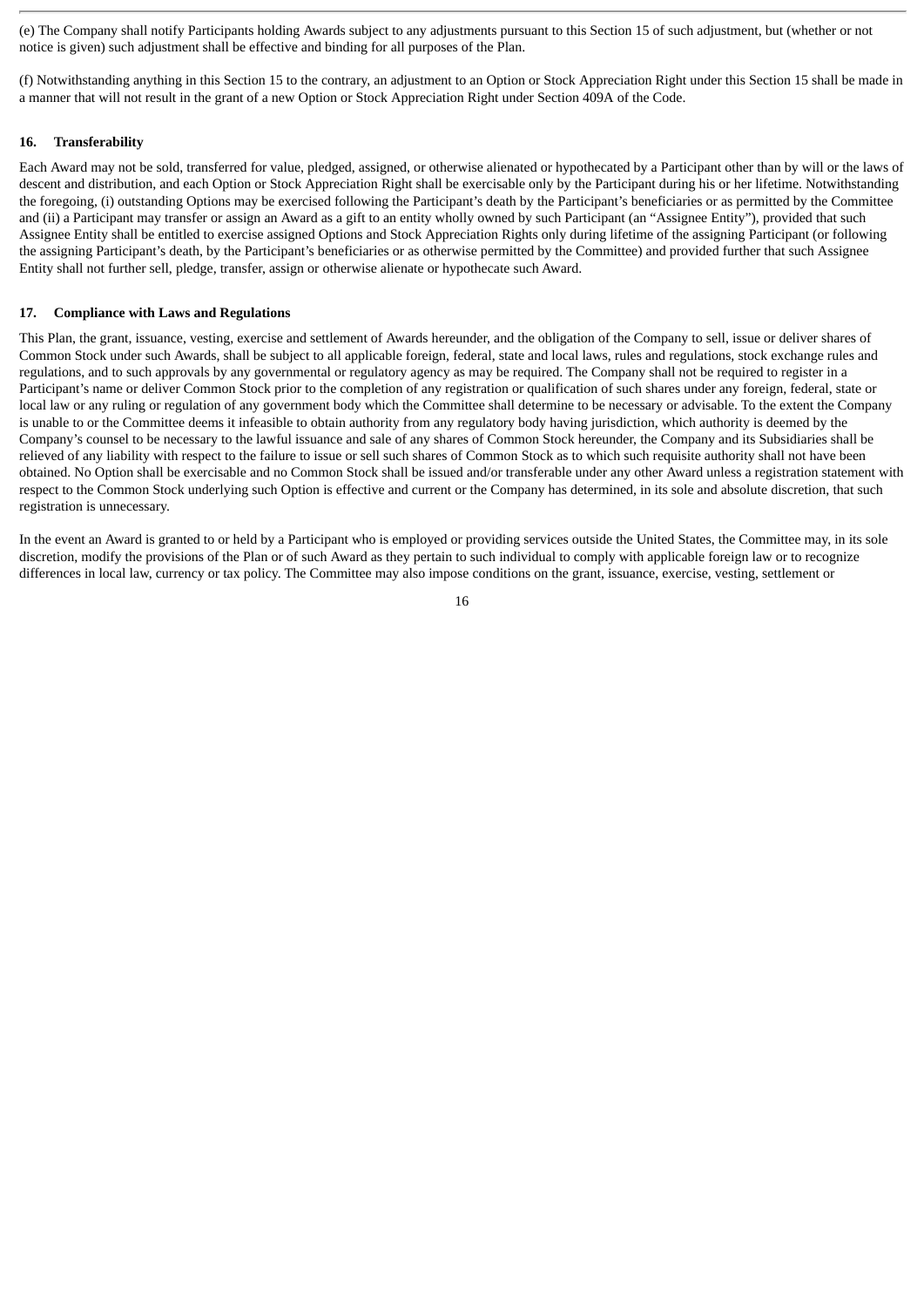(e) The Company shall notify Participants holding Awards subject to any adjustments pursuant to this Section 15 of such adjustment, but (whether or not notice is given) such adjustment shall be effective and binding for all purposes of the Plan.

(f) Notwithstanding anything in this Section 15 to the contrary, an adjustment to an Option or Stock Appreciation Right under this Section 15 shall be made in a manner that will not result in the grant of a new Option or Stock Appreciation Right under Section 409A of the Code.

## **16. Transferability**

Each Award may not be sold, transferred for value, pledged, assigned, or otherwise alienated or hypothecated by a Participant other than by will or the laws of descent and distribution, and each Option or Stock Appreciation Right shall be exercisable only by the Participant during his or her lifetime. Notwithstanding the foregoing, (i) outstanding Options may be exercised following the Participant's death by the Participant's beneficiaries or as permitted by the Committee and (ii) a Participant may transfer or assign an Award as a gift to an entity wholly owned by such Participant (an "Assignee Entity"), provided that such Assignee Entity shall be entitled to exercise assigned Options and Stock Appreciation Rights only during lifetime of the assigning Participant (or following the assigning Participant's death, by the Participant's beneficiaries or as otherwise permitted by the Committee) and provided further that such Assignee Entity shall not further sell, pledge, transfer, assign or otherwise alienate or hypothecate such Award.

## **17. Compliance with Laws and Regulations**

This Plan, the grant, issuance, vesting, exercise and settlement of Awards hereunder, and the obligation of the Company to sell, issue or deliver shares of Common Stock under such Awards, shall be subject to all applicable foreign, federal, state and local laws, rules and regulations, stock exchange rules and regulations, and to such approvals by any governmental or regulatory agency as may be required. The Company shall not be required to register in a Participant's name or deliver Common Stock prior to the completion of any registration or qualification of such shares under any foreign, federal, state or local law or any ruling or regulation of any government body which the Committee shall determine to be necessary or advisable. To the extent the Company is unable to or the Committee deems it infeasible to obtain authority from any regulatory body having jurisdiction, which authority is deemed by the Company's counsel to be necessary to the lawful issuance and sale of any shares of Common Stock hereunder, the Company and its Subsidiaries shall be relieved of any liability with respect to the failure to issue or sell such shares of Common Stock as to which such requisite authority shall not have been obtained. No Option shall be exercisable and no Common Stock shall be issued and/or transferable under any other Award unless a registration statement with respect to the Common Stock underlying such Option is effective and current or the Company has determined, in its sole and absolute discretion, that such registration is unnecessary.

In the event an Award is granted to or held by a Participant who is employed or providing services outside the United States, the Committee may, in its sole discretion, modify the provisions of the Plan or of such Award as they pertain to such individual to comply with applicable foreign law or to recognize differences in local law, currency or tax policy. The Committee may also impose conditions on the grant, issuance, exercise, vesting, settlement or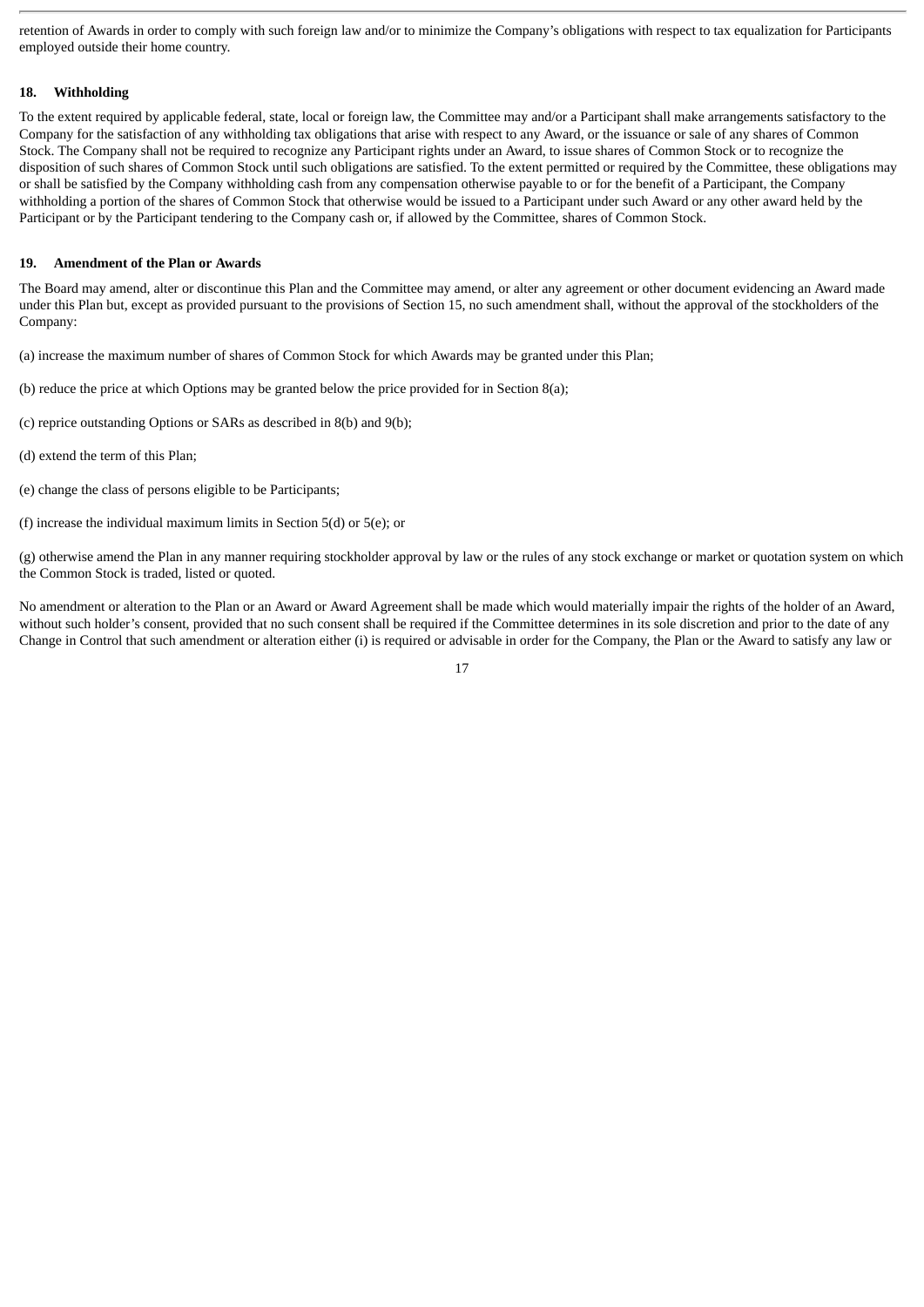retention of Awards in order to comply with such foreign law and/or to minimize the Company's obligations with respect to tax equalization for Participants employed outside their home country.

# **18. Withholding**

To the extent required by applicable federal, state, local or foreign law, the Committee may and/or a Participant shall make arrangements satisfactory to the Company for the satisfaction of any withholding tax obligations that arise with respect to any Award, or the issuance or sale of any shares of Common Stock. The Company shall not be required to recognize any Participant rights under an Award, to issue shares of Common Stock or to recognize the disposition of such shares of Common Stock until such obligations are satisfied. To the extent permitted or required by the Committee, these obligations may or shall be satisfied by the Company withholding cash from any compensation otherwise payable to or for the benefit of a Participant, the Company withholding a portion of the shares of Common Stock that otherwise would be issued to a Participant under such Award or any other award held by the Participant or by the Participant tendering to the Company cash or, if allowed by the Committee, shares of Common Stock.

# **19. Amendment of the Plan or Awards**

The Board may amend, alter or discontinue this Plan and the Committee may amend, or alter any agreement or other document evidencing an Award made under this Plan but, except as provided pursuant to the provisions of Section 15, no such amendment shall, without the approval of the stockholders of the Company:

- (a) increase the maximum number of shares of Common Stock for which Awards may be granted under this Plan;
- (b) reduce the price at which Options may be granted below the price provided for in Section 8(a);
- (c) reprice outstanding Options or SARs as described in 8(b) and 9(b);
- (d) extend the term of this Plan;
- (e) change the class of persons eligible to be Participants;
- (f) increase the individual maximum limits in Section 5(d) or 5(e); or

(g) otherwise amend the Plan in any manner requiring stockholder approval by law or the rules of any stock exchange or market or quotation system on which the Common Stock is traded, listed or quoted.

No amendment or alteration to the Plan or an Award or Award Agreement shall be made which would materially impair the rights of the holder of an Award, without such holder's consent, provided that no such consent shall be required if the Committee determines in its sole discretion and prior to the date of any Change in Control that such amendment or alteration either (i) is required or advisable in order for the Company, the Plan or the Award to satisfy any law or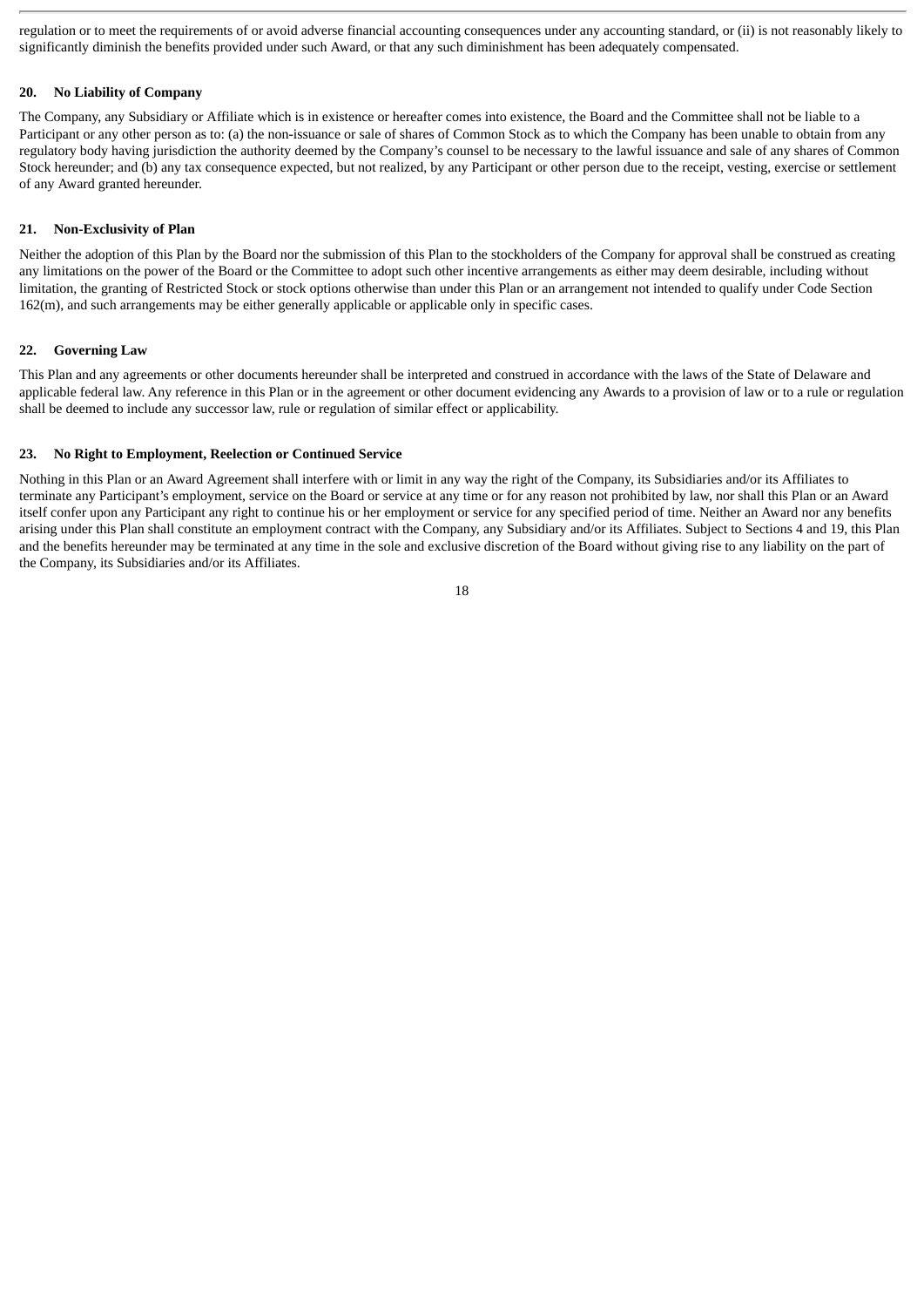regulation or to meet the requirements of or avoid adverse financial accounting consequences under any accounting standard, or (ii) is not reasonably likely to significantly diminish the benefits provided under such Award, or that any such diminishment has been adequately compensated.

## **20. No Liability of Company**

The Company, any Subsidiary or Affiliate which is in existence or hereafter comes into existence, the Board and the Committee shall not be liable to a Participant or any other person as to: (a) the non-issuance or sale of shares of Common Stock as to which the Company has been unable to obtain from any regulatory body having jurisdiction the authority deemed by the Company's counsel to be necessary to the lawful issuance and sale of any shares of Common Stock hereunder; and (b) any tax consequence expected, but not realized, by any Participant or other person due to the receipt, vesting, exercise or settlement of any Award granted hereunder.

## **21. Non-Exclusivity of Plan**

Neither the adoption of this Plan by the Board nor the submission of this Plan to the stockholders of the Company for approval shall be construed as creating any limitations on the power of the Board or the Committee to adopt such other incentive arrangements as either may deem desirable, including without limitation, the granting of Restricted Stock or stock options otherwise than under this Plan or an arrangement not intended to qualify under Code Section 162(m), and such arrangements may be either generally applicable or applicable only in specific cases.

## **22. Governing Law**

This Plan and any agreements or other documents hereunder shall be interpreted and construed in accordance with the laws of the State of Delaware and applicable federal law. Any reference in this Plan or in the agreement or other document evidencing any Awards to a provision of law or to a rule or regulation shall be deemed to include any successor law, rule or regulation of similar effect or applicability.

## **23. No Right to Employment, Reelection or Continued Service**

Nothing in this Plan or an Award Agreement shall interfere with or limit in any way the right of the Company, its Subsidiaries and/or its Affiliates to terminate any Participant's employment, service on the Board or service at any time or for any reason not prohibited by law, nor shall this Plan or an Award itself confer upon any Participant any right to continue his or her employment or service for any specified period of time. Neither an Award nor any benefits arising under this Plan shall constitute an employment contract with the Company, any Subsidiary and/or its Affiliates. Subject to Sections 4 and 19, this Plan and the benefits hereunder may be terminated at any time in the sole and exclusive discretion of the Board without giving rise to any liability on the part of the Company, its Subsidiaries and/or its Affiliates.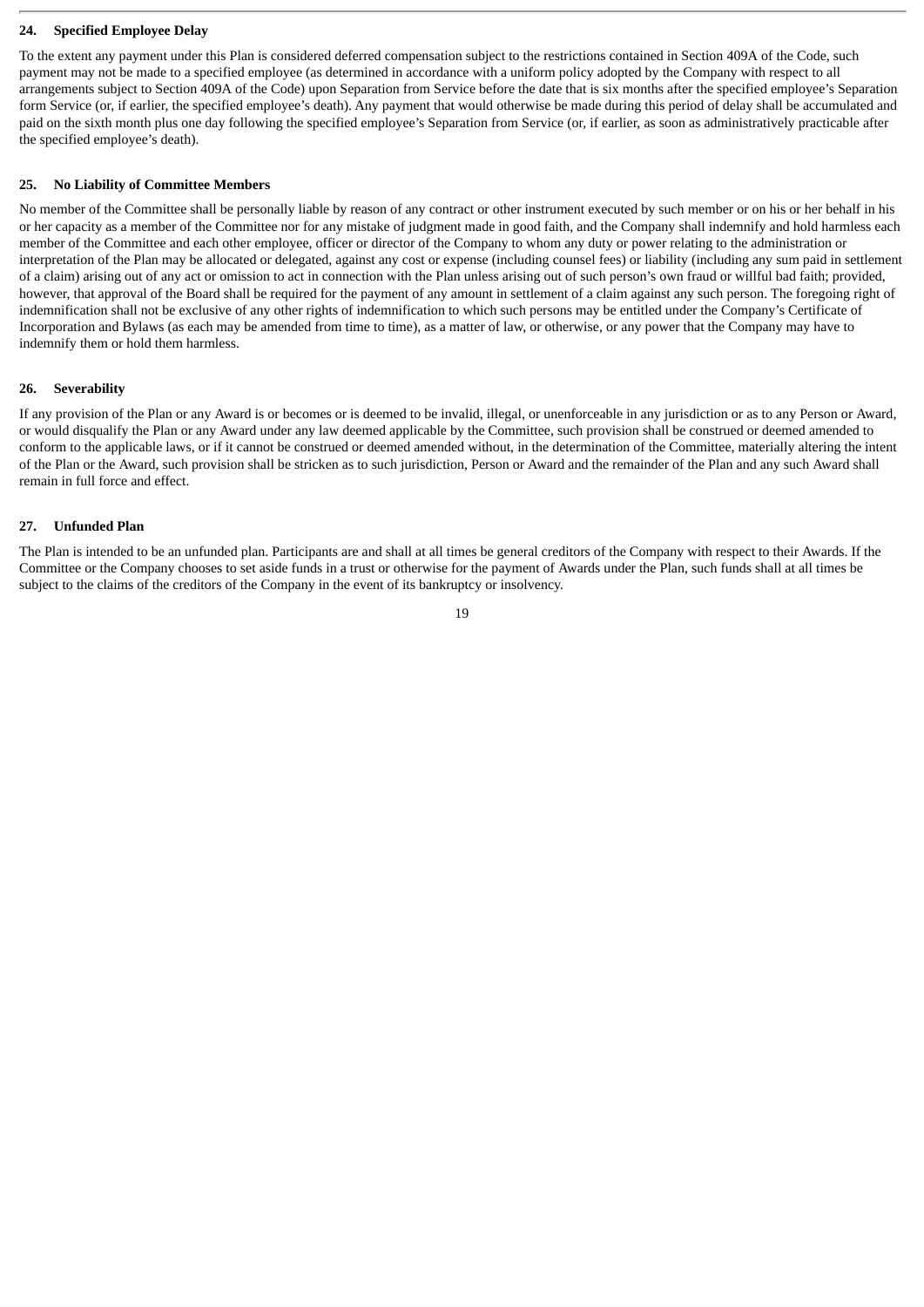## **24. Specified Employee Delay**

To the extent any payment under this Plan is considered deferred compensation subject to the restrictions contained in Section 409A of the Code, such payment may not be made to a specified employee (as determined in accordance with a uniform policy adopted by the Company with respect to all arrangements subject to Section 409A of the Code) upon Separation from Service before the date that is six months after the specified employee's Separation form Service (or, if earlier, the specified employee's death). Any payment that would otherwise be made during this period of delay shall be accumulated and paid on the sixth month plus one day following the specified employee's Separation from Service (or, if earlier, as soon as administratively practicable after the specified employee's death).

#### **25. No Liability of Committee Members**

No member of the Committee shall be personally liable by reason of any contract or other instrument executed by such member or on his or her behalf in his or her capacity as a member of the Committee nor for any mistake of judgment made in good faith, and the Company shall indemnify and hold harmless each member of the Committee and each other employee, officer or director of the Company to whom any duty or power relating to the administration or interpretation of the Plan may be allocated or delegated, against any cost or expense (including counsel fees) or liability (including any sum paid in settlement of a claim) arising out of any act or omission to act in connection with the Plan unless arising out of such person's own fraud or willful bad faith; provided, however, that approval of the Board shall be required for the payment of any amount in settlement of a claim against any such person. The foregoing right of indemnification shall not be exclusive of any other rights of indemnification to which such persons may be entitled under the Company's Certificate of Incorporation and Bylaws (as each may be amended from time to time), as a matter of law, or otherwise, or any power that the Company may have to indemnify them or hold them harmless.

## **26. Severability**

If any provision of the Plan or any Award is or becomes or is deemed to be invalid, illegal, or unenforceable in any jurisdiction or as to any Person or Award, or would disqualify the Plan or any Award under any law deemed applicable by the Committee, such provision shall be construed or deemed amended to conform to the applicable laws, or if it cannot be construed or deemed amended without, in the determination of the Committee, materially altering the intent of the Plan or the Award, such provision shall be stricken as to such jurisdiction, Person or Award and the remainder of the Plan and any such Award shall remain in full force and effect.

## **27. Unfunded Plan**

The Plan is intended to be an unfunded plan. Participants are and shall at all times be general creditors of the Company with respect to their Awards. If the Committee or the Company chooses to set aside funds in a trust or otherwise for the payment of Awards under the Plan, such funds shall at all times be subject to the claims of the creditors of the Company in the event of its bankruptcy or insolvency.